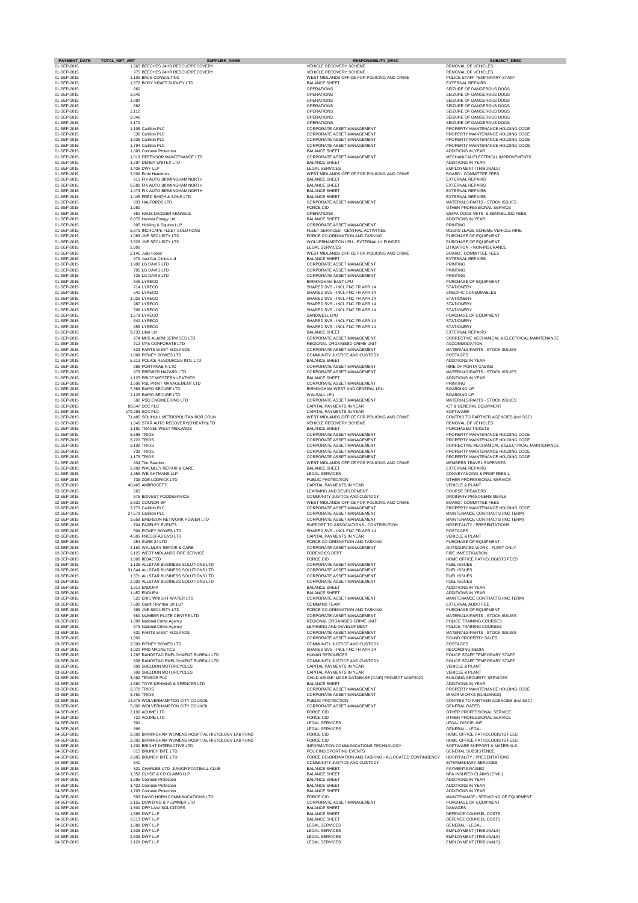| <b>PAYMENT DATE</b> | TOTAL_NET_AMT<br><b>SUPPLIER NAME</b>               | <b>RESPONSIBILITY DESC</b>                              | <b>SUBJECT DESC</b>                            |
|---------------------|-----------------------------------------------------|---------------------------------------------------------|------------------------------------------------|
| 01-SEP-2015         | 1,365 BEECHES 24HR RESCUE/RECOVERY                  | VEHICLE RECOVERY SCHEME                                 | <b>REMOVAL OF VEHICLES</b>                     |
| 01-SEP-2015         | 975 BEECHES 24HR RESCUE/RECOVERY                    | <b>VEHICLE RECOVERY SCHEME</b>                          | <b>REMOVAL OF VEHICLES</b>                     |
| 01-SEP-2015         | 1,100 BMJS CONSULTING                               | WEST MIDLANDS OFFICE FOR POLICING AND CRIME             | POLICE STAFF TEMPORARY STAFF                   |
| 01-SEP-2015         | 1,572 BODY KRAFT DUDLEY LTD                         | <b>BALANCE SHEET</b>                                    | <b>EXTERNAL REPAIRS</b>                        |
| 01-SEP-2015         | 660                                                 | <b>OPERATIONS</b>                                       | SEIZURE OF DANGEROUS DOGS                      |
| 01-SEP-2015         | 2,640                                               | <b>OPERATIONS</b>                                       | SEIZURE OF DANGEROUS DOGS                      |
| 01-SEP-2015         | 1,980                                               | <b>OPERATIONS</b>                                       | SEIZURE OF DANGEROUS DOGS                      |
| 01-SEP-2015         | 682                                                 | <b>OPERATIONS</b>                                       | SEIZURE OF DANGEROUS DOGS                      |
| 01-SEP-2015         | 2,112                                               | <b>OPERATIONS</b>                                       | SEIZURE OF DANGEROUS DOGS                      |
| 01-SEP-2015         | 2,046                                               | <b>OPERATIONS</b>                                       | SEIZURE OF DANGEROUS DOGS                      |
| 01-SEP-2015         | 2,170                                               | <b>OPERATIONS</b>                                       | SEIZURE OF DANGEROUS DOGS                      |
| 01-SEP-2015         | 1,105 Carillion PLC                                 | <b>CORPORATE ASSET MANAGEMENT</b>                       | PROPERTY MAINTENANCE HOLDING CODE              |
| 01-SEP-2015         | 536 Carillion PLC                                   | <b>CORPORATE ASSET MANAGEMENT</b>                       | PROPERTY MAINTENANCE HOLDING CODE              |
| 01-SEP-2015         | 1,935 Carillion PLC                                 | <b>CORPORATE ASSET MANAGEMENT</b>                       | PROPERTY MAINTENANCE HOLDING CODE              |
| 01-SEP-2015         | 1,794 Carillion PLC                                 | CORPORATE ASSET MANAGEMENT                              | PROPERTY MAINTENANCE HOLDING CODE              |
| 01-SEP-2015         | 1,063 Cooneen Protection                            | <b>BALANCE SHEET</b>                                    | <b>ADDITIONS IN YEAR</b>                       |
| 01-SEP-2015         | 1,019 DEFENSOR MAINTENANCE LTD                      | <b>CORPORATE ASSET MANAGEMENT</b>                       | MECHANICAL/ELECTRICAL IMPROVEMENTS             |
| 01-SEP-2015         | 1,297 DERBY UNITEX LTD                              | <b>BALANCE SHEET</b>                                    | <b>ADDITIONS IN YEAR</b>                       |
| 01-SEP-2015         | 1,436 DWF LLP                                       | <b>LEGAL SERVICES</b>                                   | <b>EMPLOYMENT (TRIBUNALS)</b>                  |
| 01-SEP-2015         | 2,009 Ernie Hendricks                               | WEST MIDLANDS OFFICE FOR POLICING AND CRIME             | <b>BOARD / COMMITTEE FEES</b>                  |
| 01-SEP-2015         | 815 FIX AUTO BIRMINGHAM NORTH                       | <b>BALANCE SHEET</b>                                    | <b>EXTERNAL REPAIRS</b>                        |
| 01-SEP-2015         | 6,680 FIX AUTO BIRMINGHAM NORTH                     | <b>BALANCE SHEET</b>                                    | <b>EXTERNAL REPAIRS</b>                        |
| 01-SEP-2015         | 1.473 FIX AUTO BIRMINGHAM NORTH                     | <b>BALANCE SHEET</b>                                    | <b>EXTERNAL REPAIRS</b>                        |
| 01-SEP-2015         | 1,445 FRED SMITH & SONS LTD                         | <b>BALANCE SHEET</b>                                    | <b>EXTERNAL REPAIRS</b>                        |
| 01-SEP-2015         | 833 HALFORDS LTD                                    | <b>CORPORATE ASSET MANAGEMENT</b>                       | MATERIALS/PARTS - STOCK ISSUES                 |
| 01-SEP-2015         | 1,080                                               | <b>FORCE CID</b>                                        | OTHER PROFESSIONAL SERVICE                     |
| 01-SEP-2015         | 850 HAUS DAGGER KENNELS                             | <b>OPERATIONS</b>                                       | WMPA DOGS VETS & KENNELLING FEES               |
| 01-SEP-2015         | 8,076 Harvest Energy Ltd                            | <b>BALANCE SHEET</b>                                    | <b>ADDITIONS IN YEAR</b>                       |
| 01-SEP-2015         | 805 Hickling & Squires LLP                          | <b>CORPORATE ASSET MANAGEMENT</b>                       | <b>PRINTING</b>                                |
| 01-SEP-2015         | 5,975 INCHCAPE FLEET SOLUTIONS                      | FLEET SERVICES - CENTRAL ACTIVITIES                     | MGERS LEASE SCHEME VEHICLE HIRE                |
| 01-SEP-2015         | 1,083 JNE SECURITY LTD                              | FORCE CO-ORDINATION AND TASKING                         | PURCHASE OF EQUIPMENT                          |
| 01-SEP-2015         | 3,526 JNE SECURITY LTD                              | <b>WOLVERHAMPTON LPU - EXTERNALLY FUNDED</b>            | PURCHASE OF EQUIPMENT                          |
| 01-SEP-2015         | 2,000                                               | LEGAL SERVICES                                          | LITIGATION - NON-INSURANCE                     |
| 01-SEP-2015         | 2,141 Judy Foster                                   | WEST MIDLANDS OFFICE FOR POLICING AND CRIME             | <b>BOARD / COMMITTEE FEES</b>                  |
| 01-SEP-2015         | 979 Just Car Clinics Ltd                            | <b>BALANCE SHEET</b>                                    | <b>EXTERNAL REPAIRS</b>                        |
| 01-SEP-2015         | 1,900 LG DAVIS LTD                                  | CORPORATE ASSET MANAGEMENT                              | <b>PRINTING</b>                                |
| 01-SEP-2015         | 795 LG DAVIS LTD                                    | <b>CORPORATE ASSET MANAGEMENT</b>                       | <b>PRINTING</b>                                |
| 01-SEP-2015         | 725 LG DAVIS LTD                                    | <b>CORPORATE ASSET MANAGEMENT</b>                       | <b>PRINTING</b>                                |
| 01-SEP-2015         | 845 LYRECO                                          | <b>BIRMINGHAM EAST LPU</b>                              | PURCHASE OF EQUIPMENT                          |
| 01-SEP-2015         | 714 LYRECO                                          | SHARED SVS - INCL FNC FR APR 14                         | <b>STATIONERY</b>                              |
| 01-SEP-2015         | 541 LYRECO                                          | SHARED SVS - INCL FNC FR APR 14                         | <b>SPECIFIC CONSUMABLES</b>                    |
| 01-SEP-2015         | 1,026 LYRECO                                        | SHARED SVS - INCL FNC FR APR 14                         | <b>STATIONERY</b>                              |
| 01-SEP-2015         | 987 LYRECO                                          | SHARED SVS - INCL FNC FR APR 14                         | <b>STATIONERY</b>                              |
| 01-SEP-2015         | 508 LYRECO                                          | SHARED SVS - INCL FNC FR APR 14                         | <b>STATIONERY</b>                              |
| 01-SEP-2015         | 1,578 LYRECO                                        | SANDWELL LPU                                            | PURCHASE OF EQUIPMENT                          |
| 01-SEP-2015         | 640 LYRECO                                          | SHARED SVS - INCL FNC FR APR 14                         | <b>STATIONERY</b>                              |
| 01-SEP-2015         | 956 LYRECO                                          | SHARED SVS - INCL FNC FR APR 14                         | <b>STATIONERY</b>                              |
| 01-SEP-2015         | 9,733 Litori Ltd                                    | <b>BALANCE SHEET</b>                                    | <b>EXTERNAL REPAIRS</b>                        |
| 01-SEP-2015         | 974 MHS ALARM SERVICES LTD                          | CORPORATE ASSET MANAGEMENT                              | CORRECTIVE MECHANICAL & ELECTRICAL MAINTENANCE |
| 01-SEP-2015         | 712 NYS CORPORATE LTD                               | REGIONAL ORGANISED CRIME UNIT                           | ACCOMMODATION                                  |
| 01-SEP-2015         | 523 PARTS WEST MIDLANDS                             | CORPORATE ASSET MANAGEMENT                              | MATERIALS/PARTS - STOCK ISSUES                 |
| 01-SEP-2015         | 1,009 PITNEY BOWES LTD                              | COMMUNITY JUSTICE AND CUSTODY                           | <b>POSTAGES</b>                                |
| 01-SEP-2015         | 5,313 POLICE RESOURCES INTL LTD                     | <b>BALANCE SHEET</b>                                    | <b>ADDITIONS IN YEAR</b>                       |
| 01-SEP-2015         | 988 PORTAKABIN LTD                                  | <b>CORPORATE ASSET MANAGEMENT</b>                       | HIRE OF PORTA CABINS                           |
| 01-SEP-2015         | 978 PREMIER HAZARD LTD                              | <b>CORPORATE ASSET MANAGEMENT</b>                       | MATERIALS/PARTS - STOCK ISSUES                 |
| 01-SEP-2015         | 1,125 PRICE WESTERN LEATHER                         | <b>BALANCE SHEET</b>                                    | <b>ADDITIONS IN YEAR</b>                       |
| 01-SEP-2015         | 1,508 PSL PRINT MANAGEMENT LTD                      | CORPORATE ASSET MANAGEMENT                              | <b>PRINTING</b>                                |
| 01-SEP-2015         | 7,368 RAPID SECURE LTD                              | BIRMINGHAM WEST AND CENTRAL LPU                         | <b>BOARDING UP</b>                             |
| 01-SEP-2015         | 2.125 RAPID SECURE LTD                              | <b>WALSALL LPU</b>                                      | <b>BOARDING UP</b>                             |
| 01-SEP-2015         | 582 RSG ENGINEERING LTD                             | <b>CORPORATE ASSET MANAGEMENT</b>                       | MATERIALS/PARTS - STOCK ISSUES                 |
| 01-SEP-2015         | 89,647 SCC PLC                                      | <b>CAPITAL PAYMENTS IN YEAR</b>                         | <b>ICT &amp; GENERAL EQUIPMENT</b>             |
| 01-SEP-2015         | 179,293 SCC PLC                                     | CAPITAL PAYMENTS IN YEAR                                | <b>SOFTWARE</b>                                |
| 01-SEP-2015         | 71,485 SOLIHULL METROPOLITAN BOR.COUN               | WEST MIDLANDS OFFICE FOR POLICING AND CRIME             | CONTRIB TO PARTNER AGENCIES (incl SSC)         |
| 01-SEP-2015         | 1,040 STAR AUTO RECOVERY(B'HEATH)LTD                | <b>VEHICLE RECOVERY SCHEME</b>                          | <b>REMOVAL OF VEHICLES</b>                     |
| 01-SEP-2015         | 1,191 TRAVEL WEST MIDLANDS                          | <b>BALANCE SHEET</b>                                    | PURCHASED TICKETS                              |
| 01-SEP-2015         | 6,598 TRIOS                                         | <b>CORPORATE ASSET MANAGEMENT</b>                       | PROPERTY MAINTENANCE HOLDING CODE              |
| 01-SEP-2015         | 3,220 TRIOS                                         | CORPORATE ASSET MANAGEMENT                              | PROPERTY MAINTENANCE HOLDING CODE              |
| 01-SEP-2015         | 3,109 TRIOS                                         | <b>CORPORATE ASSET MANAGEMENT</b>                       | CORRECTIVE MECHANICAL & ELECTRICAL MAINTENANCE |
| 01-SEP-2015         | 739 TRIOS                                           | <b>CORPORATE ASSET MANAGEMENT</b>                       | PROPERTY MAINTENANCE HOLDING CODE              |
| 01-SEP-2015         | 1,175 TRIOS                                         | CORPORATE ASSET MANAGEMENT                              | PROPERTY MAINTENANCE HOLDING CODE              |
| 01-SEP-2015         | 634 Tim Sawdon                                      | WEST MIDLANDS OFFICE FOR POLICING AND CRIME             | MEMBERS TRAVEL EXPENSES                        |
| 01-SEP-2015         | 2,708 WALMLEY REPAIR & CARE                         | <b>BALANCE SHEET</b>                                    | <b>EXTERNAL REPAIRS</b>                        |
| 01-SEP-2015         | 1.356 WEIGHTMANS LLP                                | LEGAL SERVICES                                          | CONVEYANCING & PROP FEES L                     |
| 01-SEP-2015         | 739 ZOE LODRICK LTD                                 | PUBLIC PROTECTION                                       | OTHER PROFESSIONAL SERVICE                     |
| 02-SEP-2015         | 40,465 AMBROSETTI                                   | <b>CAPITAL PAYMENTS IN YEAR</b>                         | <b>VEHICLE &amp; PLANT</b>                     |
| 02-SEP-2015         | 665                                                 | LEARNING AND DEVELOPMENT                                | <b>COURSE SPEAKERS</b>                         |
| 02-SEP-2015         | 575 BIDVEST FOODSERVICE                             | COMMUNITY JUSTICE AND CUSTODY                           | ORDINARY PRISONERS MEALS                       |
| 02-SEP-2015         | 2,832 CONNOR BP                                     | WEST MIDLANDS OFFICE FOR POLICING AND CRIME             | <b>BOARD / COMMITTEE FEES</b>                  |
| 02-SEP-2015         | 3,772 Carillion PLC                                 | CORPORATE ASSET MANAGEMENT                              | PROPERTY MAINTENANCE HOLDING CODE              |
| 02-SEP-2015         | 27,579 Carillion PLC                                | CORPORATE ASSET MANAGEMENT                              | MAINTENANCE CONTRACTS (INC TERM)               |
| 02-SEP-2015         | 3,658 EMERSON NETWORK POWER LTD                     | <b>CORPORATE ASSET MANAGEMENT</b>                       | MAINTENANCE CONTRACTS (INC TERM)               |
| 02-SEP-2015         | 704 FAZELEY EVENTS                                  | SUPPORT TO ASSOCIATIONS - CONTRIBUTION                  | <b>HOSPITALITY / PRESENTATIONS</b>             |
| 02-SEP-2015         | 509 PITNEY BOWES LTD                                | SHARED SVS - INCL FNC FR APR 14                         | <b>POSTAGES</b>                                |
| 02-SEP-2015         | 4,605 PRESSFAB EVO LTD                              | <b>CAPITAL PAYMENTS IN YEAR</b>                         | <b>VEHICLE &amp; PLANT</b>                     |
| 02-SEP-2015         | 954 SURE 24 LTD                                     | FORCE CO-ORDINATION AND TASKING                         | PURCHASE OF EQUIPMENT                          |
| 02-SEP-2015         | 2,160 WALMLEY REPAIR & CARE                         | <b>CORPORATE ASSET MANAGEMENT</b>                       | OUTSOURCED WORK - FLEET ONLY                   |
| 02-SEP-2015         | 2,125 WEST MIDLANDS FIRE SERVICE                    | <b>FORENSICS DEPT</b>                                   | <b>FIRE INVESTIGATION</b>                      |
| 03-SEP-2015         | 1,800 REDACTED                                      | <b>FORCE CID</b>                                        | HOME OFFICE PATHOLOGISTS FEES                  |
| 03-SEP-2015         | 1,138 ALLSTAR BUSINESS SOLUTIONS LTD                | <b>CORPORATE ASSET MANAGEMENT</b>                       | <b>FUEL ISSUES</b>                             |
| 03-SEP-2015         | 31,644 ALLSTAR BUSINESS SOLUTIONS LTD               | <b>CORPORATE ASSET MANAGEMENT</b>                       | <b>FUEL ISSUES</b>                             |
| 03-SEP-2015         | 1,571 ALLSTAR BUSINESS SOLUTIONS LTD                | CORPORATE ASSET MANAGEMENT                              | <b>FUEL ISSUES</b>                             |
| 03-SEP-2015         | 2,209 ALLSTAR BUSINESS SOLUTIONS LTD                | CORPORATE ASSET MANAGEMENT                              | <b>FUEL ISSUES</b>                             |
| 03-SEP-2015         | 1,310 ENDURA                                        | <b>BALANCE SHEET</b>                                    | <b>ADDITIONS IN YEAR</b>                       |
| 03-SEP-2015         | 1,457 ENDURA                                        | <b>BALANCE SHEET</b>                                    | <b>ADDITIONS IN YEAR</b>                       |
| 03-SEP-2015         | 522 ERIC WRIGHT WATER LTD                           | CORPORATE ASSET MANAGEMENT                              | MAINTENANCE CONTRACTS (INC TERM)               |
| 03-SEP-2015         | 7,500 Grant Thornton UK LLP                         | <b>COMMAND TEAM</b>                                     | <b>EXTERNAL AUDIT FEE</b>                      |
| 03-SEP-2015         | 999 JNE SECURITY LTD                                | FORCE CO-ORDINATION AND TASKING                         | PURCHASE OF EQUIPMENT                          |
| 03-SEP-2015         | 560 NUMBER PLATE CENTRE LTD                         | <b>CORPORATE ASSET MANAGEMENT</b>                       | MATERIALS/PARTS - STOCK ISSUES                 |
| 03-SEP-2015         | 1,099 National Crime Agency                         | REGIONAL ORGANISED CRIME UNIT                           | POLICE TRAINING COURSES                        |
| 03-SEP-2015         | 979 National Crime Agency                           | LEARNING AND DEVELOPMENT                                | POLICE TRAINING COURSES                        |
| 03-SEP-2015         | 631 PARTS WEST MIDLANDS                             | <b>CORPORATE ASSET MANAGEMENT</b>                       | MATERIALS/PARTS - STOCK ISSUES                 |
| 03-SEP-2015         | 1,000                                               | CORPORATE ASSET MANAGEMENT                              | <b>FOUND PROPERTY SALES</b>                    |
| 03-SEP-2015         | 2,509 PITNEY BOWES LTD                              | COMMUNITY JUSTICE AND CUSTODY                           | <b>POSTAGES</b>                                |
| 03-SEP-2015         | 1,020 PMD MAGNETICS                                 | SHARED SVS - INCL FNC FR APR 14                         | <b>RECORDING MEDIA</b>                         |
| 03-SEP-2015         | 1,297 RANDSTAD EMPLOYMENT BUREAU LTD                | <b>HUMAN RESOURCES</b>                                  | POLICE STAFF TEMPORARY STAFF                   |
| 03-SEP-2015         | 838 RANDSTAD EMPLOYMENT BUREAU LTD                  | COMMUNITY JUSTICE AND CUSTODY                           | POLICE STAFF TEMPORARY STAFF                   |
| 03-SEP-2015         | 999 SHELDON MOTORCYCLES                             | CAPITAL PAYMENTS IN YEAR                                | <b>VEHICLE &amp; PLANT</b>                     |
| 03-SEP-2015         | 999 SHELDON MOTORCYCLES                             | <b>CAPITAL PAYMENTS IN YEAR</b>                         | <b>VEHICLE &amp; PLANT</b>                     |
| 03-SEP-2015         | 3,062 TENSOR PLC                                    | CHILD ABUSE IMAGE DATABASE (CAID) PROJECT WMP2020       | <b>BUILDING SECURITY SERVICES</b>              |
| 03-SEP-2015         | 1,580 TOYE KENNING & SPENCER LTD                    | <b>BALANCE SHEET</b>                                    | <b>ADDITIONS IN YEAR</b>                       |
| 03-SEP-2015         | 2,370 TRIOS                                         | <b>CORPORATE ASSET MANAGEMENT</b>                       | PROPERTY MAINTENANCE HOLDING CODE              |
| 03-SEP-2015         | 8,750 TRIOS                                         | <b>CORPORATE ASSET MANAGEMENT</b>                       | <b>MINOR WORKS (BUILDINGS)</b>                 |
| 03-SEP-2015         | 14,873 WOLVERHAMPTON CITY COUNCIL                   | PUBLIC PROTECTION                                       | CONTRIB TO PARTNER AGENCIES (incl SSC)         |
| 03-SEP-2015         | 5,000 WOLVERHAMPTON CITY COUNCIL                    | <b>CORPORATE ASSET MANAGEMENT</b>                       | <b>GENERAL RATES</b>                           |
| 04-SEP-2015         | 2,100 ACUME LTD                                     | <b>FORCE CID</b>                                        | OTHER PROFESSIONAL SERVICE                     |
| 04-SEP-2015         | 722 ACUME LTD                                       | <b>FORCE CID</b>                                        | OTHER PROFESSIONAL SERVICE                     |
| 04-SEP-2015         | 500                                                 | <b>LEGAL SERVICES</b>                                   | <b>LEGAL DISCIPLINE</b>                        |
| 04-SEP-2015         | 896                                                 | <b>LEGAL SERVICES</b>                                   | <b>GENERAL - LEGAL</b>                         |
| 04-SEP-2015         | 2,000 BIRMINGHAM WOMENS HOSPITAL HISTOLOGY LAB FUND | <b>FORCE CID</b>                                        | HOME OFFICE PATHOLOGISTS FEES                  |
| 04-SEP-2015         | 2,000 BIRMINGHAM WOMENS HOSPITAL HISTOLOGY LAB FUND | <b>FORCE CID</b>                                        | HOME OFFICE PATHOLOGISTS FEES                  |
| 04-SEP-2015         | 1,200 BRIGHT INTERACTIVE LTD                        | INFORMATION COMMUNICATIONS TECHNOLOGY                   | SOFTWARE SUPPORT & MATERIALS                   |
| 04-SEP-2015         | 615 BRUNCH BITE LTD                                 | POLICING SPORTING EVENTS                                | <b>GENERAL SUBSISTENCE</b>                     |
| 04-SEP-2015         | 2,985 BRUNCH BITE LTD                               | FORCE CO-ORDINATION AND TASKING - ALLOCATED CONTINGENCY | <b>HOSPITALITY / PRESENTATIONS</b>             |
| 04-SEP-2015         | 641                                                 | COMMUNITY JUSTICE AND CUSTODY                           | <b>INTERMEDIARY SERVICES</b>                   |
| 04-SEP-2015         | 821 CHARLES UTD. JUNIOR FOOTBALL CLUB               | <b>BALANCE SHEET</b>                                    | <b>PAYMENTS RAISED</b>                         |
| 04-SEP-2015         | 1,352 CLYDE & CO CLAIMS LLP                         | <b>BALANCE SHEET</b>                                    | NFA INSURED CLAIMS (CIVIL)                     |
| 04-SEP-2015         | 1,695 Cooneen Protection                            | <b>BALANCE SHEET</b>                                    | <b>ADDITIONS IN YEAR</b>                       |
| 04-SEP-2015         | 1,423 Cooneen Protection                            | <b>BALANCE SHEET</b>                                    | <b>ADDITIONS IN YEAR</b>                       |
| 04-SEP-2015         | 1,703 Cooneen Protection                            | <b>BALANCE SHEET</b>                                    | <b>ADDITIONS IN YEAR</b>                       |
| 04-SEP-2015         | 503 DAVID HORN COMMUNICATIONS LTD                   | <b>FORCE CID</b>                                        | MAINTENANCE / SERVICING OF EQUIPMENT           |
| 04-SEP-2015         | 2,155 DOWDING & PLUMMER LTD                         | <b>CORPORATE ASSET MANAGEMENT</b>                       | PURCHASE OF EQUIPMENT                          |
| 04-SEP-2015         | 1,500 DPP LAW SOLICITORS                            | <b>BALANCE SHEET</b>                                    | <b>DAMAGES</b>                                 |
| 04-SEP-2015         | 1,595 DWF LLP                                       | <b>BALANCE SHEET</b>                                    | DEFENCE COUNSEL COSTS                          |
| 04-SEP-2015         | 3,513 DWF LLP                                       | <b>BALANCE SHEET</b>                                    | DEFENCE COUNSEL COSTS                          |
| 04-SEP-2015         | 1,089 DWF LLP                                       | <b>LEGAL SERVICES</b>                                   | <b>GENERAL - LEGAL</b>                         |
| 04-SEP-2015         | 1,828 DWF LLP                                       | <b>LEGAL SERVICES</b>                                   | <b>EMPLOYMENT (TRIBUNALS)</b>                  |
| 04-SEP-2015         | 2,836 DWF LLP                                       | <b>LEGAL SERVICES</b>                                   | <b>EMPLOYMENT (TRIBUNALS)</b>                  |
| 04-SEP-2015         | 2,129 DWF LLP                                       | <b>LEGAL SERVICES</b>                                   | <b>EMPLOYMENT (TRIBUNALS)</b>                  |
|                     |                                                     |                                                         |                                                |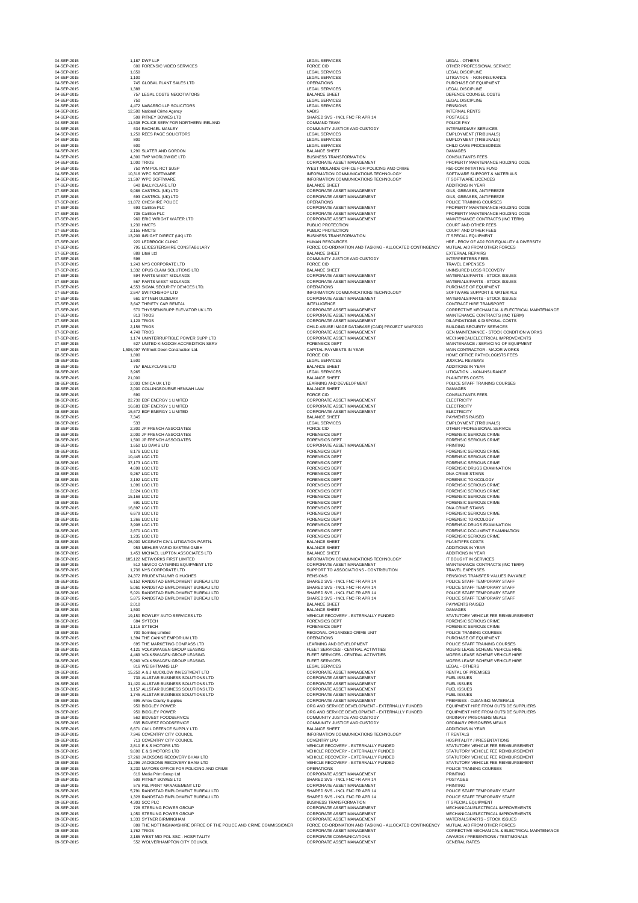04-SEP-2015 600 FORENSIC VIDEO SERVICES FORCE CID OTHER PROFESSIONAL SERVICE LEGAL SERVICES LEGAL SERVICES AND LITIGATION - NON-INSURANCE OPERATIONS OPERATIONS And the set of the set of the set of the set of the set of the set of the set of the set of the set of the set of the set of the set of the set of the set of the set of the set of the set of the set o DEFENCE SHEET DEFENCE COUNSEL COSTS SHARED SVS - INCL FNC FR APR 14 POSTAGES COMMUNITY JUSTICE AND CUSTODY **Example 23 A RACHAEL MANUSCONS** INTERMEDIARY SERVICES LEGAL SERVICES **1,250 REES PAGE SOLICITORS PAGE SOLICITORS** EMPLOYMENT (TRIBUNALS) LEGAL SERVICES EMPLOYMENT (TRIBUNALS) LEGAL SERVICES **CHILD CARE PROCEEDINGS** DUSINESS TRANSFORMATION DESCRIPTION AND RESISTING MANUSCRIPTION CONSULTANTS FEES CORPORATE ASSET MANAGEMENT **Example 2015 1,000 TRIOF ASSESSMENT PROPERTY MAINTENANCE HOLDING CODE** WEST MIDLANDS OFFICE FOR POLICING AND CRIME **EXAM** PROPOSE R50-COM INITIATIVE FUND INFORMATION COMMUNICATIONS TECHNOLOGY SOFTWARE SUPPORT & MATERIALS INFORMATION COMMUNICATIONS TECHNOLOGY IT SOFTWARE LICENCES CORPORATE ASSET MANAGEMENT CORPORATE ASSET MANAGEMENT And CORPORATE ASSET MANAGEMENT ORPORATE ASSET MANAGEMENT CORPORATE ASSET MANAGEMENT CORPORATE ASSET MANAGEMENT OPERATIONS OPERATIONS And the set of the set of the set of the set of the police of the set of the set of the set of the set of the set of the set of the set of the set of the set of the set of the set of the set of the se CORPORATE ASSET MANAGEMENT **Example 2015 CORPORATE ASSET MANAGEMENT** AND PROPERTY MAINTENANCE HOLDING CODE CORPORATE ASSET MANAGEMENT **Example 2015 120 CORPORATE ASSET MANAGEMENT** And the property maintenance holding code CORPORATE ASSET MANAGEMENT **EXISTED ASSET MANAGEMENT** MAINTENANCE CONTRACTS (INC TERM) PUBLIC PROTECTION **PUBLIC PROTECTION** PUBLIC PROTECTION **COURT AND OTHER FEES** BUSINESS TRANSFORMATION **IT SPECIAL EQUIPMENT** HUMAN RESOURCES **EXECUTES** HRF - PROV OF ADJ FOR EQUALITY & DIVERSITY FORCE CO-ORDINATION AND TASKING - ALLOCATED CONTINGENCY MUTUAL AID FROM OTHER FORCES COMMUNITY JUSTICE AND CUSTODY **Example 2015** INTERPRETERS FEES DRIANCE SHEET AND RECOVERY UNINSURED LOSS RECOVERY ORPORATE ASSET MANAGEMENT **Example 2015 1944 PARTS ASSET MANAGEMENT** MATERIALS/PARTS - STOCK ISSUES CORPORATE ASSET MANAGEMENT **Example 2015 167 PARTS ASSET MANAGEMENT** MATERIALS/PARTS - STOCK ISSUES OPERATIONS AND RESERVE ENTIRELY AND LODGED AND RESERVE ENTREMINISMENT DEVICES LTD. OPERATIONS AND RESERVE EQUIPMENT INFORMATION COMMUNICATIONS TECHNOLOGY SOFTWARE SUPPORT & MATERIALS CORPORATE ASSET MANAGEMENT **Example 2015 661 Systems** MATERIALS/PARTS - STOCK ISSUES INTELLIGENCE EXAMPLE AND THE SEPERAL INTELLIGENCE CONTRACT HIRE TRANSPORT CORPORATE ASSET MANAGEMENT **ELECTRICAL SERVATOR IN A LTD CORPORATE ASSET MANAGEMENT** CORRECTIVE MECHANICAL & ELECTRICAL MAINTENANCE CORPORATE ASSET MANAGEMENT **Example 2015 TERM** MAINTENANCE CONTRACTS (INC TERM) ORPORATE ASSET MANAGEMENT DILAPIDATIONS & DISPOSAL COSTS CHILD ABUSE IMAGE DATABASE (CAID) PROJECT WMP2020 BUILDING SECURITY SERVICES CORPORATE ASSET MANAGEMENT GEN MAINTENANCE - STOCK CONDITION WORKS CORPORATE ASSET MANAGEMENT **Example 2015** MECHANICAL/ELECTRICAL IMPROVEMENTS FORENSICS DEPT FORENSICS OF EQUIPMENT SERVICING OF EQUIPMENT CAPITAL PAYMENTS IN YEAR **Example 2015 1,500 William Construction Ltd. CONTRACTOR - MAJOR WORKS** FORCE CID **EXECUTE:**  $\blacksquare$  TORCE CID **HOME OFFICE PATHOLOGISTS FEES** 08-SEP-2015 3,965 LEGAL SERVICES LITIGATION - NON-INSURANCE LEARNING AND DEVELOPMENT **Example 2015 2016 2016 2016 2016 2016 2016** POLICE STAFF TRAINING COURSES CORPORATE ASSET MANAGEMENT ELECTRICITY CORPORATE ASSET MANAGEMENT **ELECTRICITY** CORPORATE ASSET MANAGEMENT ELECTRICITY LEGAL SERVICES EMPLOYMENT (TRIBUNALS) FORCE CID **EXECUTE: THE SEP-2015 2DP-2015 2,300 STEER PROFESSIONAL SERVICE** FORENSICS DEPT FORENSICS OF THE SEP-2015 CRIME ASSOCIATES FOR ASSOCIATES FOR EXAMPLE ASSOCIATES FOR THE SERIOUS CRIME EXPENSICS DEPT THE SEP-2015 IN THE SEP-2015 IN THE SEPARATE SERIOUS CRIME CORPORATE ASSET MANAGEMENT **Example 2015 1,650 LG DAVIS 2015 1,650 LG DAVIS 2016** FORENSICS DEPT FORENSICS OF THE SEP-2015 CRIME REPORT OF THE SERIOUS CRIME FORENSICS DEPT FORENSICS OF THE SEP-2015 CRIME REPORT OF THE SERIOUS CRIME FORENSICS DEPT **EXECUTE IS A SEP-2015 27, 2016 27,173 LGCC LTD FORENSIC SERIOUS CRIME** FORENSICS DEPT FORENSICS OF REAL ASSESSMENT ON A REAL ASSESSMENT ON A REAL ASSESSMENT ON A REAL AND THE SERVICE OF REAL ASSESSMENT ON A REAL AND THE SERVICE OF REAL ASSESSMENT ON A REAL AND THE SERVICE OF REAL ASSESSMENT O FORENSICS DEPT **EXECUTE IN A SEP-2015 2**,096 LGCC LTD FORENSIC SERIOUS CRIME FORENSICS DEPT FORENSICS OF THE SEP-2015 2,624 LGCC LTD FORENSIC SERIOUS CRIME FORENSICS DEPT **EXECUTE EXECUTE EXECUTE EXECUTE EXECUTE EXECUTE EXECUTE EXECUTE EXECUTE EXECUTE EXECUTE EXECUTE** FORENSICS DEPT **EXECUTE EXECUTE EXECUTE EXECUTE EXECUTE EXECUTE EXECUTE EXECUTE EXECUTE EXECUTE EXECUTE EXECUTE** FORENSICS DEPT FORENSICS OF REAL PROPERTY AND TO REAL PROPERTY FORENSIC SERIOUS CRIME FORENSICS DEPT THE RELEASED OF THE RELEASED OF THE RELEASED OF THE RELEASED OF THE RELEASED OF THE RELEASED OF THE RELEASED OF THE RELEASED OF THE RELEASED OF THE RELEASED OF THE RELEASED OF THE RELEASED OF THE RELEASED OF FORENSICS DEPT AND RESERVE EXAMINATION CONSUMING SEXAMINATION FORENSICS DEPT FORENSICS OF REAL PROPERTY AND TO REAL PROPERTY FORENSIC DOCUMENT EXAMINATION FORENSICS DEPT **EXECUTE IN A SEP-2015 CONSIDERENT CONSIDERED FORENSIC SERIOUS CRIME** INFORMATION COMMUNICATIONS TECHNOLOGY **INFORMATION COMMUNICATIONS** TECHNOLOGY CORPORATE ASSET MANAGEMENT **Example 2015** MAINTENANCE CONTRACTS (INC TERM) SUPPORT TO ASSOCIATIONS - CONTRIBUTION TRAVEL EXPENSES PENSIONS PENSIONS And the contract of the contract of the contract of the contract of the contract of the contract of the contract of the contract of the contract of the contract of the contract of the contract of the cont OBTABLE ON SHARED SVS - INCL FNC FR APR 14 AND SHARED SVS - INCL FNC FR APR 14 OBTABLE ON SHARED SVS - INCL FNC FR APR 14 AND SHARED SVS - INCL FNC FR APR 14 SHARED SVS - INCL FNC FR APR 14 POLICE STAFF TEMPORARY STAFF OBTABLE ON SHARED SVS - INCL FNC FR APR 14 AND SHARED SVS - INCL FNC FR APR 14 VEHICLE RECOVERY - EXTERNALLY FUNDED STATUTORY VEHICLE FEE REIMBURSEMENT FORENSICS DEPT FORENSICS OF THE SEP-2015 CRIME FORENSIC SERIOUS CRIME FORENSICS DEPT **EXECUTE IN A SEPA EXECUTE IN A SYSTEM FORENSIC SERIOUS CRIME** REGIONAL ORGANISED CRIME UNIT **Example 2015 1200 Source AREGIONAL ORGANISED CRIME UNIT** LEARNING AND DEVELOPMENT THE MARKETING COURSES LEARNING COURSES ELEET SERVICES - CENTRAL ACTIVITIES NEEDS TO MONOGERS LEASE SCHEME VEHICLE HIRE FLEET SERVICES - CENTRAL ACTIVITIES **EXECUTE EN INSERS LEASE SCHEME VEHICLE HIRE** ELEET SERVICES AND ENGINEERING THE SERVICES OF A SERVICE HIRE LEASE SCHEME VEHICLE HIRE OORPORATE ASSET MANAGEMENT LATTER AND LOCAL THE SEPARATE ASSET MANAGEMENT LATTER AND LOCAL THE SERVICE OF PREMISES CORPORATE ASSET MANAGEMENT FUEL ISSUES CORPORATE ASSET MANAGEMENT FUEL ISSUES CORPORATE ASSET MANAGEMENT FUEL ISSUES OORPORATE ASSET MANAGEMENT FUEL ISSUES OORPORATE ASSET MANAGEMENT EXAMPLE ARROW CORPORATE ASSET MANAGEMENT And the supplies of the supplies of the supplies of the supplies of the supplies of the supplies of the supplies of the supplies of the supplies of the su ORG AND SERVICE DEVELOPMENT - EXTERNALLY FUNDED EQUIPMENT HIRE FROM OUTSIDE SUPPLIERS

| 04-SEP-2015                | 1,187 DWF LLP                                                         | <b>LEGAL SERVICES</b>                                                                | <b>LEGAL - OTHERS</b>                                                                |
|----------------------------|-----------------------------------------------------------------------|--------------------------------------------------------------------------------------|--------------------------------------------------------------------------------------|
| 04-SEP-2015                | 600 FORENSIC VIDEO SERVICES                                           | <b>FORCE CID</b>                                                                     | OTHER PROFESSIONAL SERVICE                                                           |
| 04-SEP-2015                | 1,650                                                                 | <b>LEGAL SERVICES</b>                                                                | <b>LEGAL DISCIPLINE</b>                                                              |
| 04-SEP-2015                | 1,100                                                                 | <b>LEGAL SERVICES</b>                                                                | LITIGATION - NON-INSURANCE                                                           |
| 04-SEP-2015                | 745 GLOBAL PLANT SALES LTD                                            | <b>OPERATIONS</b>                                                                    | PURCHASE OF EQUIPMENT                                                                |
| 04-SEP-2015                | 1,388                                                                 | <b>LEGAL SERVICES</b>                                                                | <b>LEGAL DISCIPLINE</b>                                                              |
| 04-SEP-2015                | 757 LEGAL COSTS NEGOTIATORS                                           | <b>BALANCE SHEET</b>                                                                 | DEFENCE COUNSEL COSTS                                                                |
| 04-SEP-2015                | 750                                                                   | <b>LEGAL SERVICES</b>                                                                | <b>LEGAL DISCIPLINE</b>                                                              |
| 04-SEP-2015                | 4,472 NABARRO LLP SOLICITORS                                          | <b>LEGAL SERVICES</b>                                                                | <b>PENSIONS</b>                                                                      |
| 04-SEP-2015                | 12,500 National Crime Agency                                          | <b>NABIS</b>                                                                         | <b>INTERNAL RENTS</b>                                                                |
| 04-SEP-2015                | 509 PITNEY BOWES LTD                                                  | SHARED SVS - INCL FNC FR APR 14                                                      | <b>POSTAGES</b>                                                                      |
| 04-SEP-2015                | 11,538 POLICE SERV FOR NORTHERN IRELAND                               | <b>COMMAND TEAM</b>                                                                  | POLICE PAY                                                                           |
| 04-SEP-2015                | 634 RACHAEL MANLEY                                                    | COMMUNITY JUSTICE AND CUSTODY                                                        | <b>INTERMEDIARY SERVICES</b>                                                         |
| 04-SEP-2015                | 1,250 REES PAGE SOLICITORS                                            | <b>LEGAL SERVICES</b>                                                                | <b>EMPLOYMENT (TRIBUNALS)</b>                                                        |
| 04-SEP-2015                | 800                                                                   | <b>LEGAL SERVICES</b>                                                                | <b>EMPLOYMENT (TRIBUNALS)</b>                                                        |
| 04-SEP-2015<br>04-SEP-2015 | 600<br>1,290 SLATER AND GORDON                                        | <b>LEGAL SERVICES</b><br><b>BALANCE SHEET</b>                                        | CHILD CARE PROCEEDINGS<br><b>DAMAGES</b>                                             |
| 04-SEP-2015                | 4,300 TMP WORLDWIDE LTD                                               | <b>BUSINESS TRANSFORMATION</b>                                                       | <b>CONSULTANTS FEES</b>                                                              |
| 04-SEP-2015                | 1,000 TRIOS                                                           | <b>CORPORATE ASSET MANAGEMENT</b>                                                    | PROPERTY MAINTENANCE HOLDING CODE                                                    |
| 04-SEP-2015                | 750 WM POL RCT SUSP                                                   | WEST MIDLANDS OFFICE FOR POLICING AND CRIME                                          | <b>R50-COM INITIATIVE FUND</b>                                                       |
| 04-SEP-2015                | 10,316 WPC SOFTWARE                                                   | INFORMATION COMMUNICATIONS TECHNOLOGY                                                | SOFTWARE SUPPORT & MATERIALS                                                         |
| 04-SEP-2015                | 11,597 WPC SOFTWARE                                                   | INFORMATION COMMUNICATIONS TECHNOLOGY                                                | IT SOFTWARE LICENCES                                                                 |
| 07-SEP-2015                | 640 BALLYCLARE LTD                                                    | <b>BALANCE SHEET</b>                                                                 | <b>ADDITIONS IN YEAR</b>                                                             |
| 07-SEP-2015                | 9,086 CASTROL (UK) LTD                                                | <b>CORPORATE ASSET MANAGEMENT</b>                                                    | OILS, GREASES, ANTIFREEZE                                                            |
| 07-SEP-2015                | 693 CASTROL (UK) LTD                                                  | <b>CORPORATE ASSET MANAGEMENT</b>                                                    | OILS, GREASES, ANTIFREEZE                                                            |
| 07-SEP-2015                | 11,872 CHESHIRE POLICE                                                | <b>OPERATIONS</b>                                                                    | POLICE TRAINING COURSES                                                              |
| 07-SEP-2015                | 693 Carillion PLC                                                     | <b>CORPORATE ASSET MANAGEMENT</b>                                                    | PROPERTY MAINTENANCE HOLDING CODE                                                    |
| 07-SEP-2015                | 736 Carillion PLC                                                     | <b>CORPORATE ASSET MANAGEMENT</b>                                                    | PROPERTY MAINTENANCE HOLDING CODE                                                    |
| 07-SEP-2015                | 960 ERIC WRIGHT WATER LTD                                             | <b>CORPORATE ASSET MANAGEMENT</b>                                                    | MAINTENANCE CONTRACTS (INC TERM)                                                     |
| 07-SEP-2015                | 1,230 HMCTS                                                           | PUBLIC PROTECTION                                                                    | <b>COURT AND OTHER FEES</b>                                                          |
| 07-SEP-2015                | 2,155 HMCTS                                                           | PUBLIC PROTECTION                                                                    | <b>COURT AND OTHER FEES</b>                                                          |
| 07-SEP-2015                | 13,209 INSIGHT DIRECT (UK) LTD                                        | <b>BUSINESS TRANSFORMATION</b>                                                       | IT SPECIAL EQUIPMENT                                                                 |
| 07-SEP-2015                | 920 LEDBROOK CLINIC                                                   | <b>HUMAN RESOURCES</b>                                                               | HRF - PROV OF ADJ FOR EQUALITY & DIVERSI                                             |
| 07-SEP-2015                | 795 LEICESTERSHIRE CONSTABULARY                                       | FORCE CO-ORDINATION AND TASKING - ALLOCATED CONTINGENCY                              | MUTUAL AID FROM OTHER FORCES                                                         |
| 07-SEP-2015                | 889 Litori Ltd                                                        | <b>BALANCE SHEET</b>                                                                 | <b>EXTERNAL REPAIRS</b>                                                              |
| 07-SEP-2015                | 598<br>1.243 NYS CORPORATE LTD                                        | COMMUNITY JUSTICE AND CUSTODY<br><b>FORCE CID</b>                                    | <b>INTERPRETERS FEES</b><br><b>TRAVEL EXPENSES</b>                                   |
| 07-SEP-2015<br>07-SEP-2015 | 1,332 OPUS CLAIM SOLUTIONS LTD                                        | <b>BALANCE SHEET</b>                                                                 | UNINSURED LOSS RECOVERY                                                              |
| 07-SEP-2015                | 594 PARTS WEST MIDLANDS                                               | CORPORATE ASSET MANAGEMENT                                                           | MATERIALS/PARTS - STOCK ISSUES                                                       |
| 07-SEP-2015                | 567 PARTS WEST MIDLANDS                                               | <b>CORPORATE ASSET MANAGEMENT</b>                                                    | MATERIALS/PARTS - STOCK ISSUES                                                       |
| 07-SEP-2015                | 4,553 SIGMA SECURITY DEVICES LTD.                                     | <b>OPERATIONS</b>                                                                    | PURCHASE OF EQUIPMENT                                                                |
| 07-SEP-2015                | 2,647 SWITCHSHOP LTD                                                  | INFORMATION COMMUNICATIONS TECHNOLOGY                                                | SOFTWARE SUPPORT & MATERIALS                                                         |
| 07-SEP-2015                | 661 SYTNER OLDBURY                                                    | <b>CORPORATE ASSET MANAGEMENT</b>                                                    | MATERIALS/PARTS - STOCK ISSUES                                                       |
| 07-SEP-2015                | 3,647 THRIFTY CAR RENTAL                                              | <b>INTELLIGENCE</b>                                                                  | <b>CONTRACT HIRE TRANSPORT</b>                                                       |
| 07-SEP-2015                | 570 THYSSENKRUPP ELEVATOR UK LTD                                      | <b>CORPORATE ASSET MANAGEMENT</b>                                                    | CORRECTIVE MECHANICAL & ELECTRICAL MA                                                |
| 07-SEP-2015                | 813 TRIOS                                                             | <b>CORPORATE ASSET MANAGEMENT</b>                                                    | MAINTENANCE CONTRACTS (INC TERM)                                                     |
| 07-SEP-2015                | 1,129 TRIOS                                                           | <b>CORPORATE ASSET MANAGEMENT</b>                                                    | DILAPIDATIONS & DISPOSAL COSTS                                                       |
| 07-SEP-2015                | 2,156 TRIOS                                                           | CHILD ABUSE IMAGE DATABASE (CAID) PROJECT WMP2020                                    | <b>BUILDING SECURITY SERVICES</b>                                                    |
| 07-SEP-2015                | 4,749 TRIOS                                                           | <b>CORPORATE ASSET MANAGEMENT</b>                                                    | <b>GEN MAINTENANCE - STOCK CONDITION WOR</b>                                         |
| 07-SEP-2015                | 1,174 UNINTERRUPTIBLE POWER SUPP LTD                                  | <b>CORPORATE ASSET MANAGEMENT</b>                                                    | MECHANICAL/ELECTRICAL IMPROVEMENTS                                                   |
| 07-SEP-2015                | 627 UNITED KINGDOM ACCREDITION SERV                                   | <b>FORENSICS DEPT</b>                                                                | MAINTENANCE / SERVICING OF EQUIPMENT                                                 |
| 07-SEP-2015                | 1,506,097 Willmott Dixon Construction Ltd.                            | CAPITAL PAYMENTS IN YEAR                                                             | MAIN CONTRACTOR - MAJOR WORKS                                                        |
| 08-SEP-2015                | 1,800                                                                 | <b>FORCE CID</b>                                                                     | HOME OFFICE PATHOLOGISTS FEES                                                        |
| 08-SEP-2015                | 1,600                                                                 | <b>LEGAL SERVICES</b>                                                                | <b>JUDICIAL REVIEWS</b>                                                              |
| 08-SEP-2015                | 757 BALLYCLARE LTD                                                    | <b>BALANCE SHEET</b>                                                                 | ADDITIONS IN YEAR                                                                    |
| 08-SEP-2015                | 3,965                                                                 | LEGAL SERVICES                                                                       | LITIGATION - NON-INSURANCE                                                           |
| 08-SEP-2015                | 21,000                                                                | <b>BALANCE SHEET</b>                                                                 | <b>PLAINTIFFS COSTS</b>                                                              |
| 08-SEP-2015                | 2,003 CIVICA UK LTD                                                   | LEARNING AND DEVELOPMENT                                                             | POLICE STAFF TRAINING COURSES                                                        |
| 08-SEP-2015                | 2,000 COLLINGBOURNE HENNAH LAW                                        | <b>BALANCE SHEET</b>                                                                 | <b>DAMAGES</b>                                                                       |
| 08-SEP-2015                | 690                                                                   | <b>FORCE CID</b>                                                                     | <b>CONSULTANTS FEES</b>                                                              |
| 08-SEP-2015                | 22,730 EDF ENERGY 1 LIMITED                                           | <b>CORPORATE ASSET MANAGEMENT</b>                                                    | <b>ELECTRICITY</b>                                                                   |
| 08-SEP-2015                | 16,683 EDF ENERGY 1 LIMITED                                           | <b>CORPORATE ASSET MANAGEMENT</b>                                                    | <b>ELECTRICITY</b>                                                                   |
| 08-SEP-2015                | 15,672 EDF ENERGY 1 LIMITED                                           | CORPORATE ASSET MANAGEMENT                                                           | <b>ELECTRICITY</b>                                                                   |
| 08-SEP-2015                | 7,345                                                                 | <b>BALANCE SHEET</b>                                                                 | <b>PAYMENTS RAISED</b>                                                               |
| 08-SEP-2015                | 533                                                                   | <b>LEGAL SERVICES</b>                                                                | <b>EMPLOYMENT (TRIBUNALS)</b>                                                        |
| 08-SEP-2015<br>08-SEP-2015 | 2,300 JP FRENCH ASSOCIATES<br>2,000 JP FRENCH ASSOCIATES              | <b>FORCE CID</b><br><b>FORENSICS DEPT</b>                                            | OTHER PROFESSIONAL SERVICE<br><b>FORENSIC SERIOUS CRIME</b>                          |
| 08-SEP-2015                | 1,500 JP FRENCH ASSOCIATES                                            | <b>FORENSICS DEPT</b>                                                                | <b>FORENSIC SERIOUS CRIME</b>                                                        |
| 08-SEP-2015                | 1,650 LG DAVIS LTD                                                    | CORPORATE ASSET MANAGEMENT                                                           | <b>PRINTING</b>                                                                      |
| 08-SEP-2015                | 8,176 LGC LTD                                                         | <b>FORENSICS DEPT</b>                                                                | <b>FORENSIC SERIOUS CRIME</b>                                                        |
| 08-SEP-2015                | 10,445 LGC LTD                                                        | <b>FORENSICS DEPT</b>                                                                | <b>FORENSIC SERIOUS CRIME</b>                                                        |
| 08-SEP-2015                | 37,173 LGC LTD                                                        | <b>FORENSICS DEPT</b>                                                                | <b>FORENSIC SERIOUS CRIME</b>                                                        |
| 08-SEP-2015                | 4,699 LGC LTD                                                         | <b>FORENSICS DEPT</b>                                                                | <b>FORENSIC DRUGS EXAMINATION</b>                                                    |
| 08-SEP-2015                | 9,267 LGC LTD                                                         | <b>FORENSICS DEPT</b>                                                                | <b>DNA CRIME STAINS</b>                                                              |
| 08-SEP-2015                | 2,192 LGC LTD                                                         | <b>FORENSICS DEPT</b>                                                                | <b>FORENSIC TOXICOLOGY</b>                                                           |
| 08-SEP-2015                | 1,096 LGC LTD                                                         | <b>FORENSICS DEPT</b>                                                                | <b>FORENSIC SERIOUS CRIME</b>                                                        |
| 08-SEP-2015                | 2,624 LGC LTD                                                         | <b>FORENSICS DEPT</b>                                                                | <b>FORENSIC SERIOUS CRIME</b>                                                        |
| 08-SEP-2015                | 15,168 LGC LTD                                                        | <b>FORENSICS DEPT</b>                                                                | <b>FORENSIC SERIOUS CRIME</b>                                                        |
| 08-SEP-2015                | 691 LGC LTD                                                           | <b>FORENSICS DEPT</b>                                                                | <b>FORENSIC SERIOUS CRIME</b>                                                        |
| 08-SEP-2015                | 16,897 LGC LTD                                                        | <b>FORENSICS DEPT</b>                                                                | DNA CRIME STAINS                                                                     |
| 08-SEP-2015                | 6,679 LGC LTD                                                         | <b>FORENSICS DEPT</b>                                                                | <b>FORENSIC SERIOUS CRIME</b>                                                        |
| 08-SEP-2015                | 1,266 LGC LTD                                                         | <b>FORENSICS DEPT</b>                                                                | <b>FORENSIC TOXICOLOGY</b>                                                           |
| 08-SEP-2015                | 3,908 LGC LTD                                                         | <b>FORENSICS DEPT</b>                                                                | <b>FORENSIC DRUGS EXAMINATION</b>                                                    |
| 08-SEP-2015                | 2,670 LGC LTD                                                         | <b>FORENSICS DEPT</b>                                                                | FORENSIC DOCUMENT EXAMINATION                                                        |
| 08-SEP-2015                | 1,235 LGC LTD                                                         | <b>FORENSICS DEPT</b>                                                                | <b>FORENSIC SERIOUS CRIME</b>                                                        |
| 08-SEP-2015                | 26,000 MCGRATH CIVIL LITIGATION PARTN.                                | <b>BALANCE SHEET</b>                                                                 | PLAINTIFFS COSTS                                                                     |
| 08-SEP-2015                | 953 MEHLER VARIO SYSTEM GMBH                                          | <b>BALANCE SHEET</b><br><b>BALANCE SHEET</b>                                         | <b>ADDITIONS IN YEAR</b>                                                             |
| 08-SEP-2015<br>08-SEP-2015 | 1,453 MICHAEL LUPTON ASSOCIATES LTD<br>185,122 NETWORKS FIRST LIMITED | INFORMATION COMMUNICATIONS TECHNOLOGY                                                | <b>ADDITIONS IN YEAR</b><br>IT BOUGHT IN SERVICES                                    |
| 08-SEP-2015                | 512 NEWCO CATERING EQUIPMENT LTD                                      | <b>CORPORATE ASSET MANAGEMENT</b>                                                    | MAINTENANCE CONTRACTS (INC TERM)                                                     |
| 08-SEP-2015                | 1,736 NYS CORPORATE LTD                                               | SUPPORT TO ASSOCIATIONS - CONTRIBUTION                                               | <b>TRAVEL EXPENSES</b>                                                               |
| 08-SEP-2015                | 24,372 PRUDENTIAL/MR G HUGHES                                         | <b>PENSIONS</b>                                                                      | PENSIONS TRANSFER VALUES PAYABLE                                                     |
| 08-SEP-2015                | 6,152 RANDSTAD EMPLOYMENT BUREAU LTD                                  | SHARED SVS - INCL FNC FR APR 14                                                      | POLICE STAFF TEMPORARY STAFF                                                         |
| 08-SEP-2015                | 5,061 RANDSTAD EMPLOYMENT BUREAU LTD                                  | SHARED SVS - INCL FNC FR APR 14                                                      | POLICE STAFF TEMPORARY STAFF                                                         |
| 08-SEP-2015                | 5,021 RANDSTAD EMPLOYMENT BUREAU LTD                                  | SHARED SVS - INCL FNC FR APR 14                                                      | POLICE STAFF TEMPORARY STAFF                                                         |
| 08-SEP-2015                | 5,875 RANDSTAD EMPLOYMENT BUREAU LTD                                  | SHARED SVS - INCL FNC FR APR 14                                                      | POLICE STAFF TEMPORARY STAFF                                                         |
| 08-SEP-2015                | 2,010                                                                 | <b>BALANCE SHEET</b>                                                                 | <b>PAYMENTS RAISED</b>                                                               |
| 08-SEP-2015                | 1,500                                                                 | <b>BALANCE SHEET</b>                                                                 | <b>DAMAGES</b>                                                                       |
| 08-SEP-2015                | 19,150 ROWLEY AUTO SERVICES LTD                                       | VEHICLE RECOVERY - EXTERNALLY FUNDED                                                 | STATUTORY VEHICLE FEE REIMBURSEMENT                                                  |
| 08-SEP-2015                | 684 SYTECH                                                            | <b>FORENSICS DEPT</b>                                                                | <b>FORENSIC SERIOUS CRIME</b>                                                        |
| 08-SEP-2015                | 1,116 SYTECH                                                          | <b>FORENSICS DEPT</b>                                                                | <b>FORENSIC SERIOUS CRIME</b>                                                        |
| 08-SEP-2015                | 700 Sorinteg Limited                                                  | REGIONAL ORGANISED CRIME UNIT                                                        | POLICE TRAINING COURSES                                                              |
| 08-SEP-2015                | 1,394 THE CANINE EMPORIUM LTD                                         | <b>OPERATIONS</b>                                                                    | PURCHASE OF EQUIPMENT                                                                |
| 08-SEP-2015                | 695 THE MARKETING COMPASS LTD                                         | LEARNING AND DEVELOPMENT                                                             | POLICE STAFF TRAINING COURSES                                                        |
| 08-SEP-2015                | 4.121 VOLKSWAGEN GROUP LEASING                                        | FLEET SERVICES - CENTRAL ACTIVITIES                                                  | MGERS LEASE SCHEME VEHICLE HIRE                                                      |
| 08-SEP-2015                | 4,469 VOLKSWAGEN GROUP LEASING                                        | FLEET SERVICES - CENTRAL ACTIVITIES                                                  | MGERS LEASE SCHEME VEHICLE HIRE                                                      |
| 08-SEP-2015                | 5,969 VOLKSWAGEN GROUP LEASING                                        | <b>FLEET SERVICES</b>                                                                | MGERS LEASE SCHEME VEHICLE HIRE                                                      |
| 08-SEP-2015                | <b>816 WEIGHTMANS LLP</b>                                             | LEGAL SERVICES                                                                       | LEGAL - OTHERS                                                                       |
| 09-SEP-2015                | 15,250 A & J MUCKLOW INVESTMENT LTD                                   | CORPORATE ASSET MANAGEMENT                                                           | <b>RENTAL OF PREMISES</b>                                                            |
| 09-SEP-2015                | 739 ALLSTAR BUSINESS SOLUTIONS LTD                                    | <b>CORPORATE ASSET MANAGEMENT</b>                                                    | <b>FUEL ISSUES</b>                                                                   |
| 09-SEP-2015                | 31,420 ALLSTAR BUSINESS SOLUTIONS LTD                                 | <b>CORPORATE ASSET MANAGEMENT</b>                                                    | <b>FUEL ISSUES</b>                                                                   |
| 09-SEP-2015                | 1.157 ALLSTAR BUSINESS SOLUTIONS LTD                                  | <b>CORPORATE ASSET MANAGEMENT</b>                                                    | <b>FUEL ISSUES</b>                                                                   |
| 09-SEP-2015                | 1,745 ALLSTAR BUSINESS SOLUTIONS LTD                                  | <b>CORPORATE ASSET MANAGEMENT</b>                                                    | <b>FUEL ISSUES</b>                                                                   |
| 09-SEP-2015<br>09-SEP-2015 | 695 Arrow County Supplies<br>950 BIDGLEY POWER                        | <b>CORPORATE ASSET MANAGEMENT</b><br>ORG AND SERVICE DEVELOPMENT - EXTERNALLY FUNDED | <b>PREMISES - CLEANING MATERIALS</b><br><b>EQUIPMENT HIRE FROM OUTSIDE SUPPLIERS</b> |
| 09-SEP-2015                | 950 BIDGLEY POWER                                                     | ORG AND SERVICE DEVELOPMENT - EXTERNALLY FUNDED                                      | EQUIPMENT HIRE FROM OUTSIDE SUPPLIERS                                                |

| 09-SEP-2015 | 562 BIDVEST FOODSERVICE                                             | COMMUNITY JUSTICE AND CUSTODY                           | ORDINARY PRISONERS MEALS                       |
|-------------|---------------------------------------------------------------------|---------------------------------------------------------|------------------------------------------------|
| 09-SEP-2015 | 635 BIDVEST FOODSERVICE                                             | COMMUNITY JUSTICE AND CUSTODY                           | ORDINARY PRISONERS MEALS                       |
| 09-SEP-2015 | 6.671 CIVIL DEFENCE SUPPLY LTD                                      | <b>BALANCE SHEET</b>                                    | ADDITIONS IN YEAR                              |
| 09-SEP-2015 | 7,946 COVENTRY CITY COUNCIL                                         | INFORMATION COMMUNICATIONS TECHNOLOGY                   | IT RENTALS                                     |
| 09-SEP-2015 | 713 COVENTRY CITY COUNCIL                                           | <b>COVENTRY LPU</b>                                     | HOSPITALITY / PRESENTATIONS                    |
| 09-SEP-2015 | 2,810 E & S MOTORS LTD                                              | VEHICLE RECOVERY - EXTERNALLY FUNDED                    | STATUTORY VEHICLE FEE REIMBURSEMENT            |
| 09-SEP-2015 | 9,690 E & S MOTORS LTD                                              | VEHICLE RECOVERY - EXTERNALLY FUNDED                    | STATUTORY VEHICLE FEE REIMBURSEMENT            |
| 09-SEP-2015 | 17.260 JACKSONS RECOVERY BHAM LTD                                   | VEHICLE RECOVERY - EXTERNALLY FUNDED                    | STATUTORY VEHICLE FEE REIMBURSEMENT            |
| 09-SEP-2015 | 21,296 JACKSONS RECOVERY BHAM LTD                                   | VEHICLE RECOVERY - EXTERNALLY FUNDED                    | STATUTORY VEHICLE FEE REIMBURSEMENT            |
| 09-SEP-2015 | 3,230 MAYORS OFFICE FOR POLICING AND CRIME                          | <b>OPERATIONS</b>                                       | POLICE TRAINING COURSES                        |
| 09-SEP-2015 | 616 Media Print Group Ltd                                           | CORPORATE ASSET MANAGEMENT                              | <b>PRINTING</b>                                |
| 09-SEP-2015 | 509 PITNEY BOWES LTD                                                | SHARED SVS - INCL FNC FR APR 14                         | <b>POSTAGES</b>                                |
| 09-SEP-2015 | 576 PSL PRINT MANAGEMENT LTD                                        | CORPORATE ASSET MANAGEMENT                              | <b>PRINTING</b>                                |
| 09-SEP-2015 | 5.791 RANDSTAD EMPLOYMENT BUREAU LTD                                | SHARED SVS - INCL FNC FR APR 14                         | POLICE STAFF TEMPORARY STAFF                   |
| 09-SEP-2015 | 1,328 RANDSTAD EMPLOYMENT BUREAU LTD                                | SHARED SVS - INCL FNC FR APR 14                         | POLICE STAFF TEMPORARY STAFF                   |
| 09-SEP-2015 | 4,303 SCC PLC                                                       | <b>BUSINESS TRANSFORMATION</b>                          | IT SPECIAL EQUIPMENT                           |
| 09-SEP-2015 | 728 STERLING POWER GROUP                                            | CORPORATE ASSET MANAGEMENT                              | MECHANICAL/ELECTRICAL IMPROVEMENTS             |
| 09-SEP-2015 | 1,050 STERLING POWER GROUP                                          | CORPORATE ASSET MANAGEMENT                              | MECHANICAL/ELECTRICAL IMPROVEMENTS             |
| 09-SEP-2015 | 1.333 SYTNER BIRMINGHAM                                             | CORPORATE ASSET MANAGEMENT                              | MATERIALS/PARTS - STOCK ISSUES                 |
| 09-SEP-2015 | 809 THE NOTTINGHAMSHIRE OFFICE OF THE POLICE AND CRIME COMMISSIONER | FORCE CO-ORDINATION AND TASKING - ALLOCATED CONTINGENCY | MUTUAL AID FROM OTHER FORCES                   |
| 09-SEP-2015 | <b>1,762 TRIOS</b>                                                  | <b>CORPORATE ASSET MANAGEMENT</b>                       | CORRECTIVE MECHANICAL & ELECTRICAL MAINTENANCE |
| 09-SEP-2015 | 2,185 WEST MID POL SSC - HOSPITALITY                                | CORPORATE COMMUNICATIONS                                | AWARDS / PRESENTIONS / TESTIMONALS             |
| 09-SEP-2015 | 552 WOLVERHAMPTON CITY COUNCIL                                      | CORPORATE ASSET MANAGEMENT                              | <b>GENERAL RATES</b>                           |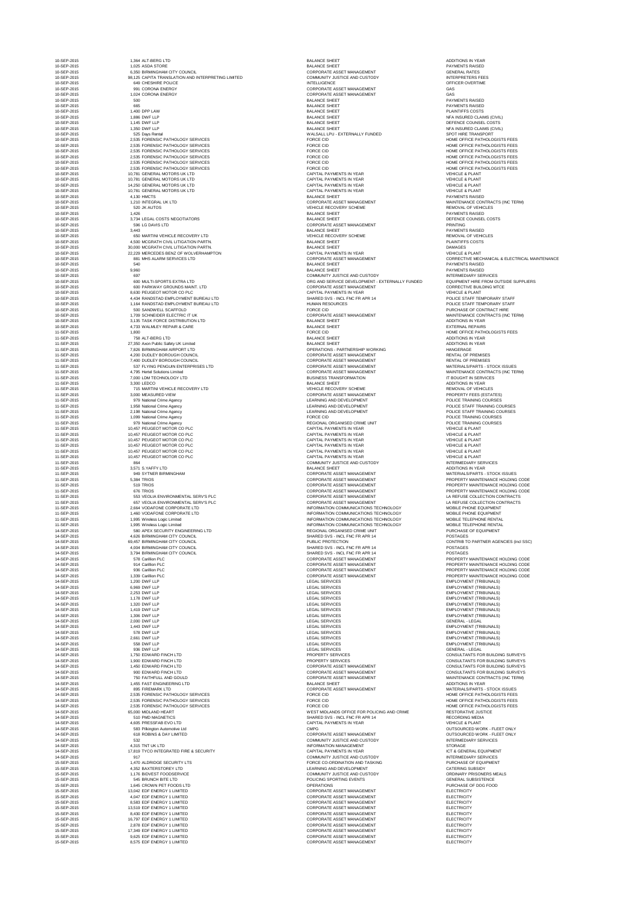| 10-SEP-2015                | 1,364 ALT-BERG LTD                                                               | <b>BALANCE SHEET</b>                                                           | <b>ADDITIONS IN YEAR</b>                                 |
|----------------------------|----------------------------------------------------------------------------------|--------------------------------------------------------------------------------|----------------------------------------------------------|
| 10-SEP-2015<br>10-SEP-2015 | 1,025 ASDA STORE<br>6,350 BIRMINGHAM CITY COUNCIL                                | <b>BALANCE SHEET</b><br><b>CORPORATE ASSET MANAGEMENT</b>                      | <b>PAYMENTS RAISED</b><br><b>GENERAL RATES</b>           |
| 10-SEP-2015<br>10-SEP-2015 | 98,125 CAPITA TRANSLATION AND INTERPRETING LIMITED<br><b>649 CHESHIRE POLICE</b> | <b>COMMUNITY JUSTICE AND CUSTODY</b><br><b>INTELLIGENCE</b>                    | <b>INTERPRETERS FEE</b><br>OFFICER OVERTIME              |
| 10-SEP-2015                | 991 CORONA ENERGY                                                                | <b>CORPORATE ASSET MANAGEMENT</b>                                              | GAS                                                      |
| 10-SEP-2015<br>10-SEP-2015 | 1,024 CORONA ENERGY<br>500                                                       | <b>CORPORATE ASSET MANAGEMENT</b><br><b>BALANCE SHEET</b>                      | GAS<br><b>PAYMENTS RAISED</b>                            |
| 10-SEP-2015                | 665                                                                              | <b>BALANCE SHEET</b>                                                           | <b>PAYMENTS RAISED</b>                                   |
| 10-SEP-2015<br>10-SEP-2015 | 1,400 DPP LAW<br>1,886 DWF LLP                                                   | <b>BALANCE SHEET</b><br><b>BALANCE SHEET</b>                                   | PLAINTIFFS COSTS<br>NFA INSURED CLAIN                    |
| 10-SEP-2015                | 1,145 DWF LLP                                                                    | <b>BALANCE SHEET</b>                                                           | DEFENCE COUNSEL                                          |
| 10-SEP-2015<br>10-SEP-2015 | 1,350 DWF LLP<br>525 Days Rental                                                 | <b>BALANCE SHEET</b><br>WALSALL LPU - EXTERNALLY FUNDED                        | NFA INSURED CLAIN<br><b>SPOT HIRE TRANSP</b>             |
| 10-SEP-2015                | 2,535 FORENSIC PATHOLOGY SERVICES                                                | <b>FORCE CID</b>                                                               | HOME OFFICE PATH                                         |
| 10-SEP-2015<br>10-SEP-2015 | 2,535 FORENSIC PATHOLOGY SERVICES<br>2,535 FORENSIC PATHOLOGY SERVICES           | <b>FORCE CID</b><br><b>FORCE CID</b>                                           | HOME OFFICE PATH<br>HOME OFFICE PATH                     |
| 10-SEP-2015                | 2,535 FORENSIC PATHOLOGY SERVICES                                                | <b>FORCE CID</b>                                                               | HOME OFFICE PATH                                         |
| 10-SEP-2015<br>10-SEP-2015 | 2,535 FORENSIC PATHOLOGY SERVICES<br>2,535 FORENSIC PATHOLOGY SERVICES           | <b>FORCE CID</b><br><b>FORCE CID</b>                                           | HOME OFFICE PATH<br>HOME OFFICE PATH                     |
| 10-SEP-2015                | 10,781 GENERAL MOTORS UK LTD                                                     | CAPITAL PAYMENTS IN YEAR                                                       | <b>VEHICLE &amp; PLANT</b>                               |
| 10-SEP-2015<br>10-SEP-2015 | 10,781 GENERAL MOTORS UK LTD<br>14,250 GENERAL MOTORS UK LTD                     | CAPITAL PAYMENTS IN YEAR<br><b>CAPITAL PAYMENTS IN YEAR</b>                    | <b>VEHICLE &amp; PLANT</b><br><b>VEHICLE &amp; PLANT</b> |
| 10-SEP-2015                | 10,781 GENERAL MOTORS UK LTD                                                     | CAPITAL PAYMENTS IN YEAR                                                       | <b>VEHICLE &amp; PLANT</b>                               |
| 10-SEP-2015<br>10-SEP-2015 | 4,130 HMCTS<br>1,210 INTEGRAL UK LTD                                             | <b>BALANCE SHEET</b><br><b>CORPORATE ASSET MANAGEMENT</b>                      | <b>PAYMENTS RAISED</b><br>MAINTENANCE CON                |
| 10-SEP-2015                | 520 JK AUTOS                                                                     | <b>VEHICLE RECOVERY SCHEME</b>                                                 | <b>REMOVAL OF VEHIC</b>                                  |
| 10-SEP-2015<br>10-SEP-2015 | 1,426<br>3,734 LEGAL COSTS NEGOTIATORS                                           | <b>BALANCE SHEET</b><br><b>BALANCE SHEET</b>                                   | <b>PAYMENTS RAISED</b><br>DEFENCE COUNSEL                |
| 10-SEP-2015                | 596 LG DAVIS LTD                                                                 | <b>CORPORATE ASSET MANAGEMENT</b>                                              | <b>PRINTING</b>                                          |
| 10-SEP-2015<br>10-SEP-2015 | 3,443<br>650 MARTINI VEHICLE RECOVERY LTD                                        | <b>BALANCE SHEET</b><br>VEHICLE RECOVERY SCHEME                                | <b>PAYMENTS RAISED</b><br><b>REMOVAL OF VEHIC</b>        |
| 10-SEP-2015                | 4,500 MCGRATH CIVIL LITIGATION PARTN.                                            | <b>BALANCE SHEET</b>                                                           | <b>PLAINTIFFS COSTS</b>                                  |
| 10-SEP-2015                | 30,000 MCGRATH CIVIL LITIGATION PARTN.                                           | <b>BALANCE SHEET</b><br><b>CAPITAL PAYMENTS IN YEAR</b>                        | <b>DAMAGES</b>                                           |
| 10-SEP-2015<br>10-SEP-2015 | 22,229 MERCEDES BENZ OF WOLVERHAMPTON<br>881 MHS ALARM SERVICES LTD              | <b>CORPORATE ASSET MANAGEMENT</b>                                              | <b>VEHICLE &amp; PLANT</b><br><b>CORRECTIVE MECH</b>     |
| 10-SEP-2015                | 540                                                                              | <b>BALANCE SHEET</b>                                                           | <b>PAYMENTS RAISED</b>                                   |
| 10-SEP-2015<br>10-SEP-2015 | 9,960<br>697                                                                     | <b>BALANCE SHEET</b><br>COMMUNITY JUSTICE AND CUSTODY                          | <b>PAYMENTS RAISED</b><br><b>INTERMEDIARY SER</b>        |
| 10-SEP-2015                | 600 MULTI-SPORTS EXTRA LTD                                                       | ORG AND SERVICE DEVELOPMENT - EXTERNALLY FUNDED                                | <b>EQUIPMENT HIRE FF</b>                                 |
| 10-SEP-2015<br>10-SEP-2015 | 600 PARKWAY GROUNDS MAINT. LTD<br>8,630 PEUGEOT MOTOR CO PLC                     | <b>CORPORATE ASSET MANAGEMENT</b><br><b>CAPITAL PAYMENTS IN YEAR</b>           | <b>CORRECTIVE BUILDI</b><br><b>VEHICLE &amp; PLANT</b>   |
| 10-SEP-2015                | 4,434 RANDSTAD EMPLOYMENT BUREAU LTD                                             | SHARED SVS - INCL FNC FR APR 14                                                | POLICE STAFF TEMP                                        |
| 10-SEP-2015<br>10-SEP-2015 | 1,164 RANDSTAD EMPLOYMENT BUREAU LTD<br>500 SANDWELL SCAFFOLD                    | <b>HUMAN RESOURCES</b><br><b>FORCE CID</b>                                     | POLICE STAFF TEMP<br>PURCHASE OF CON'                    |
| 10-SEP-2015                | 1,709 SCHNEIDER ELECTRIC IT UK                                                   | CORPORATE ASSET MANAGEMENT                                                     | MAINTENANCE CON                                          |
| 10-SEP-2015<br>10-SEP-2015 | 3,135 TASK FORCE DISTRIBUTION LTD<br>4,733 WALMLEY REPAIR & CARE                 | <b>BALANCE SHEET</b><br><b>BALANCE SHEET</b>                                   | <b>ADDITIONS IN YEAR</b><br><b>EXTERNAL REPAIRS</b>      |
| 11-SEP-2015                | 1,800                                                                            | <b>FORCE CID</b>                                                               | HOME OFFICE PATH                                         |
| 11-SEP-2015<br>11-SEP-2015 | 758 ALT-BERG LTD<br>27,350 Axon Public Safety UK Limited                         | <b>BALANCE SHEET</b><br><b>BALANCE SHEET</b>                                   | <b>ADDITIONS IN YEAR</b><br><b>ADDITIONS IN YEAR</b>     |
| 11-SEP-2015                | 7,826 BIRMINGHAM AIRPORT LTD                                                     | <b>OPERATIONS - PARTNERSHIP WORKING</b>                                        | HANGERAGE                                                |
| 11-SEP-2015<br>11-SEP-2015 | 4,200 DUDLEY BOROUGH COUNCIL<br>7,400 DUDLEY BOROUGH COUNCIL                     | <b>CORPORATE ASSET MANAGEMENT</b><br><b>CORPORATE ASSET MANAGEMENT</b>         | <b>RENTAL OF PREMISI</b><br><b>RENTAL OF PREMISI</b>     |
| 11-SEP-2015                | 537 FLYING PENGUIN ENTERPRISES LTD                                               | <b>CORPORATE ASSET MANAGEMENT</b>                                              | <b>MATERIALS/PARTS -</b>                                 |
| 11-SEP-2015<br>11-SEP-2015 | 4,795 Hertel Solutions Limited<br>7,000 LDM TECHNOLOGY LTD                       | <b>CORPORATE ASSET MANAGEMENT</b><br><b>BUSINESS TRANSFORMATION</b>            | MAINTENANCE CON<br>IT BOUGHT IN SERVI                    |
| 11-SEP-2015                | 3,300 LEDCO                                                                      | <b>BALANCE SHEET</b>                                                           | <b>ADDITIONS IN YEAR</b>                                 |
| 11-SEP-2015<br>11-SEP-2015 | 715 MARTINI VEHICLE RECOVERY LTD<br>3,000 MEASURED VIEW                          | VEHICLE RECOVERY SCHEME<br><b>CORPORATE ASSET MANAGEMENT</b>                   | <b>REMOVAL OF VEHIC</b><br>PROPERTY FEES (E)             |
| 11-SEP-2015                | 979 National Crime Agency                                                        | LEARNING AND DEVELOPMENT                                                       | POLICE TRAINING CO                                       |
| 11-SEP-2015<br>11-SEP-2015 | 1,958 National Crime Agency<br>2,198 National Crime Agency                       | LEARNING AND DEVELOPMENT<br>LEARNING AND DEVELOPMENT                           | POLICE STAFF TRAII<br>POLICE STAFF TRAII                 |
| 11-SEP-2015                | 1,099 National Crime Agency                                                      | <b>FORCE CID</b>                                                               | POLICE TRAINING CO                                       |
| 11-SEP-2015<br>11-SEP-2015 | 979 National Crime Agency<br>10,457 PEUGEOT MOTOR CO PLC                         | REGIONAL ORGANISED CRIME UNIT<br>CAPITAL PAYMENTS IN YEAR                      | POLICE TRAINING CO<br><b>VEHICLE &amp; PLANT</b>         |
| 11-SEP-2015                | 10,457 PEUGEOT MOTOR CO PLC                                                      | CAPITAL PAYMENTS IN YEAR                                                       | <b>VEHICLE &amp; PLANT</b>                               |
| 11-SEP-2015<br>11-SEP-2015 | 10,457 PEUGEOT MOTOR CO PLC<br>10,457 PEUGEOT MOTOR CO PLC                       | <b>CAPITAL PAYMENTS IN YEAR</b><br>CAPITAL PAYMENTS IN YEAR                    | <b>VEHICLE &amp; PLANT</b><br><b>VEHICLE &amp; PLANT</b> |
| 11-SEP-2015                | 10,457 PEUGEOT MOTOR CO PLC                                                      | <b>CAPITAL PAYMENTS IN YEAR</b>                                                | <b>VEHICLE &amp; PLANT</b>                               |
| 11-SEP-2015<br>11-SEP-2015 | 10,457 PEUGEOT MOTOR CO PLC<br>864                                               | <b>CAPITAL PAYMENTS IN YEAR</b><br><b>COMMUNITY JUSTICE AND CUSTODY</b>        | <b>VEHICLE &amp; PLANT</b><br><b>INTERMEDIARY SER</b>    |
| 11-SEP-2015                | 3,571 S.YAFFY LTD                                                                | <b>BALANCE SHEET</b>                                                           | <b>ADDITIONS IN YEAR</b>                                 |
| 11-SEP-2015<br>11-SEP-2015 | 949 SYTNER BIRMINGHAM<br>5,384 TRIOS                                             | CORPORATE ASSET MANAGEMENT<br><b>CORPORATE ASSET MANAGEMENT</b>                | <b>MATERIALS/PARTS -</b><br><b>PROPERTY MAINTEN</b>      |
| 11-SEP-2015                | 519 TRIOS                                                                        | <b>CORPORATE ASSET MANAGEMENT</b>                                              | <b>PROPERTY MAINTEN</b>                                  |
| 11-SEP-2015<br>11-SEP-2015 | 676 TRIOS<br>553 VEOLIA ENVIRONMENTAL SERV'S PLC                                 | <b>CORPORATE ASSET MANAGEMENT</b><br><b>CORPORATE ASSET MANAGEMENT</b>         | <b>PROPERTY MAINTEN</b><br>LA REFUSE COLLECT             |
| 11-SEP-2015                | 657 VEOLIA ENVIRONMENTAL SERV'S PLC                                              | <b>CORPORATE ASSET MANAGEMENT</b>                                              | LA REFUSE COLLECT                                        |
| 11-SEP-2015<br>11-SEP-2015 | 2,664 VODAFONE CORPORATE LTD<br>1,460 VODAFONE CORPORATE LTD                     | INFORMATION COMMUNICATIONS TECHNOLOGY<br>INFORMATION COMMUNICATIONS TECHNOLOGY | MOBILE PHONE EQU<br>MOBILE PHONE EQU                     |
| 11-SEP-2015                | 1,995 Wireless Logic Limited                                                     | INFORMATION COMMUNICATIONS TECHNOLOGY                                          | MOBILE TELEPHONE                                         |
| 11-SEP-2015<br>14-SEP-2015 | 1,995 Wireless Logic Limited<br>580 APEX SECURITY ENGINEERING LTD                | INFORMATION COMMUNICATIONS TECHNOLOGY<br>REGIONAL ORGANISED CRIME UNIT         | MOBILE TELEPHONE<br>PURCHASE OF EQUI                     |
| 14-SEP-2015                | 4,626 BIRMINGHAM CITY COUNCIL                                                    | SHARED SVS - INCL FNC FR APR 14                                                | <b>POSTAGES</b>                                          |
| 14-SEP-2015                | 69,457 BIRMINGHAM CITY COUNCIL                                                   | PUBLIC PROTECTION<br>SHARED SVS - INCL FNC FR APR 14                           | <b>CONTRIB TO PARTN</b><br><b>POSTAGES</b>               |
| 14-SEP-2015<br>14-SEP-2015 | 4,004 BIRMINGHAM CITY COUNCIL<br>3,794 BIRMINGHAM CITY COUNCIL                   | SHARED SVS - INCL FNC FR APR 14                                                | <b>POSTAGES</b>                                          |
| 14-SEP-2015                | 578 Carillion PLC                                                                | <b>CORPORATE ASSET MANAGEMENT</b>                                              | <b>PROPERTY MAINTEN</b>                                  |
| 14-SEP-2015<br>14-SEP-2015 | 914 Carillion PLC<br>936 Carillion PLC                                           | <b>CORPORATE ASSET MANAGEMENT</b><br><b>CORPORATE ASSET MANAGEMENT</b>         | <b>PROPERTY MAINTEN</b><br><b>PROPERTY MAINTEN</b>       |
| 14-SEP-2015                | 1,339 Carillion PLC                                                              | CORPORATE ASSET MANAGEMENT                                                     | PROPERTY MAINTEN                                         |
| 14-SEP-2015<br>14-SEP-2015 | 1,200 DWF LLP<br>6,969 DWF LLP                                                   | <b>LEGAL SERVICES</b><br><b>LEGAL SERVICES</b>                                 | <b>EMPLOYMENT (TRIB</b><br><b>EMPLOYMENT (TRIB</b>       |
| 14-SEP-2015                | 2,253 DWF LLP                                                                    | <b>LEGAL SERVICES</b>                                                          | <b>EMPLOYMENT (TRIB</b>                                  |
| 14-SEP-2015<br>14-SEP-2015 | 1,178 DWF LLP<br>1,320 DWF LLP                                                   | <b>LEGAL SERVICES</b><br><b>LEGAL SERVICES</b>                                 | <b>EMPLOYMENT (TRIB</b><br><b>EMPLOYMENT (TRIB</b>       |
| 14-SEP-2015                | 1,419 DWF LLP                                                                    | <b>LEGAL SERVICES</b>                                                          | <b>EMPLOYMENT (TRIB</b>                                  |
| 14-SEP-2015<br>14-SEP-2015 | 1,306 DWF LLP<br>2,000 DWF LLP                                                   | <b>LEGAL SERVICES</b><br><b>LEGAL SERVICES</b>                                 | <b>EMPLOYMENT (TRIB</b><br><b>GENERAL - LEGAL</b>        |
| 14-SEP-2015                | 1,443 DWF LLP                                                                    | <b>LEGAL SERVICES</b>                                                          | <b>EMPLOYMENT (TRIB</b>                                  |
| 14-SEP-2015<br>14-SEP-2015 | 578 DWF LLP<br>2,661 DWF LLP                                                     | <b>LEGAL SERVICES</b><br><b>LEGAL SERVICES</b>                                 | <b>EMPLOYMENT (TRIB</b><br><b>EMPLOYMENT (TRIB</b>       |
| 14-SEP-2015                | 558 DWF LLP                                                                      | <b>LEGAL SERVICES</b>                                                          | <b>EMPLOYMENT (TRIB</b>                                  |
| 14-SEP-2015<br>14-SEP-2015 | 936 DWF LLP<br>1,750 EDWARD FINCH LTD                                            | <b>LEGAL SERVICES</b><br><b>PROPERTY SERVICES</b>                              | <b>GENERAL - LEGAL</b><br><b>CONSULTANTS FOR</b>         |
| 14-SEP-2015                | 1,900 EDWARD FINCH LTD                                                           | PROPERTY SERVICES                                                              | <b>CONSULTANTS FOR</b>                                   |
| 14-SEP-2015<br>14-SEP-2015 | 1,450 EDWARD FINCH LTD<br>900 EDWARD FINCH LTD                                   | <b>CORPORATE ASSET MANAGEMENT</b><br><b>CORPORATE ASSET MANAGEMENT</b>         | <b>CONSULTANTS FOR</b><br><b>CONSULTANTS FOR</b>         |
| 14-SEP-2015                | 750 FAITHFULL AND GOULD                                                          | <b>CORPORATE ASSET MANAGEMENT</b>                                              | MAINTENANCE CON                                          |
| 14-SEP-2015<br>14-SEP-2015 | 1,455 FAST ENGINEERING LTD<br>895 FIREMARK LTD                                   | <b>BALANCE SHEET</b><br>CORPORATE ASSET MANAGEMENT                             | <b>ADDITIONS IN YEAR</b><br><b>MATERIALS/PARTS -</b>     |
| 14-SEP-2015                | 2,535 FORENSIC PATHOLOGY SERVICES                                                | <b>FORCE CID</b>                                                               | HOME OFFICE PATH                                         |
| 14-SEP-2015<br>14-SEP-2015 | 2,535 FORENSIC PATHOLOGY SERVICES<br>2,535 FORENSIC PATHOLOGY SERVICES           | <b>FORCE CID</b><br><b>FORCE CID</b>                                           | HOME OFFICE PATH<br>HOME OFFICE PATH                     |
| 14-SEP-2015                | 65,000 MIDLAND HEART                                                             | WEST MIDLANDS OFFICE FOR POLICING AND CRIME                                    | <b>RESTORATIVE JUST</b>                                  |
| 14-SEP-2015<br>14-SEP-2015 | 510 PMD MAGNETICS<br>4,605 PRESSFAB EVO LTD                                      | SHARED SVS - INCL FNC FR APR 14<br>CAPITAL PAYMENTS IN YEAR                    | <b>RECORDING MEDIA</b><br><b>VEHICLE &amp; PLANT</b>     |
| 14-SEP-2015                | 583 Pilkington Automotive Ltd                                                    | <b>CMPG</b>                                                                    | <b>OUTSOURCED WOR</b>                                    |
| 14-SEP-2015                | 618 ROBINS & DAY LIMITED                                                         | <b>CORPORATE ASSET MANAGEMENT</b>                                              | <b>OUTSOURCED WOR</b>                                    |
| 14-SEP-2015<br>14-SEP-2015 | 532<br>4,315 TNT UK LTD                                                          | COMMUNITY JUSTICE AND CUSTODY<br><b>INFORMATION MANAGEMENT</b>                 | <b>INTERMEDIARY SER</b><br><b>STORAGE</b>                |
| 14-SEP-2015                | 17,819 TYCO INTEGRATED FIRE & SECURITY                                           | CAPITAL PAYMENTS IN YEAR                                                       | ICT & GENERAL EQU                                        |
| 14-SEP-2015<br>15-SEP-2015 | 917<br>1,470 ALDRIDGE SECURITY LTS                                               | COMMUNITY JUSTICE AND CUSTODY<br>FORCE CO-ORDINATION AND TASKING               | <b>INTERMEDIARY SER</b><br>PURCHASE OF EQUI              |
| 15-SEP-2015                | 4,352 BAXTERSTOREY LTD                                                           | LEARNING AND DEVELOPMENT                                                       | <b>CATERING SUBSIDY</b>                                  |
| 15-SEP-2015<br>15-SEP-2015 | 1,176 BIDVEST FOODSERVICE<br>545 BRUNCH BITE LTD                                 | COMMUNITY JUSTICE AND CUSTODY<br>POLICING SPORTING EVENTS                      | <b>ORDINARY PRISONE</b><br><b>GENERAL SUBSISTE</b>       |
| 15-SEP-2015                | 1,645 CROWN PET FOODS LTD                                                        | <b>OPERATIONS</b>                                                              | PURCHASE OF DOG                                          |
| 15-SEP-2015                | 13,042 EDF ENERGY 1 LIMITED<br>4,047 EDF ENERGY 1 LIMITED                        | <b>CORPORATE ASSET MANAGEMENT</b>                                              | <b>ELECTRICITY</b>                                       |
| 15-SEP-2015<br>15-SEP-2015 | 8,583 EDF ENERGY 1 LIMITED                                                       | <b>CORPORATE ASSET MANAGEMENT</b><br><b>CORPORATE ASSET MANAGEMENT</b>         | <b>ELECTRICITY</b><br><b>ELECTRICITY</b>                 |
| 15-SEP-2015                | 13,519 EDF ENERGY 1 LIMITED                                                      | CORPORATE ASSET MANAGEMENT                                                     | <b>ELECTRICITY</b>                                       |
| 15-SEP-2015<br>15-SEP-2015 | 8,430 EDF ENERGY 1 LIMITED<br>16,797 EDF ENERGY 1 LIMITED                        | <b>CORPORATE ASSET MANAGEMENT</b><br><b>CORPORATE ASSET MANAGEMENT</b>         | <b>ELECTRICITY</b><br><b>ELECTRICITY</b>                 |
| 15-SEP-2015                | 2,878 EDF ENERGY 1 LIMITED                                                       | <b>CORPORATE ASSET MANAGEMENT</b>                                              | <b>ELECTRICITY</b>                                       |
| 15-SEP-2015<br>15-SEP-2015 | 17,349 EDF ENERGY 1 LIMITED<br>9,625 EDF ENERGY 1 LIMITED                        | <b>CORPORATE ASSET MANAGEMENT</b><br><b>CORPORATE ASSET MANAGEMENT</b>         | <b>ELECTRICITY</b><br><b>ELECTRICITY</b>                 |
| 15-SEP-2015                | 8,575 EDF ENERGY 1 LIMITED                                                       | <b>CORPORATE ASSET MANAGEMENT</b>                                              | <b>ELECTRICITY</b>                                       |

100-SEP-2015 CORPORATE ASSET MANAGEMENT And the contract of the contract contract contract contract contract contract contract contract contract contract contract contract contract contract contract contract contract contr 10000 COMMUNITY JUSTICE AND CUSTODY And INTERPRETERS FEES 10-SEP-2015 20-SEP-2015 2015 10-SEP-2015 2015 10-SEP-2015 2015 2016 10:31 2015 2016 2017 2018 2019 2016 2017 20 1000-CORPORATE ASSET MANAGEMENT GAS BALANCE SHEET NEARLY BALANCE SHEET SHEET ALL PASSES IN THE LABOR DEVICE IN MEALLY BALANCE SHEET 10-BALANCE SHEET DEFENCE COUNSEL COSTS 10-BALANCE SHEET NEARLY SHEET All POST AND A LOCAL MEASURED CLAIMS (CIVIL) 10-SEP-2015 MALSALL LPU - EXTERNALLY FUNDED SPOT HIRE TRANSPORT 10000 FORCE CID 10000 FORCE CID 2,535 FORCE CID 2,535 FORCE PATHOLOGISTS FEES 1000 FORCE CID 10000 SERVICES FOR SERVICES FOR SERVICES FOR SERVICES FOR SERVICES FOR SERVICES FOR SERVICES FEES **10-SEP-2015 2,535 FORCE CID 10-SEP-2015 2,535 FORCE CID HOME OFFICE PATHOLOGISTS FEES 10-SEP-2015 2,535 FORCE CID 10-SEP-2015 2,535 FORCE CID HOME OFFICE PATHOLOGISTS FEES** 10-SEP-2015 2,535 FORCE CID 2,535 FORCE CID 2,535 FORCE PATHOLOGISTS FEES 1000 FORCE CID **10-SEP-2015 2,535 FORCE CID** HOME OFFICE PATHOLOGISTS FEES CAPITAL PAYMENTS IN YEAR **Example 2015** VEHICLE & PLANT 10-SEP-2015 10, SEP-2015 10, YEAR MOTORS USING CAPITAL PAYMENTS IN YEAR VEHICLE & PLANT 10-SEP-2015 14,250 GENERAL PAYMENTS IN YEAR VEHICLE & PLANT 10-SEP-2015 10, SEP-2015 10, YEAR MOTORS USING CAPITAL PAYMENTS IN YEAR VEHICLE & PLANT CORPORATE ASSET MANAGEMENT **10-SEP-2015 1,2100 INTEGRAL UK LTD CORPORATE ASSET MANAGEMENT** MAINTENANCE CONTRACTS (INC TERM) VEHICLE RECOVERY SCHEME **10-SEP-2015 120 JUNE 2015 120 JUNE 2016** REMOVAL OF VEHICLES 10-SEP-2015 3,734 DEFENCE COUNSEL COSTS NALANCE SHEET 10-SEP-2015 CORPORATE ASSET MANAGEMENT And the contract of the contract of the contract of the contract of the contract of the contract of the contract of the contract of the contract of the contract of the contract of the VEHICLE RECOVERY SCHEME **Example 2015 650 Martini VEHICLE RECOVERY SCHEME** REMOVAL OF VEHICLES 10-SEP-2015 22,229 MERCEDES BENZ OF THE SEP-2015 MERCEDES BENZ OF WORLD AND THE SEPARAT CAPITAL PAYMENTS IN YEAR **10-SEP-2016 COMMUNITY JUSTICE AND CUSTODY AND SERVICES INTERMEDIARY SERVICES** ORG AND SERVICE DEVELOPMENT - EXTERNALLY FUNDED EQUIPMENT HIRE FROM OUTSIDE SUPPLIERS 1000 CORPORATE ASSET MANAGEMENT And the corrective building match of the corrective building match 10-SEP-2015 CAPITAL PAYMENTS IN YEAR VEHICLE & PLANT 10-SHARED SVS - INCL FNC FR APR 14 SHARED SVS - INCL FNC FR APR 14 10-SEP-2015 1,164 POLICE STAFF TEMPORARY STAFF THEMPORARY STAFF IN EXAMPLE STAFF TEMPORARY STAFF TEMPORARY STAFF 10-SEP-2015 500 SANDWELL SCAFFORCE CID SANDWELL SCAFFORCE CID SANDWELL SCAFFORCE CIDENTS OF CONTRACT HIRE 100-CORPORATE ASSET MANAGEMENT And the set of the main maintenance contracts (inc Term) 11-SEP-2015 1,800 FORCE CID 11-SEP-2015 1,800 FORCE CID 11-SEP-2015 1,800 FORCE PATHOLOGISTS FEES 0PERATIONS - PARTNERSHIP WORKING HAM AIRPORT LTD OPERATIONS - PARTNERSHIP WORKING 11-CORPORATE ASSET MANAGEMENT And the contract of premises 11-SEP-2015 2,400 DUDLEY BORDER BORDER BORDER BORDER BORDER BORDER BORDER BORDER BORDER BORDER BORDER BORDER BORDER BORDER BORDER BORDER BORDER BORDER BORDER BORDER BORDER BORDER BORDER BORDER BORDER BORDER BORDER BORDER B 11-SEP-2015 TO 2014 THE REPORT FRAME RESERVED TO A STOCK PARTS A STOCK ISSUES 11-SEP-2015 CORPORATE ASSET MANAGEMENT And the CORPORATE ASSET MANAGEMENT MAINTENANCE CONTRACTS (INC TERM) 11-BUSINESS TRANSFORMATION And the contract of the contract of the contract of the contract of the contract of the contract of the contract of the contract of the contract of the contract of the contract of the contract of 11-SEP-2015 11-SEP-2015 2015 11-SEP-2015 2015 12:00 MARTINI VEHICLE RECOVERY SCHEME REMOVAL OF VEHICLES 11-SEP-2015 2,000 MEASURED VIEW CORPORATE ASSET MANAGEMENT And the contract of the contract property fees (ESTATES) LEARNING AND DEVELOPMENT **Example 2014** POLICE TRAINING COURSES 11-SEP-2015 1,958 National CRIME Agency LEARNING AND DEVELOPMENT POLICE STAFF TRAINING COURSES 11-SEP-2015 2,199 National Crime Agency LEARNING AND DEVELOPMENT POLICE STAFF TRAINING COURSES 11-SEP-2015 1,099 National Crime Agency FORCE CID 2015 1,099 National CRIME Agency FORCE TRAINING COURSES 11-SEP-2015 REGIONAL ORGANISED CRIME UNIT Agency REGIONAL ORGANISED CRIME UNIT 11-SEP-2015 10, 11-SEP-2015 10, 2015 10,457 PEUGEON MOTOR CONTRACT MOTOR CONTRACT MOTOR CONTRACT CONTRACT OF CONTRACT CONTRACT CONTRACT OF CONTRACT CONTRACT CONTRACT CONTRACT CONTRACT CONTRACT CONTRACT CONTRACT CONTRACT CO 11-SEP-2015 10,457 PAYMENTS IN YEAR VEHICLE A PLANT WEAK VEHICLE & PLANT 11-SEP-2015 10,457 PAYMENTS IN YEAR CAPITAL PAYMENTS IN YEAR VEHICLE & PLANT 11-SEP-2015 10, 11-SEP-2015 10, 2015 10,457 PEUGEON MOTOR CAPITAL PAYMENTS IN YEAR VEHICLE & PLANT 11-SEP-2015 10,457 PAYMENTS IN YEAR CAPITAL PAYMENTS IN YEAR VEHICLE & PLANT 11-SEP-2015 10,457 PAYMENTS IN YEAR VEHICLE A PLANT WEAK VEHICLE & PLANT 11-SEP-2015 COMMUNITY JUSTICE AND CUSTODY And the service of the services intermediary services 11-SEP-2015 CORPORATE ASSET MANAGEMENT MATERIALS/PARTS - STOCK ISSUES 11-CORPORATE ASSET MANAGEMENT And the settlement of the settlement property maintenance holding code 11-CORPORATE ASSET MANAGEMENT And the state of the state of the property maintenance holding code 11-CORPORATE ASSET MANAGEMENT And the contract of the contract property maintenance holding code 11-SEP-2015 CORPORATE ASSET MANAGEMENT And the service of the service collection contracts 11-SEP-2015 657 CORPORATE ASSET MANAGEMENT And the service of the service collection contracts INFORMATION COMMUNICATIONS TECHNOLOGY MOBILE PHONE EQUIPMENT INFORMATION COMMUNICATIONS TECHNOLOGY MOBILE PHONE EQUIPMENT INFORMATION COMMUNICATIONS TECHNOLOGY MOBILE TELEPHONE RENTAL 11-INFORMATION COMMUNICATIONS TECHNOLOGY MOBILE TELEPHONE RENTAL 14-SEP-2014 APP 2014 APP 2014 APP 2014 APP 2014 APP 2015 2014 APP 2015 2014 APP 2015 2016 2017 APP 2014 2015 2016 2017 2017 2016 2017 2018 2019 2016 2017 2018 2017 2018 2019 2014 2016 2017 2018 2019 2017 2018 2019 2017 201 14-SHARED SVS - INCL FNC FR APR 14 PUBLIC PROTECTION **14-SEP-2015 CONTRIB TO PARTNER AGENCIES** (incl SSC) 14-SHARED SVS - INCL FNC FR APR 14 14-SHARED SVS - INCL FNC FR APR 14 POSTAGES 14-CORPORATE ASSET MANAGEMENT And the contract of the contract property maintenance holding code 14-CORPORATE ASSET MANAGEMENT And the contract of the contract property maintenance holding code 14-CORPORATE ASSET MANAGEMENT And the contract of the PROPERTY MAINTENANCE HOLDING CODE 14-CORPORATE ASSET MANAGEMENT And the contract of the PROPERTY MAINTENANCE HOLDING CODE LEGAL SERVICES **14-SEP-2015 1,200 DWF LLP LEGAL SERVICES** EMPLOYMENT (TRIBUNALS) 14-SER-2014 DEGAL SERVICES And the USA DEGAL SERVICES And the USA DEGAL SERVICES And the USA DEGAL SERVICES And the USA DEGAL SERVICE SERVICES 14-SER-2014 2,253 DEGAL SERVICES And the USA DEGAL SERVICES EMPLOYMENT (TRIBUNALS) 14-SER-2014 1,124-SER-2015 1,178 DESIGN LEGAL SERVICES EMPLOYMENT (TRIBUNALS) 14-SER-2014 1,320 DEGAL SERVICES And the USAN DEGAL SERVICES EMPLOYMENT (TRIBUNALS) 14-SER-2014 1,419 DESIGN LEGAL SERVICES EMPLOYMENT (TRIBUNALS) 14-SER-2014 1,306 DEGAL SERVICES And the USA DEGAL SERVICES EMPLOYMENT (TRIBUNALS) 14-SEP-2014 1,443 DEGAL SERVICES AND LEGAL SERVICES AND LEGAL SERVICES AND LEGAL SERVICES 14-SER-2014 12-SEP-2015 2014 12-SEP-2015 2014 12:30 DEMPLOYMENT (TRIBUNALS) 14-SER-2014 2,661 DEGAL SERVICES And the USA DEGAL SERVICES EMPLOYMENT (TRIBUNALS) 14-SER-2014 14-SER-2015 2014 12-SEP-2015 2014 12:30 DEMPLOYMENT (TRIBUNALS) 14-SEP-2014 THE PROPERTY SERVICES THE RESERVICE SERVICES CONSULTANTS FOR BUILDING SURVEYS 14-SEP-2014 1,900 PROPERTY SERVICES And the consultants for building surveys 14-SEP-2015 1,450 EDWARD FINCH LTD CORPORATE ASSET MANAGEMENT CONSULTANTS FOR BUILDING SURVEYS 14-CORPORATE ASSET MANAGEMENT And the consultants for building surveys 14-CORPORATE ASSET MANAGEMENT And Government management of the main maintenance contracts (inc TERM) 14-CORPORATE ASSET MANAGEMENT MATERIALS/PARTS - STOCK ISSUES 14-SEP-2015 2,535 FORCE CID 14-SEP-2015 2,535 FORCE CID 14-SERVICE PATHOLOGISTS FEES 14-SEP-2015 2,535 FORCE CID 14-SEP-2015 2,535 FORCE CID 14-SERVICE PATHOLOGISTS FEES 14-SEP-2015 2,535 FORCE CID 14-SEP-2015 2,535 FORCE CID 14-SEP-2015 FORCE CID 14-SERVICE PATHOLOGISTS FEES WEST MIDLANDS OFFICE FOR POLICING AND CRIME **EXAMPLE RESTORATIVE JUSTICE** 14-SHARED SVS - INCL FNC FR APR 14 RECORDING MEDIA 14-SEP-2014 CAPITAL PAYMENTS IN YEAR And the set of the set of the set of the set of the set of the set of the set of the set of the set of the set of the set of the set of the set of the set of the set of the set of the s 14-SEP-2014-SEP-2014-SEP-2014-SEP-2014-SEP-2014-SEP-2015 FOUTSOURCED WORK - FLEET ONLY 14-SEP-2014 CORPORATE ASSET MANAGEMENT And the DAY LIMITED CORPORATE ASSET MANAGEMENT COMMUNITY JUSTICE AND CUSTODY **Example 23 AT A COMMUNITY SERVICES** INFORMATION MANAGEMENT STORAGEMENT STORAGE 14-SEP-2014 TA 2014 TA 2014 TA 2014 17,819 TA 2014 TA 2014 TA 2014 TA 2014 2014 TA 2014 TA 2014 2014 TA 2014 T **14-SEP-2014 COMMUNITY JUSTICE AND CUSTODY 14-SEP-2014 COMMUNITY JUSTICE AND CUSTODY INTERMEDIARY SERVICES** 15-FORCE CO-ORDINATION AND TASKING THE SECOND SECTION AND TASKING PURCHASE OF EQUIPMENT 15-SEP-2015 1,352 BAXTERING AND DEVELOPMENT And the contract of the contract of the caterial caterial caterial caterial caterial caterial caterial caterial caterial caterial caterial caterial caterial caterial caterial cat 15-SEP-2015 1,15-SEP-2015 1,176 BIDVEST FOODSERVICE AND CUSTODY COMMUNITY JUSTICE AND CUSTODY 15-POLICING SPORTING EVENTS And the line of the latest subsistence of the line of the line of the line of the line of the line of the line of the line of the line of the line of the line of the line of the line of the line 15-SEP-2015 1,645 CROWN PURCHASE OF DOG FOOD PURCHASE OF DOG FOOD 15-SEP-2015 13,042 EDECTRICITY 13,042 EDECTRICITY CORPORATE ASSET MANAGEMENT 15-SEP-2015 CORPORATE ASSET MANAGEMENT And the contract of the contract of the contract of the contract of the contract of the contract of the contract of the contract of the contract of the contract of the contract of the **15-SEP-2015 CORPORATE ASSET MANAGEMENT ASSET MANAGEMENT ELECTRICITY 15-SEP-2015 ISSEP-2015 13,519 ELECTRICITY** CORPORATE ASSET MANAGEMENT **15-SEP-2015 CORPORATE ASSET MANAGEMENT ASSET MANAGEMENT ELECTRICITY** 15-SEP-2015 16,797 EDECTRICITY CORPORATE ASSET MANAGEMENT ELECTRICITY 15-SEP-2015 CORPORATE ASSET MANAGEMENT And the corporate asset in the corporate and the corporate and the corporate  $\sim$ CORPORATE ASSET MANAGEMENT ELECTRICITY **15-SEP-2015 CORPORATE ASSET MANAGEMENT ASSET MANAGEMENT ASSET ASSET ASSET ASSET ASSET ASSET ASSET ASSESS 15-SEP-2015 CORPORATE ASSET MANAGEMENT ASSET MANAGEMENT ELECTRICITY** 

100-SEP-2015 CORPORATE ASSET MANAGEMENT And the corrective mechanical & electrical maintenance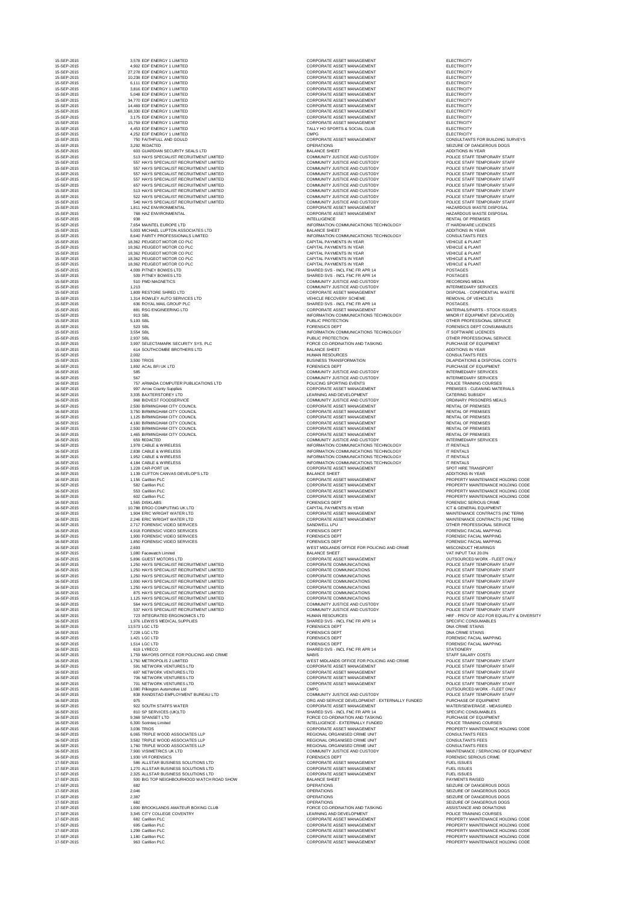15-SEP-2015 2,578 EDEPTH ENERGY 2015 2,578 ELECTRICITY CORPORATE ASSET MANAGEMENT **15-SEP-2015 CORPORATE ASSET MANAGEMENT AND RELECTRICITY** CORPORATE ASSET MANAGEMENT ELECTRICITY CORPORATE ASSET MANAGEMENT **15-SEP-2015 2 LIMITED 2 LIMITED 2 LIMITED 2** LECTRICITY CORPORATE ASSET MANAGEMENT ELECTRICITY 15-SEP-2015 2,516 EDEPTH ENERGY 2015 2,816 EDEPTH CORPORATE ASSET MANAGEMENT CORPORATE ASSET MANAGEMENT ELECTRICITY CORPORATE ASSET MANAGEMENT ELECTRICITY **15-SEP-2015 ISSEP-2015 CORPORATE ASSET MANAGEMENT ELECTRICITY 15-SEP-2015 CORPORATE ASSET MANAGEMENT ASSET MANAGEMENT ELECTRICITY** CORPORATE ASSET MANAGEMENT ELECTRICITY CORPORATE ASSET MANAGEMENT ELECTRICITY TALLY HO SPORTS & SOCIAL CLUB TALLY HO SPORTS ASSOCIAL CLUB 15-SEP-2015 TO 2015 TAITHEULD AND TO 2015 TAIL AND GONSULTANTS FOR BUILDING SURVEYS 15-SEIZURE OF DANGEROUS DOGS 3,292 REDACTED OPERATIONS SEIZURE OF DANGEROUS DOGS 15-SEP-2015 513 HAYS SPECIALIST RECRUITMENT LIMITED COMMUNITY JUSTICE AND CUSTODY POLICE STAFF TEMPORARY STAFF 15-SEP-2015 557 HAYS SPECIALIST RECRUITMENT LIMITED COMMUNITY JUSTICE AND CUSTODY POLICE STAFF TEMPORARY STAFF 15-SEP-2015 557 HAYS SPECIALIST RECRUITMENT LIMITED COMMUNITY JUSTICE AND CUSTODY POLICE STAFF TEMPORARY STAFF 15-SEP-2015 COMMUNITY JUSTICE AND CUSTODY COMMUNITY JUSTICE AND CUSTODY 15-SEP-2015 557 HAYS SPECIALIST RECRUITMENT LIMITED COMMUNITY JUSTICE AND CUSTODY POLICE STAFF TEMPORARY STAFF 15-SEP-2015 657 HAYS SPECIALIST RECRUITMENT LIMITED COMMUNITY JUSTICE AND CUSTODY POLICE STAFF TEMPORARY STAFF 15-SEP-2015 513 HAYS SPECIALIST RECRUITMENT LIMITED COMMUNITY JUSTICE AND CUSTODY POLICE STAFF TEMPORARY STAFF 15-SEP-2015 522 HAYS SPECIALIST RECRUITMENT LIMITED COMMUNITY JUSTICE AND CUSTODY POLICE STAFF TEMPORARY STAFF 15-SEP-2015 540 HAYS SPECIALIST RECRUITMENT LIMITED COMMUNITY JUSTICE AND CUSTODY POLICE STAFF TEMPORARY STAFF 15-SEP-2015 1,512 CORPORATE ASSET MANAGEMENT And the settlement of the corporation of the HAZARDOUS WASTE DISPOSAL 15-CORPORATE ASSET MANAGEMENT And the corporate corporate the corporate corporate  $\sim$  HAZARDOUS WASTE DISPOSAL INTELLIGENCE **External intervalse and intervalse and intervalse and intervalse and intervalse and intervalse and intervalse and intervalse and intervalse and intervalse and intervalse and intervalse and intervalse and inte** INFORMATION COMMUNICATIONS TECHNOLOGY **INFORMATION COMMUNICATIONS** TECHNOLOGY INFORMATION COMMUNICATIONS TECHNOLOGY CONSULTANTS FEES 15-SEP-2015 18,362 PENDENTS IN YEAR VEHICLE & PLANT 15-SEP-2015 18,362 PEAR CONTROL CAPITAL PAYMENTS IN YEAR VEHICLE & PLANT 15-SEP-2015 18,362 PEAR CONTROL CAPITAL PAYMENTS IN YEAR VEHICLE & PLANT 15-SEP-2015 18,362 PEAR CONTROL CAPITAL PAYMENTS IN YEAR VEHICLE & PLANT 15-SEP-2015 18,362 PEAR CAPITAL PAYMENTS IN YEAR VEHICLE & PLANT 15-SHARED SVS - INCL FNC FR APR 14 POSTAGES 15-SHARED SVS - INCL FNC FR APR 14 POSTAGES 15-SEP-2015 510 PMD MAGNETICS COMMUNITY JUSTICE AND CUSTODY RECORDING MEDIA **15-SEP-2015 100 COMMUNITY JUSTICE AND CUSTODY INTERMEDIARY SERVICES** 15-SEP-2015 2,509 REST MANAGEMENT RESERVE SHARED SHARED SHARED DISPOSAL - CONFIDENTIAL WASTE 15-SEP-2015 1,314 REMOVAL OF VEHICLES LTD VEHICLES LTD VEHICLES 15-SHARED SVS - INCL FNC FR APR 14 POSTAGES 15-CORPORATE ASSET MANAGEMENT And the corporate asset management and corporate asset issues INFORMATION COMMUNICATIONS TECHNOLOGY MINOR IT EQUIPMENT (DEVOLVED) PUBLIC PROTECTION And the set of the set of the set of the set of the set of the set of the set of the set of the set of the set of the set of the set of the set of the set of the set of the set of the set of the set of th **15-SEP-2015 FORENSICS DEPT SEPT-2015 SEPT CONSUMABLES** INFORMATION COMMUNICATIONS TECHNOLOGY IT SOFTWARE LICENCES PUBLIC PROTECTION **PUBLIC PROTECTION 2,937 SEP-2015 2,937 SERVICE** 15-FORCE CO-ORDINATION AND TASKING SECURITY SYSTEM STATES FOR PURCHASE OF EQUIPMENT 15-SEP-2015 3,500 TRIOS BUSINESS TRANSFORMATION DILAPIDATIONS & DISPOSAL COSTS **16-SEP-2015 1,892 ACCESSION 1,892 ACCESSION FORENSICS DEPT PURCHASE OF EQUIPMENT 16-SEP-2016 TO 2015 TO 2015 TO 2016 AND CUSTODY INTERMEDIARY SERVICES** 16-COMMUNITY JUSTICE AND CUSTODY **Example 2015** 1567 167 2016 11 2016 11 2016 12:30 2016 16-POLICING SPORTING EVENTS ARE ARRESTED FOLICE TRAINING COURSES 16-SEP-2015 2015 2016 2016 2016 1978 2016 10:30 Arrow CORPORATE ASSET MANAGEMENT PREMISES - CLEANING MATERIALS 16-SEP-2015 2,335 BAXTERING AND DEVELOPMENT And the contract of the contract of the caterial caterial caterial caterial caterial caterial caterial caterial caterial caterial caterial caterial caterial caterial caterial cat 16-COMMUNITY JUSTICE AND CUSTODY **Example 2015 1968 BIDVEST FOODSERVICE AND CUSTODY** ORDINARY PRISONERS MEALS 16-SEP-2015 2,500 BIRMING DATA CORPORATE ASSET MANAGEMENT RENTAL OF PREMISES 16-SEP-2015 2,150 BIRMING ASSET MANAGEMENT RENTAL OF PREMISES 16-SEP-2015 1,125 BIRMING MANAGEMENT RENTAL OF PREMISES 16-CORPORATE ASSET MANAGEMENT And the set of the set of premises and the context of premises 16-SEP-2015 2,500 BIRMING DATA CORPORATE ASSET MANAGEMENT RENTAL OF PREMISES 16-SEP-2015 1,465 BIRMING MANAGEMENT RENTAL OF PREMISES 16-SEP-2015 659 REDACTED COMMUNITY JUSTICE AND CUSTODY INTERMEDIARY SERVICES INFORMATION COMMUNICATIONS TECHNOLOGY IT RENTALS INFORMATION COMMUNICATIONS TECHNOLOGY IT RENTALS INFORMATION COMMUNICATIONS TECHNOLOGY **IT RENTALS** INFORMATION COMMUNICATIONS TECHNOLOGY **IT RENTALS** 16-SEP-2015 1,229 CORPORATE ASSET MANAGEMENT SPOT HIRE TRANSPORT SPOT HIRE TRANSPORT 16-SEP-2015 1,156 CORPORATE ASSET MANAGEMENT And the CODE of the PROPERTY MAINTENANCE HOLDING CODE 16-SEP-2015 CORPORATE ASSET MANAGEMENT And the set of the property maintenance holding code 16-CORPORATE ASSET MANAGEMENT And the contract of the PROPERTY MAINTENANCE HOLDING CODE CORPORATE ASSET MANAGEMENT **Example 2016** PROPERTY MAINTENANCE HOLDING CODE **16-SEP-2015 1,565 PDF-2015 2,565 PDF-2015 2,565 PDF-2015 2,565 PDF-2015 2,565 PDF-2015 CRIME** 16-SEP-2015 10, SEP-2015 10, YEAR-2015 10, 2016 10, 2016 10:30 2015 10:40 2016 10:40 2016 10:40 2016 10:40 201 16-SEP-2015 1,904 ERIC CORPORATE ASSET MANAGEMENT And LTD CORPORATE ASSET MANAGEMENT MAINTENANCE CONTRACTS (INC TERM) 16-SEP-2015 2,246 ERIC CORPORATE ASSET MANAGEMENT MAIL MAINTENANCE CONTRACTS (INC TERM) 16-SANDWELL LPU 2,117 FOREST SANDWELL LPU 2,717 FORENSIC VIDEO SERVICE 16-SEP-2015 4,918 FORENSIC VIDEO SERVICES FORENSICS DEPT FORENSIC FACIAL MAPPING 16-SEP-2015 1,900 FORENSIC VIDEO SERVICES FORENSICS DEPT FORENSIC FACIAL MAPPING 16-SEP-2015 1,850 FORENSIC VIDEO SERVICES FORENSICS DEPT FORENSIC FACIAL MAPPING WEST MIDLANDS OFFICE FOR POLICING AND CRIME MISCONDUCT HEARINGS 16-SEP-2015 TO 2015 SOFT MANAGEMENT ASSET MANAGEMENT And CORPORATE ASSET MANAGEMENT 16-SEP-2015 1,250 MAYS CORPORATE COMMUNICATIONS And the control of the control of the control of the control of the control of the control of the control of the control of the control of the control of the control of the c 16-SEP-2015 1,250 MAYS CORPORATE COMMUNICATIONS RECORPORATE COMMUNICATIONS RECORPORATE COMMUNICATIONS 16-SEP-2015 1,250 MAYS CORPORATE COMMUNICATIONS And the control of the control of the control of the control of the control of the control of the control of the control of the control of the control of the control of the c 16-SEP-2015 1,000 HATCH COMMUNICATIONS And the control of the control of the control of the control of the control of the control of the control of the control of the control of the control of the control of the control of 16-SEP-2015 1,250 MAYS CORPORATE COMMUNICATIONS RECORPORATE COMMUNICATIONS RECORPORATE COMMUNICATIONS 16-SEP-2015 CORPORATE COMMUNICATIONS And the control of the control of the control of the control of the control of the control of the control of the control of the control of the control of the control of the control of t 16-SEP-2015 1,125 HATCH COMMUNICATIONS And the control of the corporation of the control of the control of the control of the control of the control of the control of the control of the control of the control of the contro 16-SEP-2015 564 HAYS SPECIALIST RECRUITMENT LIMITED COMMUNITY JUSTICE AND CUSTODY POLICE STAFF TEMPORARY STAFF 16-SEP-2016 TAT FOLICE START TEMPORARY STAFF RECOMMUNITY JUSTICE AND CUSTODY 16-SEP-2015 16-SEP-2015 2015 1234 INTEGRATION CONTROL HARGER HUMAN RESOURCES HUMAN RESOURCES 16-SHARED SVS - INCL FNC FR APR 14 SPECIFIC CONSUMABLES **16-SEP-2015 1,421 DEPT REPORT REPORT IN A SEP-2015 1,421 DEPT REPORT IN A SEPARATION FORENSIC FACIAL MAPPING** 16-SHARED SVS - INCL FNC FR APR 14 STATIONERY 16-ST MIDLANDS OFFICE FOR POLICING AND CRIME POLICE STAFF TEMPORARY STAFF 16-SEP-2015 TO 2015 THE SEP-2015 STATE ASSET MANAGEMENT And CORPORATE ASSET MANAGEMENT POLICE STAFF TEMPORARY STAFF 16-SEP-2015 CORPORATE ASSET MANAGEMENT And the computation of the corporation of the police staff temporary staff 16-CORPORATE ASSET MANAGEMENT And the corporate asset management of the corporation of the corporation of the corporation of the corporation of the corporation of the corporation of the corporation of the corporation of th 16-CORPORATE ASSET MANAGEMENT And the state of the corporate corporate asset management of the corporation of the contract of the corporation of the contract of the contract of the contract of the contract of the contract 16-SEP-2015 1,080 PM Pilkington Automotive Ltd CMPG outsourced WORK - FLEET ONLY 16-COMMUNITY JUSTICE AND CUSTODY **EXAMPLE AND CUSTOD EMPLOY** REAL POLICE STAFF TEMPORARY STAFF ORG AND SERVICE DEVELOPMENT - EXTERNALLY FUNDED PURCHASE OF EQUIPMENT 16-CORPORATE ASSET MANAGEMENT And the state of the state water/sewerage - MEASURED SHARED SVS - INCL FNC FR APR 14 SPECIFIC CONSUMABLES FORCE CO-ORDINATION AND TASKING THE RESERVE LATE REPORT TO PURCHASE OF EQUIPMENT INTELLIGENCE - EXTERNALLY FUNDED POLICE TRAINING COURSES CORPORATE ASSET MANAGEMENT **16-SEP-2015 2016 12-SEP-2016 2006** PROPERTY MAINTENANCE HOLDING CODE 16-SEP-2015 TRIPLE WORLD ASSOCIATES LATER WORLD ASSOCIATES LATER WORLD ASSOCIATES LATER REGIONAL ORGANISED CRIME UNIT 16-SEP-2015 3,582 TRIPLE WORLD ASSOCIATES LATER WORLD ASSOCIATES LATER REGIONAL ORGANISED CRIME UNIT 16-SEP-2015 1,160 TRIPLE WORLD ASSOCIATES LATER WORLD ASSOCIATES LATER REGIONAL ORGANISED CRIME UNIT 16-SEP-2015 7,900 VISIMETRICS UK LTD COMMUNITY JUSTICE AND CUSTODY MAINTENANCE / SERVICING OF EQUIPMENT **16-SEP-2015 1,930 FORENSICS DEPT FORENSICS DEPT AND RESIDENT REPORT OF SERIOUS CRIME** 17-SEP-2017-SEP-2015 SOLUTIONS SOLUTIONS SOLUTIONS SOLUTIONS SOLUTIONS SOLUTIONS AND RULL ISSUES 17-SEP-2017-SEP-2017-SEP-2016 2,270 ALLSTAR BUSINESS SOLUTIONS LATER SOLUTION AND RESPONSE SOLUTIONS LATER ASSET MANAGEMENT FUEL ISSUES 17-SEP-2017-SEP-2017-SEP-2016 2,325 ALLSTAR BUSINESS SOLUTIONS LIGHTING SOLUTIONS LIGHTING CORPORATE ASSET MANAGEMENT 17-SEIZURE OF DANGEROUS DOGS AND THE SELL OPERATIONS AND SEIZURE OF DANGEROUS DOGS 17-SEP-2015 2,004 OPERATIONS 2,046 OPERATIONS 2,046 OPERATIONS 2,046 OPERATIONS 2,046 OPERATIONS 17-SEP-2017-SEIZURE OF DANGEROUS DOGS 2,387 OPERATIONS SEIZURE OF DANGEROUS DOGS 17-SEIZURE OF DANGEROUS DOGS AND THE SEIZURE OF DANGEROUS DOGS 17-FORCE CO-ORDINATION AND TASKING THE SEPARATION ASSISTANCE AND DONATIONS 17-SEP-2015 2,345 LEARNING AND DEVELOPMENT And the separation of the courses of the police training courses 17-CORPORATE ASSET MANAGEMENT And the contract of the PROPERTY MAINTENANCE HOLDING CODE 17-CORPORATE ASSET MANAGEMENT And the contract of the PROPERTY MAINTENANCE HOLDING CODE 17-CORPORATE ASSET MANAGEMENT And the contract of the PROPERTY MAINTENANCE HOLDING CODE 17-CORPORATE ASSET MANAGEMENT And the contract of the PROPERTY MAINTENANCE HOLDING CODE 17-SEP-2015 963 Carillion PLC CORPORATE ASSET MANAGEMENT PROPERTY MAINTENANCE HOLDING CODE

| 15-SEP-2015                | 3,578 EDF ENERGY 1 LIMITED                                                           | <b>CORPORATE ASSET MANAGEMENT</b>                                                       | <b>ELECTRICITY</b>                                         |
|----------------------------|--------------------------------------------------------------------------------------|-----------------------------------------------------------------------------------------|------------------------------------------------------------|
| 15-SEP-2015<br>15-SEP-2015 | 4,902 EDF ENERGY 1 LIMITED<br>27,278 EDF ENERGY 1 LIMITED                            | <b>CORPORATE ASSET MANAGEMENT</b><br><b>CORPORATE ASSET MANAGEMENT</b>                  | <b>ELECTRICITY</b><br><b>ELECTRICITY</b>                   |
| 15-SEP-2015                | 10,238 EDF ENERGY 1 LIMITED                                                          | <b>CORPORATE ASSET MANAGEMENT</b>                                                       | <b>ELECTRICITY</b>                                         |
| 15-SEP-2015                | 6,111 EDF ENERGY 1 LIMITED                                                           | <b>CORPORATE ASSET MANAGEMENT</b>                                                       | <b>ELECTRICITY</b>                                         |
| 15-SEP-2015                | 3,816 EDF ENERGY 1 LIMITED                                                           | <b>CORPORATE ASSET MANAGEMENT</b>                                                       | <b>ELECTRICITY</b>                                         |
| 15-SEP-2015<br>15-SEP-2015 | 5,048 EDF ENERGY 1 LIMITED<br>34,770 EDF ENERGY 1 LIMITED                            | <b>CORPORATE ASSET MANAGEMENT</b><br><b>CORPORATE ASSET MANAGEMENT</b>                  | <b>ELECTRICITY</b><br><b>ELECTRICITY</b>                   |
| 15-SEP-2015                | 14,469 EDF ENERGY 1 LIMITED                                                          | <b>CORPORATE ASSET MANAGEMENT</b>                                                       | <b>ELECTRICITY</b>                                         |
| 15-SEP-2015                | 68,330 EDF ENERGY 1 LIMITED                                                          | <b>CORPORATE ASSET MANAGEMENT</b>                                                       | <b>ELECTRICITY</b>                                         |
| 15-SEP-2015                | 3,175 EDF ENERGY 1 LIMITED                                                           | <b>CORPORATE ASSET MANAGEMENT</b>                                                       | <b>ELECTRICITY</b>                                         |
| 15-SEP-2015<br>15-SEP-2015 | 15,759 EDF ENERGY 1 LIMITED<br>4,453 EDF ENERGY 1 LIMITED                            | <b>CORPORATE ASSET MANAGEMENT</b><br>TALLY HO SPORTS & SOCIAL CLUB                      | <b>ELECTRICITY</b><br><b>ELECTRICITY</b>                   |
| 15-SEP-2015                | 4,252 EDF ENERGY 1 LIMITED                                                           | <b>CMPG</b>                                                                             | <b>ELECTRICITY</b>                                         |
| 15-SEP-2015                | 750 FAITHFULL AND GOULD                                                              | <b>CORPORATE ASSET MANAGEMENT</b>                                                       | <b>CONSULTANTS FOR BUILDIN</b>                             |
| 15-SEP-2015                | 3,292 REDACTED                                                                       | <b>OPERATIONS</b>                                                                       | SEIZURE OF DANGEROUS D                                     |
| 15-SEP-2015<br>15-SEP-2015 | 603 GUARDIAN SECURITY SEALS LTD<br>513 HAYS SPECIALIST RECRUITMENT LIMITED           | <b>BALANCE SHEET</b><br><b>COMMUNITY JUSTICE AND CUSTODY</b>                            | <b>ADDITIONS IN YEAR</b><br>POLICE STAFF TEMPORARY         |
| 15-SEP-2015                | 557 HAYS SPECIALIST RECRUITMENT LIMITED                                              | <b>COMMUNITY JUSTICE AND CUSTODY</b>                                                    | POLICE STAFF TEMPORARY                                     |
| 15-SEP-2015                | 557 HAYS SPECIALIST RECRUITMENT LIMITED                                              | <b>COMMUNITY JUSTICE AND CUSTODY</b>                                                    | POLICE STAFF TEMPORARY                                     |
| 15-SEP-2015                | 557 HAYS SPECIALIST RECRUITMENT LIMITED                                              | COMMUNITY JUSTICE AND CUSTODY                                                           | POLICE STAFF TEMPORARY                                     |
| 15-SEP-2015                | 557 HAYS SPECIALIST RECRUITMENT LIMITED                                              | <b>COMMUNITY JUSTICE AND CUSTODY</b>                                                    | POLICE STAFF TEMPORARY                                     |
| 15-SEP-2015<br>15-SEP-2015 | 657 HAYS SPECIALIST RECRUITMENT LIMITED<br>513 HAYS SPECIALIST RECRUITMENT LIMITED   | <b>COMMUNITY JUSTICE AND CUSTODY</b><br><b>COMMUNITY JUSTICE AND CUSTODY</b>            | POLICE STAFF TEMPORARY<br>POLICE STAFF TEMPORARY           |
| 15-SEP-2015                | 522 HAYS SPECIALIST RECRUITMENT LIMITED                                              | COMMUNITY JUSTICE AND CUSTODY                                                           | POLICE STAFF TEMPORARY                                     |
| 15-SEP-2015                | 540 HAYS SPECIALIST RECRUITMENT LIMITED                                              | COMMUNITY JUSTICE AND CUSTODY                                                           | POLICE STAFF TEMPORARY                                     |
| 15-SEP-2015                | 1,811 HAZ ENVIRONMENTAL                                                              | <b>CORPORATE ASSET MANAGEMENT</b>                                                       | <b>HAZARDOUS WASTE DISPO:</b>                              |
| 15-SEP-2015<br>15-SEP-2015 | 768 HAZ ENVIRONMENTAL<br>938                                                         | <b>CORPORATE ASSET MANAGEMENT</b><br><b>INTELLIGENCE</b>                                | <b>HAZARDOUS WASTE DISPO:</b><br><b>RENTAL OF PREMISES</b> |
| 15-SEP-2015                | 7,654 MAINTEL EUROPE LTD                                                             | INFORMATION COMMUNICATIONS TECHNOLOGY                                                   | IT HARDWARE LICENCES                                       |
| 15-SEP-2015                | 5,003 MICHAEL LUPTON ASSOCIATES LTD                                                  | <b>BALANCE SHEET</b>                                                                    | <b>ADDITIONS IN YEAR</b>                                   |
| 15-SEP-2015                | 8,640 PARITY PROFESSIONALS LIMITED                                                   | INFORMATION COMMUNICATIONS TECHNOLOGY                                                   | <b>CONSULTANTS FEES</b>                                    |
| 15-SEP-2015                | 18,362 PEUGEOT MOTOR CO PLC                                                          | <b>CAPITAL PAYMENTS IN YEAR</b>                                                         | <b>VEHICLE &amp; PLANT</b>                                 |
| 15-SEP-2015<br>15-SEP-2015 | 18,362 PEUGEOT MOTOR CO PLC<br>18,362 PEUGEOT MOTOR CO PLC                           | CAPITAL PAYMENTS IN YEAR<br>CAPITAL PAYMENTS IN YEAR                                    | <b>VEHICLE &amp; PLANT</b><br><b>VEHICLE &amp; PLANT</b>   |
| 15-SEP-2015                | 18,362 PEUGEOT MOTOR CO PLC                                                          | <b>CAPITAL PAYMENTS IN YEAR</b>                                                         | <b>VEHICLE &amp; PLANT</b>                                 |
| 15-SEP-2015                | 18,362 PEUGEOT MOTOR CO PLC                                                          | <b>CAPITAL PAYMENTS IN YEAR</b>                                                         | <b>VEHICLE &amp; PLANT</b>                                 |
| 15-SEP-2015                | 4,009 PITNEY BOWES LTD                                                               | SHARED SVS - INCL FNC FR APR 14                                                         | <b>POSTAGES</b>                                            |
| 15-SEP-2015                | 509 PITNEY BOWES LTD                                                                 | SHARED SVS - INCL FNC FR APR 14                                                         | <b>POSTAGES</b>                                            |
| 15-SEP-2015<br>15-SEP-2015 | 510 PMD MAGNETICS<br>1,213                                                           | COMMUNITY JUSTICE AND CUSTODY<br>COMMUNITY JUSTICE AND CUSTODY                          | <b>RECORDING MEDIA</b><br><b>INTERMEDIARY SERVICES</b>     |
| 15-SEP-2015                | 1,809 RESTORE SHRED LTD                                                              | <b>CORPORATE ASSET MANAGEMENT</b>                                                       | DISPOSAL - CONFIDENTIAL \                                  |
| 15-SEP-2015                | 1,314 ROWLEY AUTO SERVICES LTD                                                       | VEHICLE RECOVERY SCHEME                                                                 | REMOVAL OF VEHICLES                                        |
| 15-SEP-2015                | 636 ROYAL MAIL GROUP PLC                                                             | SHARED SVS - INCL FNC FR APR 14                                                         | <b>POSTAGES</b>                                            |
| 15-SEP-2015                | 881 RSG ENGINEERING LTD                                                              | <b>CORPORATE ASSET MANAGEMENT</b>                                                       | MATERIALS/PARTS - STOCK                                    |
| 15-SEP-2015<br>15-SEP-2015 | 913 SBL<br>5,193 SBL                                                                 | INFORMATION COMMUNICATIONS TECHNOLOGY<br>PUBLIC PROTECTION                              | MINOR IT EQUIPMENT (DEVO<br>OTHER PROFESSIONAL SER         |
| 15-SEP-2015                | 523 SBL                                                                              | <b>FORENSICS DEPT</b>                                                                   | <b>FORENSICS DEPT CONSUMA</b>                              |
| 15-SEP-2015                | 3,554 SBL                                                                            | INFORMATION COMMUNICATIONS TECHNOLOGY                                                   | IT SOFTWARE LICENCES                                       |
| 15-SEP-2015                | 2,937 SBL                                                                            | PUBLIC PROTECTION                                                                       | OTHER PROFESSIONAL SER                                     |
| 15-SEP-2015                | 3,997 SELECTAMARK SECURITY SYS. PLC                                                  | FORCE CO-ORDINATION AND TASKING                                                         | PURCHASE OF EQUIPMENT                                      |
| 15-SEP-2015<br>15-SEP-2015 | 614 SOUTHCOMBE BROTHERS LTD<br>2,002                                                 | <b>BALANCE SHEET</b><br><b>HUMAN RESOURCES</b>                                          | ADDITIONS IN YEAR<br><b>CONSULTANTS FEES</b>               |
| 15-SEP-2015                | 3,500 TRIOS                                                                          | <b>BUSINESS TRANSFORMATION</b>                                                          | <b>DILAPIDATIONS &amp; DISPOSAL</b>                        |
| 16-SEP-2015                | 1,892 ACAL BFI UK LTD                                                                | <b>FORENSICS DEPT</b>                                                                   | PURCHASE OF EQUIPMENT                                      |
| 16-SEP-2015                | 585                                                                                  | <b>COMMUNITY JUSTICE AND CUSTODY</b>                                                    | <b>INTERMEDIARY SERVICES</b>                               |
| 16-SEP-2015                | 567                                                                                  | COMMUNITY JUSTICE AND CUSTODY                                                           | <b>INTERMEDIARY SERVICES</b>                               |
| 16-SEP-2015                | 757 ARMADA COMPUTER PUBLICATIONS LTD                                                 | POLICING SPORTING EVENTS                                                                | POLICE TRAINING COURSES                                    |
| 16-SEP-2015<br>16-SEP-2015 | 997 Arrow County Supplies<br>3,335 BAXTERSTOREY LTD                                  | CORPORATE ASSET MANAGEMENT<br>LEARNING AND DEVELOPMENT                                  | PREMISES - CLEANING MATI<br><b>CATERING SUBSIDY</b>        |
| 16-SEP-2015                | 968 BIDVEST FOODSERVICE                                                              | <b>COMMUNITY JUSTICE AND CUSTODY</b>                                                    | <b>ORDINARY PRISONERS MEA</b>                              |
| 16-SEP-2015                | 2,500 BIRMINGHAM CITY COUNCIL                                                        | <b>CORPORATE ASSET MANAGEMENT</b>                                                       | <b>RENTAL OF PREMISES</b>                                  |
| 16-SEP-2015                | 3,750 BIRMINGHAM CITY COUNCIL                                                        | <b>CORPORATE ASSET MANAGEMENT</b>                                                       | <b>RENTAL OF PREMISES</b>                                  |
| 16-SEP-2015                | 1,125 BIRMINGHAM CITY COUNCIL                                                        | <b>CORPORATE ASSET MANAGEMENT</b>                                                       | <b>RENTAL OF PREMISES</b>                                  |
| 16-SEP-2015<br>16-SEP-2015 | 4,160 BIRMINGHAM CITY COUNCIL<br>2,500 BIRMINGHAM CITY COUNCIL                       | CORPORATE ASSET MANAGEMENT<br><b>CORPORATE ASSET MANAGEMENT</b>                         | <b>RENTAL OF PREMISES</b><br><b>RENTAL OF PREMISES</b>     |
| 16-SEP-2015                | 1,465 BIRMINGHAM CITY COUNCIL                                                        | <b>CORPORATE ASSET MANAGEMENT</b>                                                       | <b>RENTAL OF PREMISES</b>                                  |
| 16-SEP-2015                | 659 REDACTED                                                                         | <b>COMMUNITY JUSTICE AND CUSTODY</b>                                                    | <b>INTERMEDIARY SERVICES</b>                               |
| 16-SEP-2015                | 1,978 CABLE & WIRELESS                                                               | INFORMATION COMMUNICATIONS TECHNOLOGY                                                   | <b>IT RENTALS</b>                                          |
| 16-SEP-2015                | 2,838 CABLE & WIRELESS                                                               | INFORMATION COMMUNICATIONS TECHNOLOGY                                                   | <b>IT RENTALS</b>                                          |
| 16-SEP-2015<br>16-SEP-2015 | 1,952 CABLE & WIRELESS<br>4,184 CABLE & WIRELESS                                     | INFORMATION COMMUNICATIONS TECHNOLOGY<br>INFORMATION COMMUNICATIONS TECHNOLOGY          | <b>IT RENTALS</b><br><b>IT RENTALS</b>                     |
| 16-SEP-2015                | 1,228 CAR-PORT UK                                                                    | <b>CORPORATE ASSET MANAGEMENT</b>                                                       | SPOT HIRE TRANSPORT                                        |
| 16-SEP-2015                | 1,139 CLIFTON CANVAS DEVELOP'S LTD                                                   | <b>BALANCE SHEET</b>                                                                    | <b>ADDITIONS IN YEAR</b>                                   |
| 16-SEP-2015                | 1,156 Carillion PLC                                                                  | <b>CORPORATE ASSET MANAGEMENT</b>                                                       | PROPERTY MAINTENANCE H                                     |
| 16-SEP-2015                | 582 Carillion PLC                                                                    | <b>CORPORATE ASSET MANAGEMENT</b>                                                       | PROPERTY MAINTENANCE H                                     |
| 16-SEP-2015<br>16-SEP-2015 | 553 Carillion PLC<br>602 Carillion PLC                                               | <b>CORPORATE ASSET MANAGEMENT</b><br><b>CORPORATE ASSET MANAGEMENT</b>                  | PROPERTY MAINTENANCE H<br>PROPERTY MAINTENANCE H           |
| 16-SEP-2015                | 1,565 DISKLABS                                                                       | <b>FORENSICS DEPT</b>                                                                   | <b>FORENSIC SERIOUS CRIME</b>                              |
| 16-SEP-2015                | 10,788 ERGO COMPUTING UK LTD                                                         | <b>CAPITAL PAYMENTS IN YEAR</b>                                                         | <b>ICT &amp; GENERAL EQUIPMENT</b>                         |
| 16-SEP-2015                | 1,904 ERIC WRIGHT WATER LTD                                                          | <b>CORPORATE ASSET MANAGEMENT</b>                                                       | MAINTENANCE CONTRACTS                                      |
| 16-SEP-2015                | 2,246 ERIC WRIGHT WATER LTD                                                          | <b>CORPORATE ASSET MANAGEMENT</b>                                                       | MAINTENANCE CONTRACTS                                      |
| 16-SEP-2015<br>16-SEP-2015 | 2,717 FORENSIC VIDEO SERVICES<br>4,918 FORENSIC VIDEO SERVICES                       | SANDWELL LPU<br><b>FORENSICS DEPT</b>                                                   | OTHER PROFESSIONAL SER<br><b>FORENSIC FACIAL MAPPING</b>   |
| 16-SEP-2015                | 1,900 FORENSIC VIDEO SERVICES                                                        | <b>FORENSICS DEPT</b>                                                                   | <b>FORENSIC FACIAL MAPPING</b>                             |
| 16-SEP-2015                | 1,850 FORENSIC VIDEO SERVICES                                                        | <b>FORENSICS DEPT</b>                                                                   | <b>FORENSIC FACIAL MAPPING</b>                             |
| 16-SEP-2015                | 2,693                                                                                | WEST MIDLANDS OFFICE FOR POLICING AND CRIME                                             | MISCONDUCT HEARINGS                                        |
| 16-SEP-2015                | 1,080 Facewatch Limited                                                              | <b>BALANCE SHEET</b>                                                                    | VAT INPUT TAX 20.0%                                        |
| 16-SEP-2015<br>16-SEP-2015 | 5,896 GUEST MOTORS LTD<br>1,250 HAYS SPECIALIST RECRUITMENT LIMITED                  | <b>CORPORATE ASSET MANAGEMENT</b><br><b>CORPORATE COMMUNICATIONS</b>                    | <b>OUTSOURCED WORK - FLEE</b><br>POLICE STAFF TEMPORARY    |
| 16-SEP-2015                | 1,250 HAYS SPECIALIST RECRUITMENT LIMITED                                            | CORPORATE COMMUNICATIONS                                                                | POLICE STAFF TEMPORARY                                     |
| 16-SEP-2015                | 1,250 HAYS SPECIALIST RECRUITMENT LIMITED                                            | <b>CORPORATE COMMUNICATIONS</b>                                                         | POLICE STAFF TEMPORARY                                     |
| 16-SEP-2015                | 1,000 HAYS SPECIALIST RECRUITMENT LIMITED                                            | <b>CORPORATE COMMUNICATIONS</b>                                                         | POLICE STAFF TEMPORARY                                     |
| 16-SEP-2015                | 1,250 HAYS SPECIALIST RECRUITMENT LIMITED                                            | CORPORATE COMMUNICATIONS                                                                | POLICE STAFF TEMPORARY                                     |
| 16-SEP-2015<br>16-SEP-2015 | 875 HAYS SPECIALIST RECRUITMENT LIMITED<br>1,125 HAYS SPECIALIST RECRUITMENT LIMITED | CORPORATE COMMUNICATIONS<br>CORPORATE COMMUNICATIONS                                    | POLICE STAFF TEMPORARY<br>POLICE STAFF TEMPORARY           |
| 16-SEP-2015                | 564 HAYS SPECIALIST RECRUITMENT LIMITED                                              | COMMUNITY JUSTICE AND CUSTODY                                                           | POLICE STAFF TEMPORARY                                     |
| 16-SEP-2015                | 537 HAYS SPECIALIST RECRUITMENT LIMITED                                              | COMMUNITY JUSTICE AND CUSTODY                                                           | POLICE STAFF TEMPORARY                                     |
| 16-SEP-2015                | 723 INTEGRATED ERGONOMICS LTD                                                        | <b>HUMAN RESOURCES</b>                                                                  | HRF - PROV OF ADJ FOR EQ                                   |
| 16-SEP-2015<br>16-SEP-2015 | 1,976 LEWIS'S MEDICAL SUPPLIES                                                       | SHARED SVS - INCL FNC FR APR 14                                                         | <b>SPECIFIC CONSUMABLES</b>                                |
| 16-SEP-2015                | 13,573 LGC LTD<br>7,228 LGC LTD                                                      | <b>FORENSICS DEPT</b><br><b>FORENSICS DEPT</b>                                          | DNA CRIME STAINS<br>DNA CRIME STAINS                       |
| 16-SEP-2015                | 1,421 LGC LTD                                                                        | <b>FORENSICS DEPT</b>                                                                   | <b>FORENSIC FACIAL MAPPING</b>                             |
| 16-SEP-2015                | 1,514 LGC LTD                                                                        | <b>FORENSICS DEPT</b>                                                                   | <b>FORENSIC FACIAL MAPPING</b>                             |
| 16-SEP-2015                | 619 LYRECO                                                                           | SHARED SVS - INCL FNC FR APR 14                                                         | <b>STATIONERY</b>                                          |
| 16-SEP-2015                | 1,759 MAYORS OFFICE FOR POLICING AND CRIME<br>1,750 METROPOLIS 2 LIMITED             | <b>NABIS</b><br>WEST MIDLANDS OFFICE FOR POLICING AND CRIME                             | STAFF SALARY COSTS<br>POLICE STAFF TEMPORARY               |
| 16-SEP-2015<br>16-SEP-2015 | 591 NETWORK VENTURES LTD                                                             | <b>CORPORATE ASSET MANAGEMENT</b>                                                       | POLICE STAFF TEMPORARY                                     |
| 16-SEP-2015                | 697 NETWORK VENTURES LTD                                                             | <b>CORPORATE ASSET MANAGEMENT</b>                                                       | POLICE STAFF TEMPORARY                                     |
| 16-SEP-2015                | 706 NETWORK VENTURES LTD                                                             | CORPORATE ASSET MANAGEMENT                                                              | POLICE STAFF TEMPORARY                                     |
| 16-SEP-2015                | 701 NETWORK VENTURES LTD                                                             | <b>CORPORATE ASSET MANAGEMENT</b>                                                       | POLICE STAFF TEMPORARY                                     |
| 16-SEP-2015                | 1,080 Pilkington Automotive Ltd                                                      | <b>CMPG</b>                                                                             | <b>OUTSOURCED WORK - FLEE</b>                              |
| 16-SEP-2015<br>16-SEP-2015 | 838 RANDSTAD EMPLOYMENT BUREAU LTD<br>975                                            | <b>COMMUNITY JUSTICE AND CUSTODY</b><br>ORG AND SERVICE DEVELOPMENT - EXTERNALLY FUNDED | POLICE STAFF TEMPORARY<br>PURCHASE OF EQUIPMENT            |
| 16-SEP-2015                | 922 SOUTH STAFFS WATER                                                               | <b>CORPORATE ASSET MANAGEMENT</b>                                                       | WATER/SEWERAGE - MEAS                                      |
| 16-SEP-2015                | 810 SP SERVICES (UK)LTD                                                              | SHARED SVS - INCL FNC FR APR 14                                                         | SPECIFIC CONSUMABLES                                       |
| 16-SEP-2015                | 9,368 SPANSET LTD                                                                    | FORCE CO-ORDINATION AND TASKING                                                         | PURCHASE OF EQUIPMENT                                      |
| 16-SEP-2015                | 6,300 Sorinteq Limited                                                               | INTELLIGENCE - EXTERNALLY FUNDED                                                        | POLICE TRAINING COURSES                                    |
| 16-SEP-2015                | 3,036 TRIOS                                                                          | <b>CORPORATE ASSET MANAGEMENT</b><br><b>REGIONAL ORGANISED CRIME UNIT</b>               | PROPERTY MAINTENANCE H                                     |
| 16-SEP-2015<br>16-SEP-2015 | 6,065 TRIPLE WOOD ASSOCIATES LLP<br>3,582 TRIPLE WOOD ASSOCIATES LLP                 | REGIONAL ORGANISED CRIME UNIT                                                           | <b>CONSULTANTS FEES</b><br><b>CONSULTANTS FEES</b>         |
| 16-SEP-2015                | 1,760 TRIPLE WOOD ASSOCIATES LLP                                                     | REGIONAL ORGANISED CRIME UNIT                                                           | <b>CONSULTANTS FEES</b>                                    |
| 16-SEP-2015                | 7,900 VISIMETRICS UK LTD                                                             | COMMUNITY JUSTICE AND CUSTODY                                                           | MAINTENANCE / SERVICING                                    |
| 16-SEP-2015                | 1,930 VR FORENSICS                                                                   | <b>FORENSICS DEPT</b>                                                                   | <b>FORENSIC SERIOUS CRIME</b>                              |
| 17-SEP-2015                | 586 ALLSTAR BUSINESS SOLUTIONS LTD                                                   | <b>CORPORATE ASSET MANAGEMENT</b>                                                       | <b>FUEL ISSUES</b>                                         |
| 17-SEP-2015                | 1,270 ALLSTAR BUSINESS SOLUTIONS LTD                                                 | <b>CORPORATE ASSET MANAGEMENT</b>                                                       | <b>FUEL ISSUES</b>                                         |
| 17-SEP-2015<br>17-SEP-2015 | 2,325 ALLSTAR BUSINESS SOLUTIONS LTD<br>500 BIG TOP NEIGHBOURHOOD WATCH ROAD SHOW    | <b>CORPORATE ASSET MANAGEMENT</b><br><b>BALANCE SHEET</b>                               | <b>FUEL ISSUES</b><br><b>PAYMENTS RAISED</b>               |
| 17-SEP-2015                | 682                                                                                  | <b>OPERATIONS</b>                                                                       | SEIZURE OF DANGEROUS D                                     |
| 17-SEP-2015                | 2,046                                                                                | <b>OPERATIONS</b>                                                                       | SEIZURE OF DANGEROUS D                                     |
| 17-SEP-2015                | 2,387                                                                                | <b>OPERATIONS</b>                                                                       | SEIZURE OF DANGEROUS D                                     |
| 17-SEP-2015                | 682                                                                                  | <b>OPERATIONS</b>                                                                       | SEIZURE OF DANGEROUS D                                     |
| 17-SEP-2015                | 1,000 BROOKLANDS AMATEUR BOXING CLUB                                                 | FORCE CO-ORDINATION AND TASKING                                                         | ASSISTANCE AND DONATION                                    |
| 17-SEP-2015<br>17-SEP-2015 | 3,345 CITY COLLEGE COVENTRY                                                          | LEARNING AND DEVELOPMENT                                                                | POLICE TRAINING COURSES<br>PROPERTY MAINTENANCE H          |
| 17-SEP-2015                | 682 Carillion PLC<br>695 Carillion PLC                                               | <b>CORPORATE ASSET MANAGEMENT</b><br><b>CORPORATE ASSET MANAGEMENT</b>                  | PROPERTY MAINTENANCE H                                     |
| 17-SEP-2015                | 1,299 Carillion PLC                                                                  | <b>CORPORATE ASSET MANAGEMENT</b>                                                       | PROPERTY MAINTENANCE H                                     |
| 17-SEP-2015                | 1,180 Carillion PLC                                                                  | <b>CORPORATE ASSET MANAGEMENT</b>                                                       | PROPERTY MAINTENANCE H                                     |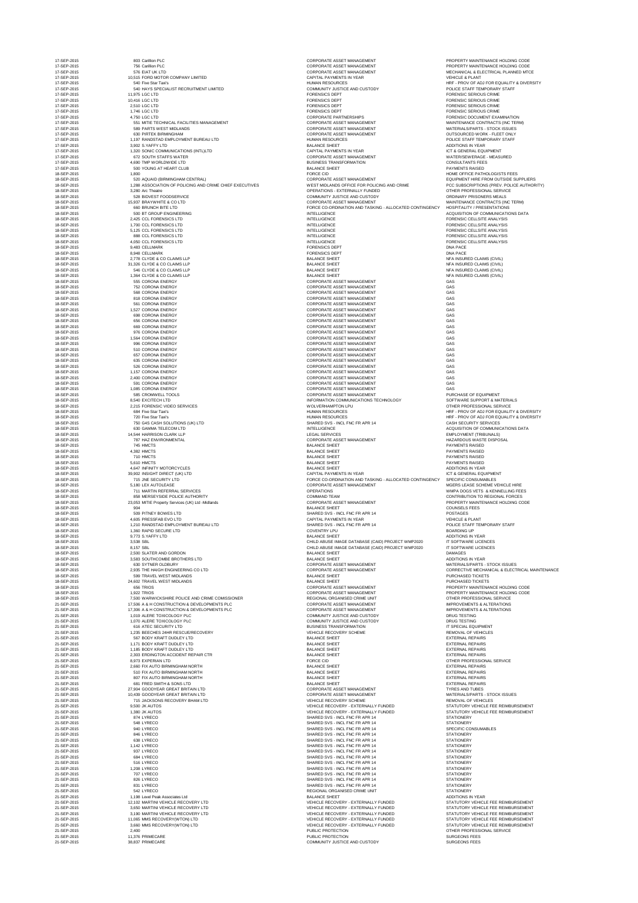| 17-SEP-2015                | 803 Carillion PLC                                        | <b>CORPORATE ASSET MANAGEMENT</b>                       | PROPERTY MAINTENANCE HOLDING CODE                  |
|----------------------------|----------------------------------------------------------|---------------------------------------------------------|----------------------------------------------------|
| 17-SEP-2015                | 756 Carillion PLC                                        | CORPORATE ASSET MANAGEMENT                              | PROPERTY MAINTENANCE HOLDING CODE                  |
| 17-SEP-2015                | 576 EIAT UK LTD                                          | <b>CORPORATE ASSET MANAGEMENT</b>                       | MECHANICAL & ELECTRICAL PLANNED MTCE               |
| 17-SEP-2015                | 10,515 FORD MOTOR COMPANY LIMITED                        | CAPITAL PAYMENTS IN YEAR                                | <b>VEHICLE &amp; PLANT</b>                         |
| 17-SEP-2015                | 540 Five Star Taxi's                                     | <b>HUMAN RESOURCES</b>                                  | HRF - PROV OF ADJ FOR EQUALITY & DIVERSITY         |
| 17-SEP-2015                | 540 HAYS SPECIALIST RECRUITMENT LIMITED                  | COMMUNITY JUSTICE AND CUSTODY                           | POLICE STAFF TEMPORARY STAFF                       |
| 17-SEP-2015                | 11,975 LGC LTD                                           | <b>FORENSICS DEPT</b>                                   | <b>FORENSIC SERIOUS CRIME</b>                      |
| 17-SEP-2015                | 10,416 LGC LTD                                           | <b>FORENSICS DEPT</b>                                   | <b>FORENSIC SERIOUS CRIME</b>                      |
| 17-SEP-2015                | 2,510 LGC LTD                                            | <b>FORENSICS DEPT</b>                                   | <b>FORENSIC SERIOUS CRIME</b>                      |
| 17-SEP-2015                | 1,746 LGC LTD                                            | <b>FORENSICS DEPT</b>                                   | <b>FORENSIC SERIOUS CRIME</b>                      |
| 17-SEP-2015                | 4,750 LGC LTD                                            | <b>CORPORATE PARTNERSHIPS</b>                           | FORENSIC DOCUMENT EXAMINATION                      |
| 17-SEP-2015                | 551 MITIE TECHNICAL FACILITIES MANAGEMENT                | <b>CORPORATE ASSET MANAGEMENT</b>                       | MAINTENANCE CONTRACTS (INC TERM)                   |
| 17-SEP-2015                | 589 PARTS WEST MIDLANDS                                  | <b>CORPORATE ASSET MANAGEMENT</b>                       | MATERIALS/PARTS - STOCK ISSUES                     |
| 17-SEP-2015                | 630 PIRTEK BIRMINGHAM                                    | <b>CORPORATE ASSET MANAGEMENT</b>                       | OUTSOURCED WORK - FLEET ONLY                       |
| 17-SEP-2015                | 1,197 RANDSTAD EMPLOYMENT BUREAU LTD                     | <b>HUMAN RESOURCES</b>                                  | POLICE STAFF TEMPORARY STAFF                       |
| 17-SEP-2015                | 3,902 S.YAFFY LTD                                        | <b>BALANCE SHEET</b>                                    | <b>ADDITIONS IN YEAR</b>                           |
| 17-SEP-2015                | 1,320 SONIC COMMUNICATIONS (INTL)LTD                     | <b>CAPITAL PAYMENTS IN YEAR</b>                         | ICT & GENERAL EQUIPMENT                            |
| 17-SEP-2015                | <b>672 SOUTH STAFFS WATER</b>                            | <b>CORPORATE ASSET MANAGEMENT</b>                       | <b>WATER/SEWERAGE - MEASURED</b>                   |
| 17-SEP-2015                | 4,690 TMP WORLDWIDE LTD                                  | <b>BUSINESS TRANSFORMATION</b>                          | <b>CONSULTANTS FEES</b>                            |
| 17-SEP-2015                | 500 YOUNG AT HEART CLUB                                  | <b>BALANCE SHEET</b>                                    | <b>PAYMENTS RAISED</b>                             |
| 18-SEP-2015                | 1,800                                                    | <b>FORCE CID</b>                                        | HOME OFFICE PATHOLOGISTS FEES                      |
| 18-SEP-2015                | 520 AQUAID (BIRMINGHAM CENTRAL)                          | <b>CORPORATE ASSET MANAGEMENT</b>                       | EQUIPMENT HIRE FROM OUTSIDE SUPPLIERS              |
| 18-SEP-2015                | 1,288 ASSOCIATION OF POLICING AND CRIME CHIEF EXECUTIVES | WEST MIDLANDS OFFICE FOR POLICING AND CRIME             | PCC SUBSCRIPTIONS (PREV. POLICE AUTHORITY)         |
| 18-SEP-2015                | 3,280 Arc Theatre                                        | <b>OPERATIONS - EXTERNALLY FUNDED</b>                   | OTHER PROFESSIONAL SERVICE                         |
| 18-SEP-2015                | 528 BIDVEST FOODSERVICE                                  | COMMUNITY JUSTICE AND CUSTODY                           | ORDINARY PRISONERS MEALS                           |
| 18-SEP-2015                | 15,937 BRAYWHITE & CO LTD                                | <b>CORPORATE ASSET MANAGEMENT</b>                       | MAINTENANCE CONTRACTS (INC TERM)                   |
| 18-SEP-2015                | 660 BRUNCH BITE LTD                                      | FORCE CO-ORDINATION AND TASKING - ALLOCATED CONTINGENCY | HOSPITALITY / PRESENTATIONS                        |
| 18-SEP-2015                | 500 BT GROUP ENGINEERING                                 | <b>INTELLIGENCE</b>                                     | ACQUISITION OF COMMUNICATIONS DATA                 |
| 18-SEP-2015                | 2,425 CCL FORENSICS LTD                                  | <b>INTELLIGENCE</b>                                     | <b>FORENSIC CELLSITE ANALYSIS</b>                  |
| 18-SEP-2015                | 1,700 CCL FORENSICS LTD                                  | <b>INTELLIGENCE</b>                                     | <b>FORENSIC CELLSITE ANALYSIS</b>                  |
| 18-SEP-2015                | 5,125 CCL FORENSICS LTD                                  | <b>INTELLIGENCE</b>                                     | <b>FORENSIC CELLSITE ANALYSIS</b>                  |
| 18-SEP-2015                | 888 CCL FORENSICS LTD                                    | <b>INTELLIGENCE</b>                                     | FORENSIC CELLSITE ANALYSIS                         |
| 18-SEP-2015                | 4,050 CCL FORENSICS LTD                                  | <b>INTELLIGENCE</b>                                     | <b>FORENSIC CELLSITE ANALYSIS</b>                  |
| 18-SEP-2015                | 9,483 CELLMARK                                           | <b>FORENSICS DEPT</b>                                   | DNA PACE                                           |
| 18-SEP-2015                | 8,948 CELLMARK                                           | <b>FORENSICS DEPT</b>                                   | DNA PACE                                           |
| 18-SEP-2015                | 2,778 CLYDE & CO CLAIMS LLP                              | <b>BALANCE SHEET</b>                                    | NFA INSURED CLAIMS (CIVIL)                         |
| 18-SEP-2015                | 31,326 CLYDE & CO CLAIMS LLP                             | <b>BALANCE SHEET</b>                                    | NFA INSURED CLAIMS (CIVIL)                         |
| 18-SEP-2015                | 546 CLYDE & CO CLAIMS LLP                                | <b>BALANCE SHEET</b>                                    | NFA INSURED CLAIMS (CIVIL)                         |
| 18-SEP-2015                | 1,364 CLYDE & CO CLAIMS LLP                              | <b>BALANCE SHEET</b>                                    | NFA INSURED CLAIMS (CIVIL)                         |
| 18-SEP-2015                | 555 CORONA ENERGY                                        | <b>CORPORATE ASSET MANAGEMENT</b>                       | GAS                                                |
| 18-SEP-2015                | 752 CORONA ENERGY                                        | <b>CORPORATE ASSET MANAGEMENT</b>                       | GAS                                                |
| 18-SEP-2015                | 568 CORONA ENERGY                                        | <b>CORPORATE ASSET MANAGEMENT</b>                       | <b>GAS</b>                                         |
| 18-SEP-2015                | 818 CORONA ENERGY                                        | <b>CORPORATE ASSET MANAGEMENT</b>                       | GAS                                                |
| 18-SEP-2015                | 561 CORONA ENERGY                                        | CORPORATE ASSET MANAGEMENT                              | GAS                                                |
| 18-SEP-2015                | 1,527 CORONA ENERGY                                      | <b>CORPORATE ASSET MANAGEMENT</b>                       | GAS                                                |
| 18-SEP-2015                | 698 CORONA ENERGY                                        | <b>CORPORATE ASSET MANAGEMENT</b>                       | GAS                                                |
| 18-SEP-2015                | <b>656 CORONA ENERGY</b>                                 | <b>CORPORATE ASSET MANAGEMENT</b>                       | <b>GAS</b>                                         |
| 18-SEP-2015                | 669 CORONA ENERGY                                        | <b>CORPORATE ASSET MANAGEMENT</b>                       | GAS                                                |
| 18-SEP-2015                | 976 CORONA ENERGY                                        | <b>CORPORATE ASSET MANAGEMENT</b>                       | GAS                                                |
| 18-SEP-2015                | 1,564 CORONA ENERGY                                      | <b>CORPORATE ASSET MANAGEMENT</b>                       | GAS                                                |
| 18-SEP-2015                | 996 CORONA ENERGY                                        | <b>CORPORATE ASSET MANAGEMENT</b>                       | GAS                                                |
| 18-SEP-2015                | 510 CORONA ENERGY                                        | <b>CORPORATE ASSET MANAGEMENT</b>                       | GAS                                                |
| 18-SEP-2015                | 657 CORONA ENERGY                                        | <b>CORPORATE ASSET MANAGEMENT</b>                       | <b>GAS</b>                                         |
| 18-SEP-2015                | <b>635 CORONA ENERGY</b>                                 | <b>CORPORATE ASSET MANAGEMENT</b>                       | GAS                                                |
| 18-SEP-2015                | 526 CORONA ENERGY                                        | <b>CORPORATE ASSET MANAGEMENT</b>                       | GAS                                                |
| 18-SEP-2015                | 1,157 CORONA ENERGY                                      | <b>CORPORATE ASSET MANAGEMENT</b>                       | GAS                                                |
| 18-SEP-2015                | 2,400 CORONA ENERGY                                      | <b>CORPORATE ASSET MANAGEMENT</b>                       | <b>GAS</b>                                         |
| 18-SEP-2015                | 591 CORONA ENERGY                                        | CORPORATE ASSET MANAGEMENT                              | <b>GAS</b>                                         |
| 18-SEP-2015                | 1,085 CORONA ENERGY                                      | <b>CORPORATE ASSET MANAGEMENT</b>                       | GAS                                                |
| 18-SEP-2015                | 585 CROMWELL TOOLS                                       | <b>CORPORATE ASSET MANAGEMENT</b>                       | PURCHASE OF EQUIPMENT                              |
| 18-SEP-2015                | 8,540 EXCITECH LTD                                       | INFORMATION COMMUNICATIONS TECHNOLOGY                   | SOFTWARE SUPPORT & MATERIALS                       |
| 18-SEP-2015                | 2,215 FORENSIC VIDEO SERVICES                            | <b>WOLVERHAMPTON LPU</b>                                | OTHER PROFESSIONAL SERVICE                         |
| 18-SEP-2015                | 684 Five Star Taxi's                                     | <b>HUMAN RESOURCES</b>                                  | HRF - PROV OF ADJ FOR EQUALITY & DIVERSITY         |
| 18-SEP-2015                | 720 Five Star Taxi's                                     | <b>HUMAN RESOURCES</b>                                  | HRF - PROV OF ADJ FOR EQUALITY & DIVERSITY         |
| 18-SEP-2015                | 750 G4S CASH SOLUTIONS (UK) LTD                          | SHARED SVS - INCL FNC FR APR 14                         | <b>CASH SECURITY SERVICES</b>                      |
| 18-SEP-2015                | 630 GAMMA TELECOM LTD                                    | <b>INTELLIGENCE</b>                                     | ACQUISITION OF COMMUNICATIONS DATA                 |
| 18-SEP-2015                | 14,544 HARRISON CLARK LLP                                | <b>LEGAL SERVICES</b>                                   | <b>EMPLOYMENT (TRIBUNALS)</b>                      |
| 18-SEP-2015                | 787 HAZ ENVIRONMENTAL                                    | <b>CORPORATE ASSET MANAGEMENT</b>                       | <b>HAZARDOUS WASTE DISPOSAL</b>                    |
| 18-SEP-2015                | 745 HMCTS                                                | <b>BALANCE SHEET</b>                                    | <b>PAYMENTS RAISED</b>                             |
| 18-SEP-2015                | 4,382 HMCTS                                              | <b>BALANCE SHEET</b>                                    | <b>PAYMENTS RAISED</b>                             |
| 18-SEP-2015                | 710 HMCTS                                                | <b>BALANCE SHEET</b>                                    | <b>PAYMENTS RAISED</b>                             |
| 18-SEP-2015                | 5,610 HMCTS                                              | <b>BALANCE SHEET</b>                                    | <b>PAYMENTS RAISED</b>                             |
| 18-SEP-2015                | 4,647 INFINITY MOTORCYCLES                               | <b>BALANCE SHEET</b>                                    | <b>ADDITIONS IN YEAR</b>                           |
| 18-SEP-2015                | 39,902 INSIGHT DIRECT (UK) LTD                           | <b>CAPITAL PAYMENTS IN YEAR</b>                         | ICT & GENERAL EQUIPMENT                            |
| 18-SEP-2015                | 715 JNE SECURITY LTD                                     | FORCE CO-ORDINATION AND TASKING - ALLOCATED CONTINGENCY | <b>SPECIFIC CONSUMABLES</b>                        |
| 18-SEP-2015                | 5,180 LEX AUTOLEASE                                      | CORPORATE ASSET MANAGEMENT                              | MGERS LEASE SCHEME VEHICLE HIRE                    |
| 18-SEP-2015                | 711 MARTIN REFERRAL SERVICES                             | <b>OPERATIONS</b>                                       | WMPA DOGS VETS & KENNELLING FEES                   |
| 18-SEP-2015                | 858 MERSEYSIDE POLICE AUTHORITY                          | <b>COMMAND TEAM</b>                                     | CONTRIBUTION TO REGIONAL FORCES                    |
| 18-SEP-2015                | 23,053 MITIE Property Services (UK) Ltd -Midlands        | <b>CORPORATE ASSET MANAGEMENT</b>                       | PROPERTY MAINTENANCE HOLDING CODE                  |
| 18-SEP-2015                | 904                                                      | <b>BALANCE SHEET</b>                                    | <b>COUNSELS FEES</b>                               |
| 18-SEP-2015                | 509 PITNEY BOWES LTD                                     | SHARED SVS - INCL FNC FR APR 14                         | <b>POSTAGES</b>                                    |
| 18-SEP-2015                | 4,605 PRESSFAB EVO LTD                                   | <b>CAPITAL PAYMENTS IN YEAR</b>                         | <b>VEHICLE &amp; PLANT</b>                         |
| 18-SEP-2015                | 1,210 RANDSTAD EMPLOYMENT BUREAU LTD                     | SHARED SVS - INCL FNC FR APR 14                         | POLICE STAFF TEMPORARY STAFF                       |
| 18-SEP-2015                | 1,360 RAPID SECURE LTD                                   | <b>COVENTRY LPU</b>                                     | <b>BOARDING UP</b>                                 |
| 18-SEP-2015                | 9,773 S.YAFFY LTD                                        | <b>BALANCE SHEET</b>                                    | <b>ADDITIONS IN YEAR</b>                           |
| 18-SEP-2015                | 3,538 SBL                                                | CHILD ABUSE IMAGE DATABASE (CAID) PROJECT WMP2020       | IT SOFTWARE LICENCES                               |
| 18-SEP-2015                | 8,157 SBL                                                | CHILD ABUSE IMAGE DATABASE (CAID) PROJECT WMP2020       | IT SOFTWARE LICENCES                               |
| 18-SEP-2015                | 2,500 SLATER AND GORDON                                  | <b>BALANCE SHEET</b>                                    | <b>DAMAGES</b>                                     |
| 18-SEP-2015                | 3,583 SOUTHCOMBE BROTHERS LTD                            | <b>BALANCE SHEET</b>                                    | <b>ADDITIONS IN YEAR</b>                           |
| 18-SEP-2015                | 630 SYTNER OLDBURY                                       | <b>CORPORATE ASSET MANAGEMENT</b>                       | MATERIALS/PARTS - STOCK ISSUES                     |
| 18-SEP-2015                | 2,935 THE HAIGH ENGINEERING CO LTD                       | <b>CORPORATE ASSET MANAGEMENT</b>                       | CORRECTIVE MECHANICAL & ELECTRICAL MAINTENANCE     |
| 18-SEP-2015                | 599 TRAVEL WEST MIDLANDS                                 | <b>BALANCE SHEET</b>                                    | <b>PURCHASED TICKETS</b>                           |
| 18-SEP-2015                | 24,602 TRAVEL WEST MIDLANDS                              | <b>BALANCE SHEET</b>                                    | PURCHASED TICKETS                                  |
| 18-SEP-2015                | 656 TRIOS                                                | <b>CORPORATE ASSET MANAGEMENT</b>                       | PROPERTY MAINTENANCE HOLDING CODE                  |
| 18-SEP-2015                | 1,922 TRIOS                                              | CORPORATE ASSET MANAGEMENT                              | PROPERTY MAINTENANCE HOLDING CODE                  |
| 18-SEP-2015                | 7,500 WARWICKSHIRE POLICE AND CRIME COMISSIONER          | REGIONAL ORGANISED CRIME UNIT                           | OTHER PROFESSIONAL SERVICE                         |
| 21-SEP-2015                | 17,506 A & H CONSTRUCTION & DEVELOPMENTS PLC             | <b>CORPORATE ASSET MANAGEMENT</b>                       | <b>IMPROVEMENTS &amp; ALTERATIONS</b>              |
| 21-SEP-2015                | 17,306 A & H CONSTRUCTION & DEVELOPMENTS PLC             | <b>CORPORATE ASSET MANAGEMENT</b>                       | <b>IMPROVEMENTS &amp; ALTERATIONS</b>              |
| 21-SEP-2015                | 1,019 ALERE TOXICOLOGY PLC                               | COMMUNITY JUSTICE AND CUSTODY                           | DRUG TESTING                                       |
| 21-SEP-2015                | 1,070 ALERE TOXICOLOGY PLC                               | <b>COMMUNITY JUSTICE AND CUSTODY</b>                    | DRUG TESTING                                       |
| 21-SEP-2015                | 616 ATEC SECURITY LTD                                    | <b>BUSINESS TRANSFORMATION</b>                          | IT SPECIAL EQUIPMENT                               |
| 21-SEP-2015                | 1,235 BEECHES 24HR RESCUE/RECOVERY                       | VEHICLE RECOVERY SCHEME                                 | <b>REMOVAL OF VEHICLES</b>                         |
| 21-SEP-2015                | 567 BODY KRAFT DUDLEY LTD                                | <b>BALANCE SHEET</b>                                    | <b>EXTERNAL REPAIRS</b>                            |
| 21-SEP-2015                | 1,171 BODY KRAFT DUDLEY LTD                              | <b>BALANCE SHEET</b>                                    | <b>EXTERNAL REPAIRS</b>                            |
| 21-SEP-2015                | 1,185 BODY KRAFT DUDLEY LTD                              | <b>BALANCE SHEET</b>                                    | <b>EXTERNAL REPAIRS</b>                            |
| 21-SEP-2015                | 2,303 ERDINGTON ACCIDENT REPAIR CTR                      | <b>BALANCE SHEET</b>                                    | <b>EXTERNAL REPAIRS</b>                            |
| 21-SEP-2015                | 8,973 EXPERIAN LTD                                       | <b>FORCE CID</b>                                        | OTHER PROFESSIONAL SERVICE                         |
| 21-SEP-2015                | 2,660 FIX AUTO BIRMINGHAM NORTH                          | <b>BALANCE SHEET</b>                                    | <b>EXTERNAL REPAIRS</b>                            |
| 21-SEP-2015                | 510 FIX AUTO BIRMINGHAM NORTH                            | <b>BALANCE SHEET</b>                                    | <b>EXTERNAL REPAIRS</b>                            |
| 21-SEP-2015                | 807 FIX AUTO BIRMINGHAM NORTH                            | <b>BALANCE SHEET</b>                                    | <b>EXTERNAL REPAIRS</b>                            |
| 21-SEP-2015                | 681 FRED SMITH & SONS LTD                                | <b>BALANCE SHEET</b>                                    | <b>EXTERNAL REPAIRS</b>                            |
| 21-SEP-2015                | 27,904 GOODYEAR GREAT BRITAIN LTD                        | <b>CORPORATE ASSET MANAGEMENT</b>                       | <b>TYRES AND TUBES</b>                             |
| 21-SEP-2015                | 10,439 GOODYEAR GREAT BRITAIN LTD                        | <b>CORPORATE ASSET MANAGEMENT</b>                       | MATERIALS/PARTS - STOCK ISSUES                     |
| 21-SEP-2015                | 715 JACKSONS RECOVERY BHAM LTD                           | VEHICLE RECOVERY SCHEME                                 | <b>REMOVAL OF VEHICLES</b>                         |
| 21-SEP-2015                | 9,500 JK AUTOS                                           | VEHICLE RECOVERY - EXTERNALLY FUNDED                    | STATUTORY VEHICLE FEE REIMBURSEMENT                |
| 21-SEP-2015                | 1,380 JK AUTOS                                           | VEHICLE RECOVERY - EXTERNALLY FUNDED                    | STATUTORY VEHICLE FEE REIMBURSEMENT                |
| 21-SEP-2015                | 874 LYRECO                                               | SHARED SVS - INCL FNC FR APR 14                         | <b>STATIONERY</b>                                  |
| 21-SEP-2015                | 548 LYRECO                                               | SHARED SVS - INCL FNC FR APR 14                         | <b>STATIONERY</b>                                  |
| 21-SEP-2015                | 940 LYRECO                                               | SHARED SVS - INCL FNC FR APR 14                         | SPECIFIC CONSUMABLES                               |
| 21-SEP-2015                | 846 LYRECO                                               | SHARED SVS - INCL FNC FR APR 14                         | <b>STATIONERY</b>                                  |
| 21-SEP-2015                | 638 LYRECO                                               | SHARED SVS - INCL FNC FR APR 14                         | <b>STATIONERY</b>                                  |
| 21-SEP-2015                | 1,142 LYRECO                                             | SHARED SVS - INCL FNC FR APR 14                         | <b>STATIONERY</b>                                  |
| 21-SEP-2015                | 937 LYRECO                                               | SHARED SVS - INCL FNC FR APR 14                         | <b>STATIONERY</b>                                  |
| 21-SEP-2015                | 684 LYRECO                                               | SHARED SVS - INCL FNC FR APR 14                         | <b>STATIONERY</b>                                  |
| 21-SEP-2015                | 516 LYRECO                                               | SHARED SVS - INCL FNC FR APR 14                         | <b>STATIONERY</b>                                  |
| 21-SEP-2015                | 1,208 LYRECO                                             | SHARED SVS - INCL FNC FR APR 14                         | <b>STATIONERY</b>                                  |
| 21-SEP-2015                | 707 LYRECO                                               | SHARED SVS - INCL FNC FR APR 14                         | <b>STATIONERY</b>                                  |
| 21-SEP-2015                | 826 LYRECO                                               | SHARED SVS - INCL FNC FR APR 14                         | <b>STATIONERY</b>                                  |
| 21-SEP-2015                | 831 LYRECO                                               | SHARED SVS - INCL FNC FR APR 14                         | <b>STATIONERY</b>                                  |
| 21-SEP-2015                | 542 LYRECO                                               | REGIONAL ORGANISED CRIME UNIT                           | <b>STATIONERY</b>                                  |
| 21-SEP-2015                | 1,198 Level Peak Associates Ltd                          | <b>BALANCE SHEET</b>                                    | ADDITIONS IN YEAR                                  |
| 21-SEP-2015                | 12,102 MARTINI VEHICLE RECOVERY LTD                      | VEHICLE RECOVERY - EXTERNALLY FUNDED                    | STATUTORY VEHICLE FEE REIMBURSEMENT                |
| 21-SEP-2015                | 3,650 MARTINI VEHICLE RECOVERY LTD                       | VEHICLE RECOVERY - EXTERNALLY FUNDED                    | STATUTORY VEHICLE FEE REIMBURSEMENT                |
| 21-SEP-2015                | 3,190 MARTINI VEHICLE RECOVERY LTD                       | VEHICLE RECOVERY - EXTERNALLY FUNDED                    | STATUTORY VEHICLE FEE REIMBURSEMENT                |
| 21-SEP-2015                | 11,065 MMS RECOVERY(WTON) LTD                            | VEHICLE RECOVERY - EXTERNALLY FUNDED                    | STATUTORY VEHICLE FEE REIMBURSEMENT                |
| 21-SEP-2015                | 3,660 MMS RECOVERY(WTON) LTD                             | VEHICLE RECOVERY - EXTERNALLY FUNDED                    | STATUTORY VEHICLE FEE REIMBURSEMENT                |
| 21-SEP-2015<br>21-SEP-2015 | 2,400                                                    | PUBLIC PROTECTION<br>PUBLIC PROTECTION                  | OTHER PROFESSIONAL SERVICE<br><b>SURGEONS FEES</b> |
| 21-SEP-2015                | 11,376 PRIMECARE<br>38,837 PRIMECARE                     | COMMUNITY JUSTICE AND CUSTODY                           | <b>SURGEONS FEES</b>                               |
|                            |                                                          |                                                         |                                                    |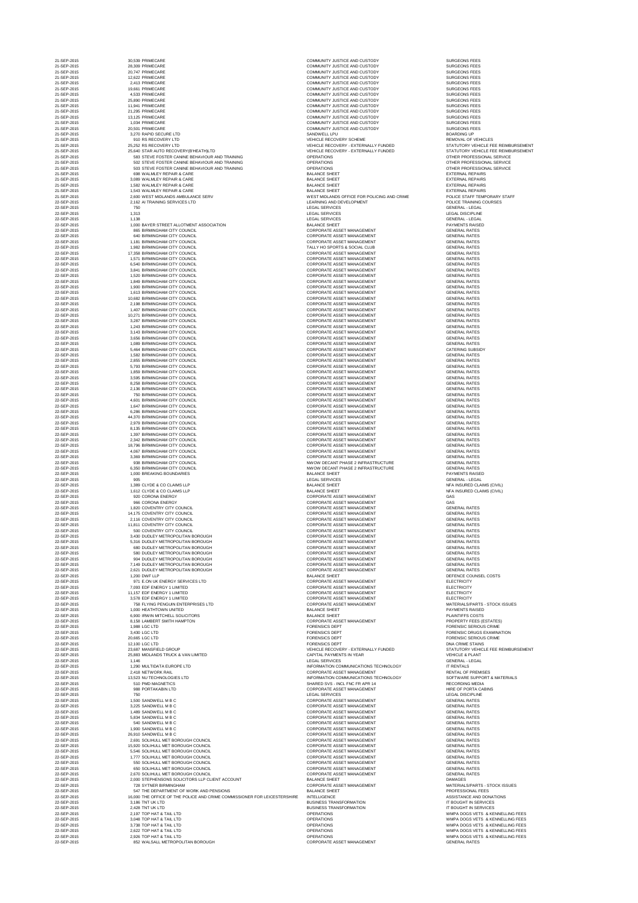| 21-SEP-2015<br>21-SEP-2015<br>21-SEP-2015<br>21-SEP-2015<br>21-SEP-2015<br>21-SEP-2015 | 28,309 PRIMECARE<br>20,747 PRIMECARE                                                          | COMMUNITY JUSTICE AND CUSTODY<br><b>COMMUNITY JUSTICE AND CUSTODY</b>        | <b>SURGEONS FEES</b>                                                       |
|----------------------------------------------------------------------------------------|-----------------------------------------------------------------------------------------------|------------------------------------------------------------------------------|----------------------------------------------------------------------------|
|                                                                                        |                                                                                               |                                                                              |                                                                            |
|                                                                                        |                                                                                               | <b>COMMUNITY JUSTICE AND CUSTODY</b>                                         | <b>SURGEONS FEES</b>                                                       |
|                                                                                        | 12,622 PRIMECARE<br>2,413 PRIMECARE                                                           | COMMUNITY JUSTICE AND CUSTODY                                                | <b>SURGEONS FEES</b><br><b>SURGEONS FEES</b>                               |
|                                                                                        | 19,661 PRIMECARE                                                                              | COMMUNITY JUSTICE AND CUSTODY                                                | <b>SURGEONS FEES</b>                                                       |
| 21-SEP-2015                                                                            | 4,533 PRIMECARE<br>25,890 PRIMECARE                                                           | COMMUNITY JUSTICE AND CUSTODY<br>COMMUNITY JUSTICE AND CUSTODY               | <b>SURGEONS FEES</b><br><b>SURGEONS FEES</b>                               |
| 21-SEP-2015                                                                            | 11,941 PRIMECARE                                                                              | COMMUNITY JUSTICE AND CUSTODY                                                | <b>SURGEONS FEES</b>                                                       |
| 21-SEP-2015                                                                            | 21,295 PRIMECARE                                                                              | COMMUNITY JUSTICE AND CUSTODY                                                | <b>SURGEONS FEES</b>                                                       |
| 21-SEP-2015                                                                            | 13,125 PRIMECARE                                                                              | COMMUNITY JUSTICE AND CUSTODY                                                | <b>SURGEONS FEES</b>                                                       |
| 21-SEP-2015<br>21-SEP-2015                                                             | 1,034 PRIMECARE<br>20,501 PRIMECARE                                                           | COMMUNITY JUSTICE AND CUSTODY<br>COMMUNITY JUSTICE AND CUSTODY               | <b>SURGEONS FEES</b><br><b>SURGEONS FEES</b>                               |
| 21-SEP-2015                                                                            | 3,270 RAPID SECURE LTD                                                                        | SANDWELL LPU                                                                 | <b>BOARDING UP</b>                                                         |
| 21-SEP-2015                                                                            | 910 RS RECOVERY LTD                                                                           | <b>VEHICLE RECOVERY SCHEME</b>                                               | <b>REMOVAL OF VEHICLES</b>                                                 |
| 21-SEP-2015<br>21-SEP-2015                                                             | 25,252 RS RECOVERY LTD<br>25,640 STAR AUTO RECOVERY(B'HEATH)LTD                               | VEHICLE RECOVERY - EXTERNALLY FUNDED<br>VEHICLE RECOVERY - EXTERNALLY FUNDED | STATUTORY VEHICLE FEE REIMBURSEMENT<br>STATUTORY VEHICLE FEE REIMBURSEMENT |
| 21-SEP-2015                                                                            | 583 STEVE FOSTER CANINE BEHAVIOUR AND TRAINING                                                | <b>OPERATIONS</b>                                                            | OTHER PROFESSIONAL SERVICE                                                 |
| 21-SEP-2015                                                                            | 502 STEVE FOSTER CANINE BEHAVIOUR AND TRAINING                                                | <b>OPERATIONS</b>                                                            | OTHER PROFESSIONAL SERVICE                                                 |
| 21-SEP-2015<br>21-SEP-2015                                                             | 503 STEVE FOSTER CANINE BEHAVIOUR AND TRAINING<br>698 WALMLEY REPAIR & CARE                   | <b>OPERATIONS</b><br><b>BALANCE SHEET</b>                                    | OTHER PROFESSIONAL SERVICE<br><b>EXTERNAL REPAIRS</b>                      |
| 21-SEP-2015                                                                            | 3,089 WALMLEY REPAIR & CARE                                                                   | <b>BALANCE SHEET</b>                                                         | <b>EXTERNAL REPAIRS</b>                                                    |
| 21-SEP-2015                                                                            | 1,582 WALMLEY REPAIR & CARE                                                                   | <b>BALANCE SHEET</b>                                                         | <b>EXTERNAL REPAIRS</b>                                                    |
| 21-SEP-2015<br>21-SEP-2015                                                             | 1,543 WALMLEY REPAIR & CARE<br>2,600 WEST MIDLANDS AMBULANCE SERV                             | <b>BALANCE SHEET</b><br>WEST MIDLANDS OFFICE FOR POLICING AND CRIME          | <b>EXTERNAL REPAIRS</b><br>POLICE STAFF TEMPORARY STAFF                    |
| 22-SEP-2015                                                                            | 2,162 AI TRAINING SERVICES LTD                                                                | LEARNING AND DEVELOPMENT                                                     | POLICE TRAINING COURSES                                                    |
| 22-SEP-2015                                                                            | 750                                                                                           | LEGAL SERVICES                                                               | <b>GENERAL - LEGAL</b>                                                     |
| 22-SEP-2015<br>22-SEP-2015                                                             | 1,313<br>1,138                                                                                | <b>LEGAL SERVICES</b><br><b>LEGAL SERVICES</b>                               | <b>LEGAL DISCIPLINE</b><br><b>GENERAL - LEGAL</b>                          |
| 22-SEP-2015                                                                            | 1,000 BAYER STREET ALLOTMENT ASSOCIATION                                                      | <b>BALANCE SHEET</b>                                                         | <b>PAYMENTS RAISED</b>                                                     |
| 22-SEP-2015                                                                            | 865 BIRMINGHAM CITY COUNCIL                                                                   | <b>CORPORATE ASSET MANAGEMENT</b>                                            | <b>GENERAL RATES</b>                                                       |
| 22-SEP-2015<br>22-SEP-2015                                                             | 640 BIRMINGHAM CITY COUNCIL<br>1,181 BIRMINGHAM CITY COUNCIL                                  | CORPORATE ASSET MANAGEMENT<br><b>CORPORATE ASSET MANAGEMENT</b>              | <b>GENERAL RATES</b><br><b>GENERAL RATES</b>                               |
| 22-SEP-2015                                                                            | 1,982 BIRMINGHAM CITY COUNCIL                                                                 | TALLY HO SPORTS & SOCIAL CLUB                                                | <b>GENERAL RATES</b>                                                       |
| 22-SEP-2015                                                                            | 17,358 BIRMINGHAM CITY COUNCIL                                                                | <b>CORPORATE ASSET MANAGEMENT</b>                                            | <b>GENERAL RATES</b>                                                       |
| 22-SEP-2015<br>22-SEP-2015                                                             | 1,571 BIRMINGHAM CITY COUNCIL<br>6,540 BIRMINGHAM CITY COUNCIL                                | <b>CORPORATE ASSET MANAGEMENT</b><br><b>CORPORATE ASSET MANAGEMENT</b>       | <b>GENERAL RATES</b><br><b>GENERAL RATES</b>                               |
| 22-SEP-2015                                                                            | 3,841 BIRMINGHAM CITY COUNCIL                                                                 | <b>CORPORATE ASSET MANAGEMENT</b>                                            | <b>GENERAL RATES</b>                                                       |
| 22-SEP-2015                                                                            | 1,520 BIRMINGHAM CITY COUNCIL                                                                 | <b>CORPORATE ASSET MANAGEMENT</b>                                            | <b>GENERAL RATES</b>                                                       |
| 22-SEP-2015<br>22-SEP-2015                                                             | 1,849 BIRMINGHAM CITY COUNCIL<br>1,900 BIRMINGHAM CITY COUNCIL                                | <b>CORPORATE ASSET MANAGEMENT</b><br><b>CORPORATE ASSET MANAGEMENT</b>       | <b>GENERAL RATES</b><br><b>GENERAL RATES</b>                               |
| 22-SEP-2015                                                                            | 1,613 BIRMINGHAM CITY COUNCIL                                                                 | <b>CORPORATE ASSET MANAGEMENT</b>                                            | <b>GENERAL RATES</b>                                                       |
| 22-SEP-2015                                                                            | 10,682 BIRMINGHAM CITY COUNCIL                                                                | <b>CORPORATE ASSET MANAGEMENT</b>                                            | <b>GENERAL RATES</b>                                                       |
| 22-SEP-2015<br>22-SEP-2015                                                             | 2,198 BIRMINGHAM CITY COUNCIL<br>1,407 BIRMINGHAM CITY COUNCIL                                | <b>CORPORATE ASSET MANAGEMENT</b><br><b>CORPORATE ASSET MANAGEMENT</b>       | <b>GENERAL RATES</b><br><b>GENERAL RATES</b>                               |
| 22-SEP-2015                                                                            | 10,271 BIRMINGHAM CITY COUNCIL                                                                | <b>CORPORATE ASSET MANAGEMENT</b>                                            | <b>GENERAL RATES</b>                                                       |
| 22-SEP-2015                                                                            | 3,287 BIRMINGHAM CITY COUNCIL                                                                 | <b>CORPORATE ASSET MANAGEMENT</b>                                            | <b>GENERAL RATES</b>                                                       |
| 22-SEP-2015<br>22-SEP-2015                                                             | 1,243 BIRMINGHAM CITY COUNCIL<br>3,143 BIRMINGHAM CITY COUNCIL                                | <b>CORPORATE ASSET MANAGEMENT</b><br><b>CORPORATE ASSET MANAGEMENT</b>       | <b>GENERAL RATES</b><br><b>GENERAL RATES</b>                               |
| 22-SEP-2015                                                                            | 3,656 BIRMINGHAM CITY COUNCIL                                                                 | <b>CORPORATE ASSET MANAGEMENT</b>                                            | <b>GENERAL RATES</b>                                                       |
| 22-SEP-2015                                                                            | 1,089 BIRMINGHAM CITY COUNCIL                                                                 | <b>CORPORATE ASSET MANAGEMENT</b>                                            | <b>GENERAL RATES</b>                                                       |
| 22-SEP-2015<br>22-SEP-2015                                                             | 5,464 BIRMINGHAM CITY COUNCIL<br>1,582 BIRMINGHAM CITY COUNCIL                                | <b>CORPORATE ASSET MANAGEMENT</b><br><b>CORPORATE ASSET MANAGEMENT</b>       | <b>CATERING SUBSIDY</b><br><b>GENERAL RATES</b>                            |
| 22-SEP-2015                                                                            | 2,855 BIRMINGHAM CITY COUNCIL                                                                 | <b>CORPORATE ASSET MANAGEMENT</b>                                            | <b>GENERAL RATES</b>                                                       |
| 22-SEP-2015                                                                            | 5,793 BIRMINGHAM CITY COUNCIL                                                                 | <b>CORPORATE ASSET MANAGEMENT</b>                                            | <b>GENERAL RATES</b>                                                       |
| 22-SEP-2015<br>22-SEP-2015                                                             | 1,859 BIRMINGHAM CITY COUNCIL<br>3,595 BIRMINGHAM CITY COUNCIL                                | <b>CORPORATE ASSET MANAGEMENT</b><br><b>CORPORATE ASSET MANAGEMENT</b>       | <b>GENERAL RATES</b><br><b>GENERAL RATES</b>                               |
| 22-SEP-2015                                                                            | 8,258 BIRMINGHAM CITY COUNCIL                                                                 | <b>CORPORATE ASSET MANAGEMENT</b>                                            | <b>GENERAL RATES</b>                                                       |
| 22-SEP-2015                                                                            | 2,136 BIRMINGHAM CITY COUNCIL                                                                 | <b>CORPORATE ASSET MANAGEMENT</b>                                            | <b>GENERAL RATES</b>                                                       |
| 22-SEP-2015<br>22-SEP-2015                                                             | 750 BIRMINGHAM CITY COUNCIL<br>4,601 BIRMINGHAM CITY COUNCIL                                  | <b>CORPORATE ASSET MANAGEMENT</b><br><b>CORPORATE ASSET MANAGEMENT</b>       | <b>GENERAL RATES</b><br><b>GENERAL RATES</b>                               |
| 22-SEP-2015                                                                            | 1,647 BIRMINGHAM CITY COUNCIL                                                                 | <b>CORPORATE ASSET MANAGEMENT</b>                                            | <b>GENERAL RATES</b>                                                       |
| 22-SEP-2015                                                                            | 6,286 BIRMINGHAM CITY COUNCIL                                                                 | <b>CORPORATE ASSET MANAGEMENT</b>                                            | <b>GENERAL RATES</b>                                                       |
| 22-SEP-2015<br>22-SEP-2015                                                             | 44,370 BIRMINGHAM CITY COUNCIL<br>2,979 BIRMINGHAM CITY COUNCIL                               | <b>CORPORATE ASSET MANAGEMENT</b><br><b>CORPORATE ASSET MANAGEMENT</b>       | <b>GENERAL RATES</b><br><b>GENERAL RATES</b>                               |
| 22-SEP-2015                                                                            | 8,135 BIRMINGHAM CITY COUNCIL                                                                 | <b>CORPORATE ASSET MANAGEMENT</b>                                            | <b>GENERAL RATES</b>                                                       |
| 22-SEP-2015                                                                            | 1,397 BIRMINGHAM CITY COUNCIL                                                                 | <b>CORPORATE ASSET MANAGEMENT</b>                                            | <b>GENERAL RATES</b>                                                       |
| 22-SEP-2015<br>22-SEP-2015                                                             | 2,342 BIRMINGHAM CITY COUNCIL<br>18,796 BIRMINGHAM CITY COUNCIL                               | <b>CORPORATE ASSET MANAGEMENT</b><br><b>CORPORATE ASSET MANAGEMENT</b>       | <b>GENERAL RATES</b><br><b>GENERAL RATES</b>                               |
| 22-SEP-2015                                                                            | 4,067 BIRMINGHAM CITY COUNCIL                                                                 | <b>CORPORATE ASSET MANAGEMENT</b>                                            | <b>GENERAL RATES</b>                                                       |
| 22-SEP-2015                                                                            | 3,369 BIRMINGHAM CITY COUNCIL                                                                 | <b>CORPORATE ASSET MANAGEMENT</b>                                            | <b>GENERAL RATES</b>                                                       |
| 22-SEP-2015<br>22-SEP-2015                                                             | 938 BIRMINGHAM CITY COUNCIL<br>6,350 BIRMINGHAM CITY COUNCIL                                  | NWOW DECANT PHASE 2 INFRASTRUCTURE<br>NWOW DECANT PHASE 2 INFRASTRUCTURE     | <b>GENERAL RATES</b><br><b>GENERAL RATES</b>                               |
| 22-SEP-2015                                                                            | 1,000 BREAKING BOUNDARIES                                                                     | <b>BALANCE SHEET</b>                                                         | <b>PAYMENTS RAISED</b>                                                     |
| 22-SEP-2015                                                                            | 905                                                                                           | LEGAL SERVICES                                                               | <b>GENERAL - LEGAL</b>                                                     |
| 22-SEP-2015<br>22-SEP-2015                                                             | 1,389 CLYDE & CO CLAIMS LLP<br>1,612 CLYDE & CO CLAIMS LLP                                    | <b>BALANCE SHEET</b><br><b>BALANCE SHEET</b>                                 | NFA INSURED CLAIMS (CIVIL)<br>NFA INSURED CLAIMS (CIVIL)                   |
| 22-SEP-2015                                                                            | 920 CORONA ENERGY                                                                             | <b>CORPORATE ASSET MANAGEMENT</b>                                            | <b>GAS</b>                                                                 |
| 22-SEP-2015                                                                            | 966 CORONA ENERGY                                                                             | <b>CORPORATE ASSET MANAGEMENT</b>                                            | <b>GAS</b>                                                                 |
| 22-SEP-2015<br>22-SEP-2015                                                             | 1,820 COVENTRY CITY COUNCIL<br>14,175 COVENTRY CITY COUNCIL                                   | <b>CORPORATE ASSET MANAGEMENT</b><br><b>CORPORATE ASSET MANAGEMENT</b>       | <b>GENERAL RATES</b><br><b>GENERAL RATES</b>                               |
|                                                                                        |                                                                                               |                                                                              | <b>GENERAL RATES</b>                                                       |
| 22-SEP-2015                                                                            | 2,116 COVENTRY CITY COUNCIL                                                                   | <b>CORPORATE ASSET MANAGEMENT</b>                                            |                                                                            |
| 22-SEP-2015                                                                            | 11,811 COVENTRY CITY COUNCIL                                                                  | <b>CORPORATE ASSET MANAGEMENT</b>                                            | <b>GENERAL RATES</b>                                                       |
| 22-SEP-2015                                                                            | 500 COVENTRY CITY COUNCIL                                                                     | <b>CORPORATE ASSET MANAGEMENT</b>                                            | <b>GENERAL RATES</b>                                                       |
| 22-SEP-2015<br>22-SEP-2015                                                             | 3,430 DUDLEY METROPOLITAN BOROUGH<br>5,316 DUDLEY METROPOLITAN BOROUGH                        | <b>CORPORATE ASSET MANAGEMENT</b><br><b>CORPORATE ASSET MANAGEMENT</b>       | <b>GENERAL RATES</b><br><b>GENERAL RATES</b>                               |
| 22-SEP-2015                                                                            | 680 DUDLEY METROPOLITAN BOROUGH                                                               | <b>CORPORATE ASSET MANAGEMENT</b>                                            | <b>GENERAL RATES</b>                                                       |
| 22-SEP-2015                                                                            | 580 DUDLEY METROPOLITAN BOROUGH                                                               | <b>CORPORATE ASSET MANAGEMENT</b>                                            | <b>GENERAL RATES</b>                                                       |
| 22-SEP-2015<br>22-SEP-2015                                                             | 904 DUDLEY METROPOLITAN BOROUGH<br>7,149 DUDLEY METROPOLITAN BOROUGH                          | <b>CORPORATE ASSET MANAGEMENT</b><br><b>CORPORATE ASSET MANAGEMENT</b>       | <b>GENERAL RATES</b><br><b>GENERAL RATES</b>                               |
| 22-SEP-2015                                                                            | 2,621 DUDLEY METROPOLITAN BOROUGH                                                             | <b>CORPORATE ASSET MANAGEMENT</b>                                            | <b>GENERAL RATES</b>                                                       |
| 22-SEP-2015<br>22-SEP-2015                                                             | 1,200 DWF LLP<br>971 E.ON UK ENERGY SERVICES LTD                                              | <b>BALANCE SHEET</b><br><b>CORPORATE ASSET MANAGEMENT</b>                    | DEFENCE COUNSEL COSTS<br><b>ELECTRICITY</b>                                |
| 22-SEP-2015                                                                            | 7,093 EDF ENERGY 1 LIMITED                                                                    | <b>CORPORATE ASSET MANAGEMENT</b>                                            | <b>ELECTRICITY</b>                                                         |
| 22-SEP-2015                                                                            | 11,157 EDF ENERGY 1 LIMITED                                                                   | <b>CORPORATE ASSET MANAGEMENT</b>                                            | <b>ELECTRICITY</b>                                                         |
| 22-SEP-2015<br>22-SEP-2015                                                             | 3,578 EDF ENERGY 1 LIMITED<br>758 FLYING PENGUIN ENTERPRISES LTD                              | <b>CORPORATE ASSET MANAGEMENT</b><br><b>CORPORATE ASSET MANAGEMENT</b>       | <b>ELECTRICITY</b><br>MATERIALS/PARTS - STOCK ISSUES                       |
| 22-SEP-2015                                                                            | 1,000 HEATHTOWN UNITED                                                                        | <b>BALANCE SHEET</b>                                                         | <b>PAYMENTS RAISED</b>                                                     |
| 22-SEP-2015                                                                            | 6,900 IRWIN MITCHELL SOLICITORS                                                               | <b>BALANCE SHEET</b>                                                         | <b>PLAINTIFFS COSTS</b>                                                    |
| 22-SEP-2015<br>22-SEP-2015                                                             | 8,158 LAMBERT SMITH HAMPTON<br>1,988 LGC LTD                                                  | <b>CORPORATE ASSET MANAGEMENT</b><br><b>FORENSICS DEPT</b>                   | <b>PROPERTY FEES (ESTATES)</b><br><b>FORENSIC SERIOUS CRIME</b>            |
| 22-SEP-2015                                                                            | 3,430 LGC LTD                                                                                 | <b>FORENSICS DEPT</b>                                                        | FORENSIC DRUGS EXAMINATION                                                 |
| 22-SEP-2015<br>22-SEP-2015                                                             | 20,665 LGC LTD<br>12,100 LGC LTD                                                              | <b>FORENSICS DEPT</b><br><b>FORENSICS DEPT</b>                               | <b>FORENSIC SERIOUS CRIME</b><br>DNA CRIME STAINS                          |
| 22-SEP-2015                                                                            | 23,687 MANSFIELD GROUP                                                                        | VEHICLE RECOVERY - EXTERNALLY FUNDED                                         | STATUTORY VEHICLE FEE REIMBURSEMENT                                        |
| 22-SEP-2015                                                                            | 25,883 MIDLANDS TRUCK & VAN LIMITED                                                           | <b>CAPITAL PAYMENTS IN YEAR</b>                                              | <b>VEHICLE &amp; PLANT</b>                                                 |
| 22-SEP-2015<br>22-SEP-2015                                                             | 1,146<br>1,290 MULTIDATA EUROPE LTD                                                           | LEGAL SERVICES<br>INFORMATION COMMUNICATIONS TECHNOLOGY                      | <b>GENERAL - LEGAL</b><br><b>IT RENTALS</b>                                |
| 22-SEP-2015                                                                            | 2,418 NETWORK RAIL                                                                            | <b>CORPORATE ASSET MANAGEMENT</b>                                            | <b>RENTAL OF PREMISES</b>                                                  |
| 22-SEP-2015                                                                            | 13,523 NU TECHNOLOGIES LTD                                                                    | INFORMATION COMMUNICATIONS TECHNOLOGY                                        | SOFTWARE SUPPORT & MATERIALS                                               |
| 22-SEP-2015                                                                            | 510 PMD MAGNETICS                                                                             | SHARED SVS - INCL FNC FR APR 14                                              | <b>RECORDING MEDIA</b>                                                     |
| 22-SEP-2015<br>22-SEP-2015                                                             | 988 PORTAKABIN LTD<br>750                                                                     | <b>CORPORATE ASSET MANAGEMENT</b><br>LEGAL SERVICES                          | HIRE OF PORTA CABINS<br><b>LEGAL DISCIPLINE</b>                            |
| 22-SEP-2015                                                                            | 1,500 SANDWELL M B C                                                                          | <b>CORPORATE ASSET MANAGEMENT</b>                                            | <b>GENERAL RATES</b>                                                       |
| 22-SEP-2015<br>22-SEP-2015                                                             | 3,225 SANDWELL M B C<br>1,489 SANDWELL M B C                                                  | <b>CORPORATE ASSET MANAGEMENT</b><br><b>CORPORATE ASSET MANAGEMENT</b>       | <b>GENERAL RATES</b><br><b>GENERAL RATES</b>                               |
| 22-SEP-2015                                                                            | 5,834 SANDWELL M B C                                                                          | <b>CORPORATE ASSET MANAGEMENT</b>                                            | <b>GENERAL RATES</b>                                                       |
| 22-SEP-2015                                                                            | 540 SANDWELL M B C                                                                            | <b>CORPORATE ASSET MANAGEMENT</b>                                            | <b>GENERAL RATES</b>                                                       |
| 22-SEP-2015<br>22-SEP-2015                                                             | 1,900 SANDWELL M B C<br>26,910 SANDWELL M B C                                                 | <b>CORPORATE ASSET MANAGEMENT</b><br><b>CORPORATE ASSET MANAGEMENT</b>       | <b>GENERAL RATES</b><br><b>GENERAL RATES</b>                               |
| 22-SEP-2015                                                                            | 2.691 SOLIHULL MET BOROUGH COUNCIL                                                            | <b>CORPORATE ASSET MANAGEMENT</b>                                            | <b>GENERAL RATES</b>                                                       |
| 22-SEP-2015                                                                            | 15,920 SOLIHULL MET BOROUGH COUNCIL                                                           | <b>CORPORATE ASSET MANAGEMENT</b>                                            | <b>GENERAL RATES</b>                                                       |
| 22-SEP-2015<br>22-SEP-2015                                                             | 5,546 SOLIHULL MET BOROUGH COUNCIL<br>1,777 SOLIHULL MET BOROUGH COUNCIL                      | <b>CORPORATE ASSET MANAGEMENT</b><br><b>CORPORATE ASSET MANAGEMENT</b>       | <b>GENERAL RATES</b><br><b>GENERAL RATES</b>                               |
| 22-SEP-2015                                                                            | 550 SOLIHULL MET BOROUGH COUNCIL                                                              | <b>CORPORATE ASSET MANAGEMENT</b>                                            | <b>GENERAL RATES</b>                                                       |
| 22-SEP-2015                                                                            | 650 SOLIHULL MET BOROUGH COUNCIL                                                              | <b>CORPORATE ASSET MANAGEMENT</b>                                            | <b>GENERAL RATES</b>                                                       |
| 22-SEP-2015<br>22-SEP-2015                                                             | 2,670 SOLIHULL MET BOROUGH COUNCIL<br>2,000 STEPHENSONS SOLICITORS LLP CLIENT ACCOUNT         | CORPORATE ASSET MANAGEMENT<br><b>BALANCE SHEET</b>                           | <b>GENERAL RATES</b><br><b>DAMAGES</b>                                     |
| 22-SEP-2015                                                                            | 728 SYTNER BIRMINGHAM                                                                         | <b>CORPORATE ASSET MANAGEMENT</b>                                            | MATERIALS/PARTS - STOCK ISSUES                                             |
| 22-SEP-2015                                                                            | 547 THE DEPARTMENT OF WORK AND PENSIONS                                                       | <b>BALANCE SHEET</b>                                                         | PROFESSIONAL FEES                                                          |
| 22-SEP-2015<br>22-SEP-2015                                                             | 16,000 THE OFFICE OF THE POLICE AND CRIME COMMISSIONER FOR LEICESTERSHIRE<br>3,186 TNT UK LTD | <b>INTELLIGENCE</b><br><b>BUSINESS TRANSFORMATION</b>                        | ASSISTANCE AND DONATIONS<br>IT BOUGHT IN SERVICES                          |
| 22-SEP-2015                                                                            | 2,428 TNT UK LTD                                                                              | <b>BUSINESS TRANSFORMATION</b>                                               | IT BOUGHT IN SERVICES                                                      |
| 22-SEP-2015                                                                            | 2,197 TOP HAT & TAIL LTD                                                                      | <b>OPERATIONS</b>                                                            | WMPA DOGS VETS & KENNELLING FEES                                           |
| 22-SEP-2015<br>22-SEP-2015                                                             | 3,048 TOP HAT & TAIL LTD<br>3,738 TOP HAT & TAIL LTD                                          | <b>OPERATIONS</b><br><b>OPERATIONS</b>                                       | WMPA DOGS VETS & KENNELLING FEES<br>WMPA DOGS VETS & KENNELLING FEES       |
| 22-SEP-2015<br>22-SEP-2015                                                             | 2,622 TOP HAT & TAIL LTD<br>2,926 TOP HAT & TAIL LTD                                          | <b>OPERATIONS</b><br><b>OPERATIONS</b>                                       | WMPA DOGS VETS & KENNELLING FEES<br>WMPA DOGS VETS & KENNELLING FEES       |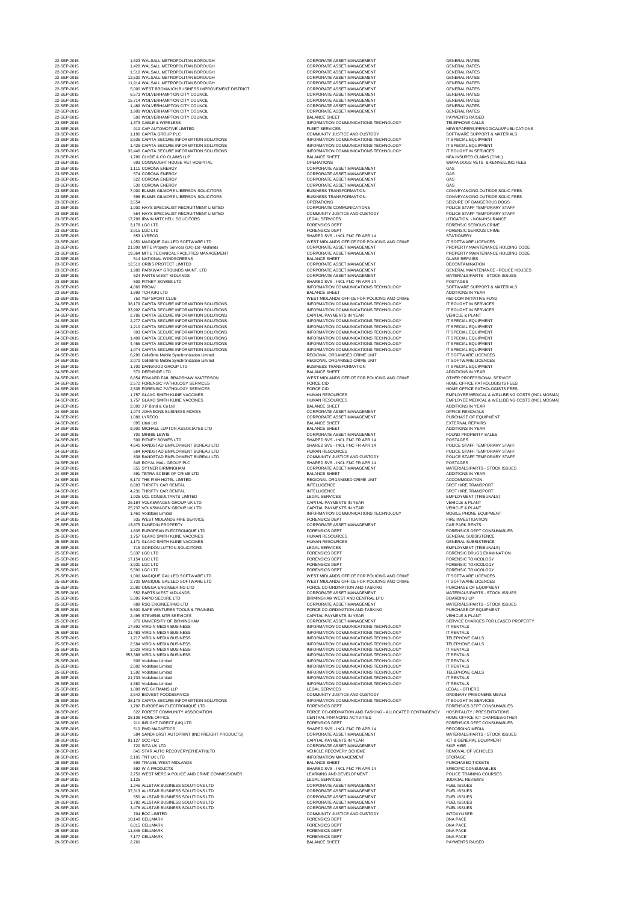| 22-SEP-2015<br>1,510 WALSALL METROPOLITAN BOROUGH<br><b>CORPORATE ASSET MANAGEMENT</b><br><b>GENERAL RATES</b><br>22-SEP-2015<br>CORPORATE ASSET MANAGEMENT<br><b>GENERAL RATES</b><br>12,530 WALSALL METROPOLITAN BOROUGH<br>22-SEP-2015<br><b>CORPORATE ASSET MANAGEMENT</b><br>11,914 WALSALL METROPOLITAN BOROUGH<br><b>GENERAL RATES</b><br>22-SEP-2015<br><b>CORPORATE ASSET MANAGEMENT</b><br><b>GENERAL RATES</b><br>5,000 WEST BROMWICH BUSINESS IMPROVEMENT DISTRICT<br>22-SEP-2015<br>6,573 WOLVERHAMPTON CITY COUNCIL<br><b>CORPORATE ASSET MANAGEMENT</b><br><b>GENERAL RATES</b><br>22-SEP-2015<br><b>CORPORATE ASSET MANAGEMENT</b><br>15,714 WOLVERHAMPTON CITY COUNCIL<br><b>GENERAL RATES</b><br>22-SEP-2015<br>1,489 WOLVERHAMPTON CITY COUNCIL<br><b>CORPORATE ASSET MANAGEMENT</b><br><b>GENERAL RATES</b><br>22-SEP-2015<br><b>GENERAL RATES</b><br>1,900 WOLVERHAMPTON CITY COUNCIL<br>CORPORATE ASSET MANAGEMENT<br>22-SEP-2015<br>500 WOLVERHAMPTON CITY COUNCIL<br><b>BALANCE SHEET</b><br><b>PAYMENTS RAISED</b><br>23-SEP-2015<br><b>TELEPHONE CALLS</b><br>1,373 CABLE & WIRELESS<br>INFORMATION COMMUNICATIONS TECHNOLOGY<br>23-SEP-2015<br>910 CAP AUTOMOTIVE LIMITED<br><b>FLEET SERVICES</b><br>NEWSPAPERS/PERIODICALS/PUBLICATIONS<br>23-SEP-2015<br>1,196 CAPITA GROUP PLC<br>COMMUNITY JUSTICE AND CUSTODY<br>SOFTWARE SUPPORT & MATERIALS<br>23-SEP-2015<br>2,635 CAPITA SECURE INFORMATION SOLUTIONS<br>INFORMATION COMMUNICATIONS TECHNOLOGY<br>IT SPECIAL EQUIPMENT<br>23-SEP-2015<br>1,426 CAPITA SECURE INFORMATION SOLUTIONS<br>INFORMATION COMMUNICATIONS TECHNOLOGY<br>IT SPECIAL EQUIPMENT<br>23-SEP-2015<br>IT BOUGHT IN SERVICES<br>32,446 CAPITA SECURE INFORMATION SOLUTIONS<br>INFORMATION COMMUNICATIONS TECHNOLOGY<br>23-SEP-2015<br>1,786 CLYDE & CO CLAIMS LLP<br><b>BALANCE SHEET</b><br>NFA INSURED CLAIMS (CIVIL)<br>23-SEP-2015<br>893 CONNAUGHT HOUSE VET HOSPITAL<br><b>OPERATIONS</b><br>WMPA DOGS VETS & KENNELLING FEES<br>23-SEP-2015<br><b>CORPORATE ASSET MANAGEMENT</b><br>GAS<br>1,111 CORONA ENERGY<br>23-SEP-2015<br><b>GAS</b><br>574 CORONA ENERGY<br><b>CORPORATE ASSET MANAGEMENT</b><br><b>GAS</b><br>23-SEP-2015<br>622 CORONA ENERGY<br><b>CORPORATE ASSET MANAGEMENT</b><br>23-SEP-2015<br>530 CORONA ENERGY<br><b>CORPORATE ASSET MANAGEMENT</b><br><b>GAS</b><br>23-SEP-2015<br>7,000 ELMMS GILMORE LIBERSON SOLICITORS<br><b>BUSINESS TRANSFORMATION</b><br>CONVEYANCING OUTSIDE SOLIC FEES<br>23-SEP-2015<br>598 ELMMS GILMORE LIBERSON SOLICITORS<br><b>BUSINESS TRANSFORMATION</b><br>CONVEYANCING OUTSIDE SOLIC FEES<br>23-SEP-2015<br>3,554<br><b>OPERATIONS</b><br>SEIZURE OF DANGEROUS DOGS<br>23-SEP-2015<br><b>CORPORATE COMMUNICATIONS</b><br>1,000 HAYS SPECIALIST RECRUITMENT LIMITED<br>POLICE STAFF TEMPORARY STAFF<br>23-SEP-2015<br>COMMUNITY JUSTICE AND CUSTODY<br>564 HAYS SPECIALIST RECRUITMENT LIMITED<br>POLICE STAFF TEMPORARY STAFF<br>23-SEP-2015<br>17,798 IRWIN MITCHELL SOLICITORS<br>LEGAL SERVICES<br>LITIGATION - NON-INSURANCE<br>23-SEP-2015<br>3,178 LGC LTD<br><b>FORENSICS DEPT</b><br><b>FORENSIC SERIOUS CRIME</b><br>23-SEP-2015<br><b>FORENSIC SERIOUS CRIME</b><br>3,915 LGC LTD<br><b>FORENSICS DEPT</b><br>853 LYRECO<br>23-SEP-2015<br>SHARED SVS - INCL FNC FR APR 14<br><b>STATIONERY</b><br>23-SEP-2015<br>1,950 MAGIQUE GALILEO SOFTWARE LTD<br>IT SOFTWARE LICENCES<br>WEST MIDLANDS OFFICE FOR POLICING AND CRIME<br>23-SEP-2015<br><b>CORPORATE ASSET MANAGEMENT</b><br>PROPERTY MAINTENANCE HOLDING CODE<br>21,899 MITIE Property Services (UK) Ltd -Midlands<br>23-SEP-2015<br>19,364 MITIE TECHNICAL FACILITIES MANAGEMENT<br><b>CORPORATE ASSET MANAGEMENT</b><br>PROPERTY MAINTENANCE HOLDING CODE<br>23-SEP-2015<br><b>BALANCE SHEET</b><br>514 NATIONAL WINDSCREENS<br><b>GLASS REPAIRS</b><br>23-SEP-2015<br>CORPORATE ASSET MANAGEMENT<br>12,510 ORBIS PROTECT LIMITED<br><b>DECONTAMINATION</b><br>23-SEP-2015<br>1,980 PARKWAY GROUNDS MAINT. LTD<br><b>CORPORATE ASSET MANAGEMENT</b><br><b>GENERAL MAINTENANCE - POLICE HOUSES</b><br>23-SEP-2015<br>524 PARTS WEST MIDLANDS<br><b>CORPORATE ASSET MANAGEMENT</b><br>MATERIALS/PARTS - STOCK ISSUES<br>23-SEP-2015<br>509 PITNEY BOWES LTD<br>SHARED SVS - INCL FNC FR APR 14<br><b>POSTAGES</b><br>23-SEP-2015<br>SOFTWARE SUPPORT & MATERIALS<br>4,066 PROAV<br>INFORMATION COMMUNICATIONS TECHNOLOGY<br>23-SEP-2015<br>1,899 TCH (UK) LTD<br><b>BALANCE SHEET</b><br>ADDITIONS IN YEAR<br>23-SEP-2015<br>750 YEP SPORT CLUB<br>WEST MIDLANDS OFFICE FOR POLICING AND CRIME<br><b>R50-COM INITIATIVE FUND</b><br>24-SEP-2015<br>38,179 CAPITA SECURE INFORMATION SOLUTIONS<br>IT BOUGHT IN SERVICES<br>INFORMATION COMMUNICATIONS TECHNOLOGY<br>24-SEP-2015<br>IT BOUGHT IN SERVICES<br>33,902 CAPITA SECURE INFORMATION SOLUTIONS<br>INFORMATION COMMUNICATIONS TECHNOLOGY<br>24-SEP-2015<br><b>CAPITAL PAYMENTS IN YEAR</b><br><b>VEHICLE &amp; PLANT</b><br>2,786 CAPITA SECURE INFORMATION SOLUTIONS<br>24-SEP-2015<br>IT SPECIAL EQUIPMENT<br>2,277 CAPITA SECURE INFORMATION SOLUTIONS<br>INFORMATION COMMUNICATIONS TECHNOLOGY<br>24-SEP-2015<br>1,210 CAPITA SECURE INFORMATION SOLUTIONS<br>INFORMATION COMMUNICATIONS TECHNOLOGY<br>IT SPECIAL EQUIPMENT<br>24-SEP-2015<br>IT SPECIAL EQUIPMENT<br>803 CAPITA SECURE INFORMATION SOLUTIONS<br>INFORMATION COMMUNICATIONS TECHNOLOGY<br>24-SEP-2015<br>INFORMATION COMMUNICATIONS TECHNOLOGY<br>IT SPECIAL EQUIPMENT<br>1,499 CAPITA SECURE INFORMATION SOLUTIONS<br>24-SEP-2015<br>IT SPECIAL EQUIPMENT<br>4,465 CAPITA SECURE INFORMATION SOLUTIONS<br>INFORMATION COMMUNICATIONS TECHNOLOGY<br>24-SEP-2015<br>1,074 CAPITA SECURE INFORMATION SOLUTIONS<br>INFORMATION COMMUNICATIONS TECHNOLOGY<br>IT SPECIAL EQUIPMENT<br>24-SEP-2015<br>6,280 CelleBrite Mobile Synchronization Limited<br>REGIONAL ORGANISED CRIME UNIT<br>IT SOFTWARE LICENCES<br>24-SEP-2015<br>2,070 CelleBrite Mobile Synchronization Limited<br>REGIONAL ORGANISED CRIME UNIT<br>IT SOFTWARE LICENCES<br>24-SEP-2015<br>1,700 DANWOOD GROUP LTD<br><b>BUSINESS TRANSFORMATION</b><br>IT SPECIAL EQUIPMENT<br>24-SEP-2015<br>570 DEENSIDE LTD<br><b>BALANCE SHEET</b><br>ADDITIONS IN YEAR<br>24-SEP-2015<br>WEST MIDLANDS OFFICE FOR POLICING AND CRIME<br>6,854 EDWARD FAIL BRADSHAW WATERSON<br>OTHER PROFESSIONAL SERVICE<br>24-SEP-2015<br>2,572 FORENSIC PATHOLOGY SERVICES<br>HOME OFFICE PATHOLOGISTS FEES<br><b>FORCE CID</b><br>24-SEP-2015<br><b>FORCE CID</b><br>HOME OFFICE PATHOLOGISTS FEES<br>2,535 FORENSIC PATHOLOGY SERVICES<br>24-SEP-2015<br>EMPLOYEE MEDICAL & WELLBEING COSTS (INCL MOSMA)<br>1,757 GLAXO SMITH KLINE VACCINES<br><b>HUMAN RESOURCES</b><br>24-SEP-2015<br><b>HUMAN RESOURCES</b><br>1,757 GLAXO SMITH KLINE VACCINES<br>24-SEP-2015<br><b>BALANCE SHEET</b><br>ADDITIONS IN YEAR<br>2,000 J.P Bond & Co Ltd<br>24-SEP-2015<br>1,074 JOHNSONS BUSINESS MOVES<br><b>CORPORATE ASSET MANAGEMENT</b><br><b>OFFICE REMOVALS</b><br>24-SEP-2015<br>1,088 LYRECO<br><b>CORPORATE ASSET MANAGEMENT</b><br>PURCHASE OF EQUIPMENT<br>24-SEP-2015<br>895 Litori Ltd<br><b>BALANCE SHEET</b><br><b>EXTERNAL REPAIRS</b><br>24-SEP-2015<br>9,900 MICHAEL LUPTON ASSOCIATES LTD<br><b>BALANCE SHEET</b><br>ADDITIONS IN YEAR<br>24-SEP-2015<br>700 MINNIE LEWIS<br><b>CORPORATE ASSET MANAGEMENT</b><br><b>FOUND PROPERTY SALES</b><br>24-SEP-2015<br>509 PITNEY BOWES LTD<br>SHARED SVS - INCL FNC FR APR 14<br><b>POSTAGES</b><br>24-SEP-2015<br>SHARED SVS - INCL FNC FR APR 14<br>POLICE STAFF TEMPORARY STAFF<br>4,641 RANDSTAD EMPLOYMENT BUREAU LTD<br>24-SEP-2015<br>POLICE STAFF TEMPORARY STAFF<br>664 RANDSTAD EMPLOYMENT BUREAU LTD<br><b>HUMAN RESOURCES</b><br>24-SEP-2015<br><b>COMMUNITY JUSTICE AND CUSTODY</b><br>838 RANDSTAD EMPLOYMENT BUREAU LTD<br>POLICE STAFF TEMPORARY STAFF<br>24-SEP-2015<br>646 ROYAL MAIL GROUP PLC<br>SHARED SVS - INCL FNC FR APR 14<br><b>POSTAGES</b><br>24-SEP-2015<br><b>MATERIALS/PARTS - STOCK ISSUES</b><br><b>655 SYTNER BIRMINGHAM</b><br><b>CORPORATE ASSET MANAGEMENT</b><br>24-SEP-2015<br>691 TETRA SCENE OF CRIME LTD<br><b>BALANCE SHEET</b><br>ADDITIONS IN YEAR<br>24-SEP-2015<br>REGIONAL ORGANISED CRIME UNIT<br><b>ACCOMMODATION</b><br>6,170 THE FISH HOTEL LIMITED<br>24-SEP-2015<br><b>INTELLIGENCE</b><br>SPOT HIRE TRANSPORT<br>8,603 THRIFTY CAR RENTAL<br>24-SEP-2015<br><b>INTELLIGENCE</b><br>4,231 THRIFTY CAR RENTAL<br><b>SPOT HIRE TRANSPORT</b><br>24-SEP-2015<br>1,925 UCL CONSULTANTS LIMITED<br>LEGAL SERVICES<br><b>EMPLOYMENT (TRIBUNALS)</b><br>24-SEP-2015<br><b>CAPITAL PAYMENTS IN YEAR</b><br>26,184 VOLKSWAGEN GROUP UK LTD<br><b>VEHICLE &amp; PLANT</b><br>24-SEP-2015<br><b>CAPITAL PAYMENTS IN YEAR</b><br><b>VEHICLE &amp; PLANT</b><br>25,737 VOLKSWAGEN GROUP UK LTD<br>24-SEP-2015<br>1,460 Vodafone Limited<br>INFORMATION COMMUNICATIONS TECHNOLOGY<br>MOBILE PHONE EQUIPMENT<br>24-SEP-2015<br>935 WEST MIDLANDS FIRE SERVICE<br><b>FORENSICS DEPT</b><br><b>FIRE INVESTIGATION</b><br>25-SEP-2015<br><b>CORPORATE ASSET MANAGEMENT</b><br><b>CAR PARK RENTS</b><br>13,875 DUNEDIN PROPERTY<br>25-SEP-2015<br><b>FORENSICS DEPT</b><br><b>FORENSICS DEPT CONSUMABLES</b><br>1,835 EUROPEAN ELECTRONIQUE LTD<br>25-SEP-2015<br>1,757 GLAXO SMITH KLINE VACCINES<br><b>HUMAN RESOURCES</b><br><b>GENERAL SUBSISTENCE</b><br>25-SEP-2015<br><b>GENERAL SUBSISTENCE</b><br>1,171 GLAXO SMITH KLINE VACCINES<br><b>HUMAN RESOURCES</b><br>25-SEP-2015<br>715 GORDON LUTTON SOLICITORS<br><b>EMPLOYMENT (TRIBUNALS)</b><br>LEGAL SERVICES<br>25-SEP-2015<br>5,637 LGC LTD<br><b>FORENSICS DEPT</b><br><b>FORENSIC DRUGS EXAMINATION</b><br>25-SEP-2015<br>17,154 LGC LTD<br><b>FORENSICS DEPT</b><br><b>FORENSIC TOXICOLOGY</b><br>25-SEP-2015<br>3,931 LGC LTD<br><b>FORENSICS DEPT</b><br><b>FORENSIC TOXICOLOGY</b><br>25-SEP-2015<br><b>FORENSICS DEPT</b><br><b>FORENSIC TOXICOLOGY</b><br>5,590 LGC LTD<br>IT SOFTWARE LICENCES<br>25-SEP-2015<br>1,000 MAGIQUE GALILEO SOFTWARE LTD<br>WEST MIDLANDS OFFICE FOR POLICING AND CRIME<br>25-SEP-2015<br>2,730 MAGIQUE GALILEO SOFTWARE LTD<br>WEST MIDLANDS OFFICE FOR POLICING AND CRIME<br>IT SOFTWARE LICENCES<br>25-SEP-2015<br>2,080 OMEGA ENGINEERING LTD<br>PURCHASE OF EQUIPMENT<br>FORCE CO-ORDINATION AND TASKING<br>25-SEP-2015<br>552 PARTS WEST MIDLANDS<br>CORPORATE ASSET MANAGEMENT<br>MATERIALS/PARTS - STOCK ISSUES<br>25-SEP-2015<br>BIRMINGHAM WEST AND CENTRAL LPU<br><b>BOARDING UP</b><br>5,395 RAPID SECURE LTD<br>25-SEP-2015<br>MATERIALS/PARTS - STOCK ISSUES<br>889 RSG ENGINEERING LTD<br><b>CORPORATE ASSET MANAGEMENT</b><br>25-SEP-2015<br>5,500 SAFE VENTURES TOOLS & TRAINING<br>FORCE CO-ORDINATION AND TASKING<br>PURCHASE OF EQUIPMENT<br>25-SEP-2015<br>2,495 STEVENS MTR SERVICES<br>CAPITAL PAYMENTS IN YEAR<br><b>VEHICLE &amp; PLANT</b><br>25-SEP-2015<br>976 UNIVERSITY OF BIRMINGHAM<br>SERVICE CHARGES FOR LEASED PROPERTY<br><b>CORPORATE ASSET MANAGEMENT</b><br>25-SEP-2015<br>17,892 VIRGIN MEDIA BUSINESS<br>INFORMATION COMMUNICATIONS TECHNOLOGY<br><b>IT RENTALS</b><br>25-SEP-2015<br>21,483 VIRGIN MEDIA BUSINESS<br>INFORMATION COMMUNICATIONS TECHNOLOGY<br><b>IT RENTALS</b><br>25-SEP-2015<br><b>TELEPHONE CALLS</b><br>1,717 VIRGIN MEDIA BUSINESS<br>INFORMATION COMMUNICATIONS TECHNOLOGY<br>25-SEP-2015<br><b>TELEPHONE CALLS</b><br>2,584 VIRGIN MEDIA BUSINESS<br>INFORMATION COMMUNICATIONS TECHNOLOGY<br>25-SEP-2015<br><b>IT RENTALS</b><br>3,929 VIRGIN MEDIA BUSINESS<br>INFORMATION COMMUNICATIONS TECHNOLOGY<br>25-SEP-2015<br>553,388 VIRGIN MEDIA BUSINESS<br>INFORMATION COMMUNICATIONS TECHNOLOGY<br><b>IT RENTALS</b><br>25-SEP-2015<br>INFORMATION COMMUNICATIONS TECHNOLOGY<br><b>IT RENTALS</b><br>606 Vodafone Limited<br>25-SEP-2015<br>2,002 Vodafone Limited<br>INFORMATION COMMUNICATIONS TECHNOLOGY<br><b>IT RENTALS</b><br>25-SEP-2015<br>1,592 Vodafone Limited<br>INFORMATION COMMUNICATIONS TECHNOLOGY<br><b>TELEPHONE CALLS</b><br>25-SEP-2015<br>21,733 Vodafone Limited<br>INFORMATION COMMUNICATIONS TECHNOLOGY<br><b>IT RENTALS</b><br>25-SEP-2015<br><b>IT RENTALS</b><br>4,680 Vodafone Limited<br>INFORMATION COMMUNICATIONS TECHNOLOGY<br>25-SEP-2015<br>LEGAL - OTHERS<br>1,008 WEIGHTMANS LLP<br>LEGAL SERVICES<br>28-SEP-2015<br>2,642 BIDVEST FOODSERVICE<br>COMMUNITY JUSTICE AND CUSTODY<br><b>ORDINARY PRISONERS MEALS</b><br>28-SEP-2015<br>38,179 CAPITA SECURE INFORMATION SOLUTIONS<br>INFORMATION COMMUNICATIONS TECHNOLOGY<br>IT BOUGHT IN SERVICES<br>28-SEP-2015<br>1,792 EUROPEAN ELECTRONIQUE LTD<br><b>FORENSICS DEPT</b><br><b>FORENSICS DEPT CONSUMABLES</b><br>28-SEP-2015<br>622 FOREST COMMUNITY ASSOCIATION<br><b>HOSPITALITY / PRESENTATIONS</b><br>FORCE CO-ORDINATION AND TASKING - ALLOCATED CONTINGENCY<br>28-SEP-2015<br>38,108 HOME OFFICE<br>CENTRAL FINANCING ACTIVITIES<br>HOME OFFICE ICT CHARGES/OTHER<br>28-SEP-2015<br>FORENSICS DEPT CONSUMABLES<br>911 INSIGHT DIRECT (UK) LTD<br><b>FORENSICS DEPT</b><br>28-SEP-2015<br>SHARED SVS - INCL FNC FR APR 14<br>510 PMD MAGNETICS<br><b>RECORDING MEDIA</b><br>28-SEP-2015<br>584 SANDHURST AUTOPRINT (INC FREIGHT PRODUCTS)<br><b>CORPORATE ASSET MANAGEMENT</b><br>MATERIALS/PARTS - STOCK ISSUES<br>28-SEP-2015<br><b>CAPITAL PAYMENTS IN YEAR</b><br>91,127 SCC PLC<br><b>ICT &amp; GENERAL EQUIPMENT</b><br><b>SKIP HIRE</b><br>28-SEP-2015<br>720 SITA UK LTD<br><b>CORPORATE ASSET MANAGEMENT</b><br>28-SEP-2015<br><b>REMOVAL OF VEHICLES</b><br>845 STAR AUTO RECOVERY(B'HEATH)LTD<br><b>VEHICLE RECOVERY SCHEME</b><br>28-SEP-2015<br>2,105 TNT UK LTD<br><b>STORAGE</b><br><b>INFORMATION MANAGEMENT</b><br>28-SEP-2015<br><b>BALANCE SHEET</b><br>599 TRAVEL WEST MIDLANDS<br>PURCHASED TICKETS<br>28-SEP-2015<br>SHARED SVS - INCL FNC FR APR 14<br>SPECIFIC CONSUMABLES<br>592 W A PRODUCTS<br>2,750 WEST MERCIA POLICE AND CRIME COMMISSIONER<br>28-SEP-2015<br>LEARNING AND DEVELOPMENT<br><b>POLICE TRAINING COURSES</b><br>29-SEP-2015<br><b>LEGAL SERVICES</b><br><b>JUDICIAL REVIEWS</b><br>1,125<br>29-SEP-2015<br><b>CORPORATE ASSET MANAGEMENT</b><br>1,246 ALLSTAR BUSINESS SOLUTIONS LTD<br><b>FUEL ISSUES</b><br>29-SEP-2015<br>37,313 ALLSTAR BUSINESS SOLUTIONS LTD<br><b>CORPORATE ASSET MANAGEMENT</b><br><b>FUEL ISSUES</b><br>29-SEP-2015<br><b>FUEL ISSUES</b><br>550 ALLSTAR BUSINESS SOLUTIONS LTD<br><b>CORPORATE ASSET MANAGEMENT</b><br>29-SEP-2015<br>1,782 ALLSTAR BUSINESS SOLUTIONS LTD<br><b>CORPORATE ASSET MANAGEMENT</b><br><b>FUEL ISSUES</b><br>29-SEP-2015<br><b>FUEL ISSUES</b><br>3,478 ALLSTAR BUSINESS SOLUTIONS LTD<br><b>CORPORATE ASSET MANAGEMENT</b><br>29-SEP-2015<br><b>INTOXYLISER</b><br>704 BOC LIMITED<br>COMMUNITY JUSTICE AND CUSTODY<br>29-SEP-2015<br><b>DNA PACE</b><br>10,148 CELLMARK<br><b>FORENSICS DEPT</b><br>29-SEP-2015<br><b>DNA PACE</b><br>6,015 CELLMARK<br><b>FORENSICS DEPT</b><br>29-SEP-2015<br><b>FORENSICS DEPT</b><br><b>DNA PACE</b><br>11,845 CELLMARK<br>29-SEP-2015<br>7,177 CELLMARK<br><b>FORENSICS DEPT</b><br><b>DNA PACE</b><br>29-SEP-2015<br><b>BALANCE SHEET</b><br><b>PAYMENTS RAISED</b><br>2,760 | 22-SEP-2015 | 1,623 WALSALL METROPOLITAN BOROUGH | <b>CORPORATE ASSET MANAGEMENT</b> | <b>GENERAL RATES</b>                            |
|---------------------------------------------------------------------------------------------------------------------------------------------------------------------------------------------------------------------------------------------------------------------------------------------------------------------------------------------------------------------------------------------------------------------------------------------------------------------------------------------------------------------------------------------------------------------------------------------------------------------------------------------------------------------------------------------------------------------------------------------------------------------------------------------------------------------------------------------------------------------------------------------------------------------------------------------------------------------------------------------------------------------------------------------------------------------------------------------------------------------------------------------------------------------------------------------------------------------------------------------------------------------------------------------------------------------------------------------------------------------------------------------------------------------------------------------------------------------------------------------------------------------------------------------------------------------------------------------------------------------------------------------------------------------------------------------------------------------------------------------------------------------------------------------------------------------------------------------------------------------------------------------------------------------------------------------------------------------------------------------------------------------------------------------------------------------------------------------------------------------------------------------------------------------------------------------------------------------------------------------------------------------------------------------------------------------------------------------------------------------------------------------------------------------------------------------------------------------------------------------------------------------------------------------------------------------------------------------------------------------------------------------------------------------------------------------------------------------------------------------------------------------------------------------------------------------------------------------------------------------------------------------------------------------------------------------------------------------------------------------------------------------------------------------------------------------------------------------------------------------------------------------------------------------------------------------------------------------------------------------------------------------------------------------------------------------------------------------------------------------------------------------------------------------------------------------------------------------------------------------------------------------------------------------------------------------------------------------------------------------------------------------------------------------------------------------------------------------------------------------------------------------------------------------------------------------------------------------------------------------------------------------------------------------------------------------------------------------------------------------------------------------------------------------------------------------------------------------------------------------------------------------------------------------------------------------------------------------------------------------------------------------------------------------------------------------------------------------------------------------------------------------------------------------------------------------------------------------------------------------------------------------------------------------------------------------------------------------------------------------------------------------------------------------------------------------------------------------------------------------------------------------------------------------------------------------------------------------------------------------------------------------------------------------------------------------------------------------------------------------------------------------------------------------------------------------------------------------------------------------------------------------------------------------------------------------------------------------------------------------------------------------------------------------------------------------------------------------------------------------------------------------------------------------------------------------------------------------------------------------------------------------------------------------------------------------------------------------------------------------------------------------------------------------------------------------------------------------------------------------------------------------------------------------------------------------------------------------------------------------------------------------------------------------------------------------------------------------------------------------------------------------------------------------------------------------------------------------------------------------------------------------------------------------------------------------------------------------------------------------------------------------------------------------------------------------------------------------------------------------------------------------------------------------------------------------------------------------------------------------------------------------------------------------------------------------------------------------------------------------------------------------------------------------------------------------------------------------------------------------------------------------------------------------------------------------------------------------------------------------------------------------------------------------------------------------------------------------------------------------------------------------------------------------------------------------------------------------------------------------------------------------------------------------------------------------------------------------------------------------------------------------------------------------------------------------------------------------------------------------------------------------------------------------------------------------------------------------------------------------------------------------------------------------------------------------------------------------------------------------------------------------------------------------------------------------------------------------------------------------------------------------------------------------------------------------------------------------------------------------------------------------------------------------------------------------------------------------------------------------------------------------------------------------------------------------------------------------------------------------------------------------------------------------------------------------------------------------------------------------------------------------------------------------------------------------------------------------------------------------------------------------------------------------------------------------------------------------------------------------------------------------------------------------------------------------------------------------------------------------------------------------------------------------------------------------------------------------------------------------------------------------------------------------------------------------------------------------------------------------------------------------------------------------------------------------------------------------------------------------------------------------------------------------------------------------------------------------------------------------------------------------------------------------------------------------------------------------------------------------------------------------------------------------------------------------------------------------------------------------------------------------------------------------------------------------------------------------------------------------------------------------------------------------------------------------------------------------------------------------------------------------------------------------------------------------------------------------------------------------------------------------------------------------------------------------------------------------------------------------------------------------------------------------------------------------------------------------------------------------------------------------------------------------------------------------------------------------------------------------------------------------------------------------------------------------------------------------------------------------------------------------------------------------------------------------------------------------------------------------------------------------------------------------------------------------------------------------------------------------------------------------------------------------------------------------------------------------------------------------------------------------------------------------------------------------------------------------------------------------------------------------------------------------------------------------------------------------------------------------------------------------------------------------------------------------------------------------------------------------------------------------------------------------------------------------------------------------------------------------------------------------------------------------------------------------------------------------------------------------------------------------------------------------------------------------------------------------------------------------------------------------------------------------------------------------------------------------------------------------------------------------------------------------------------------------------------------------------------------------------------------------------------------------------------------------------------------------------------------------------------------------------------------------------------------------------------------------------------------------------------------------------------------------------------------------------------------------------------------------------------------------------------------------------------------------------------------------------------------------------------------------------------------------------------------------------------------------------------------------------------------------------------------------------------------------------------------------------------------------------------------------------------------------------------------------------------------------------------------------------------------------------------------------------------------------------------------------------------------------------------------------------------------------------------------------------------------------------------------------------------------------------------------------------------------------------------------------------------------------------------------------------------------------------------------------------------------------------------------------------------------------------------------------------------------------------------------------------------------------------------------------------------------------------------------------------------------------------------------------------------------------------------------------------------------------------------------------------------------------------------------------------------------------------------------------------------------------------------------------------------------------------------------------------------------------------------------------------------------------------------------------------------------------------------------------------------------------------------------------------------------------------------------------------------------------------------------------------------------------------------------------------------------------------------------------------------------------------------------------------------------------------------------------------------------------------------------------------------------------------------------------------------------------------------------------------------------------------------------------------------------------------------------------------------------------------------------------------------------------------------------------------------------------------------------------------------------------------------------------------------------------------------------------------------------------------------------------------------------------------------------------------------------------------------------------------------------------------------------------------------------------------------------------------------------------------------------------------------------------------------------------------------------------------------------------------------------------------------------------------------------------------------------------------------------------------------------------------------------------------------------------------------------------------------------------------------------------------|-------------|------------------------------------|-----------------------------------|-------------------------------------------------|
|                                                                                                                                                                                                                                                                                                                                                                                                                                                                                                                                                                                                                                                                                                                                                                                                                                                                                                                                                                                                                                                                                                                                                                                                                                                                                                                                                                                                                                                                                                                                                                                                                                                                                                                                                                                                                                                                                                                                                                                                                                                                                                                                                                                                                                                                                                                                                                                                                                                                                                                                                                                                                                                                                                                                                                                                                                                                                                                                                                                                                                                                                                                                                                                                                                                                                                                                                                                                                                                                                                                                                                                                                                                                                                                                                                                                                                                                                                                                                                                                                                                                                                                                                                                                                                                                                                                                                                                                                                                                                                                                                                                                                                                                                                                                                                                                                                                                                                                                                                                                                                                                                                                                                                                                                                                                                                                                                                                                                                                                                                                                                                                                                                                                                                                                                                                                                                                                                                                                                                                                                                                                                                                                                                                                                                                                                                                                                                                                                                                                                                                                                                                                                                                                                                                                                                                                                                                                                                                                                                                                                                                                                                                                                                                                                                                                                                                                                                                                                                                                                                                                                                                                                                                                                                                                                                                                                                                                                                                                                                                                                                                                                                                                                                                                                                                                                                                                                                                                                                                                                                                                                                                                                                                                                                                                                                                                                                                                                                                                                                                                                                                                                                                                                                                                                                                                                                                                                                                                                                                                                                                                                                                                                                                                                                                                                                                                                                                                                                                                                                                                                                                                                                                                                                                                                                                                                                                                                                                                                                                                                                                                                                                                                                                                                                                                                                                                                                                                                                                                                                                                                                                                                                                                                                                                                                                                                                                                                                                                                                                                                                                                                                                                                                                                                                                                                                                                                                                                                                                                                                                                                                                                                                                                                                                                                                                                                                                                                                                                                                                                                                                                                                                                                                                                                                                                                                                                                                                                                                                                                                                                                                                                                                                                                                                                                                                                                                                                                                                                                                                                                                                                                                                                                                                                                                                                                                                                                                                                                                                                                                                                                                                                                                                                                                                                                                                                                                                                                                                                                                                                                                                                                                                                                                                                                                                                                                                                                                                                                                                                                                                                                                                                                                                                                                                                                           | 22-SEP-2015 | 1,428 WALSALL METROPOLITAN BOROUGH | <b>CORPORATE ASSET MANAGEMENT</b> | <b>GENERAL RATES</b>                            |
|                                                                                                                                                                                                                                                                                                                                                                                                                                                                                                                                                                                                                                                                                                                                                                                                                                                                                                                                                                                                                                                                                                                                                                                                                                                                                                                                                                                                                                                                                                                                                                                                                                                                                                                                                                                                                                                                                                                                                                                                                                                                                                                                                                                                                                                                                                                                                                                                                                                                                                                                                                                                                                                                                                                                                                                                                                                                                                                                                                                                                                                                                                                                                                                                                                                                                                                                                                                                                                                                                                                                                                                                                                                                                                                                                                                                                                                                                                                                                                                                                                                                                                                                                                                                                                                                                                                                                                                                                                                                                                                                                                                                                                                                                                                                                                                                                                                                                                                                                                                                                                                                                                                                                                                                                                                                                                                                                                                                                                                                                                                                                                                                                                                                                                                                                                                                                                                                                                                                                                                                                                                                                                                                                                                                                                                                                                                                                                                                                                                                                                                                                                                                                                                                                                                                                                                                                                                                                                                                                                                                                                                                                                                                                                                                                                                                                                                                                                                                                                                                                                                                                                                                                                                                                                                                                                                                                                                                                                                                                                                                                                                                                                                                                                                                                                                                                                                                                                                                                                                                                                                                                                                                                                                                                                                                                                                                                                                                                                                                                                                                                                                                                                                                                                                                                                                                                                                                                                                                                                                                                                                                                                                                                                                                                                                                                                                                                                                                                                                                                                                                                                                                                                                                                                                                                                                                                                                                                                                                                                                                                                                                                                                                                                                                                                                                                                                                                                                                                                                                                                                                                                                                                                                                                                                                                                                                                                                                                                                                                                                                                                                                                                                                                                                                                                                                                                                                                                                                                                                                                                                                                                                                                                                                                                                                                                                                                                                                                                                                                                                                                                                                                                                                                                                                                                                                                                                                                                                                                                                                                                                                                                                                                                                                                                                                                                                                                                                                                                                                                                                                                                                                                                                                                                                                                                                                                                                                                                                                                                                                                                                                                                                                                                                                                                                                                                                                                                                                                                                                                                                                                                                                                                                                                                                                                                                                                                                                                                                                                                                                                                                                                                                                                                                                                                                                                           |             |                                    |                                   |                                                 |
|                                                                                                                                                                                                                                                                                                                                                                                                                                                                                                                                                                                                                                                                                                                                                                                                                                                                                                                                                                                                                                                                                                                                                                                                                                                                                                                                                                                                                                                                                                                                                                                                                                                                                                                                                                                                                                                                                                                                                                                                                                                                                                                                                                                                                                                                                                                                                                                                                                                                                                                                                                                                                                                                                                                                                                                                                                                                                                                                                                                                                                                                                                                                                                                                                                                                                                                                                                                                                                                                                                                                                                                                                                                                                                                                                                                                                                                                                                                                                                                                                                                                                                                                                                                                                                                                                                                                                                                                                                                                                                                                                                                                                                                                                                                                                                                                                                                                                                                                                                                                                                                                                                                                                                                                                                                                                                                                                                                                                                                                                                                                                                                                                                                                                                                                                                                                                                                                                                                                                                                                                                                                                                                                                                                                                                                                                                                                                                                                                                                                                                                                                                                                                                                                                                                                                                                                                                                                                                                                                                                                                                                                                                                                                                                                                                                                                                                                                                                                                                                                                                                                                                                                                                                                                                                                                                                                                                                                                                                                                                                                                                                                                                                                                                                                                                                                                                                                                                                                                                                                                                                                                                                                                                                                                                                                                                                                                                                                                                                                                                                                                                                                                                                                                                                                                                                                                                                                                                                                                                                                                                                                                                                                                                                                                                                                                                                                                                                                                                                                                                                                                                                                                                                                                                                                                                                                                                                                                                                                                                                                                                                                                                                                                                                                                                                                                                                                                                                                                                                                                                                                                                                                                                                                                                                                                                                                                                                                                                                                                                                                                                                                                                                                                                                                                                                                                                                                                                                                                                                                                                                                                                                                                                                                                                                                                                                                                                                                                                                                                                                                                                                                                                                                                                                                                                                                                                                                                                                                                                                                                                                                                                                                                                                                                                                                                                                                                                                                                                                                                                                                                                                                                                                                                                                                                                                                                                                                                                                                                                                                                                                                                                                                                                                                                                                                                                                                                                                                                                                                                                                                                                                                                                                                                                                                                                                                                                                                                                                                                                                                                                                                                                                                                                                                                                                                                           |             |                                    |                                   |                                                 |
|                                                                                                                                                                                                                                                                                                                                                                                                                                                                                                                                                                                                                                                                                                                                                                                                                                                                                                                                                                                                                                                                                                                                                                                                                                                                                                                                                                                                                                                                                                                                                                                                                                                                                                                                                                                                                                                                                                                                                                                                                                                                                                                                                                                                                                                                                                                                                                                                                                                                                                                                                                                                                                                                                                                                                                                                                                                                                                                                                                                                                                                                                                                                                                                                                                                                                                                                                                                                                                                                                                                                                                                                                                                                                                                                                                                                                                                                                                                                                                                                                                                                                                                                                                                                                                                                                                                                                                                                                                                                                                                                                                                                                                                                                                                                                                                                                                                                                                                                                                                                                                                                                                                                                                                                                                                                                                                                                                                                                                                                                                                                                                                                                                                                                                                                                                                                                                                                                                                                                                                                                                                                                                                                                                                                                                                                                                                                                                                                                                                                                                                                                                                                                                                                                                                                                                                                                                                                                                                                                                                                                                                                                                                                                                                                                                                                                                                                                                                                                                                                                                                                                                                                                                                                                                                                                                                                                                                                                                                                                                                                                                                                                                                                                                                                                                                                                                                                                                                                                                                                                                                                                                                                                                                                                                                                                                                                                                                                                                                                                                                                                                                                                                                                                                                                                                                                                                                                                                                                                                                                                                                                                                                                                                                                                                                                                                                                                                                                                                                                                                                                                                                                                                                                                                                                                                                                                                                                                                                                                                                                                                                                                                                                                                                                                                                                                                                                                                                                                                                                                                                                                                                                                                                                                                                                                                                                                                                                                                                                                                                                                                                                                                                                                                                                                                                                                                                                                                                                                                                                                                                                                                                                                                                                                                                                                                                                                                                                                                                                                                                                                                                                                                                                                                                                                                                                                                                                                                                                                                                                                                                                                                                                                                                                                                                                                                                                                                                                                                                                                                                                                                                                                                                                                                                                                                                                                                                                                                                                                                                                                                                                                                                                                                                                                                                                                                                                                                                                                                                                                                                                                                                                                                                                                                                                                                                                                                                                                                                                                                                                                                                                                                                                                                                                                                                                                           |             |                                    |                                   |                                                 |
|                                                                                                                                                                                                                                                                                                                                                                                                                                                                                                                                                                                                                                                                                                                                                                                                                                                                                                                                                                                                                                                                                                                                                                                                                                                                                                                                                                                                                                                                                                                                                                                                                                                                                                                                                                                                                                                                                                                                                                                                                                                                                                                                                                                                                                                                                                                                                                                                                                                                                                                                                                                                                                                                                                                                                                                                                                                                                                                                                                                                                                                                                                                                                                                                                                                                                                                                                                                                                                                                                                                                                                                                                                                                                                                                                                                                                                                                                                                                                                                                                                                                                                                                                                                                                                                                                                                                                                                                                                                                                                                                                                                                                                                                                                                                                                                                                                                                                                                                                                                                                                                                                                                                                                                                                                                                                                                                                                                                                                                                                                                                                                                                                                                                                                                                                                                                                                                                                                                                                                                                                                                                                                                                                                                                                                                                                                                                                                                                                                                                                                                                                                                                                                                                                                                                                                                                                                                                                                                                                                                                                                                                                                                                                                                                                                                                                                                                                                                                                                                                                                                                                                                                                                                                                                                                                                                                                                                                                                                                                                                                                                                                                                                                                                                                                                                                                                                                                                                                                                                                                                                                                                                                                                                                                                                                                                                                                                                                                                                                                                                                                                                                                                                                                                                                                                                                                                                                                                                                                                                                                                                                                                                                                                                                                                                                                                                                                                                                                                                                                                                                                                                                                                                                                                                                                                                                                                                                                                                                                                                                                                                                                                                                                                                                                                                                                                                                                                                                                                                                                                                                                                                                                                                                                                                                                                                                                                                                                                                                                                                                                                                                                                                                                                                                                                                                                                                                                                                                                                                                                                                                                                                                                                                                                                                                                                                                                                                                                                                                                                                                                                                                                                                                                                                                                                                                                                                                                                                                                                                                                                                                                                                                                                                                                                                                                                                                                                                                                                                                                                                                                                                                                                                                                                                                                                                                                                                                                                                                                                                                                                                                                                                                                                                                                                                                                                                                                                                                                                                                                                                                                                                                                                                                                                                                                                                                                                                                                                                                                                                                                                                                                                                                                                                                                                                                                           |             |                                    |                                   |                                                 |
|                                                                                                                                                                                                                                                                                                                                                                                                                                                                                                                                                                                                                                                                                                                                                                                                                                                                                                                                                                                                                                                                                                                                                                                                                                                                                                                                                                                                                                                                                                                                                                                                                                                                                                                                                                                                                                                                                                                                                                                                                                                                                                                                                                                                                                                                                                                                                                                                                                                                                                                                                                                                                                                                                                                                                                                                                                                                                                                                                                                                                                                                                                                                                                                                                                                                                                                                                                                                                                                                                                                                                                                                                                                                                                                                                                                                                                                                                                                                                                                                                                                                                                                                                                                                                                                                                                                                                                                                                                                                                                                                                                                                                                                                                                                                                                                                                                                                                                                                                                                                                                                                                                                                                                                                                                                                                                                                                                                                                                                                                                                                                                                                                                                                                                                                                                                                                                                                                                                                                                                                                                                                                                                                                                                                                                                                                                                                                                                                                                                                                                                                                                                                                                                                                                                                                                                                                                                                                                                                                                                                                                                                                                                                                                                                                                                                                                                                                                                                                                                                                                                                                                                                                                                                                                                                                                                                                                                                                                                                                                                                                                                                                                                                                                                                                                                                                                                                                                                                                                                                                                                                                                                                                                                                                                                                                                                                                                                                                                                                                                                                                                                                                                                                                                                                                                                                                                                                                                                                                                                                                                                                                                                                                                                                                                                                                                                                                                                                                                                                                                                                                                                                                                                                                                                                                                                                                                                                                                                                                                                                                                                                                                                                                                                                                                                                                                                                                                                                                                                                                                                                                                                                                                                                                                                                                                                                                                                                                                                                                                                                                                                                                                                                                                                                                                                                                                                                                                                                                                                                                                                                                                                                                                                                                                                                                                                                                                                                                                                                                                                                                                                                                                                                                                                                                                                                                                                                                                                                                                                                                                                                                                                                                                                                                                                                                                                                                                                                                                                                                                                                                                                                                                                                                                                                                                                                                                                                                                                                                                                                                                                                                                                                                                                                                                                                                                                                                                                                                                                                                                                                                                                                                                                                                                                                                                                                                                                                                                                                                                                                                                                                                                                                                                                                                                                                                           |             |                                    |                                   |                                                 |
|                                                                                                                                                                                                                                                                                                                                                                                                                                                                                                                                                                                                                                                                                                                                                                                                                                                                                                                                                                                                                                                                                                                                                                                                                                                                                                                                                                                                                                                                                                                                                                                                                                                                                                                                                                                                                                                                                                                                                                                                                                                                                                                                                                                                                                                                                                                                                                                                                                                                                                                                                                                                                                                                                                                                                                                                                                                                                                                                                                                                                                                                                                                                                                                                                                                                                                                                                                                                                                                                                                                                                                                                                                                                                                                                                                                                                                                                                                                                                                                                                                                                                                                                                                                                                                                                                                                                                                                                                                                                                                                                                                                                                                                                                                                                                                                                                                                                                                                                                                                                                                                                                                                                                                                                                                                                                                                                                                                                                                                                                                                                                                                                                                                                                                                                                                                                                                                                                                                                                                                                                                                                                                                                                                                                                                                                                                                                                                                                                                                                                                                                                                                                                                                                                                                                                                                                                                                                                                                                                                                                                                                                                                                                                                                                                                                                                                                                                                                                                                                                                                                                                                                                                                                                                                                                                                                                                                                                                                                                                                                                                                                                                                                                                                                                                                                                                                                                                                                                                                                                                                                                                                                                                                                                                                                                                                                                                                                                                                                                                                                                                                                                                                                                                                                                                                                                                                                                                                                                                                                                                                                                                                                                                                                                                                                                                                                                                                                                                                                                                                                                                                                                                                                                                                                                                                                                                                                                                                                                                                                                                                                                                                                                                                                                                                                                                                                                                                                                                                                                                                                                                                                                                                                                                                                                                                                                                                                                                                                                                                                                                                                                                                                                                                                                                                                                                                                                                                                                                                                                                                                                                                                                                                                                                                                                                                                                                                                                                                                                                                                                                                                                                                                                                                                                                                                                                                                                                                                                                                                                                                                                                                                                                                                                                                                                                                                                                                                                                                                                                                                                                                                                                                                                                                                                                                                                                                                                                                                                                                                                                                                                                                                                                                                                                                                                                                                                                                                                                                                                                                                                                                                                                                                                                                                                                                                                                                                                                                                                                                                                                                                                                                                                                                                                                                                                                           |             |                                    |                                   |                                                 |
|                                                                                                                                                                                                                                                                                                                                                                                                                                                                                                                                                                                                                                                                                                                                                                                                                                                                                                                                                                                                                                                                                                                                                                                                                                                                                                                                                                                                                                                                                                                                                                                                                                                                                                                                                                                                                                                                                                                                                                                                                                                                                                                                                                                                                                                                                                                                                                                                                                                                                                                                                                                                                                                                                                                                                                                                                                                                                                                                                                                                                                                                                                                                                                                                                                                                                                                                                                                                                                                                                                                                                                                                                                                                                                                                                                                                                                                                                                                                                                                                                                                                                                                                                                                                                                                                                                                                                                                                                                                                                                                                                                                                                                                                                                                                                                                                                                                                                                                                                                                                                                                                                                                                                                                                                                                                                                                                                                                                                                                                                                                                                                                                                                                                                                                                                                                                                                                                                                                                                                                                                                                                                                                                                                                                                                                                                                                                                                                                                                                                                                                                                                                                                                                                                                                                                                                                                                                                                                                                                                                                                                                                                                                                                                                                                                                                                                                                                                                                                                                                                                                                                                                                                                                                                                                                                                                                                                                                                                                                                                                                                                                                                                                                                                                                                                                                                                                                                                                                                                                                                                                                                                                                                                                                                                                                                                                                                                                                                                                                                                                                                                                                                                                                                                                                                                                                                                                                                                                                                                                                                                                                                                                                                                                                                                                                                                                                                                                                                                                                                                                                                                                                                                                                                                                                                                                                                                                                                                                                                                                                                                                                                                                                                                                                                                                                                                                                                                                                                                                                                                                                                                                                                                                                                                                                                                                                                                                                                                                                                                                                                                                                                                                                                                                                                                                                                                                                                                                                                                                                                                                                                                                                                                                                                                                                                                                                                                                                                                                                                                                                                                                                                                                                                                                                                                                                                                                                                                                                                                                                                                                                                                                                                                                                                                                                                                                                                                                                                                                                                                                                                                                                                                                                                                                                                                                                                                                                                                                                                                                                                                                                                                                                                                                                                                                                                                                                                                                                                                                                                                                                                                                                                                                                                                                                                                                                                                                                                                                                                                                                                                                                                                                                                                                                                                                                                           |             |                                    |                                   |                                                 |
|                                                                                                                                                                                                                                                                                                                                                                                                                                                                                                                                                                                                                                                                                                                                                                                                                                                                                                                                                                                                                                                                                                                                                                                                                                                                                                                                                                                                                                                                                                                                                                                                                                                                                                                                                                                                                                                                                                                                                                                                                                                                                                                                                                                                                                                                                                                                                                                                                                                                                                                                                                                                                                                                                                                                                                                                                                                                                                                                                                                                                                                                                                                                                                                                                                                                                                                                                                                                                                                                                                                                                                                                                                                                                                                                                                                                                                                                                                                                                                                                                                                                                                                                                                                                                                                                                                                                                                                                                                                                                                                                                                                                                                                                                                                                                                                                                                                                                                                                                                                                                                                                                                                                                                                                                                                                                                                                                                                                                                                                                                                                                                                                                                                                                                                                                                                                                                                                                                                                                                                                                                                                                                                                                                                                                                                                                                                                                                                                                                                                                                                                                                                                                                                                                                                                                                                                                                                                                                                                                                                                                                                                                                                                                                                                                                                                                                                                                                                                                                                                                                                                                                                                                                                                                                                                                                                                                                                                                                                                                                                                                                                                                                                                                                                                                                                                                                                                                                                                                                                                                                                                                                                                                                                                                                                                                                                                                                                                                                                                                                                                                                                                                                                                                                                                                                                                                                                                                                                                                                                                                                                                                                                                                                                                                                                                                                                                                                                                                                                                                                                                                                                                                                                                                                                                                                                                                                                                                                                                                                                                                                                                                                                                                                                                                                                                                                                                                                                                                                                                                                                                                                                                                                                                                                                                                                                                                                                                                                                                                                                                                                                                                                                                                                                                                                                                                                                                                                                                                                                                                                                                                                                                                                                                                                                                                                                                                                                                                                                                                                                                                                                                                                                                                                                                                                                                                                                                                                                                                                                                                                                                                                                                                                                                                                                                                                                                                                                                                                                                                                                                                                                                                                                                                                                                                                                                                                                                                                                                                                                                                                                                                                                                                                                                                                                                                                                                                                                                                                                                                                                                                                                                                                                                                                                                                                                                                                                                                                                                                                                                                                                                                                                                                                                                                                                                                           |             |                                    |                                   |                                                 |
|                                                                                                                                                                                                                                                                                                                                                                                                                                                                                                                                                                                                                                                                                                                                                                                                                                                                                                                                                                                                                                                                                                                                                                                                                                                                                                                                                                                                                                                                                                                                                                                                                                                                                                                                                                                                                                                                                                                                                                                                                                                                                                                                                                                                                                                                                                                                                                                                                                                                                                                                                                                                                                                                                                                                                                                                                                                                                                                                                                                                                                                                                                                                                                                                                                                                                                                                                                                                                                                                                                                                                                                                                                                                                                                                                                                                                                                                                                                                                                                                                                                                                                                                                                                                                                                                                                                                                                                                                                                                                                                                                                                                                                                                                                                                                                                                                                                                                                                                                                                                                                                                                                                                                                                                                                                                                                                                                                                                                                                                                                                                                                                                                                                                                                                                                                                                                                                                                                                                                                                                                                                                                                                                                                                                                                                                                                                                                                                                                                                                                                                                                                                                                                                                                                                                                                                                                                                                                                                                                                                                                                                                                                                                                                                                                                                                                                                                                                                                                                                                                                                                                                                                                                                                                                                                                                                                                                                                                                                                                                                                                                                                                                                                                                                                                                                                                                                                                                                                                                                                                                                                                                                                                                                                                                                                                                                                                                                                                                                                                                                                                                                                                                                                                                                                                                                                                                                                                                                                                                                                                                                                                                                                                                                                                                                                                                                                                                                                                                                                                                                                                                                                                                                                                                                                                                                                                                                                                                                                                                                                                                                                                                                                                                                                                                                                                                                                                                                                                                                                                                                                                                                                                                                                                                                                                                                                                                                                                                                                                                                                                                                                                                                                                                                                                                                                                                                                                                                                                                                                                                                                                                                                                                                                                                                                                                                                                                                                                                                                                                                                                                                                                                                                                                                                                                                                                                                                                                                                                                                                                                                                                                                                                                                                                                                                                                                                                                                                                                                                                                                                                                                                                                                                                                                                                                                                                                                                                                                                                                                                                                                                                                                                                                                                                                                                                                                                                                                                                                                                                                                                                                                                                                                                                                                                                                                                                                                                                                                                                                                                                                                                                                                                                                                                                                                                                           |             |                                    |                                   |                                                 |
|                                                                                                                                                                                                                                                                                                                                                                                                                                                                                                                                                                                                                                                                                                                                                                                                                                                                                                                                                                                                                                                                                                                                                                                                                                                                                                                                                                                                                                                                                                                                                                                                                                                                                                                                                                                                                                                                                                                                                                                                                                                                                                                                                                                                                                                                                                                                                                                                                                                                                                                                                                                                                                                                                                                                                                                                                                                                                                                                                                                                                                                                                                                                                                                                                                                                                                                                                                                                                                                                                                                                                                                                                                                                                                                                                                                                                                                                                                                                                                                                                                                                                                                                                                                                                                                                                                                                                                                                                                                                                                                                                                                                                                                                                                                                                                                                                                                                                                                                                                                                                                                                                                                                                                                                                                                                                                                                                                                                                                                                                                                                                                                                                                                                                                                                                                                                                                                                                                                                                                                                                                                                                                                                                                                                                                                                                                                                                                                                                                                                                                                                                                                                                                                                                                                                                                                                                                                                                                                                                                                                                                                                                                                                                                                                                                                                                                                                                                                                                                                                                                                                                                                                                                                                                                                                                                                                                                                                                                                                                                                                                                                                                                                                                                                                                                                                                                                                                                                                                                                                                                                                                                                                                                                                                                                                                                                                                                                                                                                                                                                                                                                                                                                                                                                                                                                                                                                                                                                                                                                                                                                                                                                                                                                                                                                                                                                                                                                                                                                                                                                                                                                                                                                                                                                                                                                                                                                                                                                                                                                                                                                                                                                                                                                                                                                                                                                                                                                                                                                                                                                                                                                                                                                                                                                                                                                                                                                                                                                                                                                                                                                                                                                                                                                                                                                                                                                                                                                                                                                                                                                                                                                                                                                                                                                                                                                                                                                                                                                                                                                                                                                                                                                                                                                                                                                                                                                                                                                                                                                                                                                                                                                                                                                                                                                                                                                                                                                                                                                                                                                                                                                                                                                                                                                                                                                                                                                                                                                                                                                                                                                                                                                                                                                                                                                                                                                                                                                                                                                                                                                                                                                                                                                                                                                                                                                                                                                                                                                                                                                                                                                                                                                                                                                                                                                                                           |             |                                    |                                   |                                                 |
|                                                                                                                                                                                                                                                                                                                                                                                                                                                                                                                                                                                                                                                                                                                                                                                                                                                                                                                                                                                                                                                                                                                                                                                                                                                                                                                                                                                                                                                                                                                                                                                                                                                                                                                                                                                                                                                                                                                                                                                                                                                                                                                                                                                                                                                                                                                                                                                                                                                                                                                                                                                                                                                                                                                                                                                                                                                                                                                                                                                                                                                                                                                                                                                                                                                                                                                                                                                                                                                                                                                                                                                                                                                                                                                                                                                                                                                                                                                                                                                                                                                                                                                                                                                                                                                                                                                                                                                                                                                                                                                                                                                                                                                                                                                                                                                                                                                                                                                                                                                                                                                                                                                                                                                                                                                                                                                                                                                                                                                                                                                                                                                                                                                                                                                                                                                                                                                                                                                                                                                                                                                                                                                                                                                                                                                                                                                                                                                                                                                                                                                                                                                                                                                                                                                                                                                                                                                                                                                                                                                                                                                                                                                                                                                                                                                                                                                                                                                                                                                                                                                                                                                                                                                                                                                                                                                                                                                                                                                                                                                                                                                                                                                                                                                                                                                                                                                                                                                                                                                                                                                                                                                                                                                                                                                                                                                                                                                                                                                                                                                                                                                                                                                                                                                                                                                                                                                                                                                                                                                                                                                                                                                                                                                                                                                                                                                                                                                                                                                                                                                                                                                                                                                                                                                                                                                                                                                                                                                                                                                                                                                                                                                                                                                                                                                                                                                                                                                                                                                                                                                                                                                                                                                                                                                                                                                                                                                                                                                                                                                                                                                                                                                                                                                                                                                                                                                                                                                                                                                                                                                                                                                                                                                                                                                                                                                                                                                                                                                                                                                                                                                                                                                                                                                                                                                                                                                                                                                                                                                                                                                                                                                                                                                                                                                                                                                                                                                                                                                                                                                                                                                                                                                                                                                                                                                                                                                                                                                                                                                                                                                                                                                                                                                                                                                                                                                                                                                                                                                                                                                                                                                                                                                                                                                                                                                                                                                                                                                                                                                                                                                                                                                                                                                                                                                                                           |             |                                    |                                   |                                                 |
|                                                                                                                                                                                                                                                                                                                                                                                                                                                                                                                                                                                                                                                                                                                                                                                                                                                                                                                                                                                                                                                                                                                                                                                                                                                                                                                                                                                                                                                                                                                                                                                                                                                                                                                                                                                                                                                                                                                                                                                                                                                                                                                                                                                                                                                                                                                                                                                                                                                                                                                                                                                                                                                                                                                                                                                                                                                                                                                                                                                                                                                                                                                                                                                                                                                                                                                                                                                                                                                                                                                                                                                                                                                                                                                                                                                                                                                                                                                                                                                                                                                                                                                                                                                                                                                                                                                                                                                                                                                                                                                                                                                                                                                                                                                                                                                                                                                                                                                                                                                                                                                                                                                                                                                                                                                                                                                                                                                                                                                                                                                                                                                                                                                                                                                                                                                                                                                                                                                                                                                                                                                                                                                                                                                                                                                                                                                                                                                                                                                                                                                                                                                                                                                                                                                                                                                                                                                                                                                                                                                                                                                                                                                                                                                                                                                                                                                                                                                                                                                                                                                                                                                                                                                                                                                                                                                                                                                                                                                                                                                                                                                                                                                                                                                                                                                                                                                                                                                                                                                                                                                                                                                                                                                                                                                                                                                                                                                                                                                                                                                                                                                                                                                                                                                                                                                                                                                                                                                                                                                                                                                                                                                                                                                                                                                                                                                                                                                                                                                                                                                                                                                                                                                                                                                                                                                                                                                                                                                                                                                                                                                                                                                                                                                                                                                                                                                                                                                                                                                                                                                                                                                                                                                                                                                                                                                                                                                                                                                                                                                                                                                                                                                                                                                                                                                                                                                                                                                                                                                                                                                                                                                                                                                                                                                                                                                                                                                                                                                                                                                                                                                                                                                                                                                                                                                                                                                                                                                                                                                                                                                                                                                                                                                                                                                                                                                                                                                                                                                                                                                                                                                                                                                                                                                                                                                                                                                                                                                                                                                                                                                                                                                                                                                                                                                                                                                                                                                                                                                                                                                                                                                                                                                                                                                                                                                                                                                                                                                                                                                                                                                                                                                                                                                                                                                                                           |             |                                    |                                   |                                                 |
|                                                                                                                                                                                                                                                                                                                                                                                                                                                                                                                                                                                                                                                                                                                                                                                                                                                                                                                                                                                                                                                                                                                                                                                                                                                                                                                                                                                                                                                                                                                                                                                                                                                                                                                                                                                                                                                                                                                                                                                                                                                                                                                                                                                                                                                                                                                                                                                                                                                                                                                                                                                                                                                                                                                                                                                                                                                                                                                                                                                                                                                                                                                                                                                                                                                                                                                                                                                                                                                                                                                                                                                                                                                                                                                                                                                                                                                                                                                                                                                                                                                                                                                                                                                                                                                                                                                                                                                                                                                                                                                                                                                                                                                                                                                                                                                                                                                                                                                                                                                                                                                                                                                                                                                                                                                                                                                                                                                                                                                                                                                                                                                                                                                                                                                                                                                                                                                                                                                                                                                                                                                                                                                                                                                                                                                                                                                                                                                                                                                                                                                                                                                                                                                                                                                                                                                                                                                                                                                                                                                                                                                                                                                                                                                                                                                                                                                                                                                                                                                                                                                                                                                                                                                                                                                                                                                                                                                                                                                                                                                                                                                                                                                                                                                                                                                                                                                                                                                                                                                                                                                                                                                                                                                                                                                                                                                                                                                                                                                                                                                                                                                                                                                                                                                                                                                                                                                                                                                                                                                                                                                                                                                                                                                                                                                                                                                                                                                                                                                                                                                                                                                                                                                                                                                                                                                                                                                                                                                                                                                                                                                                                                                                                                                                                                                                                                                                                                                                                                                                                                                                                                                                                                                                                                                                                                                                                                                                                                                                                                                                                                                                                                                                                                                                                                                                                                                                                                                                                                                                                                                                                                                                                                                                                                                                                                                                                                                                                                                                                                                                                                                                                                                                                                                                                                                                                                                                                                                                                                                                                                                                                                                                                                                                                                                                                                                                                                                                                                                                                                                                                                                                                                                                                                                                                                                                                                                                                                                                                                                                                                                                                                                                                                                                                                                                                                                                                                                                                                                                                                                                                                                                                                                                                                                                                                                                                                                                                                                                                                                                                                                                                                                                                                                                                                                                                           |             |                                    |                                   |                                                 |
|                                                                                                                                                                                                                                                                                                                                                                                                                                                                                                                                                                                                                                                                                                                                                                                                                                                                                                                                                                                                                                                                                                                                                                                                                                                                                                                                                                                                                                                                                                                                                                                                                                                                                                                                                                                                                                                                                                                                                                                                                                                                                                                                                                                                                                                                                                                                                                                                                                                                                                                                                                                                                                                                                                                                                                                                                                                                                                                                                                                                                                                                                                                                                                                                                                                                                                                                                                                                                                                                                                                                                                                                                                                                                                                                                                                                                                                                                                                                                                                                                                                                                                                                                                                                                                                                                                                                                                                                                                                                                                                                                                                                                                                                                                                                                                                                                                                                                                                                                                                                                                                                                                                                                                                                                                                                                                                                                                                                                                                                                                                                                                                                                                                                                                                                                                                                                                                                                                                                                                                                                                                                                                                                                                                                                                                                                                                                                                                                                                                                                                                                                                                                                                                                                                                                                                                                                                                                                                                                                                                                                                                                                                                                                                                                                                                                                                                                                                                                                                                                                                                                                                                                                                                                                                                                                                                                                                                                                                                                                                                                                                                                                                                                                                                                                                                                                                                                                                                                                                                                                                                                                                                                                                                                                                                                                                                                                                                                                                                                                                                                                                                                                                                                                                                                                                                                                                                                                                                                                                                                                                                                                                                                                                                                                                                                                                                                                                                                                                                                                                                                                                                                                                                                                                                                                                                                                                                                                                                                                                                                                                                                                                                                                                                                                                                                                                                                                                                                                                                                                                                                                                                                                                                                                                                                                                                                                                                                                                                                                                                                                                                                                                                                                                                                                                                                                                                                                                                                                                                                                                                                                                                                                                                                                                                                                                                                                                                                                                                                                                                                                                                                                                                                                                                                                                                                                                                                                                                                                                                                                                                                                                                                                                                                                                                                                                                                                                                                                                                                                                                                                                                                                                                                                                                                                                                                                                                                                                                                                                                                                                                                                                                                                                                                                                                                                                                                                                                                                                                                                                                                                                                                                                                                                                                                                                                                                                                                                                                                                                                                                                                                                                                                                                                                                                                                                           |             |                                    |                                   |                                                 |
|                                                                                                                                                                                                                                                                                                                                                                                                                                                                                                                                                                                                                                                                                                                                                                                                                                                                                                                                                                                                                                                                                                                                                                                                                                                                                                                                                                                                                                                                                                                                                                                                                                                                                                                                                                                                                                                                                                                                                                                                                                                                                                                                                                                                                                                                                                                                                                                                                                                                                                                                                                                                                                                                                                                                                                                                                                                                                                                                                                                                                                                                                                                                                                                                                                                                                                                                                                                                                                                                                                                                                                                                                                                                                                                                                                                                                                                                                                                                                                                                                                                                                                                                                                                                                                                                                                                                                                                                                                                                                                                                                                                                                                                                                                                                                                                                                                                                                                                                                                                                                                                                                                                                                                                                                                                                                                                                                                                                                                                                                                                                                                                                                                                                                                                                                                                                                                                                                                                                                                                                                                                                                                                                                                                                                                                                                                                                                                                                                                                                                                                                                                                                                                                                                                                                                                                                                                                                                                                                                                                                                                                                                                                                                                                                                                                                                                                                                                                                                                                                                                                                                                                                                                                                                                                                                                                                                                                                                                                                                                                                                                                                                                                                                                                                                                                                                                                                                                                                                                                                                                                                                                                                                                                                                                                                                                                                                                                                                                                                                                                                                                                                                                                                                                                                                                                                                                                                                                                                                                                                                                                                                                                                                                                                                                                                                                                                                                                                                                                                                                                                                                                                                                                                                                                                                                                                                                                                                                                                                                                                                                                                                                                                                                                                                                                                                                                                                                                                                                                                                                                                                                                                                                                                                                                                                                                                                                                                                                                                                                                                                                                                                                                                                                                                                                                                                                                                                                                                                                                                                                                                                                                                                                                                                                                                                                                                                                                                                                                                                                                                                                                                                                                                                                                                                                                                                                                                                                                                                                                                                                                                                                                                                                                                                                                                                                                                                                                                                                                                                                                                                                                                                                                                                                                                                                                                                                                                                                                                                                                                                                                                                                                                                                                                                                                                                                                                                                                                                                                                                                                                                                                                                                                                                                                                                                                                                                                                                                                                                                                                                                                                                                                                                                                                                                                                                           |             |                                    |                                   |                                                 |
|                                                                                                                                                                                                                                                                                                                                                                                                                                                                                                                                                                                                                                                                                                                                                                                                                                                                                                                                                                                                                                                                                                                                                                                                                                                                                                                                                                                                                                                                                                                                                                                                                                                                                                                                                                                                                                                                                                                                                                                                                                                                                                                                                                                                                                                                                                                                                                                                                                                                                                                                                                                                                                                                                                                                                                                                                                                                                                                                                                                                                                                                                                                                                                                                                                                                                                                                                                                                                                                                                                                                                                                                                                                                                                                                                                                                                                                                                                                                                                                                                                                                                                                                                                                                                                                                                                                                                                                                                                                                                                                                                                                                                                                                                                                                                                                                                                                                                                                                                                                                                                                                                                                                                                                                                                                                                                                                                                                                                                                                                                                                                                                                                                                                                                                                                                                                                                                                                                                                                                                                                                                                                                                                                                                                                                                                                                                                                                                                                                                                                                                                                                                                                                                                                                                                                                                                                                                                                                                                                                                                                                                                                                                                                                                                                                                                                                                                                                                                                                                                                                                                                                                                                                                                                                                                                                                                                                                                                                                                                                                                                                                                                                                                                                                                                                                                                                                                                                                                                                                                                                                                                                                                                                                                                                                                                                                                                                                                                                                                                                                                                                                                                                                                                                                                                                                                                                                                                                                                                                                                                                                                                                                                                                                                                                                                                                                                                                                                                                                                                                                                                                                                                                                                                                                                                                                                                                                                                                                                                                                                                                                                                                                                                                                                                                                                                                                                                                                                                                                                                                                                                                                                                                                                                                                                                                                                                                                                                                                                                                                                                                                                                                                                                                                                                                                                                                                                                                                                                                                                                                                                                                                                                                                                                                                                                                                                                                                                                                                                                                                                                                                                                                                                                                                                                                                                                                                                                                                                                                                                                                                                                                                                                                                                                                                                                                                                                                                                                                                                                                                                                                                                                                                                                                                                                                                                                                                                                                                                                                                                                                                                                                                                                                                                                                                                                                                                                                                                                                                                                                                                                                                                                                                                                                                                                                                                                                                                                                                                                                                                                                                                                                                                                                                                                                                                                           |             |                                    |                                   |                                                 |
|                                                                                                                                                                                                                                                                                                                                                                                                                                                                                                                                                                                                                                                                                                                                                                                                                                                                                                                                                                                                                                                                                                                                                                                                                                                                                                                                                                                                                                                                                                                                                                                                                                                                                                                                                                                                                                                                                                                                                                                                                                                                                                                                                                                                                                                                                                                                                                                                                                                                                                                                                                                                                                                                                                                                                                                                                                                                                                                                                                                                                                                                                                                                                                                                                                                                                                                                                                                                                                                                                                                                                                                                                                                                                                                                                                                                                                                                                                                                                                                                                                                                                                                                                                                                                                                                                                                                                                                                                                                                                                                                                                                                                                                                                                                                                                                                                                                                                                                                                                                                                                                                                                                                                                                                                                                                                                                                                                                                                                                                                                                                                                                                                                                                                                                                                                                                                                                                                                                                                                                                                                                                                                                                                                                                                                                                                                                                                                                                                                                                                                                                                                                                                                                                                                                                                                                                                                                                                                                                                                                                                                                                                                                                                                                                                                                                                                                                                                                                                                                                                                                                                                                                                                                                                                                                                                                                                                                                                                                                                                                                                                                                                                                                                                                                                                                                                                                                                                                                                                                                                                                                                                                                                                                                                                                                                                                                                                                                                                                                                                                                                                                                                                                                                                                                                                                                                                                                                                                                                                                                                                                                                                                                                                                                                                                                                                                                                                                                                                                                                                                                                                                                                                                                                                                                                                                                                                                                                                                                                                                                                                                                                                                                                                                                                                                                                                                                                                                                                                                                                                                                                                                                                                                                                                                                                                                                                                                                                                                                                                                                                                                                                                                                                                                                                                                                                                                                                                                                                                                                                                                                                                                                                                                                                                                                                                                                                                                                                                                                                                                                                                                                                                                                                                                                                                                                                                                                                                                                                                                                                                                                                                                                                                                                                                                                                                                                                                                                                                                                                                                                                                                                                                                                                                                                                                                                                                                                                                                                                                                                                                                                                                                                                                                                                                                                                                                                                                                                                                                                                                                                                                                                                                                                                                                                                                                                                                                                                                                                                                                                                                                                                                                                                                                                                                                                                           |             |                                    |                                   |                                                 |
|                                                                                                                                                                                                                                                                                                                                                                                                                                                                                                                                                                                                                                                                                                                                                                                                                                                                                                                                                                                                                                                                                                                                                                                                                                                                                                                                                                                                                                                                                                                                                                                                                                                                                                                                                                                                                                                                                                                                                                                                                                                                                                                                                                                                                                                                                                                                                                                                                                                                                                                                                                                                                                                                                                                                                                                                                                                                                                                                                                                                                                                                                                                                                                                                                                                                                                                                                                                                                                                                                                                                                                                                                                                                                                                                                                                                                                                                                                                                                                                                                                                                                                                                                                                                                                                                                                                                                                                                                                                                                                                                                                                                                                                                                                                                                                                                                                                                                                                                                                                                                                                                                                                                                                                                                                                                                                                                                                                                                                                                                                                                                                                                                                                                                                                                                                                                                                                                                                                                                                                                                                                                                                                                                                                                                                                                                                                                                                                                                                                                                                                                                                                                                                                                                                                                                                                                                                                                                                                                                                                                                                                                                                                                                                                                                                                                                                                                                                                                                                                                                                                                                                                                                                                                                                                                                                                                                                                                                                                                                                                                                                                                                                                                                                                                                                                                                                                                                                                                                                                                                                                                                                                                                                                                                                                                                                                                                                                                                                                                                                                                                                                                                                                                                                                                                                                                                                                                                                                                                                                                                                                                                                                                                                                                                                                                                                                                                                                                                                                                                                                                                                                                                                                                                                                                                                                                                                                                                                                                                                                                                                                                                                                                                                                                                                                                                                                                                                                                                                                                                                                                                                                                                                                                                                                                                                                                                                                                                                                                                                                                                                                                                                                                                                                                                                                                                                                                                                                                                                                                                                                                                                                                                                                                                                                                                                                                                                                                                                                                                                                                                                                                                                                                                                                                                                                                                                                                                                                                                                                                                                                                                                                                                                                                                                                                                                                                                                                                                                                                                                                                                                                                                                                                                                                                                                                                                                                                                                                                                                                                                                                                                                                                                                                                                                                                                                                                                                                                                                                                                                                                                                                                                                                                                                                                                                                                                                                                                                                                                                                                                                                                                                                                                                                                                                                                                           |             |                                    |                                   |                                                 |
|                                                                                                                                                                                                                                                                                                                                                                                                                                                                                                                                                                                                                                                                                                                                                                                                                                                                                                                                                                                                                                                                                                                                                                                                                                                                                                                                                                                                                                                                                                                                                                                                                                                                                                                                                                                                                                                                                                                                                                                                                                                                                                                                                                                                                                                                                                                                                                                                                                                                                                                                                                                                                                                                                                                                                                                                                                                                                                                                                                                                                                                                                                                                                                                                                                                                                                                                                                                                                                                                                                                                                                                                                                                                                                                                                                                                                                                                                                                                                                                                                                                                                                                                                                                                                                                                                                                                                                                                                                                                                                                                                                                                                                                                                                                                                                                                                                                                                                                                                                                                                                                                                                                                                                                                                                                                                                                                                                                                                                                                                                                                                                                                                                                                                                                                                                                                                                                                                                                                                                                                                                                                                                                                                                                                                                                                                                                                                                                                                                                                                                                                                                                                                                                                                                                                                                                                                                                                                                                                                                                                                                                                                                                                                                                                                                                                                                                                                                                                                                                                                                                                                                                                                                                                                                                                                                                                                                                                                                                                                                                                                                                                                                                                                                                                                                                                                                                                                                                                                                                                                                                                                                                                                                                                                                                                                                                                                                                                                                                                                                                                                                                                                                                                                                                                                                                                                                                                                                                                                                                                                                                                                                                                                                                                                                                                                                                                                                                                                                                                                                                                                                                                                                                                                                                                                                                                                                                                                                                                                                                                                                                                                                                                                                                                                                                                                                                                                                                                                                                                                                                                                                                                                                                                                                                                                                                                                                                                                                                                                                                                                                                                                                                                                                                                                                                                                                                                                                                                                                                                                                                                                                                                                                                                                                                                                                                                                                                                                                                                                                                                                                                                                                                                                                                                                                                                                                                                                                                                                                                                                                                                                                                                                                                                                                                                                                                                                                                                                                                                                                                                                                                                                                                                                                                                                                                                                                                                                                                                                                                                                                                                                                                                                                                                                                                                                                                                                                                                                                                                                                                                                                                                                                                                                                                                                                                                                                                                                                                                                                                                                                                                                                                                                                                                                                                                                           |             |                                    |                                   |                                                 |
|                                                                                                                                                                                                                                                                                                                                                                                                                                                                                                                                                                                                                                                                                                                                                                                                                                                                                                                                                                                                                                                                                                                                                                                                                                                                                                                                                                                                                                                                                                                                                                                                                                                                                                                                                                                                                                                                                                                                                                                                                                                                                                                                                                                                                                                                                                                                                                                                                                                                                                                                                                                                                                                                                                                                                                                                                                                                                                                                                                                                                                                                                                                                                                                                                                                                                                                                                                                                                                                                                                                                                                                                                                                                                                                                                                                                                                                                                                                                                                                                                                                                                                                                                                                                                                                                                                                                                                                                                                                                                                                                                                                                                                                                                                                                                                                                                                                                                                                                                                                                                                                                                                                                                                                                                                                                                                                                                                                                                                                                                                                                                                                                                                                                                                                                                                                                                                                                                                                                                                                                                                                                                                                                                                                                                                                                                                                                                                                                                                                                                                                                                                                                                                                                                                                                                                                                                                                                                                                                                                                                                                                                                                                                                                                                                                                                                                                                                                                                                                                                                                                                                                                                                                                                                                                                                                                                                                                                                                                                                                                                                                                                                                                                                                                                                                                                                                                                                                                                                                                                                                                                                                                                                                                                                                                                                                                                                                                                                                                                                                                                                                                                                                                                                                                                                                                                                                                                                                                                                                                                                                                                                                                                                                                                                                                                                                                                                                                                                                                                                                                                                                                                                                                                                                                                                                                                                                                                                                                                                                                                                                                                                                                                                                                                                                                                                                                                                                                                                                                                                                                                                                                                                                                                                                                                                                                                                                                                                                                                                                                                                                                                                                                                                                                                                                                                                                                                                                                                                                                                                                                                                                                                                                                                                                                                                                                                                                                                                                                                                                                                                                                                                                                                                                                                                                                                                                                                                                                                                                                                                                                                                                                                                                                                                                                                                                                                                                                                                                                                                                                                                                                                                                                                                                                                                                                                                                                                                                                                                                                                                                                                                                                                                                                                                                                                                                                                                                                                                                                                                                                                                                                                                                                                                                                                                                                                                                                                                                                                                                                                                                                                                                                                                                                                                                                                                           |             |                                    |                                   |                                                 |
|                                                                                                                                                                                                                                                                                                                                                                                                                                                                                                                                                                                                                                                                                                                                                                                                                                                                                                                                                                                                                                                                                                                                                                                                                                                                                                                                                                                                                                                                                                                                                                                                                                                                                                                                                                                                                                                                                                                                                                                                                                                                                                                                                                                                                                                                                                                                                                                                                                                                                                                                                                                                                                                                                                                                                                                                                                                                                                                                                                                                                                                                                                                                                                                                                                                                                                                                                                                                                                                                                                                                                                                                                                                                                                                                                                                                                                                                                                                                                                                                                                                                                                                                                                                                                                                                                                                                                                                                                                                                                                                                                                                                                                                                                                                                                                                                                                                                                                                                                                                                                                                                                                                                                                                                                                                                                                                                                                                                                                                                                                                                                                                                                                                                                                                                                                                                                                                                                                                                                                                                                                                                                                                                                                                                                                                                                                                                                                                                                                                                                                                                                                                                                                                                                                                                                                                                                                                                                                                                                                                                                                                                                                                                                                                                                                                                                                                                                                                                                                                                                                                                                                                                                                                                                                                                                                                                                                                                                                                                                                                                                                                                                                                                                                                                                                                                                                                                                                                                                                                                                                                                                                                                                                                                                                                                                                                                                                                                                                                                                                                                                                                                                                                                                                                                                                                                                                                                                                                                                                                                                                                                                                                                                                                                                                                                                                                                                                                                                                                                                                                                                                                                                                                                                                                                                                                                                                                                                                                                                                                                                                                                                                                                                                                                                                                                                                                                                                                                                                                                                                                                                                                                                                                                                                                                                                                                                                                                                                                                                                                                                                                                                                                                                                                                                                                                                                                                                                                                                                                                                                                                                                                                                                                                                                                                                                                                                                                                                                                                                                                                                                                                                                                                                                                                                                                                                                                                                                                                                                                                                                                                                                                                                                                                                                                                                                                                                                                                                                                                                                                                                                                                                                                                                                                                                                                                                                                                                                                                                                                                                                                                                                                                                                                                                                                                                                                                                                                                                                                                                                                                                                                                                                                                                                                                                                                                                                                                                                                                                                                                                                                                                                                                                                                                                                                                                           |             |                                    |                                   |                                                 |
|                                                                                                                                                                                                                                                                                                                                                                                                                                                                                                                                                                                                                                                                                                                                                                                                                                                                                                                                                                                                                                                                                                                                                                                                                                                                                                                                                                                                                                                                                                                                                                                                                                                                                                                                                                                                                                                                                                                                                                                                                                                                                                                                                                                                                                                                                                                                                                                                                                                                                                                                                                                                                                                                                                                                                                                                                                                                                                                                                                                                                                                                                                                                                                                                                                                                                                                                                                                                                                                                                                                                                                                                                                                                                                                                                                                                                                                                                                                                                                                                                                                                                                                                                                                                                                                                                                                                                                                                                                                                                                                                                                                                                                                                                                                                                                                                                                                                                                                                                                                                                                                                                                                                                                                                                                                                                                                                                                                                                                                                                                                                                                                                                                                                                                                                                                                                                                                                                                                                                                                                                                                                                                                                                                                                                                                                                                                                                                                                                                                                                                                                                                                                                                                                                                                                                                                                                                                                                                                                                                                                                                                                                                                                                                                                                                                                                                                                                                                                                                                                                                                                                                                                                                                                                                                                                                                                                                                                                                                                                                                                                                                                                                                                                                                                                                                                                                                                                                                                                                                                                                                                                                                                                                                                                                                                                                                                                                                                                                                                                                                                                                                                                                                                                                                                                                                                                                                                                                                                                                                                                                                                                                                                                                                                                                                                                                                                                                                                                                                                                                                                                                                                                                                                                                                                                                                                                                                                                                                                                                                                                                                                                                                                                                                                                                                                                                                                                                                                                                                                                                                                                                                                                                                                                                                                                                                                                                                                                                                                                                                                                                                                                                                                                                                                                                                                                                                                                                                                                                                                                                                                                                                                                                                                                                                                                                                                                                                                                                                                                                                                                                                                                                                                                                                                                                                                                                                                                                                                                                                                                                                                                                                                                                                                                                                                                                                                                                                                                                                                                                                                                                                                                                                                                                                                                                                                                                                                                                                                                                                                                                                                                                                                                                                                                                                                                                                                                                                                                                                                                                                                                                                                                                                                                                                                                                                                                                                                                                                                                                                                                                                                                                                                                                                                                                                                                           |             |                                    |                                   |                                                 |
|                                                                                                                                                                                                                                                                                                                                                                                                                                                                                                                                                                                                                                                                                                                                                                                                                                                                                                                                                                                                                                                                                                                                                                                                                                                                                                                                                                                                                                                                                                                                                                                                                                                                                                                                                                                                                                                                                                                                                                                                                                                                                                                                                                                                                                                                                                                                                                                                                                                                                                                                                                                                                                                                                                                                                                                                                                                                                                                                                                                                                                                                                                                                                                                                                                                                                                                                                                                                                                                                                                                                                                                                                                                                                                                                                                                                                                                                                                                                                                                                                                                                                                                                                                                                                                                                                                                                                                                                                                                                                                                                                                                                                                                                                                                                                                                                                                                                                                                                                                                                                                                                                                                                                                                                                                                                                                                                                                                                                                                                                                                                                                                                                                                                                                                                                                                                                                                                                                                                                                                                                                                                                                                                                                                                                                                                                                                                                                                                                                                                                                                                                                                                                                                                                                                                                                                                                                                                                                                                                                                                                                                                                                                                                                                                                                                                                                                                                                                                                                                                                                                                                                                                                                                                                                                                                                                                                                                                                                                                                                                                                                                                                                                                                                                                                                                                                                                                                                                                                                                                                                                                                                                                                                                                                                                                                                                                                                                                                                                                                                                                                                                                                                                                                                                                                                                                                                                                                                                                                                                                                                                                                                                                                                                                                                                                                                                                                                                                                                                                                                                                                                                                                                                                                                                                                                                                                                                                                                                                                                                                                                                                                                                                                                                                                                                                                                                                                                                                                                                                                                                                                                                                                                                                                                                                                                                                                                                                                                                                                                                                                                                                                                                                                                                                                                                                                                                                                                                                                                                                                                                                                                                                                                                                                                                                                                                                                                                                                                                                                                                                                                                                                                                                                                                                                                                                                                                                                                                                                                                                                                                                                                                                                                                                                                                                                                                                                                                                                                                                                                                                                                                                                                                                                                                                                                                                                                                                                                                                                                                                                                                                                                                                                                                                                                                                                                                                                                                                                                                                                                                                                                                                                                                                                                                                                                                                                                                                                                                                                                                                                                                                                                                                                                                                                                                                                           |             |                                    |                                   |                                                 |
|                                                                                                                                                                                                                                                                                                                                                                                                                                                                                                                                                                                                                                                                                                                                                                                                                                                                                                                                                                                                                                                                                                                                                                                                                                                                                                                                                                                                                                                                                                                                                                                                                                                                                                                                                                                                                                                                                                                                                                                                                                                                                                                                                                                                                                                                                                                                                                                                                                                                                                                                                                                                                                                                                                                                                                                                                                                                                                                                                                                                                                                                                                                                                                                                                                                                                                                                                                                                                                                                                                                                                                                                                                                                                                                                                                                                                                                                                                                                                                                                                                                                                                                                                                                                                                                                                                                                                                                                                                                                                                                                                                                                                                                                                                                                                                                                                                                                                                                                                                                                                                                                                                                                                                                                                                                                                                                                                                                                                                                                                                                                                                                                                                                                                                                                                                                                                                                                                                                                                                                                                                                                                                                                                                                                                                                                                                                                                                                                                                                                                                                                                                                                                                                                                                                                                                                                                                                                                                                                                                                                                                                                                                                                                                                                                                                                                                                                                                                                                                                                                                                                                                                                                                                                                                                                                                                                                                                                                                                                                                                                                                                                                                                                                                                                                                                                                                                                                                                                                                                                                                                                                                                                                                                                                                                                                                                                                                                                                                                                                                                                                                                                                                                                                                                                                                                                                                                                                                                                                                                                                                                                                                                                                                                                                                                                                                                                                                                                                                                                                                                                                                                                                                                                                                                                                                                                                                                                                                                                                                                                                                                                                                                                                                                                                                                                                                                                                                                                                                                                                                                                                                                                                                                                                                                                                                                                                                                                                                                                                                                                                                                                                                                                                                                                                                                                                                                                                                                                                                                                                                                                                                                                                                                                                                                                                                                                                                                                                                                                                                                                                                                                                                                                                                                                                                                                                                                                                                                                                                                                                                                                                                                                                                                                                                                                                                                                                                                                                                                                                                                                                                                                                                                                                                                                                                                                                                                                                                                                                                                                                                                                                                                                                                                                                                                                                                                                                                                                                                                                                                                                                                                                                                                                                                                                                                                                                                                                                                                                                                                                                                                                                                                                                                                                                                                                                           |             |                                    |                                   |                                                 |
|                                                                                                                                                                                                                                                                                                                                                                                                                                                                                                                                                                                                                                                                                                                                                                                                                                                                                                                                                                                                                                                                                                                                                                                                                                                                                                                                                                                                                                                                                                                                                                                                                                                                                                                                                                                                                                                                                                                                                                                                                                                                                                                                                                                                                                                                                                                                                                                                                                                                                                                                                                                                                                                                                                                                                                                                                                                                                                                                                                                                                                                                                                                                                                                                                                                                                                                                                                                                                                                                                                                                                                                                                                                                                                                                                                                                                                                                                                                                                                                                                                                                                                                                                                                                                                                                                                                                                                                                                                                                                                                                                                                                                                                                                                                                                                                                                                                                                                                                                                                                                                                                                                                                                                                                                                                                                                                                                                                                                                                                                                                                                                                                                                                                                                                                                                                                                                                                                                                                                                                                                                                                                                                                                                                                                                                                                                                                                                                                                                                                                                                                                                                                                                                                                                                                                                                                                                                                                                                                                                                                                                                                                                                                                                                                                                                                                                                                                                                                                                                                                                                                                                                                                                                                                                                                                                                                                                                                                                                                                                                                                                                                                                                                                                                                                                                                                                                                                                                                                                                                                                                                                                                                                                                                                                                                                                                                                                                                                                                                                                                                                                                                                                                                                                                                                                                                                                                                                                                                                                                                                                                                                                                                                                                                                                                                                                                                                                                                                                                                                                                                                                                                                                                                                                                                                                                                                                                                                                                                                                                                                                                                                                                                                                                                                                                                                                                                                                                                                                                                                                                                                                                                                                                                                                                                                                                                                                                                                                                                                                                                                                                                                                                                                                                                                                                                                                                                                                                                                                                                                                                                                                                                                                                                                                                                                                                                                                                                                                                                                                                                                                                                                                                                                                                                                                                                                                                                                                                                                                                                                                                                                                                                                                                                                                                                                                                                                                                                                                                                                                                                                                                                                                                                                                                                                                                                                                                                                                                                                                                                                                                                                                                                                                                                                                                                                                                                                                                                                                                                                                                                                                                                                                                                                                                                                                                                                                                                                                                                                                                                                                                                                                                                                                                                                                                                                           |             |                                    |                                   |                                                 |
|                                                                                                                                                                                                                                                                                                                                                                                                                                                                                                                                                                                                                                                                                                                                                                                                                                                                                                                                                                                                                                                                                                                                                                                                                                                                                                                                                                                                                                                                                                                                                                                                                                                                                                                                                                                                                                                                                                                                                                                                                                                                                                                                                                                                                                                                                                                                                                                                                                                                                                                                                                                                                                                                                                                                                                                                                                                                                                                                                                                                                                                                                                                                                                                                                                                                                                                                                                                                                                                                                                                                                                                                                                                                                                                                                                                                                                                                                                                                                                                                                                                                                                                                                                                                                                                                                                                                                                                                                                                                                                                                                                                                                                                                                                                                                                                                                                                                                                                                                                                                                                                                                                                                                                                                                                                                                                                                                                                                                                                                                                                                                                                                                                                                                                                                                                                                                                                                                                                                                                                                                                                                                                                                                                                                                                                                                                                                                                                                                                                                                                                                                                                                                                                                                                                                                                                                                                                                                                                                                                                                                                                                                                                                                                                                                                                                                                                                                                                                                                                                                                                                                                                                                                                                                                                                                                                                                                                                                                                                                                                                                                                                                                                                                                                                                                                                                                                                                                                                                                                                                                                                                                                                                                                                                                                                                                                                                                                                                                                                                                                                                                                                                                                                                                                                                                                                                                                                                                                                                                                                                                                                                                                                                                                                                                                                                                                                                                                                                                                                                                                                                                                                                                                                                                                                                                                                                                                                                                                                                                                                                                                                                                                                                                                                                                                                                                                                                                                                                                                                                                                                                                                                                                                                                                                                                                                                                                                                                                                                                                                                                                                                                                                                                                                                                                                                                                                                                                                                                                                                                                                                                                                                                                                                                                                                                                                                                                                                                                                                                                                                                                                                                                                                                                                                                                                                                                                                                                                                                                                                                                                                                                                                                                                                                                                                                                                                                                                                                                                                                                                                                                                                                                                                                                                                                                                                                                                                                                                                                                                                                                                                                                                                                                                                                                                                                                                                                                                                                                                                                                                                                                                                                                                                                                                                                                                                                                                                                                                                                                                                                                                                                                                                                                                                                                                                                           |             |                                    |                                   |                                                 |
|                                                                                                                                                                                                                                                                                                                                                                                                                                                                                                                                                                                                                                                                                                                                                                                                                                                                                                                                                                                                                                                                                                                                                                                                                                                                                                                                                                                                                                                                                                                                                                                                                                                                                                                                                                                                                                                                                                                                                                                                                                                                                                                                                                                                                                                                                                                                                                                                                                                                                                                                                                                                                                                                                                                                                                                                                                                                                                                                                                                                                                                                                                                                                                                                                                                                                                                                                                                                                                                                                                                                                                                                                                                                                                                                                                                                                                                                                                                                                                                                                                                                                                                                                                                                                                                                                                                                                                                                                                                                                                                                                                                                                                                                                                                                                                                                                                                                                                                                                                                                                                                                                                                                                                                                                                                                                                                                                                                                                                                                                                                                                                                                                                                                                                                                                                                                                                                                                                                                                                                                                                                                                                                                                                                                                                                                                                                                                                                                                                                                                                                                                                                                                                                                                                                                                                                                                                                                                                                                                                                                                                                                                                                                                                                                                                                                                                                                                                                                                                                                                                                                                                                                                                                                                                                                                                                                                                                                                                                                                                                                                                                                                                                                                                                                                                                                                                                                                                                                                                                                                                                                                                                                                                                                                                                                                                                                                                                                                                                                                                                                                                                                                                                                                                                                                                                                                                                                                                                                                                                                                                                                                                                                                                                                                                                                                                                                                                                                                                                                                                                                                                                                                                                                                                                                                                                                                                                                                                                                                                                                                                                                                                                                                                                                                                                                                                                                                                                                                                                                                                                                                                                                                                                                                                                                                                                                                                                                                                                                                                                                                                                                                                                                                                                                                                                                                                                                                                                                                                                                                                                                                                                                                                                                                                                                                                                                                                                                                                                                                                                                                                                                                                                                                                                                                                                                                                                                                                                                                                                                                                                                                                                                                                                                                                                                                                                                                                                                                                                                                                                                                                                                                                                                                                                                                                                                                                                                                                                                                                                                                                                                                                                                                                                                                                                                                                                                                                                                                                                                                                                                                                                                                                                                                                                                                                                                                                                                                                                                                                                                                                                                                                                                                                                                                                                                                           |             |                                    |                                   |                                                 |
|                                                                                                                                                                                                                                                                                                                                                                                                                                                                                                                                                                                                                                                                                                                                                                                                                                                                                                                                                                                                                                                                                                                                                                                                                                                                                                                                                                                                                                                                                                                                                                                                                                                                                                                                                                                                                                                                                                                                                                                                                                                                                                                                                                                                                                                                                                                                                                                                                                                                                                                                                                                                                                                                                                                                                                                                                                                                                                                                                                                                                                                                                                                                                                                                                                                                                                                                                                                                                                                                                                                                                                                                                                                                                                                                                                                                                                                                                                                                                                                                                                                                                                                                                                                                                                                                                                                                                                                                                                                                                                                                                                                                                                                                                                                                                                                                                                                                                                                                                                                                                                                                                                                                                                                                                                                                                                                                                                                                                                                                                                                                                                                                                                                                                                                                                                                                                                                                                                                                                                                                                                                                                                                                                                                                                                                                                                                                                                                                                                                                                                                                                                                                                                                                                                                                                                                                                                                                                                                                                                                                                                                                                                                                                                                                                                                                                                                                                                                                                                                                                                                                                                                                                                                                                                                                                                                                                                                                                                                                                                                                                                                                                                                                                                                                                                                                                                                                                                                                                                                                                                                                                                                                                                                                                                                                                                                                                                                                                                                                                                                                                                                                                                                                                                                                                                                                                                                                                                                                                                                                                                                                                                                                                                                                                                                                                                                                                                                                                                                                                                                                                                                                                                                                                                                                                                                                                                                                                                                                                                                                                                                                                                                                                                                                                                                                                                                                                                                                                                                                                                                                                                                                                                                                                                                                                                                                                                                                                                                                                                                                                                                                                                                                                                                                                                                                                                                                                                                                                                                                                                                                                                                                                                                                                                                                                                                                                                                                                                                                                                                                                                                                                                                                                                                                                                                                                                                                                                                                                                                                                                                                                                                                                                                                                                                                                                                                                                                                                                                                                                                                                                                                                                                                                                                                                                                                                                                                                                                                                                                                                                                                                                                                                                                                                                                                                                                                                                                                                                                                                                                                                                                                                                                                                                                                                                                                                                                                                                                                                                                                                                                                                                                                                                                                                                                                                           |             |                                    |                                   |                                                 |
|                                                                                                                                                                                                                                                                                                                                                                                                                                                                                                                                                                                                                                                                                                                                                                                                                                                                                                                                                                                                                                                                                                                                                                                                                                                                                                                                                                                                                                                                                                                                                                                                                                                                                                                                                                                                                                                                                                                                                                                                                                                                                                                                                                                                                                                                                                                                                                                                                                                                                                                                                                                                                                                                                                                                                                                                                                                                                                                                                                                                                                                                                                                                                                                                                                                                                                                                                                                                                                                                                                                                                                                                                                                                                                                                                                                                                                                                                                                                                                                                                                                                                                                                                                                                                                                                                                                                                                                                                                                                                                                                                                                                                                                                                                                                                                                                                                                                                                                                                                                                                                                                                                                                                                                                                                                                                                                                                                                                                                                                                                                                                                                                                                                                                                                                                                                                                                                                                                                                                                                                                                                                                                                                                                                                                                                                                                                                                                                                                                                                                                                                                                                                                                                                                                                                                                                                                                                                                                                                                                                                                                                                                                                                                                                                                                                                                                                                                                                                                                                                                                                                                                                                                                                                                                                                                                                                                                                                                                                                                                                                                                                                                                                                                                                                                                                                                                                                                                                                                                                                                                                                                                                                                                                                                                                                                                                                                                                                                                                                                                                                                                                                                                                                                                                                                                                                                                                                                                                                                                                                                                                                                                                                                                                                                                                                                                                                                                                                                                                                                                                                                                                                                                                                                                                                                                                                                                                                                                                                                                                                                                                                                                                                                                                                                                                                                                                                                                                                                                                                                                                                                                                                                                                                                                                                                                                                                                                                                                                                                                                                                                                                                                                                                                                                                                                                                                                                                                                                                                                                                                                                                                                                                                                                                                                                                                                                                                                                                                                                                                                                                                                                                                                                                                                                                                                                                                                                                                                                                                                                                                                                                                                                                                                                                                                                                                                                                                                                                                                                                                                                                                                                                                                                                                                                                                                                                                                                                                                                                                                                                                                                                                                                                                                                                                                                                                                                                                                                                                                                                                                                                                                                                                                                                                                                                                                                                                                                                                                                                                                                                                                                                                                                                                                                                                                                                           |             |                                    |                                   |                                                 |
|                                                                                                                                                                                                                                                                                                                                                                                                                                                                                                                                                                                                                                                                                                                                                                                                                                                                                                                                                                                                                                                                                                                                                                                                                                                                                                                                                                                                                                                                                                                                                                                                                                                                                                                                                                                                                                                                                                                                                                                                                                                                                                                                                                                                                                                                                                                                                                                                                                                                                                                                                                                                                                                                                                                                                                                                                                                                                                                                                                                                                                                                                                                                                                                                                                                                                                                                                                                                                                                                                                                                                                                                                                                                                                                                                                                                                                                                                                                                                                                                                                                                                                                                                                                                                                                                                                                                                                                                                                                                                                                                                                                                                                                                                                                                                                                                                                                                                                                                                                                                                                                                                                                                                                                                                                                                                                                                                                                                                                                                                                                                                                                                                                                                                                                                                                                                                                                                                                                                                                                                                                                                                                                                                                                                                                                                                                                                                                                                                                                                                                                                                                                                                                                                                                                                                                                                                                                                                                                                                                                                                                                                                                                                                                                                                                                                                                                                                                                                                                                                                                                                                                                                                                                                                                                                                                                                                                                                                                                                                                                                                                                                                                                                                                                                                                                                                                                                                                                                                                                                                                                                                                                                                                                                                                                                                                                                                                                                                                                                                                                                                                                                                                                                                                                                                                                                                                                                                                                                                                                                                                                                                                                                                                                                                                                                                                                                                                                                                                                                                                                                                                                                                                                                                                                                                                                                                                                                                                                                                                                                                                                                                                                                                                                                                                                                                                                                                                                                                                                                                                                                                                                                                                                                                                                                                                                                                                                                                                                                                                                                                                                                                                                                                                                                                                                                                                                                                                                                                                                                                                                                                                                                                                                                                                                                                                                                                                                                                                                                                                                                                                                                                                                                                                                                                                                                                                                                                                                                                                                                                                                                                                                                                                                                                                                                                                                                                                                                                                                                                                                                                                                                                                                                                                                                                                                                                                                                                                                                                                                                                                                                                                                                                                                                                                                                                                                                                                                                                                                                                                                                                                                                                                                                                                                                                                                                                                                                                                                                                                                                                                                                                                                                                                                                                                                                                           |             |                                    |                                   |                                                 |
|                                                                                                                                                                                                                                                                                                                                                                                                                                                                                                                                                                                                                                                                                                                                                                                                                                                                                                                                                                                                                                                                                                                                                                                                                                                                                                                                                                                                                                                                                                                                                                                                                                                                                                                                                                                                                                                                                                                                                                                                                                                                                                                                                                                                                                                                                                                                                                                                                                                                                                                                                                                                                                                                                                                                                                                                                                                                                                                                                                                                                                                                                                                                                                                                                                                                                                                                                                                                                                                                                                                                                                                                                                                                                                                                                                                                                                                                                                                                                                                                                                                                                                                                                                                                                                                                                                                                                                                                                                                                                                                                                                                                                                                                                                                                                                                                                                                                                                                                                                                                                                                                                                                                                                                                                                                                                                                                                                                                                                                                                                                                                                                                                                                                                                                                                                                                                                                                                                                                                                                                                                                                                                                                                                                                                                                                                                                                                                                                                                                                                                                                                                                                                                                                                                                                                                                                                                                                                                                                                                                                                                                                                                                                                                                                                                                                                                                                                                                                                                                                                                                                                                                                                                                                                                                                                                                                                                                                                                                                                                                                                                                                                                                                                                                                                                                                                                                                                                                                                                                                                                                                                                                                                                                                                                                                                                                                                                                                                                                                                                                                                                                                                                                                                                                                                                                                                                                                                                                                                                                                                                                                                                                                                                                                                                                                                                                                                                                                                                                                                                                                                                                                                                                                                                                                                                                                                                                                                                                                                                                                                                                                                                                                                                                                                                                                                                                                                                                                                                                                                                                                                                                                                                                                                                                                                                                                                                                                                                                                                                                                                                                                                                                                                                                                                                                                                                                                                                                                                                                                                                                                                                                                                                                                                                                                                                                                                                                                                                                                                                                                                                                                                                                                                                                                                                                                                                                                                                                                                                                                                                                                                                                                                                                                                                                                                                                                                                                                                                                                                                                                                                                                                                                                                                                                                                                                                                                                                                                                                                                                                                                                                                                                                                                                                                                                                                                                                                                                                                                                                                                                                                                                                                                                                                                                                                                                                                                                                                                                                                                                                                                                                                                                                                                                                                                                                           |             |                                    |                                   |                                                 |
|                                                                                                                                                                                                                                                                                                                                                                                                                                                                                                                                                                                                                                                                                                                                                                                                                                                                                                                                                                                                                                                                                                                                                                                                                                                                                                                                                                                                                                                                                                                                                                                                                                                                                                                                                                                                                                                                                                                                                                                                                                                                                                                                                                                                                                                                                                                                                                                                                                                                                                                                                                                                                                                                                                                                                                                                                                                                                                                                                                                                                                                                                                                                                                                                                                                                                                                                                                                                                                                                                                                                                                                                                                                                                                                                                                                                                                                                                                                                                                                                                                                                                                                                                                                                                                                                                                                                                                                                                                                                                                                                                                                                                                                                                                                                                                                                                                                                                                                                                                                                                                                                                                                                                                                                                                                                                                                                                                                                                                                                                                                                                                                                                                                                                                                                                                                                                                                                                                                                                                                                                                                                                                                                                                                                                                                                                                                                                                                                                                                                                                                                                                                                                                                                                                                                                                                                                                                                                                                                                                                                                                                                                                                                                                                                                                                                                                                                                                                                                                                                                                                                                                                                                                                                                                                                                                                                                                                                                                                                                                                                                                                                                                                                                                                                                                                                                                                                                                                                                                                                                                                                                                                                                                                                                                                                                                                                                                                                                                                                                                                                                                                                                                                                                                                                                                                                                                                                                                                                                                                                                                                                                                                                                                                                                                                                                                                                                                                                                                                                                                                                                                                                                                                                                                                                                                                                                                                                                                                                                                                                                                                                                                                                                                                                                                                                                                                                                                                                                                                                                                                                                                                                                                                                                                                                                                                                                                                                                                                                                                                                                                                                                                                                                                                                                                                                                                                                                                                                                                                                                                                                                                                                                                                                                                                                                                                                                                                                                                                                                                                                                                                                                                                                                                                                                                                                                                                                                                                                                                                                                                                                                                                                                                                                                                                                                                                                                                                                                                                                                                                                                                                                                                                                                                                                                                                                                                                                                                                                                                                                                                                                                                                                                                                                                                                                                                                                                                                                                                                                                                                                                                                                                                                                                                                                                                                                                                                                                                                                                                                                                                                                                                                                                                                                                                                                                           |             |                                    |                                   |                                                 |
|                                                                                                                                                                                                                                                                                                                                                                                                                                                                                                                                                                                                                                                                                                                                                                                                                                                                                                                                                                                                                                                                                                                                                                                                                                                                                                                                                                                                                                                                                                                                                                                                                                                                                                                                                                                                                                                                                                                                                                                                                                                                                                                                                                                                                                                                                                                                                                                                                                                                                                                                                                                                                                                                                                                                                                                                                                                                                                                                                                                                                                                                                                                                                                                                                                                                                                                                                                                                                                                                                                                                                                                                                                                                                                                                                                                                                                                                                                                                                                                                                                                                                                                                                                                                                                                                                                                                                                                                                                                                                                                                                                                                                                                                                                                                                                                                                                                                                                                                                                                                                                                                                                                                                                                                                                                                                                                                                                                                                                                                                                                                                                                                                                                                                                                                                                                                                                                                                                                                                                                                                                                                                                                                                                                                                                                                                                                                                                                                                                                                                                                                                                                                                                                                                                                                                                                                                                                                                                                                                                                                                                                                                                                                                                                                                                                                                                                                                                                                                                                                                                                                                                                                                                                                                                                                                                                                                                                                                                                                                                                                                                                                                                                                                                                                                                                                                                                                                                                                                                                                                                                                                                                                                                                                                                                                                                                                                                                                                                                                                                                                                                                                                                                                                                                                                                                                                                                                                                                                                                                                                                                                                                                                                                                                                                                                                                                                                                                                                                                                                                                                                                                                                                                                                                                                                                                                                                                                                                                                                                                                                                                                                                                                                                                                                                                                                                                                                                                                                                                                                                                                                                                                                                                                                                                                                                                                                                                                                                                                                                                                                                                                                                                                                                                                                                                                                                                                                                                                                                                                                                                                                                                                                                                                                                                                                                                                                                                                                                                                                                                                                                                                                                                                                                                                                                                                                                                                                                                                                                                                                                                                                                                                                                                                                                                                                                                                                                                                                                                                                                                                                                                                                                                                                                                                                                                                                                                                                                                                                                                                                                                                                                                                                                                                                                                                                                                                                                                                                                                                                                                                                                                                                                                                                                                                                                                                                                                                                                                                                                                                                                                                                                                                                                                                                                                                                           |             |                                    |                                   |                                                 |
|                                                                                                                                                                                                                                                                                                                                                                                                                                                                                                                                                                                                                                                                                                                                                                                                                                                                                                                                                                                                                                                                                                                                                                                                                                                                                                                                                                                                                                                                                                                                                                                                                                                                                                                                                                                                                                                                                                                                                                                                                                                                                                                                                                                                                                                                                                                                                                                                                                                                                                                                                                                                                                                                                                                                                                                                                                                                                                                                                                                                                                                                                                                                                                                                                                                                                                                                                                                                                                                                                                                                                                                                                                                                                                                                                                                                                                                                                                                                                                                                                                                                                                                                                                                                                                                                                                                                                                                                                                                                                                                                                                                                                                                                                                                                                                                                                                                                                                                                                                                                                                                                                                                                                                                                                                                                                                                                                                                                                                                                                                                                                                                                                                                                                                                                                                                                                                                                                                                                                                                                                                                                                                                                                                                                                                                                                                                                                                                                                                                                                                                                                                                                                                                                                                                                                                                                                                                                                                                                                                                                                                                                                                                                                                                                                                                                                                                                                                                                                                                                                                                                                                                                                                                                                                                                                                                                                                                                                                                                                                                                                                                                                                                                                                                                                                                                                                                                                                                                                                                                                                                                                                                                                                                                                                                                                                                                                                                                                                                                                                                                                                                                                                                                                                                                                                                                                                                                                                                                                                                                                                                                                                                                                                                                                                                                                                                                                                                                                                                                                                                                                                                                                                                                                                                                                                                                                                                                                                                                                                                                                                                                                                                                                                                                                                                                                                                                                                                                                                                                                                                                                                                                                                                                                                                                                                                                                                                                                                                                                                                                                                                                                                                                                                                                                                                                                                                                                                                                                                                                                                                                                                                                                                                                                                                                                                                                                                                                                                                                                                                                                                                                                                                                                                                                                                                                                                                                                                                                                                                                                                                                                                                                                                                                                                                                                                                                                                                                                                                                                                                                                                                                                                                                                                                                                                                                                                                                                                                                                                                                                                                                                                                                                                                                                                                                                                                                                                                                                                                                                                                                                                                                                                                                                                                                                                                                                                                                                                                                                                                                                                                                                                                                                                                                                                                                                           |             |                                    |                                   |                                                 |
|                                                                                                                                                                                                                                                                                                                                                                                                                                                                                                                                                                                                                                                                                                                                                                                                                                                                                                                                                                                                                                                                                                                                                                                                                                                                                                                                                                                                                                                                                                                                                                                                                                                                                                                                                                                                                                                                                                                                                                                                                                                                                                                                                                                                                                                                                                                                                                                                                                                                                                                                                                                                                                                                                                                                                                                                                                                                                                                                                                                                                                                                                                                                                                                                                                                                                                                                                                                                                                                                                                                                                                                                                                                                                                                                                                                                                                                                                                                                                                                                                                                                                                                                                                                                                                                                                                                                                                                                                                                                                                                                                                                                                                                                                                                                                                                                                                                                                                                                                                                                                                                                                                                                                                                                                                                                                                                                                                                                                                                                                                                                                                                                                                                                                                                                                                                                                                                                                                                                                                                                                                                                                                                                                                                                                                                                                                                                                                                                                                                                                                                                                                                                                                                                                                                                                                                                                                                                                                                                                                                                                                                                                                                                                                                                                                                                                                                                                                                                                                                                                                                                                                                                                                                                                                                                                                                                                                                                                                                                                                                                                                                                                                                                                                                                                                                                                                                                                                                                                                                                                                                                                                                                                                                                                                                                                                                                                                                                                                                                                                                                                                                                                                                                                                                                                                                                                                                                                                                                                                                                                                                                                                                                                                                                                                                                                                                                                                                                                                                                                                                                                                                                                                                                                                                                                                                                                                                                                                                                                                                                                                                                                                                                                                                                                                                                                                                                                                                                                                                                                                                                                                                                                                                                                                                                                                                                                                                                                                                                                                                                                                                                                                                                                                                                                                                                                                                                                                                                                                                                                                                                                                                                                                                                                                                                                                                                                                                                                                                                                                                                                                                                                                                                                                                                                                                                                                                                                                                                                                                                                                                                                                                                                                                                                                                                                                                                                                                                                                                                                                                                                                                                                                                                                                                                                                                                                                                                                                                                                                                                                                                                                                                                                                                                                                                                                                                                                                                                                                                                                                                                                                                                                                                                                                                                                                                                                                                                                                                                                                                                                                                                                                                                                                                                                                                                                           |             |                                    |                                   |                                                 |
|                                                                                                                                                                                                                                                                                                                                                                                                                                                                                                                                                                                                                                                                                                                                                                                                                                                                                                                                                                                                                                                                                                                                                                                                                                                                                                                                                                                                                                                                                                                                                                                                                                                                                                                                                                                                                                                                                                                                                                                                                                                                                                                                                                                                                                                                                                                                                                                                                                                                                                                                                                                                                                                                                                                                                                                                                                                                                                                                                                                                                                                                                                                                                                                                                                                                                                                                                                                                                                                                                                                                                                                                                                                                                                                                                                                                                                                                                                                                                                                                                                                                                                                                                                                                                                                                                                                                                                                                                                                                                                                                                                                                                                                                                                                                                                                                                                                                                                                                                                                                                                                                                                                                                                                                                                                                                                                                                                                                                                                                                                                                                                                                                                                                                                                                                                                                                                                                                                                                                                                                                                                                                                                                                                                                                                                                                                                                                                                                                                                                                                                                                                                                                                                                                                                                                                                                                                                                                                                                                                                                                                                                                                                                                                                                                                                                                                                                                                                                                                                                                                                                                                                                                                                                                                                                                                                                                                                                                                                                                                                                                                                                                                                                                                                                                                                                                                                                                                                                                                                                                                                                                                                                                                                                                                                                                                                                                                                                                                                                                                                                                                                                                                                                                                                                                                                                                                                                                                                                                                                                                                                                                                                                                                                                                                                                                                                                                                                                                                                                                                                                                                                                                                                                                                                                                                                                                                                                                                                                                                                                                                                                                                                                                                                                                                                                                                                                                                                                                                                                                                                                                                                                                                                                                                                                                                                                                                                                                                                                                                                                                                                                                                                                                                                                                                                                                                                                                                                                                                                                                                                                                                                                                                                                                                                                                                                                                                                                                                                                                                                                                                                                                                                                                                                                                                                                                                                                                                                                                                                                                                                                                                                                                                                                                                                                                                                                                                                                                                                                                                                                                                                                                                                                                                                                                                                                                                                                                                                                                                                                                                                                                                                                                                                                                                                                                                                                                                                                                                                                                                                                                                                                                                                                                                                                                                                                                                                                                                                                                                                                                                                                                                                                                                                                                                                                                           |             |                                    |                                   |                                                 |
|                                                                                                                                                                                                                                                                                                                                                                                                                                                                                                                                                                                                                                                                                                                                                                                                                                                                                                                                                                                                                                                                                                                                                                                                                                                                                                                                                                                                                                                                                                                                                                                                                                                                                                                                                                                                                                                                                                                                                                                                                                                                                                                                                                                                                                                                                                                                                                                                                                                                                                                                                                                                                                                                                                                                                                                                                                                                                                                                                                                                                                                                                                                                                                                                                                                                                                                                                                                                                                                                                                                                                                                                                                                                                                                                                                                                                                                                                                                                                                                                                                                                                                                                                                                                                                                                                                                                                                                                                                                                                                                                                                                                                                                                                                                                                                                                                                                                                                                                                                                                                                                                                                                                                                                                                                                                                                                                                                                                                                                                                                                                                                                                                                                                                                                                                                                                                                                                                                                                                                                                                                                                                                                                                                                                                                                                                                                                                                                                                                                                                                                                                                                                                                                                                                                                                                                                                                                                                                                                                                                                                                                                                                                                                                                                                                                                                                                                                                                                                                                                                                                                                                                                                                                                                                                                                                                                                                                                                                                                                                                                                                                                                                                                                                                                                                                                                                                                                                                                                                                                                                                                                                                                                                                                                                                                                                                                                                                                                                                                                                                                                                                                                                                                                                                                                                                                                                                                                                                                                                                                                                                                                                                                                                                                                                                                                                                                                                                                                                                                                                                                                                                                                                                                                                                                                                                                                                                                                                                                                                                                                                                                                                                                                                                                                                                                                                                                                                                                                                                                                                                                                                                                                                                                                                                                                                                                                                                                                                                                                                                                                                                                                                                                                                                                                                                                                                                                                                                                                                                                                                                                                                                                                                                                                                                                                                                                                                                                                                                                                                                                                                                                                                                                                                                                                                                                                                                                                                                                                                                                                                                                                                                                                                                                                                                                                                                                                                                                                                                                                                                                                                                                                                                                                                                                                                                                                                                                                                                                                                                                                                                                                                                                                                                                                                                                                                                                                                                                                                                                                                                                                                                                                                                                                                                                                                                                                                                                                                                                                                                                                                                                                                                                                                                                                                                                                           |             |                                    |                                   |                                                 |
|                                                                                                                                                                                                                                                                                                                                                                                                                                                                                                                                                                                                                                                                                                                                                                                                                                                                                                                                                                                                                                                                                                                                                                                                                                                                                                                                                                                                                                                                                                                                                                                                                                                                                                                                                                                                                                                                                                                                                                                                                                                                                                                                                                                                                                                                                                                                                                                                                                                                                                                                                                                                                                                                                                                                                                                                                                                                                                                                                                                                                                                                                                                                                                                                                                                                                                                                                                                                                                                                                                                                                                                                                                                                                                                                                                                                                                                                                                                                                                                                                                                                                                                                                                                                                                                                                                                                                                                                                                                                                                                                                                                                                                                                                                                                                                                                                                                                                                                                                                                                                                                                                                                                                                                                                                                                                                                                                                                                                                                                                                                                                                                                                                                                                                                                                                                                                                                                                                                                                                                                                                                                                                                                                                                                                                                                                                                                                                                                                                                                                                                                                                                                                                                                                                                                                                                                                                                                                                                                                                                                                                                                                                                                                                                                                                                                                                                                                                                                                                                                                                                                                                                                                                                                                                                                                                                                                                                                                                                                                                                                                                                                                                                                                                                                                                                                                                                                                                                                                                                                                                                                                                                                                                                                                                                                                                                                                                                                                                                                                                                                                                                                                                                                                                                                                                                                                                                                                                                                                                                                                                                                                                                                                                                                                                                                                                                                                                                                                                                                                                                                                                                                                                                                                                                                                                                                                                                                                                                                                                                                                                                                                                                                                                                                                                                                                                                                                                                                                                                                                                                                                                                                                                                                                                                                                                                                                                                                                                                                                                                                                                                                                                                                                                                                                                                                                                                                                                                                                                                                                                                                                                                                                                                                                                                                                                                                                                                                                                                                                                                                                                                                                                                                                                                                                                                                                                                                                                                                                                                                                                                                                                                                                                                                                                                                                                                                                                                                                                                                                                                                                                                                                                                                                                                                                                                                                                                                                                                                                                                                                                                                                                                                                                                                                                                                                                                                                                                                                                                                                                                                                                                                                                                                                                                                                                                                                                                                                                                                                                                                                                                                                                                                                                                                                                                                                           |             |                                    |                                   |                                                 |
|                                                                                                                                                                                                                                                                                                                                                                                                                                                                                                                                                                                                                                                                                                                                                                                                                                                                                                                                                                                                                                                                                                                                                                                                                                                                                                                                                                                                                                                                                                                                                                                                                                                                                                                                                                                                                                                                                                                                                                                                                                                                                                                                                                                                                                                                                                                                                                                                                                                                                                                                                                                                                                                                                                                                                                                                                                                                                                                                                                                                                                                                                                                                                                                                                                                                                                                                                                                                                                                                                                                                                                                                                                                                                                                                                                                                                                                                                                                                                                                                                                                                                                                                                                                                                                                                                                                                                                                                                                                                                                                                                                                                                                                                                                                                                                                                                                                                                                                                                                                                                                                                                                                                                                                                                                                                                                                                                                                                                                                                                                                                                                                                                                                                                                                                                                                                                                                                                                                                                                                                                                                                                                                                                                                                                                                                                                                                                                                                                                                                                                                                                                                                                                                                                                                                                                                                                                                                                                                                                                                                                                                                                                                                                                                                                                                                                                                                                                                                                                                                                                                                                                                                                                                                                                                                                                                                                                                                                                                                                                                                                                                                                                                                                                                                                                                                                                                                                                                                                                                                                                                                                                                                                                                                                                                                                                                                                                                                                                                                                                                                                                                                                                                                                                                                                                                                                                                                                                                                                                                                                                                                                                                                                                                                                                                                                                                                                                                                                                                                                                                                                                                                                                                                                                                                                                                                                                                                                                                                                                                                                                                                                                                                                                                                                                                                                                                                                                                                                                                                                                                                                                                                                                                                                                                                                                                                                                                                                                                                                                                                                                                                                                                                                                                                                                                                                                                                                                                                                                                                                                                                                                                                                                                                                                                                                                                                                                                                                                                                                                                                                                                                                                                                                                                                                                                                                                                                                                                                                                                                                                                                                                                                                                                                                                                                                                                                                                                                                                                                                                                                                                                                                                                                                                                                                                                                                                                                                                                                                                                                                                                                                                                                                                                                                                                                                                                                                                                                                                                                                                                                                                                                                                                                                                                                                                                                                                                                                                                                                                                                                                                                                                                                                                                                                                                                                           |             |                                    |                                   |                                                 |
|                                                                                                                                                                                                                                                                                                                                                                                                                                                                                                                                                                                                                                                                                                                                                                                                                                                                                                                                                                                                                                                                                                                                                                                                                                                                                                                                                                                                                                                                                                                                                                                                                                                                                                                                                                                                                                                                                                                                                                                                                                                                                                                                                                                                                                                                                                                                                                                                                                                                                                                                                                                                                                                                                                                                                                                                                                                                                                                                                                                                                                                                                                                                                                                                                                                                                                                                                                                                                                                                                                                                                                                                                                                                                                                                                                                                                                                                                                                                                                                                                                                                                                                                                                                                                                                                                                                                                                                                                                                                                                                                                                                                                                                                                                                                                                                                                                                                                                                                                                                                                                                                                                                                                                                                                                                                                                                                                                                                                                                                                                                                                                                                                                                                                                                                                                                                                                                                                                                                                                                                                                                                                                                                                                                                                                                                                                                                                                                                                                                                                                                                                                                                                                                                                                                                                                                                                                                                                                                                                                                                                                                                                                                                                                                                                                                                                                                                                                                                                                                                                                                                                                                                                                                                                                                                                                                                                                                                                                                                                                                                                                                                                                                                                                                                                                                                                                                                                                                                                                                                                                                                                                                                                                                                                                                                                                                                                                                                                                                                                                                                                                                                                                                                                                                                                                                                                                                                                                                                                                                                                                                                                                                                                                                                                                                                                                                                                                                                                                                                                                                                                                                                                                                                                                                                                                                                                                                                                                                                                                                                                                                                                                                                                                                                                                                                                                                                                                                                                                                                                                                                                                                                                                                                                                                                                                                                                                                                                                                                                                                                                                                                                                                                                                                                                                                                                                                                                                                                                                                                                                                                                                                                                                                                                                                                                                                                                                                                                                                                                                                                                                                                                                                                                                                                                                                                                                                                                                                                                                                                                                                                                                                                                                                                                                                                                                                                                                                                                                                                                                                                                                                                                                                                                                                                                                                                                                                                                                                                                                                                                                                                                                                                                                                                                                                                                                                                                                                                                                                                                                                                                                                                                                                                                                                                                                                                                                                                                                                                                                                                                                                                                                                                                                                                                                                                                           |             |                                    |                                   |                                                 |
|                                                                                                                                                                                                                                                                                                                                                                                                                                                                                                                                                                                                                                                                                                                                                                                                                                                                                                                                                                                                                                                                                                                                                                                                                                                                                                                                                                                                                                                                                                                                                                                                                                                                                                                                                                                                                                                                                                                                                                                                                                                                                                                                                                                                                                                                                                                                                                                                                                                                                                                                                                                                                                                                                                                                                                                                                                                                                                                                                                                                                                                                                                                                                                                                                                                                                                                                                                                                                                                                                                                                                                                                                                                                                                                                                                                                                                                                                                                                                                                                                                                                                                                                                                                                                                                                                                                                                                                                                                                                                                                                                                                                                                                                                                                                                                                                                                                                                                                                                                                                                                                                                                                                                                                                                                                                                                                                                                                                                                                                                                                                                                                                                                                                                                                                                                                                                                                                                                                                                                                                                                                                                                                                                                                                                                                                                                                                                                                                                                                                                                                                                                                                                                                                                                                                                                                                                                                                                                                                                                                                                                                                                                                                                                                                                                                                                                                                                                                                                                                                                                                                                                                                                                                                                                                                                                                                                                                                                                                                                                                                                                                                                                                                                                                                                                                                                                                                                                                                                                                                                                                                                                                                                                                                                                                                                                                                                                                                                                                                                                                                                                                                                                                                                                                                                                                                                                                                                                                                                                                                                                                                                                                                                                                                                                                                                                                                                                                                                                                                                                                                                                                                                                                                                                                                                                                                                                                                                                                                                                                                                                                                                                                                                                                                                                                                                                                                                                                                                                                                                                                                                                                                                                                                                                                                                                                                                                                                                                                                                                                                                                                                                                                                                                                                                                                                                                                                                                                                                                                                                                                                                                                                                                                                                                                                                                                                                                                                                                                                                                                                                                                                                                                                                                                                                                                                                                                                                                                                                                                                                                                                                                                                                                                                                                                                                                                                                                                                                                                                                                                                                                                                                                                                                                                                                                                                                                                                                                                                                                                                                                                                                                                                                                                                                                                                                                                                                                                                                                                                                                                                                                                                                                                                                                                                                                                                                                                                                                                                                                                                                                                                                                                                                                                                                                                                                           |             |                                    |                                   | EMPLOYEE MEDICAL & WELLBEING COSTS (INCL MOSMA) |
|                                                                                                                                                                                                                                                                                                                                                                                                                                                                                                                                                                                                                                                                                                                                                                                                                                                                                                                                                                                                                                                                                                                                                                                                                                                                                                                                                                                                                                                                                                                                                                                                                                                                                                                                                                                                                                                                                                                                                                                                                                                                                                                                                                                                                                                                                                                                                                                                                                                                                                                                                                                                                                                                                                                                                                                                                                                                                                                                                                                                                                                                                                                                                                                                                                                                                                                                                                                                                                                                                                                                                                                                                                                                                                                                                                                                                                                                                                                                                                                                                                                                                                                                                                                                                                                                                                                                                                                                                                                                                                                                                                                                                                                                                                                                                                                                                                                                                                                                                                                                                                                                                                                                                                                                                                                                                                                                                                                                                                                                                                                                                                                                                                                                                                                                                                                                                                                                                                                                                                                                                                                                                                                                                                                                                                                                                                                                                                                                                                                                                                                                                                                                                                                                                                                                                                                                                                                                                                                                                                                                                                                                                                                                                                                                                                                                                                                                                                                                                                                                                                                                                                                                                                                                                                                                                                                                                                                                                                                                                                                                                                                                                                                                                                                                                                                                                                                                                                                                                                                                                                                                                                                                                                                                                                                                                                                                                                                                                                                                                                                                                                                                                                                                                                                                                                                                                                                                                                                                                                                                                                                                                                                                                                                                                                                                                                                                                                                                                                                                                                                                                                                                                                                                                                                                                                                                                                                                                                                                                                                                                                                                                                                                                                                                                                                                                                                                                                                                                                                                                                                                                                                                                                                                                                                                                                                                                                                                                                                                                                                                                                                                                                                                                                                                                                                                                                                                                                                                                                                                                                                                                                                                                                                                                                                                                                                                                                                                                                                                                                                                                                                                                                                                                                                                                                                                                                                                                                                                                                                                                                                                                                                                                                                                                                                                                                                                                                                                                                                                                                                                                                                                                                                                                                                                                                                                                                                                                                                                                                                                                                                                                                                                                                                                                                                                                                                                                                                                                                                                                                                                                                                                                                                                                                                                                                                                                                                                                                                                                                                                                                                                                                                                                                                                                                                                                           |             |                                    |                                   |                                                 |
|                                                                                                                                                                                                                                                                                                                                                                                                                                                                                                                                                                                                                                                                                                                                                                                                                                                                                                                                                                                                                                                                                                                                                                                                                                                                                                                                                                                                                                                                                                                                                                                                                                                                                                                                                                                                                                                                                                                                                                                                                                                                                                                                                                                                                                                                                                                                                                                                                                                                                                                                                                                                                                                                                                                                                                                                                                                                                                                                                                                                                                                                                                                                                                                                                                                                                                                                                                                                                                                                                                                                                                                                                                                                                                                                                                                                                                                                                                                                                                                                                                                                                                                                                                                                                                                                                                                                                                                                                                                                                                                                                                                                                                                                                                                                                                                                                                                                                                                                                                                                                                                                                                                                                                                                                                                                                                                                                                                                                                                                                                                                                                                                                                                                                                                                                                                                                                                                                                                                                                                                                                                                                                                                                                                                                                                                                                                                                                                                                                                                                                                                                                                                                                                                                                                                                                                                                                                                                                                                                                                                                                                                                                                                                                                                                                                                                                                                                                                                                                                                                                                                                                                                                                                                                                                                                                                                                                                                                                                                                                                                                                                                                                                                                                                                                                                                                                                                                                                                                                                                                                                                                                                                                                                                                                                                                                                                                                                                                                                                                                                                                                                                                                                                                                                                                                                                                                                                                                                                                                                                                                                                                                                                                                                                                                                                                                                                                                                                                                                                                                                                                                                                                                                                                                                                                                                                                                                                                                                                                                                                                                                                                                                                                                                                                                                                                                                                                                                                                                                                                                                                                                                                                                                                                                                                                                                                                                                                                                                                                                                                                                                                                                                                                                                                                                                                                                                                                                                                                                                                                                                                                                                                                                                                                                                                                                                                                                                                                                                                                                                                                                                                                                                                                                                                                                                                                                                                                                                                                                                                                                                                                                                                                                                                                                                                                                                                                                                                                                                                                                                                                                                                                                                                                                                                                                                                                                                                                                                                                                                                                                                                                                                                                                                                                                                                                                                                                                                                                                                                                                                                                                                                                                                                                                                                                                                                                                                                                                                                                                                                                                                                                                                                                                                                                                                                                           |             |                                    |                                   |                                                 |
|                                                                                                                                                                                                                                                                                                                                                                                                                                                                                                                                                                                                                                                                                                                                                                                                                                                                                                                                                                                                                                                                                                                                                                                                                                                                                                                                                                                                                                                                                                                                                                                                                                                                                                                                                                                                                                                                                                                                                                                                                                                                                                                                                                                                                                                                                                                                                                                                                                                                                                                                                                                                                                                                                                                                                                                                                                                                                                                                                                                                                                                                                                                                                                                                                                                                                                                                                                                                                                                                                                                                                                                                                                                                                                                                                                                                                                                                                                                                                                                                                                                                                                                                                                                                                                                                                                                                                                                                                                                                                                                                                                                                                                                                                                                                                                                                                                                                                                                                                                                                                                                                                                                                                                                                                                                                                                                                                                                                                                                                                                                                                                                                                                                                                                                                                                                                                                                                                                                                                                                                                                                                                                                                                                                                                                                                                                                                                                                                                                                                                                                                                                                                                                                                                                                                                                                                                                                                                                                                                                                                                                                                                                                                                                                                                                                                                                                                                                                                                                                                                                                                                                                                                                                                                                                                                                                                                                                                                                                                                                                                                                                                                                                                                                                                                                                                                                                                                                                                                                                                                                                                                                                                                                                                                                                                                                                                                                                                                                                                                                                                                                                                                                                                                                                                                                                                                                                                                                                                                                                                                                                                                                                                                                                                                                                                                                                                                                                                                                                                                                                                                                                                                                                                                                                                                                                                                                                                                                                                                                                                                                                                                                                                                                                                                                                                                                                                                                                                                                                                                                                                                                                                                                                                                                                                                                                                                                                                                                                                                                                                                                                                                                                                                                                                                                                                                                                                                                                                                                                                                                                                                                                                                                                                                                                                                                                                                                                                                                                                                                                                                                                                                                                                                                                                                                                                                                                                                                                                                                                                                                                                                                                                                                                                                                                                                                                                                                                                                                                                                                                                                                                                                                                                                                                                                                                                                                                                                                                                                                                                                                                                                                                                                                                                                                                                                                                                                                                                                                                                                                                                                                                                                                                                                                                                                                                                                                                                                                                                                                                                                                                                                                                                                                                                                                                                                           |             |                                    |                                   |                                                 |
|                                                                                                                                                                                                                                                                                                                                                                                                                                                                                                                                                                                                                                                                                                                                                                                                                                                                                                                                                                                                                                                                                                                                                                                                                                                                                                                                                                                                                                                                                                                                                                                                                                                                                                                                                                                                                                                                                                                                                                                                                                                                                                                                                                                                                                                                                                                                                                                                                                                                                                                                                                                                                                                                                                                                                                                                                                                                                                                                                                                                                                                                                                                                                                                                                                                                                                                                                                                                                                                                                                                                                                                                                                                                                                                                                                                                                                                                                                                                                                                                                                                                                                                                                                                                                                                                                                                                                                                                                                                                                                                                                                                                                                                                                                                                                                                                                                                                                                                                                                                                                                                                                                                                                                                                                                                                                                                                                                                                                                                                                                                                                                                                                                                                                                                                                                                                                                                                                                                                                                                                                                                                                                                                                                                                                                                                                                                                                                                                                                                                                                                                                                                                                                                                                                                                                                                                                                                                                                                                                                                                                                                                                                                                                                                                                                                                                                                                                                                                                                                                                                                                                                                                                                                                                                                                                                                                                                                                                                                                                                                                                                                                                                                                                                                                                                                                                                                                                                                                                                                                                                                                                                                                                                                                                                                                                                                                                                                                                                                                                                                                                                                                                                                                                                                                                                                                                                                                                                                                                                                                                                                                                                                                                                                                                                                                                                                                                                                                                                                                                                                                                                                                                                                                                                                                                                                                                                                                                                                                                                                                                                                                                                                                                                                                                                                                                                                                                                                                                                                                                                                                                                                                                                                                                                                                                                                                                                                                                                                                                                                                                                                                                                                                                                                                                                                                                                                                                                                                                                                                                                                                                                                                                                                                                                                                                                                                                                                                                                                                                                                                                                                                                                                                                                                                                                                                                                                                                                                                                                                                                                                                                                                                                                                                                                                                                                                                                                                                                                                                                                                                                                                                                                                                                                                                                                                                                                                                                                                                                                                                                                                                                                                                                                                                                                                                                                                                                                                                                                                                                                                                                                                                                                                                                                                                                                                                                                                                                                                                                                                                                                                                                                                                                                                                                                                                                           |             |                                    |                                   |                                                 |
|                                                                                                                                                                                                                                                                                                                                                                                                                                                                                                                                                                                                                                                                                                                                                                                                                                                                                                                                                                                                                                                                                                                                                                                                                                                                                                                                                                                                                                                                                                                                                                                                                                                                                                                                                                                                                                                                                                                                                                                                                                                                                                                                                                                                                                                                                                                                                                                                                                                                                                                                                                                                                                                                                                                                                                                                                                                                                                                                                                                                                                                                                                                                                                                                                                                                                                                                                                                                                                                                                                                                                                                                                                                                                                                                                                                                                                                                                                                                                                                                                                                                                                                                                                                                                                                                                                                                                                                                                                                                                                                                                                                                                                                                                                                                                                                                                                                                                                                                                                                                                                                                                                                                                                                                                                                                                                                                                                                                                                                                                                                                                                                                                                                                                                                                                                                                                                                                                                                                                                                                                                                                                                                                                                                                                                                                                                                                                                                                                                                                                                                                                                                                                                                                                                                                                                                                                                                                                                                                                                                                                                                                                                                                                                                                                                                                                                                                                                                                                                                                                                                                                                                                                                                                                                                                                                                                                                                                                                                                                                                                                                                                                                                                                                                                                                                                                                                                                                                                                                                                                                                                                                                                                                                                                                                                                                                                                                                                                                                                                                                                                                                                                                                                                                                                                                                                                                                                                                                                                                                                                                                                                                                                                                                                                                                                                                                                                                                                                                                                                                                                                                                                                                                                                                                                                                                                                                                                                                                                                                                                                                                                                                                                                                                                                                                                                                                                                                                                                                                                                                                                                                                                                                                                                                                                                                                                                                                                                                                                                                                                                                                                                                                                                                                                                                                                                                                                                                                                                                                                                                                                                                                                                                                                                                                                                                                                                                                                                                                                                                                                                                                                                                                                                                                                                                                                                                                                                                                                                                                                                                                                                                                                                                                                                                                                                                                                                                                                                                                                                                                                                                                                                                                                                                                                                                                                                                                                                                                                                                                                                                                                                                                                                                                                                                                                                                                                                                                                                                                                                                                                                                                                                                                                                                                                                                                                                                                                                                                                                                                                                                                                                                                                                                                                                                                                                           |             |                                    |                                   |                                                 |
|                                                                                                                                                                                                                                                                                                                                                                                                                                                                                                                                                                                                                                                                                                                                                                                                                                                                                                                                                                                                                                                                                                                                                                                                                                                                                                                                                                                                                                                                                                                                                                                                                                                                                                                                                                                                                                                                                                                                                                                                                                                                                                                                                                                                                                                                                                                                                                                                                                                                                                                                                                                                                                                                                                                                                                                                                                                                                                                                                                                                                                                                                                                                                                                                                                                                                                                                                                                                                                                                                                                                                                                                                                                                                                                                                                                                                                                                                                                                                                                                                                                                                                                                                                                                                                                                                                                                                                                                                                                                                                                                                                                                                                                                                                                                                                                                                                                                                                                                                                                                                                                                                                                                                                                                                                                                                                                                                                                                                                                                                                                                                                                                                                                                                                                                                                                                                                                                                                                                                                                                                                                                                                                                                                                                                                                                                                                                                                                                                                                                                                                                                                                                                                                                                                                                                                                                                                                                                                                                                                                                                                                                                                                                                                                                                                                                                                                                                                                                                                                                                                                                                                                                                                                                                                                                                                                                                                                                                                                                                                                                                                                                                                                                                                                                                                                                                                                                                                                                                                                                                                                                                                                                                                                                                                                                                                                                                                                                                                                                                                                                                                                                                                                                                                                                                                                                                                                                                                                                                                                                                                                                                                                                                                                                                                                                                                                                                                                                                                                                                                                                                                                                                                                                                                                                                                                                                                                                                                                                                                                                                                                                                                                                                                                                                                                                                                                                                                                                                                                                                                                                                                                                                                                                                                                                                                                                                                                                                                                                                                                                                                                                                                                                                                                                                                                                                                                                                                                                                                                                                                                                                                                                                                                                                                                                                                                                                                                                                                                                                                                                                                                                                                                                                                                                                                                                                                                                                                                                                                                                                                                                                                                                                                                                                                                                                                                                                                                                                                                                                                                                                                                                                                                                                                                                                                                                                                                                                                                                                                                                                                                                                                                                                                                                                                                                                                                                                                                                                                                                                                                                                                                                                                                                                                                                                                                                                                                                                                                                                                                                                                                                                                                                                                                                                                                                                           |             |                                    |                                   |                                                 |
|                                                                                                                                                                                                                                                                                                                                                                                                                                                                                                                                                                                                                                                                                                                                                                                                                                                                                                                                                                                                                                                                                                                                                                                                                                                                                                                                                                                                                                                                                                                                                                                                                                                                                                                                                                                                                                                                                                                                                                                                                                                                                                                                                                                                                                                                                                                                                                                                                                                                                                                                                                                                                                                                                                                                                                                                                                                                                                                                                                                                                                                                                                                                                                                                                                                                                                                                                                                                                                                                                                                                                                                                                                                                                                                                                                                                                                                                                                                                                                                                                                                                                                                                                                                                                                                                                                                                                                                                                                                                                                                                                                                                                                                                                                                                                                                                                                                                                                                                                                                                                                                                                                                                                                                                                                                                                                                                                                                                                                                                                                                                                                                                                                                                                                                                                                                                                                                                                                                                                                                                                                                                                                                                                                                                                                                                                                                                                                                                                                                                                                                                                                                                                                                                                                                                                                                                                                                                                                                                                                                                                                                                                                                                                                                                                                                                                                                                                                                                                                                                                                                                                                                                                                                                                                                                                                                                                                                                                                                                                                                                                                                                                                                                                                                                                                                                                                                                                                                                                                                                                                                                                                                                                                                                                                                                                                                                                                                                                                                                                                                                                                                                                                                                                                                                                                                                                                                                                                                                                                                                                                                                                                                                                                                                                                                                                                                                                                                                                                                                                                                                                                                                                                                                                                                                                                                                                                                                                                                                                                                                                                                                                                                                                                                                                                                                                                                                                                                                                                                                                                                                                                                                                                                                                                                                                                                                                                                                                                                                                                                                                                                                                                                                                                                                                                                                                                                                                                                                                                                                                                                                                                                                                                                                                                                                                                                                                                                                                                                                                                                                                                                                                                                                                                                                                                                                                                                                                                                                                                                                                                                                                                                                                                                                                                                                                                                                                                                                                                                                                                                                                                                                                                                                                                                                                                                                                                                                                                                                                                                                                                                                                                                                                                                                                                                                                                                                                                                                                                                                                                                                                                                                                                                                                                                                                                                                                                                                                                                                                                                                                                                                                                                                                                                                                                                                                           |             |                                    |                                   |                                                 |
|                                                                                                                                                                                                                                                                                                                                                                                                                                                                                                                                                                                                                                                                                                                                                                                                                                                                                                                                                                                                                                                                                                                                                                                                                                                                                                                                                                                                                                                                                                                                                                                                                                                                                                                                                                                                                                                                                                                                                                                                                                                                                                                                                                                                                                                                                                                                                                                                                                                                                                                                                                                                                                                                                                                                                                                                                                                                                                                                                                                                                                                                                                                                                                                                                                                                                                                                                                                                                                                                                                                                                                                                                                                                                                                                                                                                                                                                                                                                                                                                                                                                                                                                                                                                                                                                                                                                                                                                                                                                                                                                                                                                                                                                                                                                                                                                                                                                                                                                                                                                                                                                                                                                                                                                                                                                                                                                                                                                                                                                                                                                                                                                                                                                                                                                                                                                                                                                                                                                                                                                                                                                                                                                                                                                                                                                                                                                                                                                                                                                                                                                                                                                                                                                                                                                                                                                                                                                                                                                                                                                                                                                                                                                                                                                                                                                                                                                                                                                                                                                                                                                                                                                                                                                                                                                                                                                                                                                                                                                                                                                                                                                                                                                                                                                                                                                                                                                                                                                                                                                                                                                                                                                                                                                                                                                                                                                                                                                                                                                                                                                                                                                                                                                                                                                                                                                                                                                                                                                                                                                                                                                                                                                                                                                                                                                                                                                                                                                                                                                                                                                                                                                                                                                                                                                                                                                                                                                                                                                                                                                                                                                                                                                                                                                                                                                                                                                                                                                                                                                                                                                                                                                                                                                                                                                                                                                                                                                                                                                                                                                                                                                                                                                                                                                                                                                                                                                                                                                                                                                                                                                                                                                                                                                                                                                                                                                                                                                                                                                                                                                                                                                                                                                                                                                                                                                                                                                                                                                                                                                                                                                                                                                                                                                                                                                                                                                                                                                                                                                                                                                                                                                                                                                                                                                                                                                                                                                                                                                                                                                                                                                                                                                                                                                                                                                                                                                                                                                                                                                                                                                                                                                                                                                                                                                                                                                                                                                                                                                                                                                                                                                                                                                                                                                                                                                                           |             |                                    |                                   |                                                 |
|                                                                                                                                                                                                                                                                                                                                                                                                                                                                                                                                                                                                                                                                                                                                                                                                                                                                                                                                                                                                                                                                                                                                                                                                                                                                                                                                                                                                                                                                                                                                                                                                                                                                                                                                                                                                                                                                                                                                                                                                                                                                                                                                                                                                                                                                                                                                                                                                                                                                                                                                                                                                                                                                                                                                                                                                                                                                                                                                                                                                                                                                                                                                                                                                                                                                                                                                                                                                                                                                                                                                                                                                                                                                                                                                                                                                                                                                                                                                                                                                                                                                                                                                                                                                                                                                                                                                                                                                                                                                                                                                                                                                                                                                                                                                                                                                                                                                                                                                                                                                                                                                                                                                                                                                                                                                                                                                                                                                                                                                                                                                                                                                                                                                                                                                                                                                                                                                                                                                                                                                                                                                                                                                                                                                                                                                                                                                                                                                                                                                                                                                                                                                                                                                                                                                                                                                                                                                                                                                                                                                                                                                                                                                                                                                                                                                                                                                                                                                                                                                                                                                                                                                                                                                                                                                                                                                                                                                                                                                                                                                                                                                                                                                                                                                                                                                                                                                                                                                                                                                                                                                                                                                                                                                                                                                                                                                                                                                                                                                                                                                                                                                                                                                                                                                                                                                                                                                                                                                                                                                                                                                                                                                                                                                                                                                                                                                                                                                                                                                                                                                                                                                                                                                                                                                                                                                                                                                                                                                                                                                                                                                                                                                                                                                                                                                                                                                                                                                                                                                                                                                                                                                                                                                                                                                                                                                                                                                                                                                                                                                                                                                                                                                                                                                                                                                                                                                                                                                                                                                                                                                                                                                                                                                                                                                                                                                                                                                                                                                                                                                                                                                                                                                                                                                                                                                                                                                                                                                                                                                                                                                                                                                                                                                                                                                                                                                                                                                                                                                                                                                                                                                                                                                                                                                                                                                                                                                                                                                                                                                                                                                                                                                                                                                                                                                                                                                                                                                                                                                                                                                                                                                                                                                                                                                                                                                                                                                                                                                                                                                                                                                                                                                                                                                                                                                                           |             |                                    |                                   |                                                 |
|                                                                                                                                                                                                                                                                                                                                                                                                                                                                                                                                                                                                                                                                                                                                                                                                                                                                                                                                                                                                                                                                                                                                                                                                                                                                                                                                                                                                                                                                                                                                                                                                                                                                                                                                                                                                                                                                                                                                                                                                                                                                                                                                                                                                                                                                                                                                                                                                                                                                                                                                                                                                                                                                                                                                                                                                                                                                                                                                                                                                                                                                                                                                                                                                                                                                                                                                                                                                                                                                                                                                                                                                                                                                                                                                                                                                                                                                                                                                                                                                                                                                                                                                                                                                                                                                                                                                                                                                                                                                                                                                                                                                                                                                                                                                                                                                                                                                                                                                                                                                                                                                                                                                                                                                                                                                                                                                                                                                                                                                                                                                                                                                                                                                                                                                                                                                                                                                                                                                                                                                                                                                                                                                                                                                                                                                                                                                                                                                                                                                                                                                                                                                                                                                                                                                                                                                                                                                                                                                                                                                                                                                                                                                                                                                                                                                                                                                                                                                                                                                                                                                                                                                                                                                                                                                                                                                                                                                                                                                                                                                                                                                                                                                                                                                                                                                                                                                                                                                                                                                                                                                                                                                                                                                                                                                                                                                                                                                                                                                                                                                                                                                                                                                                                                                                                                                                                                                                                                                                                                                                                                                                                                                                                                                                                                                                                                                                                                                                                                                                                                                                                                                                                                                                                                                                                                                                                                                                                                                                                                                                                                                                                                                                                                                                                                                                                                                                                                                                                                                                                                                                                                                                                                                                                                                                                                                                                                                                                                                                                                                                                                                                                                                                                                                                                                                                                                                                                                                                                                                                                                                                                                                                                                                                                                                                                                                                                                                                                                                                                                                                                                                                                                                                                                                                                                                                                                                                                                                                                                                                                                                                                                                                                                                                                                                                                                                                                                                                                                                                                                                                                                                                                                                                                                                                                                                                                                                                                                                                                                                                                                                                                                                                                                                                                                                                                                                                                                                                                                                                                                                                                                                                                                                                                                                                                                                                                                                                                                                                                                                                                                                                                                                                                                                                                                                                           |             |                                    |                                   |                                                 |
|                                                                                                                                                                                                                                                                                                                                                                                                                                                                                                                                                                                                                                                                                                                                                                                                                                                                                                                                                                                                                                                                                                                                                                                                                                                                                                                                                                                                                                                                                                                                                                                                                                                                                                                                                                                                                                                                                                                                                                                                                                                                                                                                                                                                                                                                                                                                                                                                                                                                                                                                                                                                                                                                                                                                                                                                                                                                                                                                                                                                                                                                                                                                                                                                                                                                                                                                                                                                                                                                                                                                                                                                                                                                                                                                                                                                                                                                                                                                                                                                                                                                                                                                                                                                                                                                                                                                                                                                                                                                                                                                                                                                                                                                                                                                                                                                                                                                                                                                                                                                                                                                                                                                                                                                                                                                                                                                                                                                                                                                                                                                                                                                                                                                                                                                                                                                                                                                                                                                                                                                                                                                                                                                                                                                                                                                                                                                                                                                                                                                                                                                                                                                                                                                                                                                                                                                                                                                                                                                                                                                                                                                                                                                                                                                                                                                                                                                                                                                                                                                                                                                                                                                                                                                                                                                                                                                                                                                                                                                                                                                                                                                                                                                                                                                                                                                                                                                                                                                                                                                                                                                                                                                                                                                                                                                                                                                                                                                                                                                                                                                                                                                                                                                                                                                                                                                                                                                                                                                                                                                                                                                                                                                                                                                                                                                                                                                                                                                                                                                                                                                                                                                                                                                                                                                                                                                                                                                                                                                                                                                                                                                                                                                                                                                                                                                                                                                                                                                                                                                                                                                                                                                                                                                                                                                                                                                                                                                                                                                                                                                                                                                                                                                                                                                                                                                                                                                                                                                                                                                                                                                                                                                                                                                                                                                                                                                                                                                                                                                                                                                                                                                                                                                                                                                                                                                                                                                                                                                                                                                                                                                                                                                                                                                                                                                                                                                                                                                                                                                                                                                                                                                                                                                                                                                                                                                                                                                                                                                                                                                                                                                                                                                                                                                                                                                                                                                                                                                                                                                                                                                                                                                                                                                                                                                                                                                                                                                                                                                                                                                                                                                                                                                                                                                                                                                                           |             |                                    |                                   |                                                 |
|                                                                                                                                                                                                                                                                                                                                                                                                                                                                                                                                                                                                                                                                                                                                                                                                                                                                                                                                                                                                                                                                                                                                                                                                                                                                                                                                                                                                                                                                                                                                                                                                                                                                                                                                                                                                                                                                                                                                                                                                                                                                                                                                                                                                                                                                                                                                                                                                                                                                                                                                                                                                                                                                                                                                                                                                                                                                                                                                                                                                                                                                                                                                                                                                                                                                                                                                                                                                                                                                                                                                                                                                                                                                                                                                                                                                                                                                                                                                                                                                                                                                                                                                                                                                                                                                                                                                                                                                                                                                                                                                                                                                                                                                                                                                                                                                                                                                                                                                                                                                                                                                                                                                                                                                                                                                                                                                                                                                                                                                                                                                                                                                                                                                                                                                                                                                                                                                                                                                                                                                                                                                                                                                                                                                                                                                                                                                                                                                                                                                                                                                                                                                                                                                                                                                                                                                                                                                                                                                                                                                                                                                                                                                                                                                                                                                                                                                                                                                                                                                                                                                                                                                                                                                                                                                                                                                                                                                                                                                                                                                                                                                                                                                                                                                                                                                                                                                                                                                                                                                                                                                                                                                                                                                                                                                                                                                                                                                                                                                                                                                                                                                                                                                                                                                                                                                                                                                                                                                                                                                                                                                                                                                                                                                                                                                                                                                                                                                                                                                                                                                                                                                                                                                                                                                                                                                                                                                                                                                                                                                                                                                                                                                                                                                                                                                                                                                                                                                                                                                                                                                                                                                                                                                                                                                                                                                                                                                                                                                                                                                                                                                                                                                                                                                                                                                                                                                                                                                                                                                                                                                                                                                                                                                                                                                                                                                                                                                                                                                                                                                                                                                                                                                                                                                                                                                                                                                                                                                                                                                                                                                                                                                                                                                                                                                                                                                                                                                                                                                                                                                                                                                                                                                                                                                                                                                                                                                                                                                                                                                                                                                                                                                                                                                                                                                                                                                                                                                                                                                                                                                                                                                                                                                                                                                                                                                                                                                                                                                                                                                                                                                                                                                                                                                                                                                                           |             |                                    |                                   |                                                 |
|                                                                                                                                                                                                                                                                                                                                                                                                                                                                                                                                                                                                                                                                                                                                                                                                                                                                                                                                                                                                                                                                                                                                                                                                                                                                                                                                                                                                                                                                                                                                                                                                                                                                                                                                                                                                                                                                                                                                                                                                                                                                                                                                                                                                                                                                                                                                                                                                                                                                                                                                                                                                                                                                                                                                                                                                                                                                                                                                                                                                                                                                                                                                                                                                                                                                                                                                                                                                                                                                                                                                                                                                                                                                                                                                                                                                                                                                                                                                                                                                                                                                                                                                                                                                                                                                                                                                                                                                                                                                                                                                                                                                                                                                                                                                                                                                                                                                                                                                                                                                                                                                                                                                                                                                                                                                                                                                                                                                                                                                                                                                                                                                                                                                                                                                                                                                                                                                                                                                                                                                                                                                                                                                                                                                                                                                                                                                                                                                                                                                                                                                                                                                                                                                                                                                                                                                                                                                                                                                                                                                                                                                                                                                                                                                                                                                                                                                                                                                                                                                                                                                                                                                                                                                                                                                                                                                                                                                                                                                                                                                                                                                                                                                                                                                                                                                                                                                                                                                                                                                                                                                                                                                                                                                                                                                                                                                                                                                                                                                                                                                                                                                                                                                                                                                                                                                                                                                                                                                                                                                                                                                                                                                                                                                                                                                                                                                                                                                                                                                                                                                                                                                                                                                                                                                                                                                                                                                                                                                                                                                                                                                                                                                                                                                                                                                                                                                                                                                                                                                                                                                                                                                                                                                                                                                                                                                                                                                                                                                                                                                                                                                                                                                                                                                                                                                                                                                                                                                                                                                                                                                                                                                                                                                                                                                                                                                                                                                                                                                                                                                                                                                                                                                                                                                                                                                                                                                                                                                                                                                                                                                                                                                                                                                                                                                                                                                                                                                                                                                                                                                                                                                                                                                                                                                                                                                                                                                                                                                                                                                                                                                                                                                                                                                                                                                                                                                                                                                                                                                                                                                                                                                                                                                                                                                                                                                                                                                                                                                                                                                                                                                                                                                                                                                                                                                                           |             |                                    |                                   |                                                 |
|                                                                                                                                                                                                                                                                                                                                                                                                                                                                                                                                                                                                                                                                                                                                                                                                                                                                                                                                                                                                                                                                                                                                                                                                                                                                                                                                                                                                                                                                                                                                                                                                                                                                                                                                                                                                                                                                                                                                                                                                                                                                                                                                                                                                                                                                                                                                                                                                                                                                                                                                                                                                                                                                                                                                                                                                                                                                                                                                                                                                                                                                                                                                                                                                                                                                                                                                                                                                                                                                                                                                                                                                                                                                                                                                                                                                                                                                                                                                                                                                                                                                                                                                                                                                                                                                                                                                                                                                                                                                                                                                                                                                                                                                                                                                                                                                                                                                                                                                                                                                                                                                                                                                                                                                                                                                                                                                                                                                                                                                                                                                                                                                                                                                                                                                                                                                                                                                                                                                                                                                                                                                                                                                                                                                                                                                                                                                                                                                                                                                                                                                                                                                                                                                                                                                                                                                                                                                                                                                                                                                                                                                                                                                                                                                                                                                                                                                                                                                                                                                                                                                                                                                                                                                                                                                                                                                                                                                                                                                                                                                                                                                                                                                                                                                                                                                                                                                                                                                                                                                                                                                                                                                                                                                                                                                                                                                                                                                                                                                                                                                                                                                                                                                                                                                                                                                                                                                                                                                                                                                                                                                                                                                                                                                                                                                                                                                                                                                                                                                                                                                                                                                                                                                                                                                                                                                                                                                                                                                                                                                                                                                                                                                                                                                                                                                                                                                                                                                                                                                                                                                                                                                                                                                                                                                                                                                                                                                                                                                                                                                                                                                                                                                                                                                                                                                                                                                                                                                                                                                                                                                                                                                                                                                                                                                                                                                                                                                                                                                                                                                                                                                                                                                                                                                                                                                                                                                                                                                                                                                                                                                                                                                                                                                                                                                                                                                                                                                                                                                                                                                                                                                                                                                                                                                                                                                                                                                                                                                                                                                                                                                                                                                                                                                                                                                                                                                                                                                                                                                                                                                                                                                                                                                                                                                                                                                                                                                                                                                                                                                                                                                                                                                                                                                                                                                                           |             |                                    |                                   |                                                 |
|                                                                                                                                                                                                                                                                                                                                                                                                                                                                                                                                                                                                                                                                                                                                                                                                                                                                                                                                                                                                                                                                                                                                                                                                                                                                                                                                                                                                                                                                                                                                                                                                                                                                                                                                                                                                                                                                                                                                                                                                                                                                                                                                                                                                                                                                                                                                                                                                                                                                                                                                                                                                                                                                                                                                                                                                                                                                                                                                                                                                                                                                                                                                                                                                                                                                                                                                                                                                                                                                                                                                                                                                                                                                                                                                                                                                                                                                                                                                                                                                                                                                                                                                                                                                                                                                                                                                                                                                                                                                                                                                                                                                                                                                                                                                                                                                                                                                                                                                                                                                                                                                                                                                                                                                                                                                                                                                                                                                                                                                                                                                                                                                                                                                                                                                                                                                                                                                                                                                                                                                                                                                                                                                                                                                                                                                                                                                                                                                                                                                                                                                                                                                                                                                                                                                                                                                                                                                                                                                                                                                                                                                                                                                                                                                                                                                                                                                                                                                                                                                                                                                                                                                                                                                                                                                                                                                                                                                                                                                                                                                                                                                                                                                                                                                                                                                                                                                                                                                                                                                                                                                                                                                                                                                                                                                                                                                                                                                                                                                                                                                                                                                                                                                                                                                                                                                                                                                                                                                                                                                                                                                                                                                                                                                                                                                                                                                                                                                                                                                                                                                                                                                                                                                                                                                                                                                                                                                                                                                                                                                                                                                                                                                                                                                                                                                                                                                                                                                                                                                                                                                                                                                                                                                                                                                                                                                                                                                                                                                                                                                                                                                                                                                                                                                                                                                                                                                                                                                                                                                                                                                                                                                                                                                                                                                                                                                                                                                                                                                                                                                                                                                                                                                                                                                                                                                                                                                                                                                                                                                                                                                                                                                                                                                                                                                                                                                                                                                                                                                                                                                                                                                                                                                                                                                                                                                                                                                                                                                                                                                                                                                                                                                                                                                                                                                                                                                                                                                                                                                                                                                                                                                                                                                                                                                                                                                                                                                                                                                                                                                                                                                                                                                                                                                                                                                                           |             |                                    |                                   |                                                 |
|                                                                                                                                                                                                                                                                                                                                                                                                                                                                                                                                                                                                                                                                                                                                                                                                                                                                                                                                                                                                                                                                                                                                                                                                                                                                                                                                                                                                                                                                                                                                                                                                                                                                                                                                                                                                                                                                                                                                                                                                                                                                                                                                                                                                                                                                                                                                                                                                                                                                                                                                                                                                                                                                                                                                                                                                                                                                                                                                                                                                                                                                                                                                                                                                                                                                                                                                                                                                                                                                                                                                                                                                                                                                                                                                                                                                                                                                                                                                                                                                                                                                                                                                                                                                                                                                                                                                                                                                                                                                                                                                                                                                                                                                                                                                                                                                                                                                                                                                                                                                                                                                                                                                                                                                                                                                                                                                                                                                                                                                                                                                                                                                                                                                                                                                                                                                                                                                                                                                                                                                                                                                                                                                                                                                                                                                                                                                                                                                                                                                                                                                                                                                                                                                                                                                                                                                                                                                                                                                                                                                                                                                                                                                                                                                                                                                                                                                                                                                                                                                                                                                                                                                                                                                                                                                                                                                                                                                                                                                                                                                                                                                                                                                                                                                                                                                                                                                                                                                                                                                                                                                                                                                                                                                                                                                                                                                                                                                                                                                                                                                                                                                                                                                                                                                                                                                                                                                                                                                                                                                                                                                                                                                                                                                                                                                                                                                                                                                                                                                                                                                                                                                                                                                                                                                                                                                                                                                                                                                                                                                                                                                                                                                                                                                                                                                                                                                                                                                                                                                                                                                                                                                                                                                                                                                                                                                                                                                                                                                                                                                                                                                                                                                                                                                                                                                                                                                                                                                                                                                                                                                                                                                                                                                                                                                                                                                                                                                                                                                                                                                                                                                                                                                                                                                                                                                                                                                                                                                                                                                                                                                                                                                                                                                                                                                                                                                                                                                                                                                                                                                                                                                                                                                                                                                                                                                                                                                                                                                                                                                                                                                                                                                                                                                                                                                                                                                                                                                                                                                                                                                                                                                                                                                                                                                                                                                                                                                                                                                                                                                                                                                                                                                                                                                                                                                                           |             |                                    |                                   |                                                 |
|                                                                                                                                                                                                                                                                                                                                                                                                                                                                                                                                                                                                                                                                                                                                                                                                                                                                                                                                                                                                                                                                                                                                                                                                                                                                                                                                                                                                                                                                                                                                                                                                                                                                                                                                                                                                                                                                                                                                                                                                                                                                                                                                                                                                                                                                                                                                                                                                                                                                                                                                                                                                                                                                                                                                                                                                                                                                                                                                                                                                                                                                                                                                                                                                                                                                                                                                                                                                                                                                                                                                                                                                                                                                                                                                                                                                                                                                                                                                                                                                                                                                                                                                                                                                                                                                                                                                                                                                                                                                                                                                                                                                                                                                                                                                                                                                                                                                                                                                                                                                                                                                                                                                                                                                                                                                                                                                                                                                                                                                                                                                                                                                                                                                                                                                                                                                                                                                                                                                                                                                                                                                                                                                                                                                                                                                                                                                                                                                                                                                                                                                                                                                                                                                                                                                                                                                                                                                                                                                                                                                                                                                                                                                                                                                                                                                                                                                                                                                                                                                                                                                                                                                                                                                                                                                                                                                                                                                                                                                                                                                                                                                                                                                                                                                                                                                                                                                                                                                                                                                                                                                                                                                                                                                                                                                                                                                                                                                                                                                                                                                                                                                                                                                                                                                                                                                                                                                                                                                                                                                                                                                                                                                                                                                                                                                                                                                                                                                                                                                                                                                                                                                                                                                                                                                                                                                                                                                                                                                                                                                                                                                                                                                                                                                                                                                                                                                                                                                                                                                                                                                                                                                                                                                                                                                                                                                                                                                                                                                                                                                                                                                                                                                                                                                                                                                                                                                                                                                                                                                                                                                                                                                                                                                                                                                                                                                                                                                                                                                                                                                                                                                                                                                                                                                                                                                                                                                                                                                                                                                                                                                                                                                                                                                                                                                                                                                                                                                                                                                                                                                                                                                                                                                                                                                                                                                                                                                                                                                                                                                                                                                                                                                                                                                                                                                                                                                                                                                                                                                                                                                                                                                                                                                                                                                                                                                                                                                                                                                                                                                                                                                                                                                                                                                                                                                                           |             |                                    |                                   |                                                 |
|                                                                                                                                                                                                                                                                                                                                                                                                                                                                                                                                                                                                                                                                                                                                                                                                                                                                                                                                                                                                                                                                                                                                                                                                                                                                                                                                                                                                                                                                                                                                                                                                                                                                                                                                                                                                                                                                                                                                                                                                                                                                                                                                                                                                                                                                                                                                                                                                                                                                                                                                                                                                                                                                                                                                                                                                                                                                                                                                                                                                                                                                                                                                                                                                                                                                                                                                                                                                                                                                                                                                                                                                                                                                                                                                                                                                                                                                                                                                                                                                                                                                                                                                                                                                                                                                                                                                                                                                                                                                                                                                                                                                                                                                                                                                                                                                                                                                                                                                                                                                                                                                                                                                                                                                                                                                                                                                                                                                                                                                                                                                                                                                                                                                                                                                                                                                                                                                                                                                                                                                                                                                                                                                                                                                                                                                                                                                                                                                                                                                                                                                                                                                                                                                                                                                                                                                                                                                                                                                                                                                                                                                                                                                                                                                                                                                                                                                                                                                                                                                                                                                                                                                                                                                                                                                                                                                                                                                                                                                                                                                                                                                                                                                                                                                                                                                                                                                                                                                                                                                                                                                                                                                                                                                                                                                                                                                                                                                                                                                                                                                                                                                                                                                                                                                                                                                                                                                                                                                                                                                                                                                                                                                                                                                                                                                                                                                                                                                                                                                                                                                                                                                                                                                                                                                                                                                                                                                                                                                                                                                                                                                                                                                                                                                                                                                                                                                                                                                                                                                                                                                                                                                                                                                                                                                                                                                                                                                                                                                                                                                                                                                                                                                                                                                                                                                                                                                                                                                                                                                                                                                                                                                                                                                                                                                                                                                                                                                                                                                                                                                                                                                                                                                                                                                                                                                                                                                                                                                                                                                                                                                                                                                                                                                                                                                                                                                                                                                                                                                                                                                                                                                                                                                                                                                                                                                                                                                                                                                                                                                                                                                                                                                                                                                                                                                                                                                                                                                                                                                                                                                                                                                                                                                                                                                                                                                                                                                                                                                                                                                                                                                                                                                                                                                                                                                                           |             |                                    |                                   |                                                 |
|                                                                                                                                                                                                                                                                                                                                                                                                                                                                                                                                                                                                                                                                                                                                                                                                                                                                                                                                                                                                                                                                                                                                                                                                                                                                                                                                                                                                                                                                                                                                                                                                                                                                                                                                                                                                                                                                                                                                                                                                                                                                                                                                                                                                                                                                                                                                                                                                                                                                                                                                                                                                                                                                                                                                                                                                                                                                                                                                                                                                                                                                                                                                                                                                                                                                                                                                                                                                                                                                                                                                                                                                                                                                                                                                                                                                                                                                                                                                                                                                                                                                                                                                                                                                                                                                                                                                                                                                                                                                                                                                                                                                                                                                                                                                                                                                                                                                                                                                                                                                                                                                                                                                                                                                                                                                                                                                                                                                                                                                                                                                                                                                                                                                                                                                                                                                                                                                                                                                                                                                                                                                                                                                                                                                                                                                                                                                                                                                                                                                                                                                                                                                                                                                                                                                                                                                                                                                                                                                                                                                                                                                                                                                                                                                                                                                                                                                                                                                                                                                                                                                                                                                                                                                                                                                                                                                                                                                                                                                                                                                                                                                                                                                                                                                                                                                                                                                                                                                                                                                                                                                                                                                                                                                                                                                                                                                                                                                                                                                                                                                                                                                                                                                                                                                                                                                                                                                                                                                                                                                                                                                                                                                                                                                                                                                                                                                                                                                                                                                                                                                                                                                                                                                                                                                                                                                                                                                                                                                                                                                                                                                                                                                                                                                                                                                                                                                                                                                                                                                                                                                                                                                                                                                                                                                                                                                                                                                                                                                                                                                                                                                                                                                                                                                                                                                                                                                                                                                                                                                                                                                                                                                                                                                                                                                                                                                                                                                                                                                                                                                                                                                                                                                                                                                                                                                                                                                                                                                                                                                                                                                                                                                                                                                                                                                                                                                                                                                                                                                                                                                                                                                                                                                                                                                                                                                                                                                                                                                                                                                                                                                                                                                                                                                                                                                                                                                                                                                                                                                                                                                                                                                                                                                                                                                                                                                                                                                                                                                                                                                                                                                                                                                                                                                                                                                                           |             |                                    |                                   |                                                 |
|                                                                                                                                                                                                                                                                                                                                                                                                                                                                                                                                                                                                                                                                                                                                                                                                                                                                                                                                                                                                                                                                                                                                                                                                                                                                                                                                                                                                                                                                                                                                                                                                                                                                                                                                                                                                                                                                                                                                                                                                                                                                                                                                                                                                                                                                                                                                                                                                                                                                                                                                                                                                                                                                                                                                                                                                                                                                                                                                                                                                                                                                                                                                                                                                                                                                                                                                                                                                                                                                                                                                                                                                                                                                                                                                                                                                                                                                                                                                                                                                                                                                                                                                                                                                                                                                                                                                                                                                                                                                                                                                                                                                                                                                                                                                                                                                                                                                                                                                                                                                                                                                                                                                                                                                                                                                                                                                                                                                                                                                                                                                                                                                                                                                                                                                                                                                                                                                                                                                                                                                                                                                                                                                                                                                                                                                                                                                                                                                                                                                                                                                                                                                                                                                                                                                                                                                                                                                                                                                                                                                                                                                                                                                                                                                                                                                                                                                                                                                                                                                                                                                                                                                                                                                                                                                                                                                                                                                                                                                                                                                                                                                                                                                                                                                                                                                                                                                                                                                                                                                                                                                                                                                                                                                                                                                                                                                                                                                                                                                                                                                                                                                                                                                                                                                                                                                                                                                                                                                                                                                                                                                                                                                                                                                                                                                                                                                                                                                                                                                                                                                                                                                                                                                                                                                                                                                                                                                                                                                                                                                                                                                                                                                                                                                                                                                                                                                                                                                                                                                                                                                                                                                                                                                                                                                                                                                                                                                                                                                                                                                                                                                                                                                                                                                                                                                                                                                                                                                                                                                                                                                                                                                                                                                                                                                                                                                                                                                                                                                                                                                                                                                                                                                                                                                                                                                                                                                                                                                                                                                                                                                                                                                                                                                                                                                                                                                                                                                                                                                                                                                                                                                                                                                                                                                                                                                                                                                                                                                                                                                                                                                                                                                                                                                                                                                                                                                                                                                                                                                                                                                                                                                                                                                                                                                                                                                                                                                                                                                                                                                                                                                                                                                                                                                                                                                                           |             |                                    |                                   |                                                 |
|                                                                                                                                                                                                                                                                                                                                                                                                                                                                                                                                                                                                                                                                                                                                                                                                                                                                                                                                                                                                                                                                                                                                                                                                                                                                                                                                                                                                                                                                                                                                                                                                                                                                                                                                                                                                                                                                                                                                                                                                                                                                                                                                                                                                                                                                                                                                                                                                                                                                                                                                                                                                                                                                                                                                                                                                                                                                                                                                                                                                                                                                                                                                                                                                                                                                                                                                                                                                                                                                                                                                                                                                                                                                                                                                                                                                                                                                                                                                                                                                                                                                                                                                                                                                                                                                                                                                                                                                                                                                                                                                                                                                                                                                                                                                                                                                                                                                                                                                                                                                                                                                                                                                                                                                                                                                                                                                                                                                                                                                                                                                                                                                                                                                                                                                                                                                                                                                                                                                                                                                                                                                                                                                                                                                                                                                                                                                                                                                                                                                                                                                                                                                                                                                                                                                                                                                                                                                                                                                                                                                                                                                                                                                                                                                                                                                                                                                                                                                                                                                                                                                                                                                                                                                                                                                                                                                                                                                                                                                                                                                                                                                                                                                                                                                                                                                                                                                                                                                                                                                                                                                                                                                                                                                                                                                                                                                                                                                                                                                                                                                                                                                                                                                                                                                                                                                                                                                                                                                                                                                                                                                                                                                                                                                                                                                                                                                                                                                                                                                                                                                                                                                                                                                                                                                                                                                                                                                                                                                                                                                                                                                                                                                                                                                                                                                                                                                                                                                                                                                                                                                                                                                                                                                                                                                                                                                                                                                                                                                                                                                                                                                                                                                                                                                                                                                                                                                                                                                                                                                                                                                                                                                                                                                                                                                                                                                                                                                                                                                                                                                                                                                                                                                                                                                                                                                                                                                                                                                                                                                                                                                                                                                                                                                                                                                                                                                                                                                                                                                                                                                                                                                                                                                                                                                                                                                                                                                                                                                                                                                                                                                                                                                                                                                                                                                                                                                                                                                                                                                                                                                                                                                                                                                                                                                                                                                                                                                                                                                                                                                                                                                                                                                                                                                                                                                                           |             |                                    |                                   |                                                 |
|                                                                                                                                                                                                                                                                                                                                                                                                                                                                                                                                                                                                                                                                                                                                                                                                                                                                                                                                                                                                                                                                                                                                                                                                                                                                                                                                                                                                                                                                                                                                                                                                                                                                                                                                                                                                                                                                                                                                                                                                                                                                                                                                                                                                                                                                                                                                                                                                                                                                                                                                                                                                                                                                                                                                                                                                                                                                                                                                                                                                                                                                                                                                                                                                                                                                                                                                                                                                                                                                                                                                                                                                                                                                                                                                                                                                                                                                                                                                                                                                                                                                                                                                                                                                                                                                                                                                                                                                                                                                                                                                                                                                                                                                                                                                                                                                                                                                                                                                                                                                                                                                                                                                                                                                                                                                                                                                                                                                                                                                                                                                                                                                                                                                                                                                                                                                                                                                                                                                                                                                                                                                                                                                                                                                                                                                                                                                                                                                                                                                                                                                                                                                                                                                                                                                                                                                                                                                                                                                                                                                                                                                                                                                                                                                                                                                                                                                                                                                                                                                                                                                                                                                                                                                                                                                                                                                                                                                                                                                                                                                                                                                                                                                                                                                                                                                                                                                                                                                                                                                                                                                                                                                                                                                                                                                                                                                                                                                                                                                                                                                                                                                                                                                                                                                                                                                                                                                                                                                                                                                                                                                                                                                                                                                                                                                                                                                                                                                                                                                                                                                                                                                                                                                                                                                                                                                                                                                                                                                                                                                                                                                                                                                                                                                                                                                                                                                                                                                                                                                                                                                                                                                                                                                                                                                                                                                                                                                                                                                                                                                                                                                                                                                                                                                                                                                                                                                                                                                                                                                                                                                                                                                                                                                                                                                                                                                                                                                                                                                                                                                                                                                                                                                                                                                                                                                                                                                                                                                                                                                                                                                                                                                                                                                                                                                                                                                                                                                                                                                                                                                                                                                                                                                                                                                                                                                                                                                                                                                                                                                                                                                                                                                                                                                                                                                                                                                                                                                                                                                                                                                                                                                                                                                                                                                                                                                                                                                                                                                                                                                                                                                                                                                                                                                                                                                                           |             |                                    |                                   |                                                 |
|                                                                                                                                                                                                                                                                                                                                                                                                                                                                                                                                                                                                                                                                                                                                                                                                                                                                                                                                                                                                                                                                                                                                                                                                                                                                                                                                                                                                                                                                                                                                                                                                                                                                                                                                                                                                                                                                                                                                                                                                                                                                                                                                                                                                                                                                                                                                                                                                                                                                                                                                                                                                                                                                                                                                                                                                                                                                                                                                                                                                                                                                                                                                                                                                                                                                                                                                                                                                                                                                                                                                                                                                                                                                                                                                                                                                                                                                                                                                                                                                                                                                                                                                                                                                                                                                                                                                                                                                                                                                                                                                                                                                                                                                                                                                                                                                                                                                                                                                                                                                                                                                                                                                                                                                                                                                                                                                                                                                                                                                                                                                                                                                                                                                                                                                                                                                                                                                                                                                                                                                                                                                                                                                                                                                                                                                                                                                                                                                                                                                                                                                                                                                                                                                                                                                                                                                                                                                                                                                                                                                                                                                                                                                                                                                                                                                                                                                                                                                                                                                                                                                                                                                                                                                                                                                                                                                                                                                                                                                                                                                                                                                                                                                                                                                                                                                                                                                                                                                                                                                                                                                                                                                                                                                                                                                                                                                                                                                                                                                                                                                                                                                                                                                                                                                                                                                                                                                                                                                                                                                                                                                                                                                                                                                                                                                                                                                                                                                                                                                                                                                                                                                                                                                                                                                                                                                                                                                                                                                                                                                                                                                                                                                                                                                                                                                                                                                                                                                                                                                                                                                                                                                                                                                                                                                                                                                                                                                                                                                                                                                                                                                                                                                                                                                                                                                                                                                                                                                                                                                                                                                                                                                                                                                                                                                                                                                                                                                                                                                                                                                                                                                                                                                                                                                                                                                                                                                                                                                                                                                                                                                                                                                                                                                                                                                                                                                                                                                                                                                                                                                                                                                                                                                                                                                                                                                                                                                                                                                                                                                                                                                                                                                                                                                                                                                                                                                                                                                                                                                                                                                                                                                                                                                                                                                                                                                                                                                                                                                                                                                                                                                                                                                                                                                                                                                                           |             |                                    |                                   |                                                 |
|                                                                                                                                                                                                                                                                                                                                                                                                                                                                                                                                                                                                                                                                                                                                                                                                                                                                                                                                                                                                                                                                                                                                                                                                                                                                                                                                                                                                                                                                                                                                                                                                                                                                                                                                                                                                                                                                                                                                                                                                                                                                                                                                                                                                                                                                                                                                                                                                                                                                                                                                                                                                                                                                                                                                                                                                                                                                                                                                                                                                                                                                                                                                                                                                                                                                                                                                                                                                                                                                                                                                                                                                                                                                                                                                                                                                                                                                                                                                                                                                                                                                                                                                                                                                                                                                                                                                                                                                                                                                                                                                                                                                                                                                                                                                                                                                                                                                                                                                                                                                                                                                                                                                                                                                                                                                                                                                                                                                                                                                                                                                                                                                                                                                                                                                                                                                                                                                                                                                                                                                                                                                                                                                                                                                                                                                                                                                                                                                                                                                                                                                                                                                                                                                                                                                                                                                                                                                                                                                                                                                                                                                                                                                                                                                                                                                                                                                                                                                                                                                                                                                                                                                                                                                                                                                                                                                                                                                                                                                                                                                                                                                                                                                                                                                                                                                                                                                                                                                                                                                                                                                                                                                                                                                                                                                                                                                                                                                                                                                                                                                                                                                                                                                                                                                                                                                                                                                                                                                                                                                                                                                                                                                                                                                                                                                                                                                                                                                                                                                                                                                                                                                                                                                                                                                                                                                                                                                                                                                                                                                                                                                                                                                                                                                                                                                                                                                                                                                                                                                                                                                                                                                                                                                                                                                                                                                                                                                                                                                                                                                                                                                                                                                                                                                                                                                                                                                                                                                                                                                                                                                                                                                                                                                                                                                                                                                                                                                                                                                                                                                                                                                                                                                                                                                                                                                                                                                                                                                                                                                                                                                                                                                                                                                                                                                                                                                                                                                                                                                                                                                                                                                                                                                                                                                                                                                                                                                                                                                                                                                                                                                                                                                                                                                                                                                                                                                                                                                                                                                                                                                                                                                                                                                                                                                                                                                                                                                                                                                                                                                                                                                                                                                                                                                                                                                                           |             |                                    |                                   |                                                 |
|                                                                                                                                                                                                                                                                                                                                                                                                                                                                                                                                                                                                                                                                                                                                                                                                                                                                                                                                                                                                                                                                                                                                                                                                                                                                                                                                                                                                                                                                                                                                                                                                                                                                                                                                                                                                                                                                                                                                                                                                                                                                                                                                                                                                                                                                                                                                                                                                                                                                                                                                                                                                                                                                                                                                                                                                                                                                                                                                                                                                                                                                                                                                                                                                                                                                                                                                                                                                                                                                                                                                                                                                                                                                                                                                                                                                                                                                                                                                                                                                                                                                                                                                                                                                                                                                                                                                                                                                                                                                                                                                                                                                                                                                                                                                                                                                                                                                                                                                                                                                                                                                                                                                                                                                                                                                                                                                                                                                                                                                                                                                                                                                                                                                                                                                                                                                                                                                                                                                                                                                                                                                                                                                                                                                                                                                                                                                                                                                                                                                                                                                                                                                                                                                                                                                                                                                                                                                                                                                                                                                                                                                                                                                                                                                                                                                                                                                                                                                                                                                                                                                                                                                                                                                                                                                                                                                                                                                                                                                                                                                                                                                                                                                                                                                                                                                                                                                                                                                                                                                                                                                                                                                                                                                                                                                                                                                                                                                                                                                                                                                                                                                                                                                                                                                                                                                                                                                                                                                                                                                                                                                                                                                                                                                                                                                                                                                                                                                                                                                                                                                                                                                                                                                                                                                                                                                                                                                                                                                                                                                                                                                                                                                                                                                                                                                                                                                                                                                                                                                                                                                                                                                                                                                                                                                                                                                                                                                                                                                                                                                                                                                                                                                                                                                                                                                                                                                                                                                                                                                                                                                                                                                                                                                                                                                                                                                                                                                                                                                                                                                                                                                                                                                                                                                                                                                                                                                                                                                                                                                                                                                                                                                                                                                                                                                                                                                                                                                                                                                                                                                                                                                                                                                                                                                                                                                                                                                                                                                                                                                                                                                                                                                                                                                                                                                                                                                                                                                                                                                                                                                                                                                                                                                                                                                                                                                                                                                                                                                                                                                                                                                                                                                                                                                                                                                                           |             |                                    |                                   |                                                 |
|                                                                                                                                                                                                                                                                                                                                                                                                                                                                                                                                                                                                                                                                                                                                                                                                                                                                                                                                                                                                                                                                                                                                                                                                                                                                                                                                                                                                                                                                                                                                                                                                                                                                                                                                                                                                                                                                                                                                                                                                                                                                                                                                                                                                                                                                                                                                                                                                                                                                                                                                                                                                                                                                                                                                                                                                                                                                                                                                                                                                                                                                                                                                                                                                                                                                                                                                                                                                                                                                                                                                                                                                                                                                                                                                                                                                                                                                                                                                                                                                                                                                                                                                                                                                                                                                                                                                                                                                                                                                                                                                                                                                                                                                                                                                                                                                                                                                                                                                                                                                                                                                                                                                                                                                                                                                                                                                                                                                                                                                                                                                                                                                                                                                                                                                                                                                                                                                                                                                                                                                                                                                                                                                                                                                                                                                                                                                                                                                                                                                                                                                                                                                                                                                                                                                                                                                                                                                                                                                                                                                                                                                                                                                                                                                                                                                                                                                                                                                                                                                                                                                                                                                                                                                                                                                                                                                                                                                                                                                                                                                                                                                                                                                                                                                                                                                                                                                                                                                                                                                                                                                                                                                                                                                                                                                                                                                                                                                                                                                                                                                                                                                                                                                                                                                                                                                                                                                                                                                                                                                                                                                                                                                                                                                                                                                                                                                                                                                                                                                                                                                                                                                                                                                                                                                                                                                                                                                                                                                                                                                                                                                                                                                                                                                                                                                                                                                                                                                                                                                                                                                                                                                                                                                                                                                                                                                                                                                                                                                                                                                                                                                                                                                                                                                                                                                                                                                                                                                                                                                                                                                                                                                                                                                                                                                                                                                                                                                                                                                                                                                                                                                                                                                                                                                                                                                                                                                                                                                                                                                                                                                                                                                                                                                                                                                                                                                                                                                                                                                                                                                                                                                                                                                                                                                                                                                                                                                                                                                                                                                                                                                                                                                                                                                                                                                                                                                                                                                                                                                                                                                                                                                                                                                                                                                                                                                                                                                                                                                                                                                                                                                                                                                                                                                                                                                                           |             |                                    |                                   |                                                 |
|                                                                                                                                                                                                                                                                                                                                                                                                                                                                                                                                                                                                                                                                                                                                                                                                                                                                                                                                                                                                                                                                                                                                                                                                                                                                                                                                                                                                                                                                                                                                                                                                                                                                                                                                                                                                                                                                                                                                                                                                                                                                                                                                                                                                                                                                                                                                                                                                                                                                                                                                                                                                                                                                                                                                                                                                                                                                                                                                                                                                                                                                                                                                                                                                                                                                                                                                                                                                                                                                                                                                                                                                                                                                                                                                                                                                                                                                                                                                                                                                                                                                                                                                                                                                                                                                                                                                                                                                                                                                                                                                                                                                                                                                                                                                                                                                                                                                                                                                                                                                                                                                                                                                                                                                                                                                                                                                                                                                                                                                                                                                                                                                                                                                                                                                                                                                                                                                                                                                                                                                                                                                                                                                                                                                                                                                                                                                                                                                                                                                                                                                                                                                                                                                                                                                                                                                                                                                                                                                                                                                                                                                                                                                                                                                                                                                                                                                                                                                                                                                                                                                                                                                                                                                                                                                                                                                                                                                                                                                                                                                                                                                                                                                                                                                                                                                                                                                                                                                                                                                                                                                                                                                                                                                                                                                                                                                                                                                                                                                                                                                                                                                                                                                                                                                                                                                                                                                                                                                                                                                                                                                                                                                                                                                                                                                                                                                                                                                                                                                                                                                                                                                                                                                                                                                                                                                                                                                                                                                                                                                                                                                                                                                                                                                                                                                                                                                                                                                                                                                                                                                                                                                                                                                                                                                                                                                                                                                                                                                                                                                                                                                                                                                                                                                                                                                                                                                                                                                                                                                                                                                                                                                                                                                                                                                                                                                                                                                                                                                                                                                                                                                                                                                                                                                                                                                                                                                                                                                                                                                                                                                                                                                                                                                                                                                                                                                                                                                                                                                                                                                                                                                                                                                                                                                                                                                                                                                                                                                                                                                                                                                                                                                                                                                                                                                                                                                                                                                                                                                                                                                                                                                                                                                                                                                                                                                                                                                                                                                                                                                                                                                                                                                                                                                                                                                                           |             |                                    |                                   |                                                 |
|                                                                                                                                                                                                                                                                                                                                                                                                                                                                                                                                                                                                                                                                                                                                                                                                                                                                                                                                                                                                                                                                                                                                                                                                                                                                                                                                                                                                                                                                                                                                                                                                                                                                                                                                                                                                                                                                                                                                                                                                                                                                                                                                                                                                                                                                                                                                                                                                                                                                                                                                                                                                                                                                                                                                                                                                                                                                                                                                                                                                                                                                                                                                                                                                                                                                                                                                                                                                                                                                                                                                                                                                                                                                                                                                                                                                                                                                                                                                                                                                                                                                                                                                                                                                                                                                                                                                                                                                                                                                                                                                                                                                                                                                                                                                                                                                                                                                                                                                                                                                                                                                                                                                                                                                                                                                                                                                                                                                                                                                                                                                                                                                                                                                                                                                                                                                                                                                                                                                                                                                                                                                                                                                                                                                                                                                                                                                                                                                                                                                                                                                                                                                                                                                                                                                                                                                                                                                                                                                                                                                                                                                                                                                                                                                                                                                                                                                                                                                                                                                                                                                                                                                                                                                                                                                                                                                                                                                                                                                                                                                                                                                                                                                                                                                                                                                                                                                                                                                                                                                                                                                                                                                                                                                                                                                                                                                                                                                                                                                                                                                                                                                                                                                                                                                                                                                                                                                                                                                                                                                                                                                                                                                                                                                                                                                                                                                                                                                                                                                                                                                                                                                                                                                                                                                                                                                                                                                                                                                                                                                                                                                                                                                                                                                                                                                                                                                                                                                                                                                                                                                                                                                                                                                                                                                                                                                                                                                                                                                                                                                                                                                                                                                                                                                                                                                                                                                                                                                                                                                                                                                                                                                                                                                                                                                                                                                                                                                                                                                                                                                                                                                                                                                                                                                                                                                                                                                                                                                                                                                                                                                                                                                                                                                                                                                                                                                                                                                                                                                                                                                                                                                                                                                                                                                                                                                                                                                                                                                                                                                                                                                                                                                                                                                                                                                                                                                                                                                                                                                                                                                                                                                                                                                                                                                                                                                                                                                                                                                                                                                                                                                                                                                                                                                                                                                                           |             |                                    |                                   |                                                 |
|                                                                                                                                                                                                                                                                                                                                                                                                                                                                                                                                                                                                                                                                                                                                                                                                                                                                                                                                                                                                                                                                                                                                                                                                                                                                                                                                                                                                                                                                                                                                                                                                                                                                                                                                                                                                                                                                                                                                                                                                                                                                                                                                                                                                                                                                                                                                                                                                                                                                                                                                                                                                                                                                                                                                                                                                                                                                                                                                                                                                                                                                                                                                                                                                                                                                                                                                                                                                                                                                                                                                                                                                                                                                                                                                                                                                                                                                                                                                                                                                                                                                                                                                                                                                                                                                                                                                                                                                                                                                                                                                                                                                                                                                                                                                                                                                                                                                                                                                                                                                                                                                                                                                                                                                                                                                                                                                                                                                                                                                                                                                                                                                                                                                                                                                                                                                                                                                                                                                                                                                                                                                                                                                                                                                                                                                                                                                                                                                                                                                                                                                                                                                                                                                                                                                                                                                                                                                                                                                                                                                                                                                                                                                                                                                                                                                                                                                                                                                                                                                                                                                                                                                                                                                                                                                                                                                                                                                                                                                                                                                                                                                                                                                                                                                                                                                                                                                                                                                                                                                                                                                                                                                                                                                                                                                                                                                                                                                                                                                                                                                                                                                                                                                                                                                                                                                                                                                                                                                                                                                                                                                                                                                                                                                                                                                                                                                                                                                                                                                                                                                                                                                                                                                                                                                                                                                                                                                                                                                                                                                                                                                                                                                                                                                                                                                                                                                                                                                                                                                                                                                                                                                                                                                                                                                                                                                                                                                                                                                                                                                                                                                                                                                                                                                                                                                                                                                                                                                                                                                                                                                                                                                                                                                                                                                                                                                                                                                                                                                                                                                                                                                                                                                                                                                                                                                                                                                                                                                                                                                                                                                                                                                                                                                                                                                                                                                                                                                                                                                                                                                                                                                                                                                                                                                                                                                                                                                                                                                                                                                                                                                                                                                                                                                                                                                                                                                                                                                                                                                                                                                                                                                                                                                                                                                                                                                                                                                                                                                                                                                                                                                                                                                                                                                                                                                                           |             |                                    |                                   |                                                 |
|                                                                                                                                                                                                                                                                                                                                                                                                                                                                                                                                                                                                                                                                                                                                                                                                                                                                                                                                                                                                                                                                                                                                                                                                                                                                                                                                                                                                                                                                                                                                                                                                                                                                                                                                                                                                                                                                                                                                                                                                                                                                                                                                                                                                                                                                                                                                                                                                                                                                                                                                                                                                                                                                                                                                                                                                                                                                                                                                                                                                                                                                                                                                                                                                                                                                                                                                                                                                                                                                                                                                                                                                                                                                                                                                                                                                                                                                                                                                                                                                                                                                                                                                                                                                                                                                                                                                                                                                                                                                                                                                                                                                                                                                                                                                                                                                                                                                                                                                                                                                                                                                                                                                                                                                                                                                                                                                                                                                                                                                                                                                                                                                                                                                                                                                                                                                                                                                                                                                                                                                                                                                                                                                                                                                                                                                                                                                                                                                                                                                                                                                                                                                                                                                                                                                                                                                                                                                                                                                                                                                                                                                                                                                                                                                                                                                                                                                                                                                                                                                                                                                                                                                                                                                                                                                                                                                                                                                                                                                                                                                                                                                                                                                                                                                                                                                                                                                                                                                                                                                                                                                                                                                                                                                                                                                                                                                                                                                                                                                                                                                                                                                                                                                                                                                                                                                                                                                                                                                                                                                                                                                                                                                                                                                                                                                                                                                                                                                                                                                                                                                                                                                                                                                                                                                                                                                                                                                                                                                                                                                                                                                                                                                                                                                                                                                                                                                                                                                                                                                                                                                                                                                                                                                                                                                                                                                                                                                                                                                                                                                                                                                                                                                                                                                                                                                                                                                                                                                                                                                                                                                                                                                                                                                                                                                                                                                                                                                                                                                                                                                                                                                                                                                                                                                                                                                                                                                                                                                                                                                                                                                                                                                                                                                                                                                                                                                                                                                                                                                                                                                                                                                                                                                                                                                                                                                                                                                                                                                                                                                                                                                                                                                                                                                                                                                                                                                                                                                                                                                                                                                                                                                                                                                                                                                                                                                                                                                                                                                                                                                                                                                                                                                                                                                                                                                                           |             |                                    |                                   |                                                 |
|                                                                                                                                                                                                                                                                                                                                                                                                                                                                                                                                                                                                                                                                                                                                                                                                                                                                                                                                                                                                                                                                                                                                                                                                                                                                                                                                                                                                                                                                                                                                                                                                                                                                                                                                                                                                                                                                                                                                                                                                                                                                                                                                                                                                                                                                                                                                                                                                                                                                                                                                                                                                                                                                                                                                                                                                                                                                                                                                                                                                                                                                                                                                                                                                                                                                                                                                                                                                                                                                                                                                                                                                                                                                                                                                                                                                                                                                                                                                                                                                                                                                                                                                                                                                                                                                                                                                                                                                                                                                                                                                                                                                                                                                                                                                                                                                                                                                                                                                                                                                                                                                                                                                                                                                                                                                                                                                                                                                                                                                                                                                                                                                                                                                                                                                                                                                                                                                                                                                                                                                                                                                                                                                                                                                                                                                                                                                                                                                                                                                                                                                                                                                                                                                                                                                                                                                                                                                                                                                                                                                                                                                                                                                                                                                                                                                                                                                                                                                                                                                                                                                                                                                                                                                                                                                                                                                                                                                                                                                                                                                                                                                                                                                                                                                                                                                                                                                                                                                                                                                                                                                                                                                                                                                                                                                                                                                                                                                                                                                                                                                                                                                                                                                                                                                                                                                                                                                                                                                                                                                                                                                                                                                                                                                                                                                                                                                                                                                                                                                                                                                                                                                                                                                                                                                                                                                                                                                                                                                                                                                                                                                                                                                                                                                                                                                                                                                                                                                                                                                                                                                                                                                                                                                                                                                                                                                                                                                                                                                                                                                                                                                                                                                                                                                                                                                                                                                                                                                                                                                                                                                                                                                                                                                                                                                                                                                                                                                                                                                                                                                                                                                                                                                                                                                                                                                                                                                                                                                                                                                                                                                                                                                                                                                                                                                                                                                                                                                                                                                                                                                                                                                                                                                                                                                                                                                                                                                                                                                                                                                                                                                                                                                                                                                                                                                                                                                                                                                                                                                                                                                                                                                                                                                                                                                                                                                                                                                                                                                                                                                                                                                                                                                                                                                                                                                                           |             |                                    |                                   |                                                 |
|                                                                                                                                                                                                                                                                                                                                                                                                                                                                                                                                                                                                                                                                                                                                                                                                                                                                                                                                                                                                                                                                                                                                                                                                                                                                                                                                                                                                                                                                                                                                                                                                                                                                                                                                                                                                                                                                                                                                                                                                                                                                                                                                                                                                                                                                                                                                                                                                                                                                                                                                                                                                                                                                                                                                                                                                                                                                                                                                                                                                                                                                                                                                                                                                                                                                                                                                                                                                                                                                                                                                                                                                                                                                                                                                                                                                                                                                                                                                                                                                                                                                                                                                                                                                                                                                                                                                                                                                                                                                                                                                                                                                                                                                                                                                                                                                                                                                                                                                                                                                                                                                                                                                                                                                                                                                                                                                                                                                                                                                                                                                                                                                                                                                                                                                                                                                                                                                                                                                                                                                                                                                                                                                                                                                                                                                                                                                                                                                                                                                                                                                                                                                                                                                                                                                                                                                                                                                                                                                                                                                                                                                                                                                                                                                                                                                                                                                                                                                                                                                                                                                                                                                                                                                                                                                                                                                                                                                                                                                                                                                                                                                                                                                                                                                                                                                                                                                                                                                                                                                                                                                                                                                                                                                                                                                                                                                                                                                                                                                                                                                                                                                                                                                                                                                                                                                                                                                                                                                                                                                                                                                                                                                                                                                                                                                                                                                                                                                                                                                                                                                                                                                                                                                                                                                                                                                                                                                                                                                                                                                                                                                                                                                                                                                                                                                                                                                                                                                                                                                                                                                                                                                                                                                                                                                                                                                                                                                                                                                                                                                                                                                                                                                                                                                                                                                                                                                                                                                                                                                                                                                                                                                                                                                                                                                                                                                                                                                                                                                                                                                                                                                                                                                                                                                                                                                                                                                                                                                                                                                                                                                                                                                                                                                                                                                                                                                                                                                                                                                                                                                                                                                                                                                                                                                                                                                                                                                                                                                                                                                                                                                                                                                                                                                                                                                                                                                                                                                                                                                                                                                                                                                                                                                                                                                                                                                                                                                                                                                                                                                                                                                                                                                                                                                                                                                                           |             |                                    |                                   |                                                 |
|                                                                                                                                                                                                                                                                                                                                                                                                                                                                                                                                                                                                                                                                                                                                                                                                                                                                                                                                                                                                                                                                                                                                                                                                                                                                                                                                                                                                                                                                                                                                                                                                                                                                                                                                                                                                                                                                                                                                                                                                                                                                                                                                                                                                                                                                                                                                                                                                                                                                                                                                                                                                                                                                                                                                                                                                                                                                                                                                                                                                                                                                                                                                                                                                                                                                                                                                                                                                                                                                                                                                                                                                                                                                                                                                                                                                                                                                                                                                                                                                                                                                                                                                                                                                                                                                                                                                                                                                                                                                                                                                                                                                                                                                                                                                                                                                                                                                                                                                                                                                                                                                                                                                                                                                                                                                                                                                                                                                                                                                                                                                                                                                                                                                                                                                                                                                                                                                                                                                                                                                                                                                                                                                                                                                                                                                                                                                                                                                                                                                                                                                                                                                                                                                                                                                                                                                                                                                                                                                                                                                                                                                                                                                                                                                                                                                                                                                                                                                                                                                                                                                                                                                                                                                                                                                                                                                                                                                                                                                                                                                                                                                                                                                                                                                                                                                                                                                                                                                                                                                                                                                                                                                                                                                                                                                                                                                                                                                                                                                                                                                                                                                                                                                                                                                                                                                                                                                                                                                                                                                                                                                                                                                                                                                                                                                                                                                                                                                                                                                                                                                                                                                                                                                                                                                                                                                                                                                                                                                                                                                                                                                                                                                                                                                                                                                                                                                                                                                                                                                                                                                                                                                                                                                                                                                                                                                                                                                                                                                                                                                                                                                                                                                                                                                                                                                                                                                                                                                                                                                                                                                                                                                                                                                                                                                                                                                                                                                                                                                                                                                                                                                                                                                                                                                                                                                                                                                                                                                                                                                                                                                                                                                                                                                                                                                                                                                                                                                                                                                                                                                                                                                                                                                                                                                                                                                                                                                                                                                                                                                                                                                                                                                                                                                                                                                                                                                                                                                                                                                                                                                                                                                                                                                                                                                                                                                                                                                                                                                                                                                                                                                                                                                                                                                                                                                                           |             |                                    |                                   |                                                 |
|                                                                                                                                                                                                                                                                                                                                                                                                                                                                                                                                                                                                                                                                                                                                                                                                                                                                                                                                                                                                                                                                                                                                                                                                                                                                                                                                                                                                                                                                                                                                                                                                                                                                                                                                                                                                                                                                                                                                                                                                                                                                                                                                                                                                                                                                                                                                                                                                                                                                                                                                                                                                                                                                                                                                                                                                                                                                                                                                                                                                                                                                                                                                                                                                                                                                                                                                                                                                                                                                                                                                                                                                                                                                                                                                                                                                                                                                                                                                                                                                                                                                                                                                                                                                                                                                                                                                                                                                                                                                                                                                                                                                                                                                                                                                                                                                                                                                                                                                                                                                                                                                                                                                                                                                                                                                                                                                                                                                                                                                                                                                                                                                                                                                                                                                                                                                                                                                                                                                                                                                                                                                                                                                                                                                                                                                                                                                                                                                                                                                                                                                                                                                                                                                                                                                                                                                                                                                                                                                                                                                                                                                                                                                                                                                                                                                                                                                                                                                                                                                                                                                                                                                                                                                                                                                                                                                                                                                                                                                                                                                                                                                                                                                                                                                                                                                                                                                                                                                                                                                                                                                                                                                                                                                                                                                                                                                                                                                                                                                                                                                                                                                                                                                                                                                                                                                                                                                                                                                                                                                                                                                                                                                                                                                                                                                                                                                                                                                                                                                                                                                                                                                                                                                                                                                                                                                                                                                                                                                                                                                                                                                                                                                                                                                                                                                                                                                                                                                                                                                                                                                                                                                                                                                                                                                                                                                                                                                                                                                                                                                                                                                                                                                                                                                                                                                                                                                                                                                                                                                                                                                                                                                                                                                                                                                                                                                                                                                                                                                                                                                                                                                                                                                                                                                                                                                                                                                                                                                                                                                                                                                                                                                                                                                                                                                                                                                                                                                                                                                                                                                                                                                                                                                                                                                                                                                                                                                                                                                                                                                                                                                                                                                                                                                                                                                                                                                                                                                                                                                                                                                                                                                                                                                                                                                                                                                                                                                                                                                                                                                                                                                                                                                                                                                                                                                                           |             |                                    |                                   |                                                 |
|                                                                                                                                                                                                                                                                                                                                                                                                                                                                                                                                                                                                                                                                                                                                                                                                                                                                                                                                                                                                                                                                                                                                                                                                                                                                                                                                                                                                                                                                                                                                                                                                                                                                                                                                                                                                                                                                                                                                                                                                                                                                                                                                                                                                                                                                                                                                                                                                                                                                                                                                                                                                                                                                                                                                                                                                                                                                                                                                                                                                                                                                                                                                                                                                                                                                                                                                                                                                                                                                                                                                                                                                                                                                                                                                                                                                                                                                                                                                                                                                                                                                                                                                                                                                                                                                                                                                                                                                                                                                                                                                                                                                                                                                                                                                                                                                                                                                                                                                                                                                                                                                                                                                                                                                                                                                                                                                                                                                                                                                                                                                                                                                                                                                                                                                                                                                                                                                                                                                                                                                                                                                                                                                                                                                                                                                                                                                                                                                                                                                                                                                                                                                                                                                                                                                                                                                                                                                                                                                                                                                                                                                                                                                                                                                                                                                                                                                                                                                                                                                                                                                                                                                                                                                                                                                                                                                                                                                                                                                                                                                                                                                                                                                                                                                                                                                                                                                                                                                                                                                                                                                                                                                                                                                                                                                                                                                                                                                                                                                                                                                                                                                                                                                                                                                                                                                                                                                                                                                                                                                                                                                                                                                                                                                                                                                                                                                                                                                                                                                                                                                                                                                                                                                                                                                                                                                                                                                                                                                                                                                                                                                                                                                                                                                                                                                                                                                                                                                                                                                                                                                                                                                                                                                                                                                                                                                                                                                                                                                                                                                                                                                                                                                                                                                                                                                                                                                                                                                                                                                                                                                                                                                                                                                                                                                                                                                                                                                                                                                                                                                                                                                                                                                                                                                                                                                                                                                                                                                                                                                                                                                                                                                                                                                                                                                                                                                                                                                                                                                                                                                                                                                                                                                                                                                                                                                                                                                                                                                                                                                                                                                                                                                                                                                                                                                                                                                                                                                                                                                                                                                                                                                                                                                                                                                                                                                                                                                                                                                                                                                                                                                                                                                                                                                                                                                                           |             |                                    |                                   |                                                 |
|                                                                                                                                                                                                                                                                                                                                                                                                                                                                                                                                                                                                                                                                                                                                                                                                                                                                                                                                                                                                                                                                                                                                                                                                                                                                                                                                                                                                                                                                                                                                                                                                                                                                                                                                                                                                                                                                                                                                                                                                                                                                                                                                                                                                                                                                                                                                                                                                                                                                                                                                                                                                                                                                                                                                                                                                                                                                                                                                                                                                                                                                                                                                                                                                                                                                                                                                                                                                                                                                                                                                                                                                                                                                                                                                                                                                                                                                                                                                                                                                                                                                                                                                                                                                                                                                                                                                                                                                                                                                                                                                                                                                                                                                                                                                                                                                                                                                                                                                                                                                                                                                                                                                                                                                                                                                                                                                                                                                                                                                                                                                                                                                                                                                                                                                                                                                                                                                                                                                                                                                                                                                                                                                                                                                                                                                                                                                                                                                                                                                                                                                                                                                                                                                                                                                                                                                                                                                                                                                                                                                                                                                                                                                                                                                                                                                                                                                                                                                                                                                                                                                                                                                                                                                                                                                                                                                                                                                                                                                                                                                                                                                                                                                                                                                                                                                                                                                                                                                                                                                                                                                                                                                                                                                                                                                                                                                                                                                                                                                                                                                                                                                                                                                                                                                                                                                                                                                                                                                                                                                                                                                                                                                                                                                                                                                                                                                                                                                                                                                                                                                                                                                                                                                                                                                                                                                                                                                                                                                                                                                                                                                                                                                                                                                                                                                                                                                                                                                                                                                                                                                                                                                                                                                                                                                                                                                                                                                                                                                                                                                                                                                                                                                                                                                                                                                                                                                                                                                                                                                                                                                                                                                                                                                                                                                                                                                                                                                                                                                                                                                                                                                                                                                                                                                                                                                                                                                                                                                                                                                                                                                                                                                                                                                                                                                                                                                                                                                                                                                                                                                                                                                                                                                                                                                                                                                                                                                                                                                                                                                                                                                                                                                                                                                                                                                                                                                                                                                                                                                                                                                                                                                                                                                                                                                                                                                                                                                                                                                                                                                                                                                                                                                                                                                                                                                                           |             |                                    |                                   |                                                 |
|                                                                                                                                                                                                                                                                                                                                                                                                                                                                                                                                                                                                                                                                                                                                                                                                                                                                                                                                                                                                                                                                                                                                                                                                                                                                                                                                                                                                                                                                                                                                                                                                                                                                                                                                                                                                                                                                                                                                                                                                                                                                                                                                                                                                                                                                                                                                                                                                                                                                                                                                                                                                                                                                                                                                                                                                                                                                                                                                                                                                                                                                                                                                                                                                                                                                                                                                                                                                                                                                                                                                                                                                                                                                                                                                                                                                                                                                                                                                                                                                                                                                                                                                                                                                                                                                                                                                                                                                                                                                                                                                                                                                                                                                                                                                                                                                                                                                                                                                                                                                                                                                                                                                                                                                                                                                                                                                                                                                                                                                                                                                                                                                                                                                                                                                                                                                                                                                                                                                                                                                                                                                                                                                                                                                                                                                                                                                                                                                                                                                                                                                                                                                                                                                                                                                                                                                                                                                                                                                                                                                                                                                                                                                                                                                                                                                                                                                                                                                                                                                                                                                                                                                                                                                                                                                                                                                                                                                                                                                                                                                                                                                                                                                                                                                                                                                                                                                                                                                                                                                                                                                                                                                                                                                                                                                                                                                                                                                                                                                                                                                                                                                                                                                                                                                                                                                                                                                                                                                                                                                                                                                                                                                                                                                                                                                                                                                                                                                                                                                                                                                                                                                                                                                                                                                                                                                                                                                                                                                                                                                                                                                                                                                                                                                                                                                                                                                                                                                                                                                                                                                                                                                                                                                                                                                                                                                                                                                                                                                                                                                                                                                                                                                                                                                                                                                                                                                                                                                                                                                                                                                                                                                                                                                                                                                                                                                                                                                                                                                                                                                                                                                                                                                                                                                                                                                                                                                                                                                                                                                                                                                                                                                                                                                                                                                                                                                                                                                                                                                                                                                                                                                                                                                                                                                                                                                                                                                                                                                                                                                                                                                                                                                                                                                                                                                                                                                                                                                                                                                                                                                                                                                                                                                                                                                                                                                                                                                                                                                                                                                                                                                                                                                                                                                                                                                                           |             |                                    |                                   |                                                 |
|                                                                                                                                                                                                                                                                                                                                                                                                                                                                                                                                                                                                                                                                                                                                                                                                                                                                                                                                                                                                                                                                                                                                                                                                                                                                                                                                                                                                                                                                                                                                                                                                                                                                                                                                                                                                                                                                                                                                                                                                                                                                                                                                                                                                                                                                                                                                                                                                                                                                                                                                                                                                                                                                                                                                                                                                                                                                                                                                                                                                                                                                                                                                                                                                                                                                                                                                                                                                                                                                                                                                                                                                                                                                                                                                                                                                                                                                                                                                                                                                                                                                                                                                                                                                                                                                                                                                                                                                                                                                                                                                                                                                                                                                                                                                                                                                                                                                                                                                                                                                                                                                                                                                                                                                                                                                                                                                                                                                                                                                                                                                                                                                                                                                                                                                                                                                                                                                                                                                                                                                                                                                                                                                                                                                                                                                                                                                                                                                                                                                                                                                                                                                                                                                                                                                                                                                                                                                                                                                                                                                                                                                                                                                                                                                                                                                                                                                                                                                                                                                                                                                                                                                                                                                                                                                                                                                                                                                                                                                                                                                                                                                                                                                                                                                                                                                                                                                                                                                                                                                                                                                                                                                                                                                                                                                                                                                                                                                                                                                                                                                                                                                                                                                                                                                                                                                                                                                                                                                                                                                                                                                                                                                                                                                                                                                                                                                                                                                                                                                                                                                                                                                                                                                                                                                                                                                                                                                                                                                                                                                                                                                                                                                                                                                                                                                                                                                                                                                                                                                                                                                                                                                                                                                                                                                                                                                                                                                                                                                                                                                                                                                                                                                                                                                                                                                                                                                                                                                                                                                                                                                                                                                                                                                                                                                                                                                                                                                                                                                                                                                                                                                                                                                                                                                                                                                                                                                                                                                                                                                                                                                                                                                                                                                                                                                                                                                                                                                                                                                                                                                                                                                                                                                                                                                                                                                                                                                                                                                                                                                                                                                                                                                                                                                                                                                                                                                                                                                                                                                                                                                                                                                                                                                                                                                                                                                                                                                                                                                                                                                                                                                                                                                                                                                                                                                                           |             |                                    |                                   |                                                 |
|                                                                                                                                                                                                                                                                                                                                                                                                                                                                                                                                                                                                                                                                                                                                                                                                                                                                                                                                                                                                                                                                                                                                                                                                                                                                                                                                                                                                                                                                                                                                                                                                                                                                                                                                                                                                                                                                                                                                                                                                                                                                                                                                                                                                                                                                                                                                                                                                                                                                                                                                                                                                                                                                                                                                                                                                                                                                                                                                                                                                                                                                                                                                                                                                                                                                                                                                                                                                                                                                                                                                                                                                                                                                                                                                                                                                                                                                                                                                                                                                                                                                                                                                                                                                                                                                                                                                                                                                                                                                                                                                                                                                                                                                                                                                                                                                                                                                                                                                                                                                                                                                                                                                                                                                                                                                                                                                                                                                                                                                                                                                                                                                                                                                                                                                                                                                                                                                                                                                                                                                                                                                                                                                                                                                                                                                                                                                                                                                                                                                                                                                                                                                                                                                                                                                                                                                                                                                                                                                                                                                                                                                                                                                                                                                                                                                                                                                                                                                                                                                                                                                                                                                                                                                                                                                                                                                                                                                                                                                                                                                                                                                                                                                                                                                                                                                                                                                                                                                                                                                                                                                                                                                                                                                                                                                                                                                                                                                                                                                                                                                                                                                                                                                                                                                                                                                                                                                                                                                                                                                                                                                                                                                                                                                                                                                                                                                                                                                                                                                                                                                                                                                                                                                                                                                                                                                                                                                                                                                                                                                                                                                                                                                                                                                                                                                                                                                                                                                                                                                                                                                                                                                                                                                                                                                                                                                                                                                                                                                                                                                                                                                                                                                                                                                                                                                                                                                                                                                                                                                                                                                                                                                                                                                                                                                                                                                                                                                                                                                                                                                                                                                                                                                                                                                                                                                                                                                                                                                                                                                                                                                                                                                                                                                                                                                                                                                                                                                                                                                                                                                                                                                                                                                                                                                                                                                                                                                                                                                                                                                                                                                                                                                                                                                                                                                                                                                                                                                                                                                                                                                                                                                                                                                                                                                                                                                                                                                                                                                                                                                                                                                                                                                                                                                                                                                                           |             |                                    |                                   |                                                 |
|                                                                                                                                                                                                                                                                                                                                                                                                                                                                                                                                                                                                                                                                                                                                                                                                                                                                                                                                                                                                                                                                                                                                                                                                                                                                                                                                                                                                                                                                                                                                                                                                                                                                                                                                                                                                                                                                                                                                                                                                                                                                                                                                                                                                                                                                                                                                                                                                                                                                                                                                                                                                                                                                                                                                                                                                                                                                                                                                                                                                                                                                                                                                                                                                                                                                                                                                                                                                                                                                                                                                                                                                                                                                                                                                                                                                                                                                                                                                                                                                                                                                                                                                                                                                                                                                                                                                                                                                                                                                                                                                                                                                                                                                                                                                                                                                                                                                                                                                                                                                                                                                                                                                                                                                                                                                                                                                                                                                                                                                                                                                                                                                                                                                                                                                                                                                                                                                                                                                                                                                                                                                                                                                                                                                                                                                                                                                                                                                                                                                                                                                                                                                                                                                                                                                                                                                                                                                                                                                                                                                                                                                                                                                                                                                                                                                                                                                                                                                                                                                                                                                                                                                                                                                                                                                                                                                                                                                                                                                                                                                                                                                                                                                                                                                                                                                                                                                                                                                                                                                                                                                                                                                                                                                                                                                                                                                                                                                                                                                                                                                                                                                                                                                                                                                                                                                                                                                                                                                                                                                                                                                                                                                                                                                                                                                                                                                                                                                                                                                                                                                                                                                                                                                                                                                                                                                                                                                                                                                                                                                                                                                                                                                                                                                                                                                                                                                                                                                                                                                                                                                                                                                                                                                                                                                                                                                                                                                                                                                                                                                                                                                                                                                                                                                                                                                                                                                                                                                                                                                                                                                                                                                                                                                                                                                                                                                                                                                                                                                                                                                                                                                                                                                                                                                                                                                                                                                                                                                                                                                                                                                                                                                                                                                                                                                                                                                                                                                                                                                                                                                                                                                                                                                                                                                                                                                                                                                                                                                                                                                                                                                                                                                                                                                                                                                                                                                                                                                                                                                                                                                                                                                                                                                                                                                                                                                                                                                                                                                                                                                                                                                                                                                                                                                                                                                                           |             |                                    |                                   |                                                 |
|                                                                                                                                                                                                                                                                                                                                                                                                                                                                                                                                                                                                                                                                                                                                                                                                                                                                                                                                                                                                                                                                                                                                                                                                                                                                                                                                                                                                                                                                                                                                                                                                                                                                                                                                                                                                                                                                                                                                                                                                                                                                                                                                                                                                                                                                                                                                                                                                                                                                                                                                                                                                                                                                                                                                                                                                                                                                                                                                                                                                                                                                                                                                                                                                                                                                                                                                                                                                                                                                                                                                                                                                                                                                                                                                                                                                                                                                                                                                                                                                                                                                                                                                                                                                                                                                                                                                                                                                                                                                                                                                                                                                                                                                                                                                                                                                                                                                                                                                                                                                                                                                                                                                                                                                                                                                                                                                                                                                                                                                                                                                                                                                                                                                                                                                                                                                                                                                                                                                                                                                                                                                                                                                                                                                                                                                                                                                                                                                                                                                                                                                                                                                                                                                                                                                                                                                                                                                                                                                                                                                                                                                                                                                                                                                                                                                                                                                                                                                                                                                                                                                                                                                                                                                                                                                                                                                                                                                                                                                                                                                                                                                                                                                                                                                                                                                                                                                                                                                                                                                                                                                                                                                                                                                                                                                                                                                                                                                                                                                                                                                                                                                                                                                                                                                                                                                                                                                                                                                                                                                                                                                                                                                                                                                                                                                                                                                                                                                                                                                                                                                                                                                                                                                                                                                                                                                                                                                                                                                                                                                                                                                                                                                                                                                                                                                                                                                                                                                                                                                                                                                                                                                                                                                                                                                                                                                                                                                                                                                                                                                                                                                                                                                                                                                                                                                                                                                                                                                                                                                                                                                                                                                                                                                                                                                                                                                                                                                                                                                                                                                                                                                                                                                                                                                                                                                                                                                                                                                                                                                                                                                                                                                                                                                                                                                                                                                                                                                                                                                                                                                                                                                                                                                                                                                                                                                                                                                                                                                                                                                                                                                                                                                                                                                                                                                                                                                                                                                                                                                                                                                                                                                                                                                                                                                                                                                                                                                                                                                                                                                                                                                                                                                                                                                                                                                                           |             |                                    |                                   |                                                 |
|                                                                                                                                                                                                                                                                                                                                                                                                                                                                                                                                                                                                                                                                                                                                                                                                                                                                                                                                                                                                                                                                                                                                                                                                                                                                                                                                                                                                                                                                                                                                                                                                                                                                                                                                                                                                                                                                                                                                                                                                                                                                                                                                                                                                                                                                                                                                                                                                                                                                                                                                                                                                                                                                                                                                                                                                                                                                                                                                                                                                                                                                                                                                                                                                                                                                                                                                                                                                                                                                                                                                                                                                                                                                                                                                                                                                                                                                                                                                                                                                                                                                                                                                                                                                                                                                                                                                                                                                                                                                                                                                                                                                                                                                                                                                                                                                                                                                                                                                                                                                                                                                                                                                                                                                                                                                                                                                                                                                                                                                                                                                                                                                                                                                                                                                                                                                                                                                                                                                                                                                                                                                                                                                                                                                                                                                                                                                                                                                                                                                                                                                                                                                                                                                                                                                                                                                                                                                                                                                                                                                                                                                                                                                                                                                                                                                                                                                                                                                                                                                                                                                                                                                                                                                                                                                                                                                                                                                                                                                                                                                                                                                                                                                                                                                                                                                                                                                                                                                                                                                                                                                                                                                                                                                                                                                                                                                                                                                                                                                                                                                                                                                                                                                                                                                                                                                                                                                                                                                                                                                                                                                                                                                                                                                                                                                                                                                                                                                                                                                                                                                                                                                                                                                                                                                                                                                                                                                                                                                                                                                                                                                                                                                                                                                                                                                                                                                                                                                                                                                                                                                                                                                                                                                                                                                                                                                                                                                                                                                                                                                                                                                                                                                                                                                                                                                                                                                                                                                                                                                                                                                                                                                                                                                                                                                                                                                                                                                                                                                                                                                                                                                                                                                                                                                                                                                                                                                                                                                                                                                                                                                                                                                                                                                                                                                                                                                                                                                                                                                                                                                                                                                                                                                                                                                                                                                                                                                                                                                                                                                                                                                                                                                                                                                                                                                                                                                                                                                                                                                                                                                                                                                                                                                                                                                                                                                                                                                                                                                                                                                                                                                                                                                                                                                                                                                                           |             |                                    |                                   |                                                 |
|                                                                                                                                                                                                                                                                                                                                                                                                                                                                                                                                                                                                                                                                                                                                                                                                                                                                                                                                                                                                                                                                                                                                                                                                                                                                                                                                                                                                                                                                                                                                                                                                                                                                                                                                                                                                                                                                                                                                                                                                                                                                                                                                                                                                                                                                                                                                                                                                                                                                                                                                                                                                                                                                                                                                                                                                                                                                                                                                                                                                                                                                                                                                                                                                                                                                                                                                                                                                                                                                                                                                                                                                                                                                                                                                                                                                                                                                                                                                                                                                                                                                                                                                                                                                                                                                                                                                                                                                                                                                                                                                                                                                                                                                                                                                                                                                                                                                                                                                                                                                                                                                                                                                                                                                                                                                                                                                                                                                                                                                                                                                                                                                                                                                                                                                                                                                                                                                                                                                                                                                                                                                                                                                                                                                                                                                                                                                                                                                                                                                                                                                                                                                                                                                                                                                                                                                                                                                                                                                                                                                                                                                                                                                                                                                                                                                                                                                                                                                                                                                                                                                                                                                                                                                                                                                                                                                                                                                                                                                                                                                                                                                                                                                                                                                                                                                                                                                                                                                                                                                                                                                                                                                                                                                                                                                                                                                                                                                                                                                                                                                                                                                                                                                                                                                                                                                                                                                                                                                                                                                                                                                                                                                                                                                                                                                                                                                                                                                                                                                                                                                                                                                                                                                                                                                                                                                                                                                                                                                                                                                                                                                                                                                                                                                                                                                                                                                                                                                                                                                                                                                                                                                                                                                                                                                                                                                                                                                                                                                                                                                                                                                                                                                                                                                                                                                                                                                                                                                                                                                                                                                                                                                                                                                                                                                                                                                                                                                                                                                                                                                                                                                                                                                                                                                                                                                                                                                                                                                                                                                                                                                                                                                                                                                                                                                                                                                                                                                                                                                                                                                                                                                                                                                                                                                                                                                                                                                                                                                                                                                                                                                                                                                                                                                                                                                                                                                                                                                                                                                                                                                                                                                                                                                                                                                                                                                                                                                                                                                                                                                                                                                                                                                                                                                                                                                                           |             |                                    |                                   |                                                 |
|                                                                                                                                                                                                                                                                                                                                                                                                                                                                                                                                                                                                                                                                                                                                                                                                                                                                                                                                                                                                                                                                                                                                                                                                                                                                                                                                                                                                                                                                                                                                                                                                                                                                                                                                                                                                                                                                                                                                                                                                                                                                                                                                                                                                                                                                                                                                                                                                                                                                                                                                                                                                                                                                                                                                                                                                                                                                                                                                                                                                                                                                                                                                                                                                                                                                                                                                                                                                                                                                                                                                                                                                                                                                                                                                                                                                                                                                                                                                                                                                                                                                                                                                                                                                                                                                                                                                                                                                                                                                                                                                                                                                                                                                                                                                                                                                                                                                                                                                                                                                                                                                                                                                                                                                                                                                                                                                                                                                                                                                                                                                                                                                                                                                                                                                                                                                                                                                                                                                                                                                                                                                                                                                                                                                                                                                                                                                                                                                                                                                                                                                                                                                                                                                                                                                                                                                                                                                                                                                                                                                                                                                                                                                                                                                                                                                                                                                                                                                                                                                                                                                                                                                                                                                                                                                                                                                                                                                                                                                                                                                                                                                                                                                                                                                                                                                                                                                                                                                                                                                                                                                                                                                                                                                                                                                                                                                                                                                                                                                                                                                                                                                                                                                                                                                                                                                                                                                                                                                                                                                                                                                                                                                                                                                                                                                                                                                                                                                                                                                                                                                                                                                                                                                                                                                                                                                                                                                                                                                                                                                                                                                                                                                                                                                                                                                                                                                                                                                                                                                                                                                                                                                                                                                                                                                                                                                                                                                                                                                                                                                                                                                                                                                                                                                                                                                                                                                                                                                                                                                                                                                                                                                                                                                                                                                                                                                                                                                                                                                                                                                                                                                                                                                                                                                                                                                                                                                                                                                                                                                                                                                                                                                                                                                                                                                                                                                                                                                                                                                                                                                                                                                                                                                                                                                                                                                                                                                                                                                                                                                                                                                                                                                                                                                                                                                                                                                                                                                                                                                                                                                                                                                                                                                                                                                                                                                                                                                                                                                                                                                                                                                                                                                                                                                                                                                                           |             |                                    |                                   |                                                 |
|                                                                                                                                                                                                                                                                                                                                                                                                                                                                                                                                                                                                                                                                                                                                                                                                                                                                                                                                                                                                                                                                                                                                                                                                                                                                                                                                                                                                                                                                                                                                                                                                                                                                                                                                                                                                                                                                                                                                                                                                                                                                                                                                                                                                                                                                                                                                                                                                                                                                                                                                                                                                                                                                                                                                                                                                                                                                                                                                                                                                                                                                                                                                                                                                                                                                                                                                                                                                                                                                                                                                                                                                                                                                                                                                                                                                                                                                                                                                                                                                                                                                                                                                                                                                                                                                                                                                                                                                                                                                                                                                                                                                                                                                                                                                                                                                                                                                                                                                                                                                                                                                                                                                                                                                                                                                                                                                                                                                                                                                                                                                                                                                                                                                                                                                                                                                                                                                                                                                                                                                                                                                                                                                                                                                                                                                                                                                                                                                                                                                                                                                                                                                                                                                                                                                                                                                                                                                                                                                                                                                                                                                                                                                                                                                                                                                                                                                                                                                                                                                                                                                                                                                                                                                                                                                                                                                                                                                                                                                                                                                                                                                                                                                                                                                                                                                                                                                                                                                                                                                                                                                                                                                                                                                                                                                                                                                                                                                                                                                                                                                                                                                                                                                                                                                                                                                                                                                                                                                                                                                                                                                                                                                                                                                                                                                                                                                                                                                                                                                                                                                                                                                                                                                                                                                                                                                                                                                                                                                                                                                                                                                                                                                                                                                                                                                                                                                                                                                                                                                                                                                                                                                                                                                                                                                                                                                                                                                                                                                                                                                                                                                                                                                                                                                                                                                                                                                                                                                                                                                                                                                                                                                                                                                                                                                                                                                                                                                                                                                                                                                                                                                                                                                                                                                                                                                                                                                                                                                                                                                                                                                                                                                                                                                                                                                                                                                                                                                                                                                                                                                                                                                                                                                                                                                                                                                                                                                                                                                                                                                                                                                                                                                                                                                                                                                                                                                                                                                                                                                                                                                                                                                                                                                                                                                                                                                                                                                                                                                                                                                                                                                                                                                                                                                                                                                                           |             |                                    |                                   |                                                 |
|                                                                                                                                                                                                                                                                                                                                                                                                                                                                                                                                                                                                                                                                                                                                                                                                                                                                                                                                                                                                                                                                                                                                                                                                                                                                                                                                                                                                                                                                                                                                                                                                                                                                                                                                                                                                                                                                                                                                                                                                                                                                                                                                                                                                                                                                                                                                                                                                                                                                                                                                                                                                                                                                                                                                                                                                                                                                                                                                                                                                                                                                                                                                                                                                                                                                                                                                                                                                                                                                                                                                                                                                                                                                                                                                                                                                                                                                                                                                                                                                                                                                                                                                                                                                                                                                                                                                                                                                                                                                                                                                                                                                                                                                                                                                                                                                                                                                                                                                                                                                                                                                                                                                                                                                                                                                                                                                                                                                                                                                                                                                                                                                                                                                                                                                                                                                                                                                                                                                                                                                                                                                                                                                                                                                                                                                                                                                                                                                                                                                                                                                                                                                                                                                                                                                                                                                                                                                                                                                                                                                                                                                                                                                                                                                                                                                                                                                                                                                                                                                                                                                                                                                                                                                                                                                                                                                                                                                                                                                                                                                                                                                                                                                                                                                                                                                                                                                                                                                                                                                                                                                                                                                                                                                                                                                                                                                                                                                                                                                                                                                                                                                                                                                                                                                                                                                                                                                                                                                                                                                                                                                                                                                                                                                                                                                                                                                                                                                                                                                                                                                                                                                                                                                                                                                                                                                                                                                                                                                                                                                                                                                                                                                                                                                                                                                                                                                                                                                                                                                                                                                                                                                                                                                                                                                                                                                                                                                                                                                                                                                                                                                                                                                                                                                                                                                                                                                                                                                                                                                                                                                                                                                                                                                                                                                                                                                                                                                                                                                                                                                                                                                                                                                                                                                                                                                                                                                                                                                                                                                                                                                                                                                                                                                                                                                                                                                                                                                                                                                                                                                                                                                                                                                                                                                                                                                                                                                                                                                                                                                                                                                                                                                                                                                                                                                                                                                                                                                                                                                                                                                                                                                                                                                                                                                                                                                                                                                                                                                                                                                                                                                                                                                                                                                                                                                                           |             |                                    |                                   |                                                 |
|                                                                                                                                                                                                                                                                                                                                                                                                                                                                                                                                                                                                                                                                                                                                                                                                                                                                                                                                                                                                                                                                                                                                                                                                                                                                                                                                                                                                                                                                                                                                                                                                                                                                                                                                                                                                                                                                                                                                                                                                                                                                                                                                                                                                                                                                                                                                                                                                                                                                                                                                                                                                                                                                                                                                                                                                                                                                                                                                                                                                                                                                                                                                                                                                                                                                                                                                                                                                                                                                                                                                                                                                                                                                                                                                                                                                                                                                                                                                                                                                                                                                                                                                                                                                                                                                                                                                                                                                                                                                                                                                                                                                                                                                                                                                                                                                                                                                                                                                                                                                                                                                                                                                                                                                                                                                                                                                                                                                                                                                                                                                                                                                                                                                                                                                                                                                                                                                                                                                                                                                                                                                                                                                                                                                                                                                                                                                                                                                                                                                                                                                                                                                                                                                                                                                                                                                                                                                                                                                                                                                                                                                                                                                                                                                                                                                                                                                                                                                                                                                                                                                                                                                                                                                                                                                                                                                                                                                                                                                                                                                                                                                                                                                                                                                                                                                                                                                                                                                                                                                                                                                                                                                                                                                                                                                                                                                                                                                                                                                                                                                                                                                                                                                                                                                                                                                                                                                                                                                                                                                                                                                                                                                                                                                                                                                                                                                                                                                                                                                                                                                                                                                                                                                                                                                                                                                                                                                                                                                                                                                                                                                                                                                                                                                                                                                                                                                                                                                                                                                                                                                                                                                                                                                                                                                                                                                                                                                                                                                                                                                                                                                                                                                                                                                                                                                                                                                                                                                                                                                                                                                                                                                                                                                                                                                                                                                                                                                                                                                                                                                                                                                                                                                                                                                                                                                                                                                                                                                                                                                                                                                                                                                                                                                                                                                                                                                                                                                                                                                                                                                                                                                                                                                                                                                                                                                                                                                                                                                                                                                                                                                                                                                                                                                                                                                                                                                                                                                                                                                                                                                                                                                                                                                                                                                                                                                                                                                                                                                                                                                                                                                                                                                                                                                                                                                                           |             |                                    |                                   |                                                 |
|                                                                                                                                                                                                                                                                                                                                                                                                                                                                                                                                                                                                                                                                                                                                                                                                                                                                                                                                                                                                                                                                                                                                                                                                                                                                                                                                                                                                                                                                                                                                                                                                                                                                                                                                                                                                                                                                                                                                                                                                                                                                                                                                                                                                                                                                                                                                                                                                                                                                                                                                                                                                                                                                                                                                                                                                                                                                                                                                                                                                                                                                                                                                                                                                                                                                                                                                                                                                                                                                                                                                                                                                                                                                                                                                                                                                                                                                                                                                                                                                                                                                                                                                                                                                                                                                                                                                                                                                                                                                                                                                                                                                                                                                                                                                                                                                                                                                                                                                                                                                                                                                                                                                                                                                                                                                                                                                                                                                                                                                                                                                                                                                                                                                                                                                                                                                                                                                                                                                                                                                                                                                                                                                                                                                                                                                                                                                                                                                                                                                                                                                                                                                                                                                                                                                                                                                                                                                                                                                                                                                                                                                                                                                                                                                                                                                                                                                                                                                                                                                                                                                                                                                                                                                                                                                                                                                                                                                                                                                                                                                                                                                                                                                                                                                                                                                                                                                                                                                                                                                                                                                                                                                                                                                                                                                                                                                                                                                                                                                                                                                                                                                                                                                                                                                                                                                                                                                                                                                                                                                                                                                                                                                                                                                                                                                                                                                                                                                                                                                                                                                                                                                                                                                                                                                                                                                                                                                                                                                                                                                                                                                                                                                                                                                                                                                                                                                                                                                                                                                                                                                                                                                                                                                                                                                                                                                                                                                                                                                                                                                                                                                                                                                                                                                                                                                                                                                                                                                                                                                                                                                                                                                                                                                                                                                                                                                                                                                                                                                                                                                                                                                                                                                                                                                                                                                                                                                                                                                                                                                                                                                                                                                                                                                                                                                                                                                                                                                                                                                                                                                                                                                                                                                                                                                                                                                                                                                                                                                                                                                                                                                                                                                                                                                                                                                                                                                                                                                                                                                                                                                                                                                                                                                                                                                                                                                                                                                                                                                                                                                                                                                                                                                                                                                                                                                                           |             |                                    |                                   |                                                 |
|                                                                                                                                                                                                                                                                                                                                                                                                                                                                                                                                                                                                                                                                                                                                                                                                                                                                                                                                                                                                                                                                                                                                                                                                                                                                                                                                                                                                                                                                                                                                                                                                                                                                                                                                                                                                                                                                                                                                                                                                                                                                                                                                                                                                                                                                                                                                                                                                                                                                                                                                                                                                                                                                                                                                                                                                                                                                                                                                                                                                                                                                                                                                                                                                                                                                                                                                                                                                                                                                                                                                                                                                                                                                                                                                                                                                                                                                                                                                                                                                                                                                                                                                                                                                                                                                                                                                                                                                                                                                                                                                                                                                                                                                                                                                                                                                                                                                                                                                                                                                                                                                                                                                                                                                                                                                                                                                                                                                                                                                                                                                                                                                                                                                                                                                                                                                                                                                                                                                                                                                                                                                                                                                                                                                                                                                                                                                                                                                                                                                                                                                                                                                                                                                                                                                                                                                                                                                                                                                                                                                                                                                                                                                                                                                                                                                                                                                                                                                                                                                                                                                                                                                                                                                                                                                                                                                                                                                                                                                                                                                                                                                                                                                                                                                                                                                                                                                                                                                                                                                                                                                                                                                                                                                                                                                                                                                                                                                                                                                                                                                                                                                                                                                                                                                                                                                                                                                                                                                                                                                                                                                                                                                                                                                                                                                                                                                                                                                                                                                                                                                                                                                                                                                                                                                                                                                                                                                                                                                                                                                                                                                                                                                                                                                                                                                                                                                                                                                                                                                                                                                                                                                                                                                                                                                                                                                                                                                                                                                                                                                                                                                                                                                                                                                                                                                                                                                                                                                                                                                                                                                                                                                                                                                                                                                                                                                                                                                                                                                                                                                                                                                                                                                                                                                                                                                                                                                                                                                                                                                                                                                                                                                                                                                                                                                                                                                                                                                                                                                                                                                                                                                                                                                                                                                                                                                                                                                                                                                                                                                                                                                                                                                                                                                                                                                                                                                                                                                                                                                                                                                                                                                                                                                                                                                                                                                                                                                                                                                                                                                                                                                                                                                                                                                                                                                                           |             |                                    |                                   |                                                 |
|                                                                                                                                                                                                                                                                                                                                                                                                                                                                                                                                                                                                                                                                                                                                                                                                                                                                                                                                                                                                                                                                                                                                                                                                                                                                                                                                                                                                                                                                                                                                                                                                                                                                                                                                                                                                                                                                                                                                                                                                                                                                                                                                                                                                                                                                                                                                                                                                                                                                                                                                                                                                                                                                                                                                                                                                                                                                                                                                                                                                                                                                                                                                                                                                                                                                                                                                                                                                                                                                                                                                                                                                                                                                                                                                                                                                                                                                                                                                                                                                                                                                                                                                                                                                                                                                                                                                                                                                                                                                                                                                                                                                                                                                                                                                                                                                                                                                                                                                                                                                                                                                                                                                                                                                                                                                                                                                                                                                                                                                                                                                                                                                                                                                                                                                                                                                                                                                                                                                                                                                                                                                                                                                                                                                                                                                                                                                                                                                                                                                                                                                                                                                                                                                                                                                                                                                                                                                                                                                                                                                                                                                                                                                                                                                                                                                                                                                                                                                                                                                                                                                                                                                                                                                                                                                                                                                                                                                                                                                                                                                                                                                                                                                                                                                                                                                                                                                                                                                                                                                                                                                                                                                                                                                                                                                                                                                                                                                                                                                                                                                                                                                                                                                                                                                                                                                                                                                                                                                                                                                                                                                                                                                                                                                                                                                                                                                                                                                                                                                                                                                                                                                                                                                                                                                                                                                                                                                                                                                                                                                                                                                                                                                                                                                                                                                                                                                                                                                                                                                                                                                                                                                                                                                                                                                                                                                                                                                                                                                                                                                                                                                                                                                                                                                                                                                                                                                                                                                                                                                                                                                                                                                                                                                                                                                                                                                                                                                                                                                                                                                                                                                                                                                                                                                                                                                                                                                                                                                                                                                                                                                                                                                                                                                                                                                                                                                                                                                                                                                                                                                                                                                                                                                                                                                                                                                                                                                                                                                                                                                                                                                                                                                                                                                                                                                                                                                                                                                                                                                                                                                                                                                                                                                                                                                                                                                                                                                                                                                                                                                                                                                                                                                                                                                                                                                                           |             |                                    |                                   |                                                 |
|                                                                                                                                                                                                                                                                                                                                                                                                                                                                                                                                                                                                                                                                                                                                                                                                                                                                                                                                                                                                                                                                                                                                                                                                                                                                                                                                                                                                                                                                                                                                                                                                                                                                                                                                                                                                                                                                                                                                                                                                                                                                                                                                                                                                                                                                                                                                                                                                                                                                                                                                                                                                                                                                                                                                                                                                                                                                                                                                                                                                                                                                                                                                                                                                                                                                                                                                                                                                                                                                                                                                                                                                                                                                                                                                                                                                                                                                                                                                                                                                                                                                                                                                                                                                                                                                                                                                                                                                                                                                                                                                                                                                                                                                                                                                                                                                                                                                                                                                                                                                                                                                                                                                                                                                                                                                                                                                                                                                                                                                                                                                                                                                                                                                                                                                                                                                                                                                                                                                                                                                                                                                                                                                                                                                                                                                                                                                                                                                                                                                                                                                                                                                                                                                                                                                                                                                                                                                                                                                                                                                                                                                                                                                                                                                                                                                                                                                                                                                                                                                                                                                                                                                                                                                                                                                                                                                                                                                                                                                                                                                                                                                                                                                                                                                                                                                                                                                                                                                                                                                                                                                                                                                                                                                                                                                                                                                                                                                                                                                                                                                                                                                                                                                                                                                                                                                                                                                                                                                                                                                                                                                                                                                                                                                                                                                                                                                                                                                                                                                                                                                                                                                                                                                                                                                                                                                                                                                                                                                                                                                                                                                                                                                                                                                                                                                                                                                                                                                                                                                                                                                                                                                                                                                                                                                                                                                                                                                                                                                                                                                                                                                                                                                                                                                                                                                                                                                                                                                                                                                                                                                                                                                                                                                                                                                                                                                                                                                                                                                                                                                                                                                                                                                                                                                                                                                                                                                                                                                                                                                                                                                                                                                                                                                                                                                                                                                                                                                                                                                                                                                                                                                                                                                                                                                                                                                                                                                                                                                                                                                                                                                                                                                                                                                                                                                                                                                                                                                                                                                                                                                                                                                                                                                                                                                                                                                                                                                                                                                                                                                                                                                                                                                                                                                                                                                                           |             |                                    |                                   |                                                 |
|                                                                                                                                                                                                                                                                                                                                                                                                                                                                                                                                                                                                                                                                                                                                                                                                                                                                                                                                                                                                                                                                                                                                                                                                                                                                                                                                                                                                                                                                                                                                                                                                                                                                                                                                                                                                                                                                                                                                                                                                                                                                                                                                                                                                                                                                                                                                                                                                                                                                                                                                                                                                                                                                                                                                                                                                                                                                                                                                                                                                                                                                                                                                                                                                                                                                                                                                                                                                                                                                                                                                                                                                                                                                                                                                                                                                                                                                                                                                                                                                                                                                                                                                                                                                                                                                                                                                                                                                                                                                                                                                                                                                                                                                                                                                                                                                                                                                                                                                                                                                                                                                                                                                                                                                                                                                                                                                                                                                                                                                                                                                                                                                                                                                                                                                                                                                                                                                                                                                                                                                                                                                                                                                                                                                                                                                                                                                                                                                                                                                                                                                                                                                                                                                                                                                                                                                                                                                                                                                                                                                                                                                                                                                                                                                                                                                                                                                                                                                                                                                                                                                                                                                                                                                                                                                                                                                                                                                                                                                                                                                                                                                                                                                                                                                                                                                                                                                                                                                                                                                                                                                                                                                                                                                                                                                                                                                                                                                                                                                                                                                                                                                                                                                                                                                                                                                                                                                                                                                                                                                                                                                                                                                                                                                                                                                                                                                                                                                                                                                                                                                                                                                                                                                                                                                                                                                                                                                                                                                                                                                                                                                                                                                                                                                                                                                                                                                                                                                                                                                                                                                                                                                                                                                                                                                                                                                                                                                                                                                                                                                                                                                                                                                                                                                                                                                                                                                                                                                                                                                                                                                                                                                                                                                                                                                                                                                                                                                                                                                                                                                                                                                                                                                                                                                                                                                                                                                                                                                                                                                                                                                                                                                                                                                                                                                                                                                                                                                                                                                                                                                                                                                                                                                                                                                                                                                                                                                                                                                                                                                                                                                                                                                                                                                                                                                                                                                                                                                                                                                                                                                                                                                                                                                                                                                                                                                                                                                                                                                                                                                                                                                                                                                                                                                                                                                                           |             |                                    |                                   |                                                 |
|                                                                                                                                                                                                                                                                                                                                                                                                                                                                                                                                                                                                                                                                                                                                                                                                                                                                                                                                                                                                                                                                                                                                                                                                                                                                                                                                                                                                                                                                                                                                                                                                                                                                                                                                                                                                                                                                                                                                                                                                                                                                                                                                                                                                                                                                                                                                                                                                                                                                                                                                                                                                                                                                                                                                                                                                                                                                                                                                                                                                                                                                                                                                                                                                                                                                                                                                                                                                                                                                                                                                                                                                                                                                                                                                                                                                                                                                                                                                                                                                                                                                                                                                                                                                                                                                                                                                                                                                                                                                                                                                                                                                                                                                                                                                                                                                                                                                                                                                                                                                                                                                                                                                                                                                                                                                                                                                                                                                                                                                                                                                                                                                                                                                                                                                                                                                                                                                                                                                                                                                                                                                                                                                                                                                                                                                                                                                                                                                                                                                                                                                                                                                                                                                                                                                                                                                                                                                                                                                                                                                                                                                                                                                                                                                                                                                                                                                                                                                                                                                                                                                                                                                                                                                                                                                                                                                                                                                                                                                                                                                                                                                                                                                                                                                                                                                                                                                                                                                                                                                                                                                                                                                                                                                                                                                                                                                                                                                                                                                                                                                                                                                                                                                                                                                                                                                                                                                                                                                                                                                                                                                                                                                                                                                                                                                                                                                                                                                                                                                                                                                                                                                                                                                                                                                                                                                                                                                                                                                                                                                                                                                                                                                                                                                                                                                                                                                                                                                                                                                                                                                                                                                                                                                                                                                                                                                                                                                                                                                                                                                                                                                                                                                                                                                                                                                                                                                                                                                                                                                                                                                                                                                                                                                                                                                                                                                                                                                                                                                                                                                                                                                                                                                                                                                                                                                                                                                                                                                                                                                                                                                                                                                                                                                                                                                                                                                                                                                                                                                                                                                                                                                                                                                                                                                                                                                                                                                                                                                                                                                                                                                                                                                                                                                                                                                                                                                                                                                                                                                                                                                                                                                                                                                                                                                                                                                                                                                                                                                                                                                                                                                                                                                                                                                                                                                                           |             |                                    |                                   |                                                 |
|                                                                                                                                                                                                                                                                                                                                                                                                                                                                                                                                                                                                                                                                                                                                                                                                                                                                                                                                                                                                                                                                                                                                                                                                                                                                                                                                                                                                                                                                                                                                                                                                                                                                                                                                                                                                                                                                                                                                                                                                                                                                                                                                                                                                                                                                                                                                                                                                                                                                                                                                                                                                                                                                                                                                                                                                                                                                                                                                                                                                                                                                                                                                                                                                                                                                                                                                                                                                                                                                                                                                                                                                                                                                                                                                                                                                                                                                                                                                                                                                                                                                                                                                                                                                                                                                                                                                                                                                                                                                                                                                                                                                                                                                                                                                                                                                                                                                                                                                                                                                                                                                                                                                                                                                                                                                                                                                                                                                                                                                                                                                                                                                                                                                                                                                                                                                                                                                                                                                                                                                                                                                                                                                                                                                                                                                                                                                                                                                                                                                                                                                                                                                                                                                                                                                                                                                                                                                                                                                                                                                                                                                                                                                                                                                                                                                                                                                                                                                                                                                                                                                                                                                                                                                                                                                                                                                                                                                                                                                                                                                                                                                                                                                                                                                                                                                                                                                                                                                                                                                                                                                                                                                                                                                                                                                                                                                                                                                                                                                                                                                                                                                                                                                                                                                                                                                                                                                                                                                                                                                                                                                                                                                                                                                                                                                                                                                                                                                                                                                                                                                                                                                                                                                                                                                                                                                                                                                                                                                                                                                                                                                                                                                                                                                                                                                                                                                                                                                                                                                                                                                                                                                                                                                                                                                                                                                                                                                                                                                                                                                                                                                                                                                                                                                                                                                                                                                                                                                                                                                                                                                                                                                                                                                                                                                                                                                                                                                                                                                                                                                                                                                                                                                                                                                                                                                                                                                                                                                                                                                                                                                                                                                                                                                                                                                                                                                                                                                                                                                                                                                                                                                                                                                                                                                                                                                                                                                                                                                                                                                                                                                                                                                                                                                                                                                                                                                                                                                                                                                                                                                                                                                                                                                                                                                                                                                                                                                                                                                                                                                                                                                                                                                                                                                                                                                                           |             |                                    |                                   |                                                 |
|                                                                                                                                                                                                                                                                                                                                                                                                                                                                                                                                                                                                                                                                                                                                                                                                                                                                                                                                                                                                                                                                                                                                                                                                                                                                                                                                                                                                                                                                                                                                                                                                                                                                                                                                                                                                                                                                                                                                                                                                                                                                                                                                                                                                                                                                                                                                                                                                                                                                                                                                                                                                                                                                                                                                                                                                                                                                                                                                                                                                                                                                                                                                                                                                                                                                                                                                                                                                                                                                                                                                                                                                                                                                                                                                                                                                                                                                                                                                                                                                                                                                                                                                                                                                                                                                                                                                                                                                                                                                                                                                                                                                                                                                                                                                                                                                                                                                                                                                                                                                                                                                                                                                                                                                                                                                                                                                                                                                                                                                                                                                                                                                                                                                                                                                                                                                                                                                                                                                                                                                                                                                                                                                                                                                                                                                                                                                                                                                                                                                                                                                                                                                                                                                                                                                                                                                                                                                                                                                                                                                                                                                                                                                                                                                                                                                                                                                                                                                                                                                                                                                                                                                                                                                                                                                                                                                                                                                                                                                                                                                                                                                                                                                                                                                                                                                                                                                                                                                                                                                                                                                                                                                                                                                                                                                                                                                                                                                                                                                                                                                                                                                                                                                                                                                                                                                                                                                                                                                                                                                                                                                                                                                                                                                                                                                                                                                                                                                                                                                                                                                                                                                                                                                                                                                                                                                                                                                                                                                                                                                                                                                                                                                                                                                                                                                                                                                                                                                                                                                                                                                                                                                                                                                                                                                                                                                                                                                                                                                                                                                                                                                                                                                                                                                                                                                                                                                                                                                                                                                                                                                                                                                                                                                                                                                                                                                                                                                                                                                                                                                                                                                                                                                                                                                                                                                                                                                                                                                                                                                                                                                                                                                                                                                                                                                                                                                                                                                                                                                                                                                                                                                                                                                                                                                                                                                                                                                                                                                                                                                                                                                                                                                                                                                                                                                                                                                                                                                                                                                                                                                                                                                                                                                                                                                                                                                                                                                                                                                                                                                                                                                                                                                                                                                                                                                                           |             |                                    |                                   |                                                 |